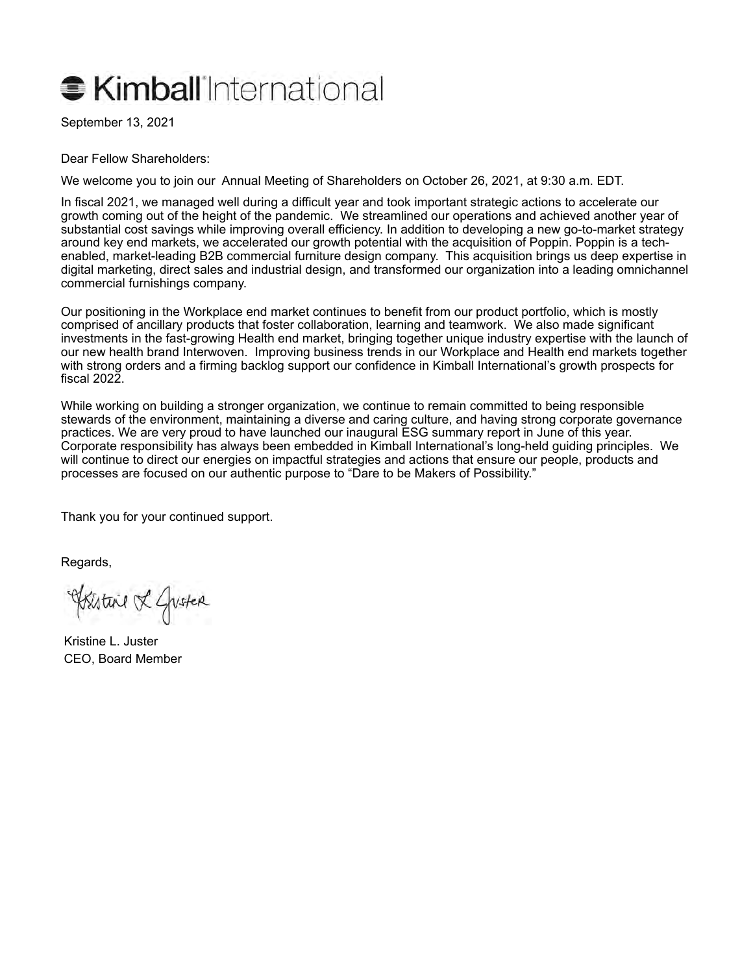# **C** Kimball International

September 13, 2021

Dear Fellow Shareholders:

We welcome you to join our Annual Meeting of Shareholders on October 26, 2021, at 9:30 a.m. EDT.

In fiscal 2021, we managed well during a difficult year and took important strategic actions to accelerate our growth coming out of the height of the pandemic. We streamlined our operations and achieved another year of substantial cost savings while improving overall efficiency. In addition to developing a new go-to-market strategy around key end markets, we accelerated our growth potential with the acquisition of Poppin. Poppin is a techenabled, market-leading B2B commercial furniture design company. This acquisition brings us deep expertise in digital marketing, direct sales and industrial design, and transformed our organization into a leading omnichannel commercial furnishings company.

Our positioning in the Workplace end market continues to benefit from our product portfolio, which is mostly comprised of ancillary products that foster collaboration, learning and teamwork. We also made significant investments in the fast-growing Health end market, bringing together unique industry expertise with the launch of our new health brand Interwoven. Improving business trends in our Workplace and Health end markets together with strong orders and a firming backlog support our confidence in Kimball International's growth prospects for fiscal 2022.

While working on building a stronger organization, we continue to remain committed to being responsible stewards of the environment, maintaining a diverse and caring culture, and having strong corporate governance practices. We are very proud to have launched our inaugural ESG summary report in June of this year. Corporate responsibility has always been embedded in Kimball International's long-held guiding principles. We will continue to direct our energies on impactful strategies and actions that ensure our people, products and processes are focused on our authentic purpose to "Dare to be Makers of Possibility."

Thank you for your continued support.

Regards,

Existine & Guster

Kristine L. Juster CEO, Board Member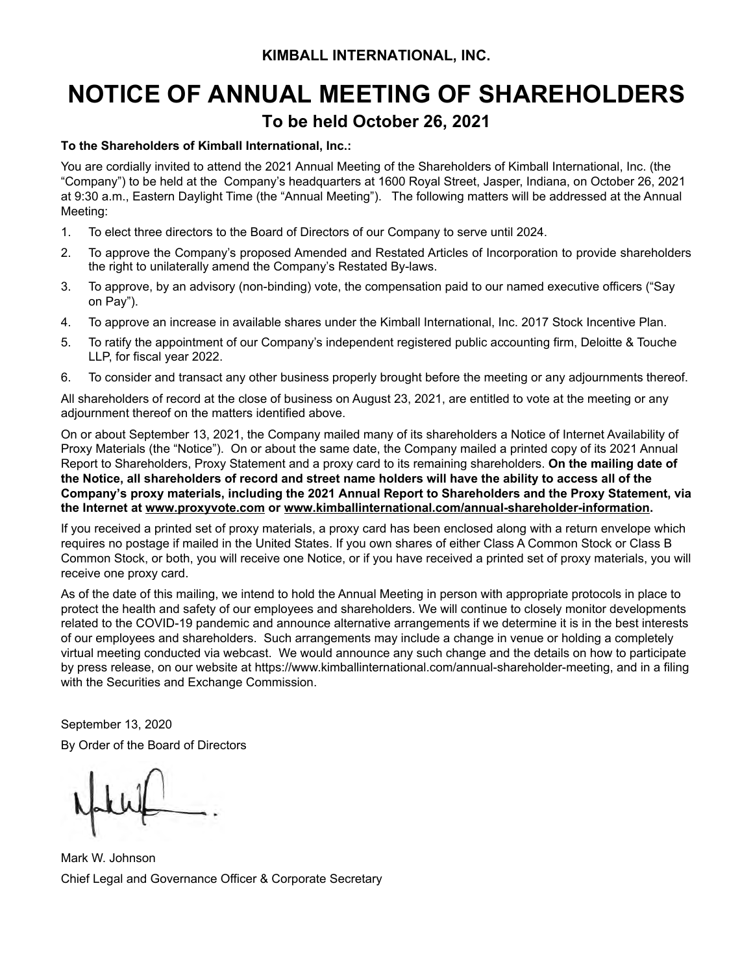## **NOTICE OF ANNUAL MEETING OF SHAREHOLDERS To be held October 26, 2021**

#### **To the Shareholders of Kimball International, Inc.:**

You are cordially invited to attend the 2021 Annual Meeting of the Shareholders of Kimball International, Inc. (the "Company") to be held at the Company's headquarters at 1600 Royal Street, Jasper, Indiana, on October 26, 2021 at 9:30 a.m., Eastern Daylight Time (the "Annual Meeting"). The following matters will be addressed at the Annual Meeting:

- 1. To elect three directors to the Board of Directors of our Company to serve until 2024.
- 2. To approve the Company's proposed Amended and Restated Articles of Incorporation to provide shareholders the right to unilaterally amend the Company's Restated By-laws.
- 3. To approve, by an advisory (non-binding) vote, the compensation paid to our named executive officers ("Say on Pay").
- 4. To approve an increase in available shares under the Kimball International, Inc. 2017 Stock Incentive Plan.
- 5. To ratify the appointment of our Company's independent registered public accounting firm, Deloitte & Touche LLP, for fiscal year 2022.
- 6. To consider and transact any other business properly brought before the meeting or any adjournments thereof.

All shareholders of record at the close of business on August 23, 2021, are entitled to vote at the meeting or any adjournment thereof on the matters identified above.

On or about September 13, 2021, the Company mailed many of its shareholders a Notice of Internet Availability of Proxy Materials (the "Notice"). On or about the same date, the Company mailed a printed copy of its 2021 Annual Report to Shareholders, Proxy Statement and a proxy card to its remaining shareholders. **On the mailing date of the Notice, all shareholders of record and street name holders will have the ability to access all of the Company's proxy materials, including the 2021 Annual Report to Shareholders and the Proxy Statement, via the Internet at www.proxyvote.com or www.kimballinternational.com/annual-shareholder-information.** 

If you received a printed set of proxy materials, a proxy card has been enclosed along with a return envelope which requires no postage if mailed in the United States. If you own shares of either Class A Common Stock or Class B Common Stock, or both, you will receive one Notice, or if you have received a printed set of proxy materials, you will receive one proxy card.

As of the date of this mailing, we intend to hold the Annual Meeting in person with appropriate protocols in place to protect the health and safety of our employees and shareholders. We will continue to closely monitor developments related to the COVID-19 pandemic and announce alternative arrangements if we determine it is in the best interests of our employees and shareholders. Such arrangements may include a change in venue or holding a completely virtual meeting conducted via webcast. We would announce any such change and the details on how to participate by press release, on our website at https://www.kimballinternational.com/annual-shareholder-meeting, and in a filing with the Securities and Exchange Commission.

September 13, 2020 By Order of the Board of Directors

Mark W. Johnson Chief Legal and Governance Officer & Corporate Secretary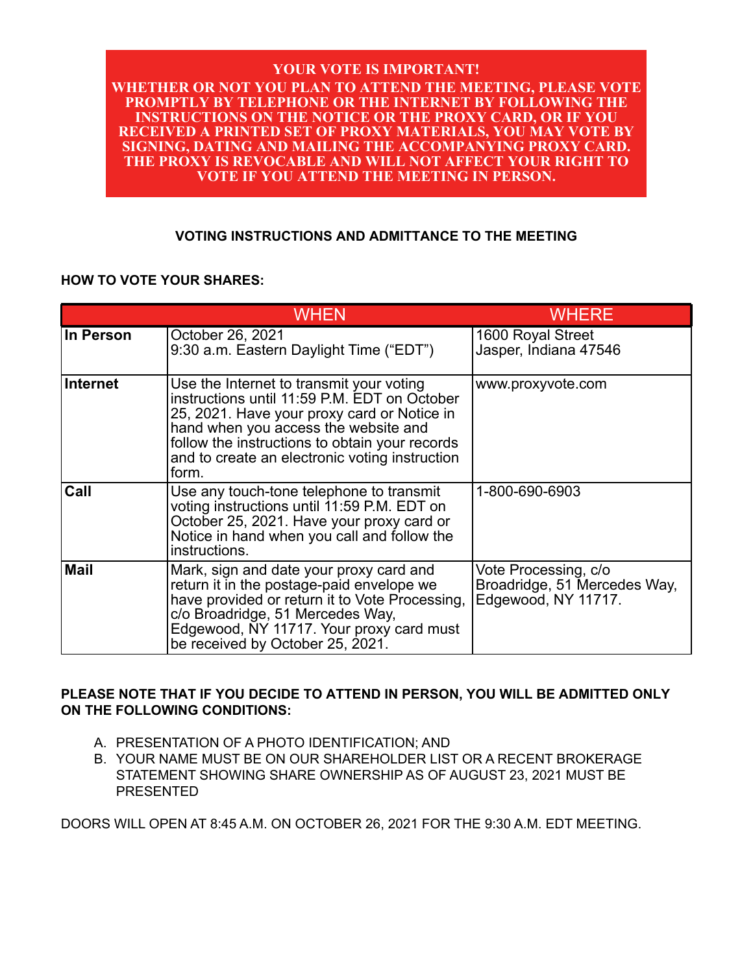#### **YOUR VOTE IS IMPORTANT! WHETHER OR NOT YOU PLAN TO ATTEND THE MEETING, PLEASE VOTE PROMPTLY BY TELEPHONE OR THE INTERNET BY FOLLOWING THE INSTRUCTIONS ON THE NOTICE OR THE PROXY CARD, OR IF YOU RECEIVED A PRINTED SET OF PROXY MATERIALS, YOU MAY VOTE BY SIGNING, DATING AND MAILING THE ACCOMPANYING PROXY CARD. THE PROXY IS REVOCABLE AND WILL NOT AFFECT YOUR RIGHT TO VOTE IF YOU ATTEND THE MEETING IN PERSON.**

#### **VOTING INSTRUCTIONS AND ADMITTANCE TO THE MEETING**

#### **HOW TO VOTE YOUR SHARES:**

|            | <b>WHEN</b>                                                                                                                                                                                                                                                                                  | <b>WHERE</b>                                                                |
|------------|----------------------------------------------------------------------------------------------------------------------------------------------------------------------------------------------------------------------------------------------------------------------------------------------|-----------------------------------------------------------------------------|
| ∣In Person | October 26, 2021<br>9:30 a.m. Eastern Daylight Time ("EDT")                                                                                                                                                                                                                                  | 1600 Royal Street<br>Jasper, Indiana 47546                                  |
| Internet   | Use the Internet to transmit your voting<br>instructions until 11:59 P.M. EDT on October<br>25, 2021. Have your proxy card or Notice in<br>hand when you access the website and<br>follow the instructions to obtain your records<br>and to create an electronic voting instruction<br>form. | www.proxyvote.com                                                           |
| Call       | Use any touch-tone telephone to transmit<br>voting instructions until 11:59 P.M. EDT on<br>October 25, 2021. Have your proxy card or<br>Notice in hand when you call and follow the<br>instructions.                                                                                         | 1-800-690-6903                                                              |
| Mail       | Mark, sign and date your proxy card and<br>return it in the postage-paid envelope we<br>have provided or return it to Vote Processing,<br>c/o Broadridge, 51 Mercedes Way,<br>Edgewood, NY 11717. Your proxy card must<br>be received by October 25, 2021.                                   | Vote Processing, c/o<br>Broadridge, 51 Mercedes Way,<br>Edgewood, NY 11717. |

#### **PLEASE NOTE THAT IF YOU DECIDE TO ATTEND IN PERSON, YOU WILL BE ADMITTED ONLY ON THE FOLLOWING CONDITIONS:**

- A. PRESENTATION OF A PHOTO IDENTIFICATION; AND
- B. YOUR NAME MUST BE ON OUR SHAREHOLDER LIST OR A RECENT BROKERAGE STATEMENT SHOWING SHARE OWNERSHIP AS OF AUGUST 23, 2021 MUST BE PRESENTED

DOORS WILL OPEN AT 8:45 A.M. ON OCTOBER 26, 2021 FOR THE 9:30 A.M. EDT MEETING.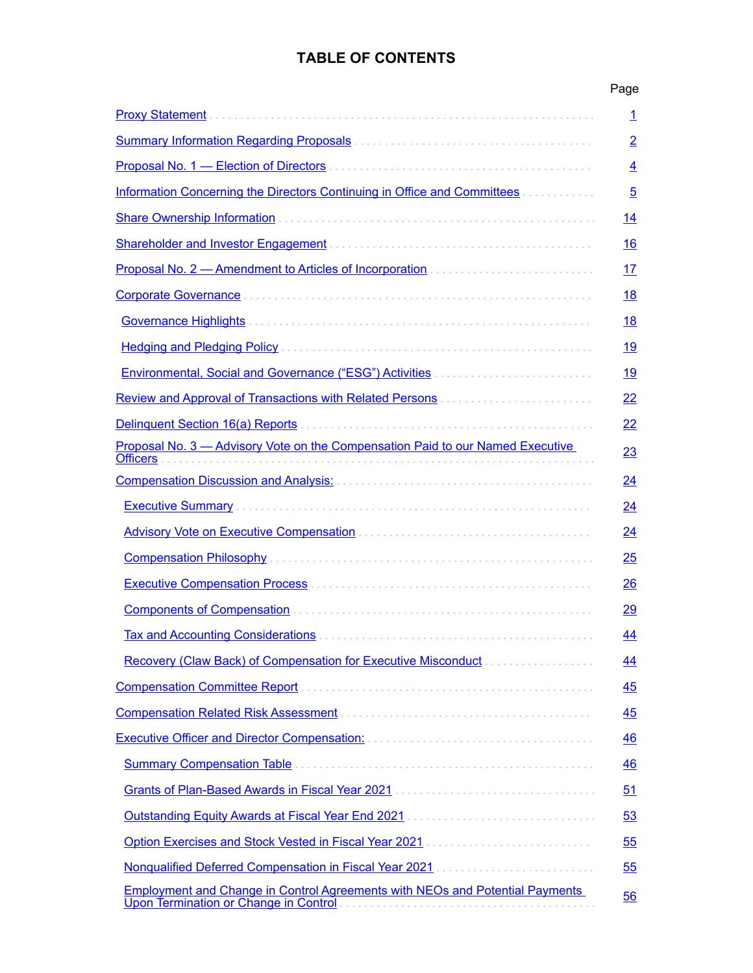### **TABLE OF CONTENTS**

|                                                                                                                                       | Page           |
|---------------------------------------------------------------------------------------------------------------------------------------|----------------|
|                                                                                                                                       | $\overline{1}$ |
|                                                                                                                                       | $\overline{2}$ |
|                                                                                                                                       | $\overline{4}$ |
| Information Concerning the Directors Continuing in Office and Committees                                                              | $\overline{5}$ |
|                                                                                                                                       | <u> 14</u>     |
|                                                                                                                                       | <u> 16</u>     |
| <b>Proposal No. 2 — Amendment to Articles of Incorporation measure in the Proposal No. 2 — Amendment to Articles of Incorporation</b> | <u>17</u>      |
|                                                                                                                                       | <u> 18</u>     |
|                                                                                                                                       | <u>18</u>      |
|                                                                                                                                       | <u> 19</u>     |
|                                                                                                                                       | <u>19</u>      |
| <b>Review and Approval of Transactions with Related Persons </b>                                                                      | <u>22</u>      |
|                                                                                                                                       | <u>22</u>      |
| Proposal No. 3 - Advisory Vote on the Compensation Paid to our Named Executive<br><b>Officers</b>                                     | 23             |
|                                                                                                                                       | <u>24</u>      |
|                                                                                                                                       | <u>24</u>      |
| <b>Advisory Vote on Executive Compensation Material Advisory Material Advisory Material Advisory Material Advisor</b>                 | <u>24</u>      |
| <b>Compensation Philosophy</b>                                                                                                        | 25             |
|                                                                                                                                       | 26             |
|                                                                                                                                       | <u>29</u>      |
|                                                                                                                                       | 44             |
| <b>Recovery (Claw Back) of Compensation for Executive Misconduct</b>                                                                  | 44             |
|                                                                                                                                       | <u>45</u>      |
|                                                                                                                                       | <u>45</u>      |
|                                                                                                                                       | <u>46</u>      |
| <b>Summary Compensation Table</b>                                                                                                     | <u>46</u>      |
|                                                                                                                                       | 51             |
| Outstanding Equity Awards at Fiscal Year End 2021 [10] Contract Contract Contract Contract Contract Contract C                        | 53             |
|                                                                                                                                       | 55             |
|                                                                                                                                       | <u>55</u>      |
| <b>Employment and Change in Control Agreements with NEOs and Potential Payments</b><br>Upon Termination or Change in Control          | 56             |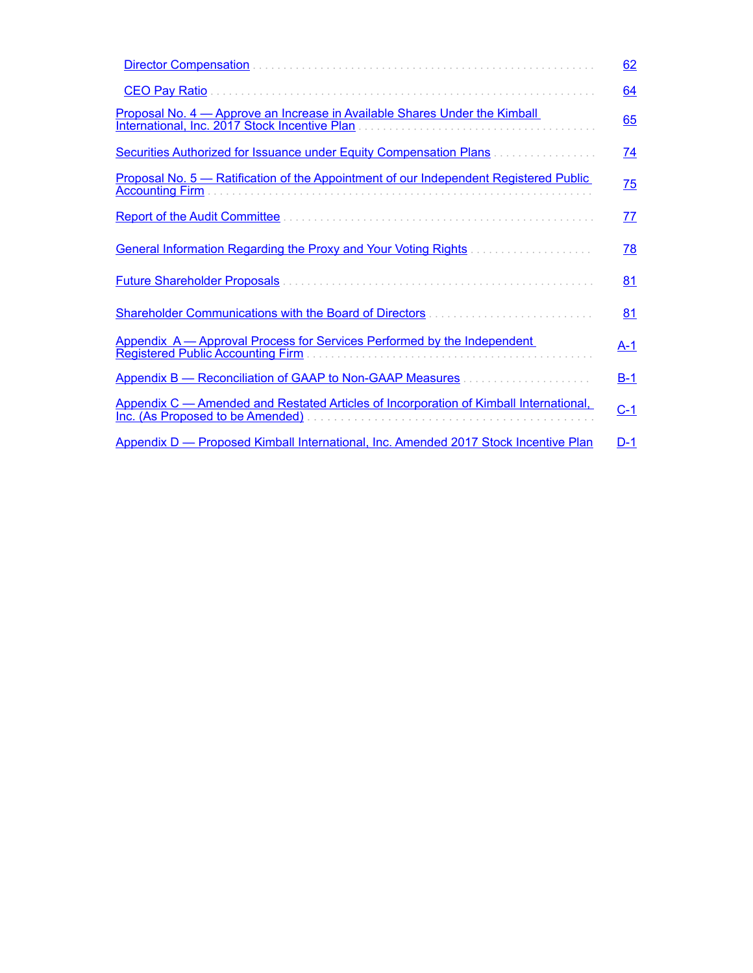|                                                                                                                             | 62        |
|-----------------------------------------------------------------------------------------------------------------------------|-----------|
| <b>CEO Pay Ratio</b>                                                                                                        | <u>64</u> |
| Proposal No. 4 – Approve an Increase in Available Shares Under the Kimball<br>International, Inc. 2017 Stock Incentive Plan | 65        |
| Securities Authorized for Issuance under Equity Compensation Plans.<br>.                                                    | <u>74</u> |
| Proposal No. 5 – Ratification of the Appointment of our Independent Registered Public<br><b>Accounting Firm</b>             | <u>75</u> |
| <b>Report of the Audit Committee</b>                                                                                        | <u>77</u> |
| <b>General Information Regarding the Proxy and Your Voting Rights Communities Community</b>                                 | <u>78</u> |
| <b>Future Shareholder Proposals</b>                                                                                         | 81        |
| Shareholder Communications with the Board of Directors.                                                                     | 81        |
| Appendix A - Approval Process for Services Performed by the Independent<br>Registered Public Accounting Firm                | A-1       |
|                                                                                                                             | $B-1$     |
| Appendix C — Amended and Restated Articles of Incorporation of Kimball International.<br>Inc. (As Proposed to be Amended)   | $C-1$     |
| Appendix D — Proposed Kimball International, Inc. Amended 2017 Stock Incentive Plan                                         | $D-1$     |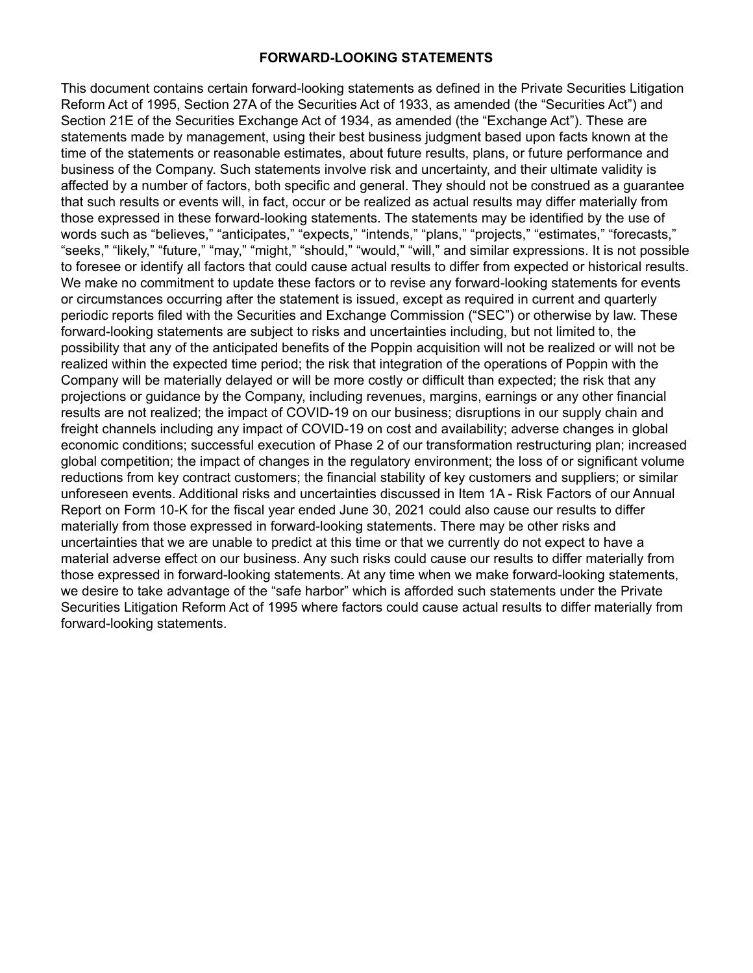#### **FORWARD-LOOKING STATEMENTS**

This document contains certain forward-looking statements as defined in the Private Securities Litigation Reform Act of 1995, Section 27A of the Securities Act of 1933, as amended (the "Securities Act") and Section 21E of the Securities Exchange Act of 1934, as amended (the "Exchange Act"). These are statements made by management, using their best business judgment based upon facts known at the time of the statements or reasonable estimates, about future results, plans, or future performance and business of the Company. Such statements involve risk and uncertainty, and their ultimate validity is affected by a number of factors, both specific and general. They should not be construed as a guarantee that such results or events will, in fact, occur or be realized as actual results may differ materially from those expressed in these forward-looking statements. The statements may be identified by the use of words such as "believes," "anticipates," "expects," "intends," "plans," "projects," "estimates," "forecasts," "seeks," "likely," "future," "may," "might," "should," "would," "will," and similar expressions. It is not possible to foresee or identify all factors that could cause actual results to differ from expected or historical results. We make no commitment to update these factors or to revise any forward-looking statements for events or circumstances occurring after the statement is issued, except as required in current and quarterly periodic reports filed with the Securities and Exchange Commission ("SEC") or otherwise by law. These forward-looking statements are subject to risks and uncertainties including, but not limited to, the possibility that any of the anticipated benefits of the Poppin acquisition will not be realized or will not be realized within the expected time period; the risk that integration of the operations of Poppin with the Company will be materially delayed or will be more costly or difficult than expected; the risk that any projections or guidance by the Company, including revenues, margins, earnings or any other financial results are not realized; the impact of COVID-19 on our business; disruptions in our supply chain and freight channels including any impact of COVID-19 on cost and availability; adverse changes in global economic conditions; successful execution of Phase 2 of our transformation restructuring plan; increased global competition; the impact of changes in the regulatory environment; the loss of or significant volume reductions from key contract customers; the financial stability of key customers and suppliers; or similar unforeseen events. Additional risks and uncertainties discussed in Item 1A - Risk Factors of our Annual Report on Form 10-K for the fiscal year ended June 30, 2021 could also cause our results to differ materially from those expressed in forward-looking statements. There may be other risks and uncertainties that we are unable to predict at this time or that we currently do not expect to have a material adverse effect on our business. Any such risks could cause our results to differ materially from those expressed in forward-looking statements. At any time when we make forward-looking statements, we desire to take advantage of the "safe harbor" which is afforded such statements under the Private Securities Litigation Reform Act of 1995 where factors could cause actual results to differ materially from forward-looking statements.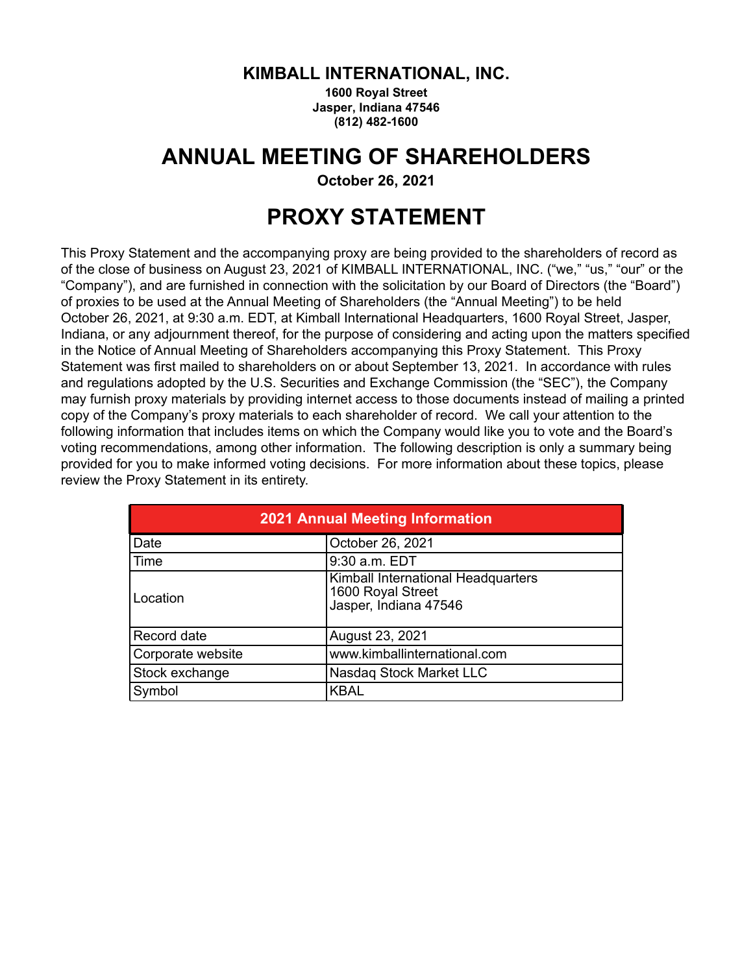#### **KIMBALL INTERNATIONAL, INC.**

**1600 Royal Street Jasper, Indiana 47546 (812) 482-1600**

### <span id="page-6-0"></span>**ANNUAL MEETING OF SHAREHOLDERS**

**October 26, 2021** 

## **PROXY STATEMENT**

This Proxy Statement and the accompanying proxy are being provided to the shareholders of record as of the close of business on August 23, 2021 of KIMBALL INTERNATIONAL, INC. ("we," "us," "our" or the "Company"), and are furnished in connection with the solicitation by our Board of Directors (the "Board") of proxies to be used at the Annual Meeting of Shareholders (the "Annual Meeting") to be held October 26, 2021, at 9:30 a.m. EDT, at Kimball International Headquarters, 1600 Royal Street, Jasper, Indiana, or any adjournment thereof, for the purpose of considering and acting upon the matters specified in the Notice of Annual Meeting of Shareholders accompanying this Proxy Statement. This Proxy Statement was first mailed to shareholders on or about September 13, 2021. In accordance with rules and regulations adopted by the U.S. Securities and Exchange Commission (the "SEC"), the Company may furnish proxy materials by providing internet access to those documents instead of mailing a printed copy of the Company's proxy materials to each shareholder of record. We call your attention to the following information that includes items on which the Company would like you to vote and the Board's voting recommendations, among other information. The following description is only a summary being provided for you to make informed voting decisions. For more information about these topics, please review the Proxy Statement in its entirety.

| <b>2021 Annual Meeting Information</b> |                                                                                  |  |  |
|----------------------------------------|----------------------------------------------------------------------------------|--|--|
| Date                                   | October 26, 2021                                                                 |  |  |
| Time                                   | 9:30 a.m. EDT                                                                    |  |  |
| Location                               | Kimball International Headquarters<br>1600 Royal Street<br>Jasper, Indiana 47546 |  |  |
| Record date                            | August 23, 2021                                                                  |  |  |
| Corporate website                      | www.kimballinternational.com                                                     |  |  |
| Stock exchange                         | Nasdaq Stock Market LLC                                                          |  |  |
| Symbol                                 | <b>KBAL</b>                                                                      |  |  |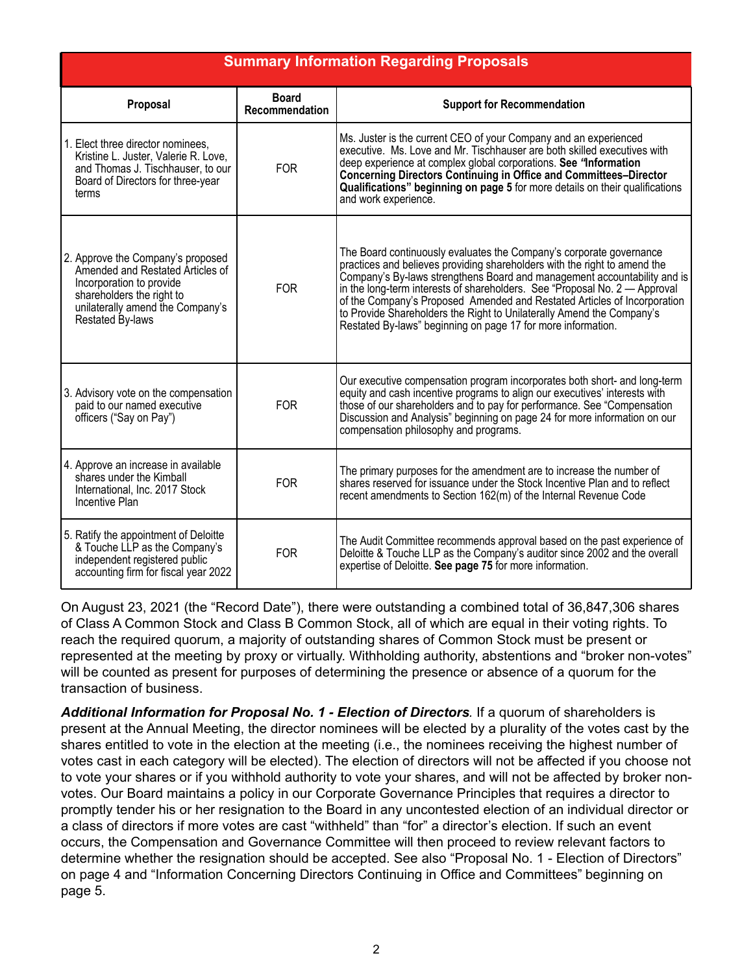<span id="page-7-0"></span>

| <b>Summary Information Regarding Proposals</b>                                                                                                                                         |                                       |                                                                                                                                                                                                                                                                                                                                                                                                                                                                                                                                   |  |
|----------------------------------------------------------------------------------------------------------------------------------------------------------------------------------------|---------------------------------------|-----------------------------------------------------------------------------------------------------------------------------------------------------------------------------------------------------------------------------------------------------------------------------------------------------------------------------------------------------------------------------------------------------------------------------------------------------------------------------------------------------------------------------------|--|
| Proposal                                                                                                                                                                               | <b>Board</b><br><b>Recommendation</b> | <b>Support for Recommendation</b>                                                                                                                                                                                                                                                                                                                                                                                                                                                                                                 |  |
| 1. Elect three director nominees,<br>Kristine L. Juster, Valerie R. Love,<br>and Thomas J. Tischhauser, to our<br>Board of Directors for three-year<br>terms                           | <b>FOR</b>                            | Ms. Juster is the current CEO of your Company and an experienced<br>executive. Ms. Love and Mr. Tischhauser are both skilled executives with<br>deep experience at complex global corporations. See "Information<br><b>Concerning Directors Continuing in Office and Committees-Director</b><br>Qualifications" beginning on page 5 for more details on their qualifications<br>and work experience.                                                                                                                              |  |
| 2. Approve the Company's proposed<br>Amended and Restated Articles of<br>Incorporation to provide<br>shareholders the right to<br>unilaterally amend the Company's<br>Restated By-laws | <b>FOR</b>                            | The Board continuously evaluates the Company's corporate governance<br>practices and believes providing shareholders with the right to amend the<br>Company's By-laws strengthens Board and management accountability and is<br>in the long-term interests of shareholders. See "Proposal No. $2 -$ Approval<br>of the Company's Proposed Amended and Restated Articles of Incorporation<br>to Provide Shareholders the Right to Unilaterally Amend the Company's<br>Restated By-laws" beginning on page 17 for more information. |  |
| 3. Advisory vote on the compensation<br>paid to our named executive<br>officers ("Say on Pay")                                                                                         | <b>FOR</b>                            | Our executive compensation program incorporates both short- and long-term<br>equity and cash incentive programs to align our executives' interests with<br>those of our shareholders and to pay for performance. See "Compensation<br>Discussion and Analysis" beginning on page 24 for more information on our<br>compensation philosophy and programs.                                                                                                                                                                          |  |
| 4. Approve an increase in available<br>shares under the Kimball<br>International, Inc. 2017 Stock<br><b>Incentive Plan</b>                                                             | <b>FOR</b>                            | The primary purposes for the amendment are to increase the number of<br>shares reserved for issuance under the Stock Incentive Plan and to reflect<br>recent amendments to Section 162(m) of the Internal Revenue Code                                                                                                                                                                                                                                                                                                            |  |
| 5. Ratify the appointment of Deloitte<br>& Touche LLP as the Company's<br>independent registered public<br>accounting firm for fiscal year 2022                                        | <b>FOR</b>                            | The Audit Committee recommends approval based on the past experience of<br>Deloitte & Touche LLP as the Company's auditor since 2002 and the overall<br>expertise of Deloitte. See page 75 for more information.                                                                                                                                                                                                                                                                                                                  |  |

On August 23, 2021 (the "Record Date"), there were outstanding a combined total of 36,847,306 shares of Class A Common Stock and Class B Common Stock, all of which are equal in their voting rights. To reach the required quorum, a majority of outstanding shares of Common Stock must be present or represented at the meeting by proxy or virtually. Withholding authority, abstentions and "broker non-votes" will be counted as present for purposes of determining the presence or absence of a quorum for the transaction of business.

*Additional Information for Proposal No. 1 - Election of Directors.* If a quorum of shareholders is present at the Annual Meeting, the director nominees will be elected by a plurality of the votes cast by the shares entitled to vote in the election at the meeting (i.e., the nominees receiving the highest number of votes cast in each category will be elected). The election of directors will not be affected if you choose not to vote your shares or if you withhold authority to vote your shares, and will not be affected by broker nonvotes. Our Board maintains a policy in our Corporate Governance Principles that requires a director to promptly tender his or her resignation to the Board in any uncontested election of an individual director or a class of directors if more votes are cast "withheld" than "for" a director's election. If such an event occurs, the Compensation and Governance Committee will then proceed to review relevant factors to determine whether the resignation should be accepted. See also "Proposal No. 1 - Election of Directors" on page 4 and "Information Concerning Directors Continuing in Office and Committees" beginning on page 5.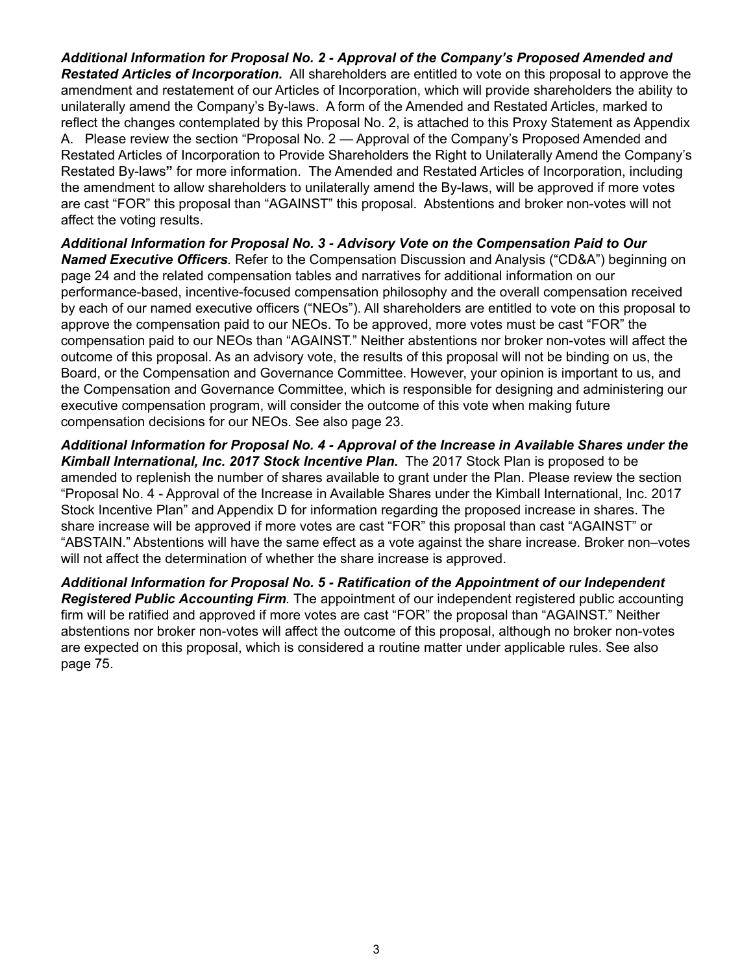*Additional Information for Proposal No. 2 - Approval of the Company's Proposed Amended and Restated Articles of Incorporation.* All shareholders are entitled to vote on this proposal to approve the amendment and restatement of our Articles of Incorporation, which will provide shareholders the ability to unilaterally amend the Company's By-laws. A form of the Amended and Restated Articles, marked to reflect the changes contemplated by this Proposal No. 2, is attached to this Proxy Statement as Appendix A. Please review the section "Proposal No. 2 — Approval of the Company's Proposed Amended and Restated Articles of Incorporation to Provide Shareholders the Right to Unilaterally Amend the Company's Restated By-laws**"** for more information. The Amended and Restated Articles of Incorporation, including the amendment to allow shareholders to unilaterally amend the By-laws, will be approved if more votes are cast "FOR" this proposal than "AGAINST" this proposal. Abstentions and broker non-votes will not affect the voting results.

*Additional Information for Proposal No. 3 - Advisory Vote on the Compensation Paid to Our Named Executive Officers.* Refer to the Compensation Discussion and Analysis ("CD&A") beginning on page 24 and the related compensation tables and narratives for additional information on our performance-based, incentive-focused compensation philosophy and the overall compensation received by each of our named executive officers ("NEOs"). All shareholders are entitled to vote on this proposal to approve the compensation paid to our NEOs. To be approved, more votes must be cast "FOR" the compensation paid to our NEOs than "AGAINST." Neither abstentions nor broker non-votes will affect the outcome of this proposal. As an advisory vote, the results of this proposal will not be binding on us, the Board, or the Compensation and Governance Committee. However, your opinion is important to us, and the Compensation and Governance Committee, which is responsible for designing and administering our executive compensation program, will consider the outcome of this vote when making future compensation decisions for our NEOs. See also page 23.

*Additional Information for Proposal No. 4 - Approval of the Increase in Available Shares under the Kimball International, Inc. 2017 Stock Incentive Plan.* The 2017 Stock Plan is proposed to be amended to replenish the number of shares available to grant under the Plan. Please review the section "Proposal No. 4 - Approval of the Increase in Available Shares under the Kimball International, Inc. 2017 Stock Incentive Plan" and Appendix D for information regarding the proposed increase in shares. The share increase will be approved if more votes are cast "FOR" this proposal than cast "AGAINST" or "ABSTAIN." Abstentions will have the same effect as a vote against the share increase. Broker non–votes will not affect the determination of whether the share increase is approved.

*Additional Information for Proposal No. 5 - Ratification of the Appointment of our Independent Registered Public Accounting Firm.* The appointment of our independent registered public accounting firm will be ratified and approved if more votes are cast "FOR" the proposal than "AGAINST." Neither abstentions nor broker non-votes will affect the outcome of this proposal, although no broker non-votes are expected on this proposal, which is considered a routine matter under applicable rules. See also page 75.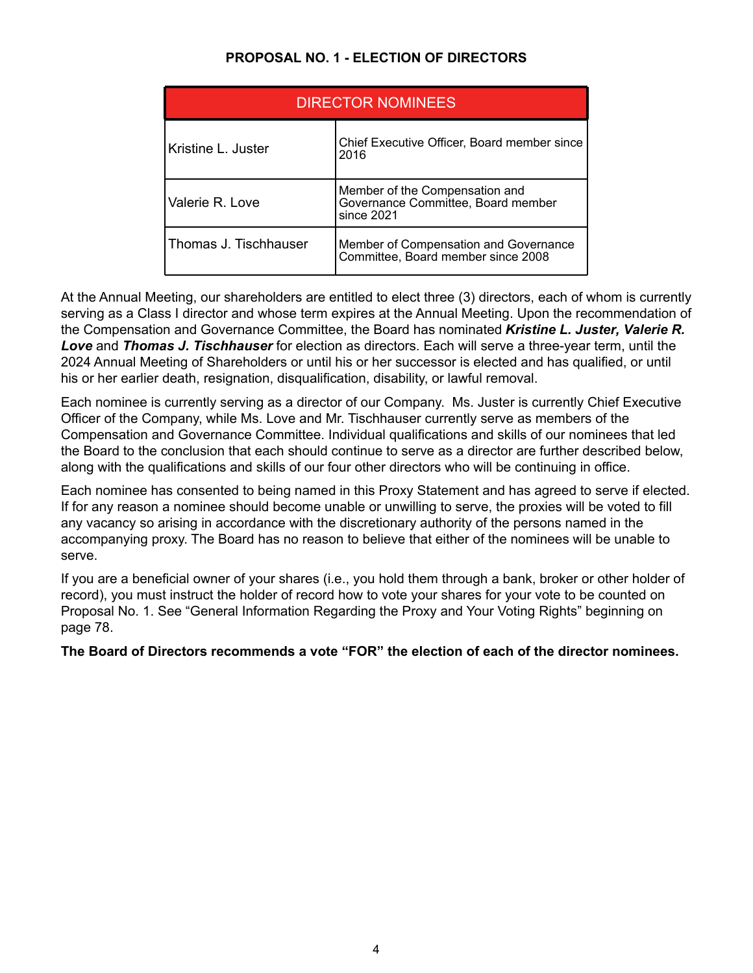#### **PROPOSAL NO. 1 - ELECTION OF DIRECTORS**

<span id="page-9-0"></span>

| <b>DIRECTOR NOMINEES</b> |                                                                                    |  |  |
|--------------------------|------------------------------------------------------------------------------------|--|--|
| Kristine L. Juster       | Chief Executive Officer, Board member since<br>2016                                |  |  |
| Valerie R. Love          | Member of the Compensation and<br>Governance Committee, Board member<br>since 2021 |  |  |
| Thomas J. Tischhauser    | Member of Compensation and Governance<br>Committee, Board member since 2008        |  |  |

At the Annual Meeting, our shareholders are entitled to elect three (3) directors, each of whom is currently serving as a Class I director and whose term expires at the Annual Meeting. Upon the recommendation of the Compensation and Governance Committee, the Board has nominated *Kristine L. Juster, Valerie R. Love* and *Thomas J. Tischhauser* for election as directors. Each will serve a three-year term, until the 2024 Annual Meeting of Shareholders or until his or her successor is elected and has qualified, or until his or her earlier death, resignation, disqualification, disability, or lawful removal.

Each nominee is currently serving as a director of our Company. Ms. Juster is currently Chief Executive Officer of the Company, while Ms. Love and Mr. Tischhauser currently serve as members of the Compensation and Governance Committee. Individual qualifications and skills of our nominees that led the Board to the conclusion that each should continue to serve as a director are further described below, along with the qualifications and skills of our four other directors who will be continuing in office.

Each nominee has consented to being named in this Proxy Statement and has agreed to serve if elected. If for any reason a nominee should become unable or unwilling to serve, the proxies will be voted to fill any vacancy so arising in accordance with the discretionary authority of the persons named in the accompanying proxy. The Board has no reason to believe that either of the nominees will be unable to serve.

If you are a beneficial owner of your shares (i.e., you hold them through a bank, broker or other holder of record), you must instruct the holder of record how to vote your shares for your vote to be counted on Proposal No. 1. See "General Information Regarding the Proxy and Your Voting Rights" beginning on page 78.

**The Board of Directors recommends a vote "FOR" the election of each of the director nominees.**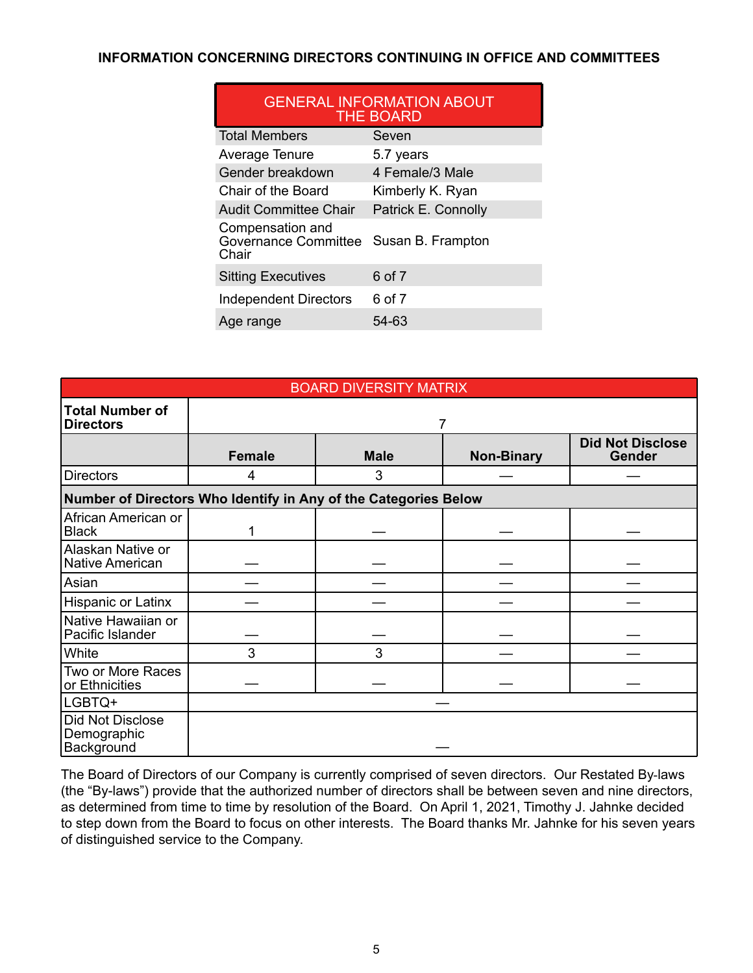#### <span id="page-10-0"></span>**INFORMATION CONCERNING DIRECTORS CONTINUING IN OFFICE AND COMMITTEES**

| <b>GENERAL INFORMATION ABOUT</b><br><b>THE BOARD</b>     |                     |  |  |
|----------------------------------------------------------|---------------------|--|--|
| <b>Total Members</b>                                     | Seven               |  |  |
| Average Tenure                                           | 5.7 years           |  |  |
| Gender breakdown                                         | 4 Female/3 Male     |  |  |
| Chair of the Board                                       | Kimberly K. Ryan    |  |  |
| <b>Audit Committee Chair</b>                             | Patrick E. Connolly |  |  |
| Compensation and<br><b>Governance Committee</b><br>Chair | Susan B. Frampton   |  |  |
| <b>Sitting Executives</b>                                | 6 of 7              |  |  |
| <b>Independent Directors</b>                             | 6 of 7              |  |  |
| Age range                                                | 54-63               |  |  |

| <b>BOARD DIVERSITY MATRIX</b>                 |                                                                 |             |                   |                                          |
|-----------------------------------------------|-----------------------------------------------------------------|-------------|-------------------|------------------------------------------|
| <b>Total Number of</b><br><b>Directors</b>    |                                                                 |             |                   |                                          |
|                                               | <b>Female</b>                                                   | <b>Male</b> | <b>Non-Binary</b> | <b>Did Not Disclose</b><br><b>Gender</b> |
| <b>Directors</b>                              | 4                                                               | 3           |                   |                                          |
|                                               | Number of Directors Who Identify in Any of the Categories Below |             |                   |                                          |
| African American or<br><b>Black</b>           | 1                                                               |             |                   |                                          |
| Alaskan Native or<br><b>Native American</b>   |                                                                 |             |                   |                                          |
| Asian                                         |                                                                 |             |                   |                                          |
| Hispanic or Latinx                            |                                                                 |             |                   |                                          |
| Native Hawaiian or<br>Pacific Islander        |                                                                 |             |                   |                                          |
| White                                         | 3                                                               | 3           |                   |                                          |
| Two or More Races<br>or Ethnicities           |                                                                 |             |                   |                                          |
| LGBTQ+                                        |                                                                 |             |                   |                                          |
| Did Not Disclose<br>Demographic<br>Background |                                                                 |             |                   |                                          |

The Board of Directors of our Company is currently comprised of seven directors. Our Restated By-laws (the "By-laws") provide that the authorized number of directors shall be between seven and nine directors, as determined from time to time by resolution of the Board. On April 1, 2021, Timothy J. Jahnke decided to step down from the Board to focus on other interests. The Board thanks Mr. Jahnke for his seven years of distinguished service to the Company.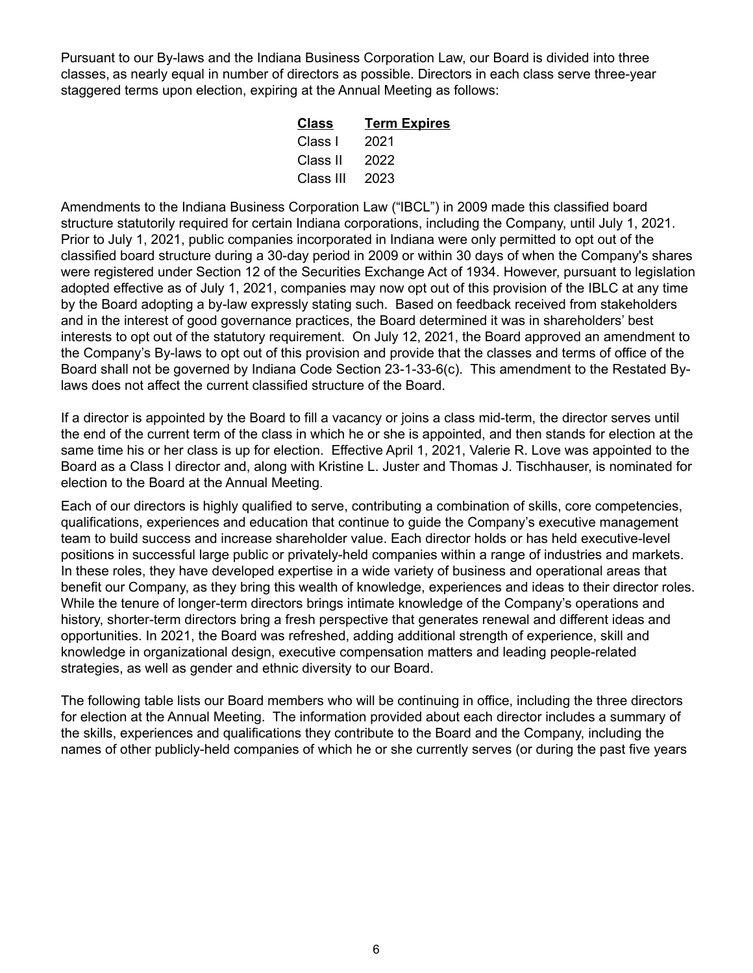Pursuant to our By-laws and the Indiana Business Corporation Law, our Board is divided into three classes, as nearly equal in number of directors as possible. Directors in each class serve three-year staggered terms upon election, expiring at the Annual Meeting as follows:

| Class     | <b>Term Expires</b> |
|-----------|---------------------|
| Class I   | 2021                |
| Class II  | 2022                |
| Class III | 2023                |
|           |                     |

Amendments to the Indiana Business Corporation Law ("IBCL") in 2009 made this classified board structure statutorily required for certain Indiana corporations, including the Company, until July 1, 2021. Prior to July 1, 2021, public companies incorporated in Indiana were only permitted to opt out of the classified board structure during a 30-day period in 2009 or within 30 days of when the Company's shares were registered under Section 12 of the Securities Exchange Act of 1934. However, pursuant to legislation adopted effective as of July 1, 2021, companies may now opt out of this provision of the IBLC at any time by the Board adopting a by-law expressly stating such. Based on feedback received from stakeholders and in the interest of good governance practices, the Board determined it was in shareholders' best interests to opt out of the statutory requirement. On July 12, 2021, the Board approved an amendment to the Company's By-laws to opt out of this provision and provide that the classes and terms of office of the Board shall not be governed by Indiana Code Section 23-1-33-6(c). This amendment to the Restated Bylaws does not affect the current classified structure of the Board.

If a director is appointed by the Board to fill a vacancy or joins a class mid-term, the director serves until the end of the current term of the class in which he or she is appointed, and then stands for election at the same time his or her class is up for election. Effective April 1, 2021, Valerie R. Love was appointed to the Board as a Class I director and, along with Kristine L. Juster and Thomas J. Tischhauser, is nominated for election to the Board at the Annual Meeting.

Each of our directors is highly qualified to serve, contributing a combination of skills, core competencies, qualifications, experiences and education that continue to guide the Company's executive management team to build success and increase shareholder value. Each director holds or has held executive-level positions in successful large public or privately-held companies within a range of industries and markets. In these roles, they have developed expertise in a wide variety of business and operational areas that benefit our Company, as they bring this wealth of knowledge, experiences and ideas to their director roles. While the tenure of longer-term directors brings intimate knowledge of the Company's operations and history, shorter-term directors bring a fresh perspective that generates renewal and different ideas and opportunities. In 2021, the Board was refreshed, adding additional strength of experience, skill and knowledge in organizational design, executive compensation matters and leading people-related strategies, as well as gender and ethnic diversity to our Board.

The following table lists our Board members who will be continuing in office, including the three directors for election at the Annual Meeting. The information provided about each director includes a summary of the skills, experiences and qualifications they contribute to the Board and the Company, including the names of other publicly-held companies of which he or she currently serves (or during the past five years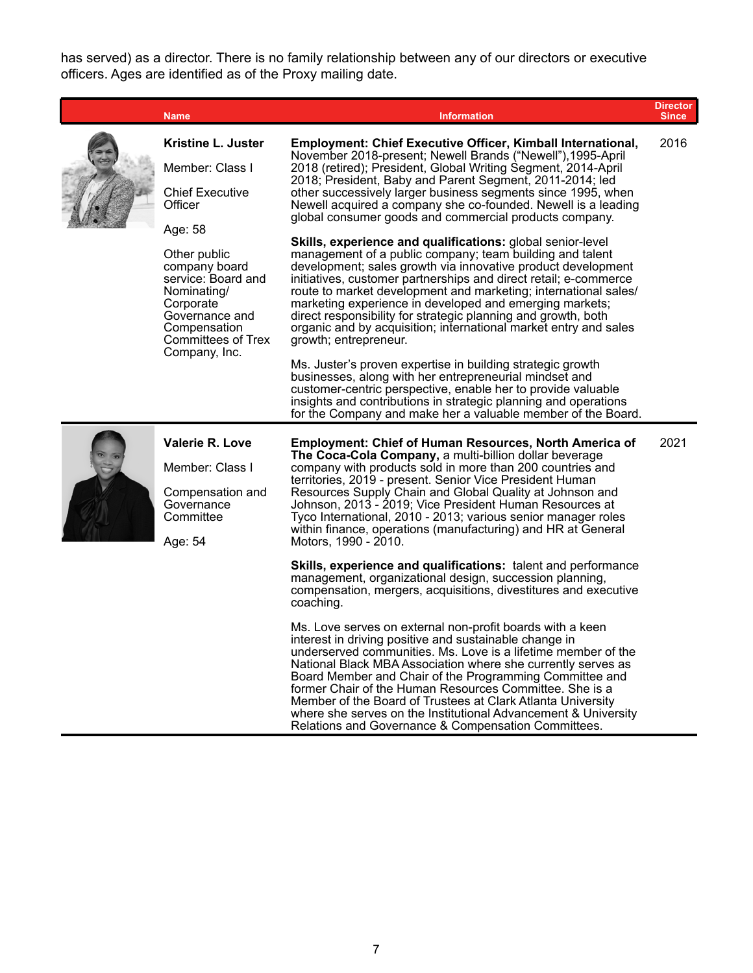has served) as a director. There is no family relationship between any of our directors or executive officers. Ages are identified as of the Proxy mailing date.

|  | <b>Name</b>                                                                                                                                                                    | <b>Information</b>                                                                                                                                                                                                                                                                                                                                                                                                                                                                                                                                                                                                                                                                                                                                                                                                                                                                                                                                                                                                                                                                  | <b>Director</b><br><b>Since</b> |
|--|--------------------------------------------------------------------------------------------------------------------------------------------------------------------------------|-------------------------------------------------------------------------------------------------------------------------------------------------------------------------------------------------------------------------------------------------------------------------------------------------------------------------------------------------------------------------------------------------------------------------------------------------------------------------------------------------------------------------------------------------------------------------------------------------------------------------------------------------------------------------------------------------------------------------------------------------------------------------------------------------------------------------------------------------------------------------------------------------------------------------------------------------------------------------------------------------------------------------------------------------------------------------------------|---------------------------------|
|  | Kristine L. Juster<br>Member: Class I<br><b>Chief Executive</b>                                                                                                                | Employment: Chief Executive Officer, Kimball International,<br>November 2018-present; Newell Brands ("Newell"), 1995-April<br>2018 (retired); President, Global Writing Segment, 2014-April<br>2018; President, Baby and Parent Segment, 2011-2014; led                                                                                                                                                                                                                                                                                                                                                                                                                                                                                                                                                                                                                                                                                                                                                                                                                             | 2016                            |
|  | Officer<br>Age: 58<br>Other public<br>company board<br>service: Board and<br>Nominating/<br>Corporate<br>Governance and<br>Compensation<br>Committees of Trex<br>Company, Inc. | other successively larger business segments since 1995, when<br>Newell acquired a company she co-founded. Newell is a leading<br>global consumer goods and commercial products company.<br><b>Skills, experience and qualifications:</b> global senior-level<br>management of a public company; team building and talent<br>development; sales growth via innovative product development<br>initiatives, customer partnerships and direct retail; e-commerce<br>route to market development and marketing; international sales/<br>marketing experience in developed and emerging markets;<br>direct responsibility for strategic planning and growth, both<br>organic and by acquisition; international market entry and sales<br>growth; entrepreneur.<br>Ms. Juster's proven expertise in building strategic growth<br>businesses, along with her entrepreneurial mindset and<br>customer-centric perspective, enable her to provide valuable<br>insights and contributions in strategic planning and operations<br>for the Company and make her a valuable member of the Board. |                                 |
|  | Valerie R. Love<br>Member: Class I<br>Compensation and<br>Governance<br>Committee<br>Age: 54                                                                                   | <b>Employment: Chief of Human Resources, North America of</b><br>The Coca-Cola Company, a multi-billion dollar beverage<br>company with products sold in more than 200 countries and<br>territories, 2019 - present. Senior Vice President Human<br>Resources Supply Chain and Global Quality at Johnson and<br>Johnson, 2013 - 2019; Vice President Human Resources at<br>Tyco International, 2010 - 2013; various senior manager roles<br>within finance, operations (manufacturing) and HR at General<br>Motors, 1990 - 2010.<br>Skills, experience and qualifications: talent and performance<br>management, organizational design, succession planning,<br>compensation, mergers, acquisitions, divestitures and executive<br>coaching.                                                                                                                                                                                                                                                                                                                                        | 2021                            |
|  |                                                                                                                                                                                | Ms. Love serves on external non-profit boards with a keen<br>interest in driving positive and sustainable change in<br>underserved communities. Ms. Love is a lifetime member of the<br>National Black MBA Association where she currently serves as<br>Board Member and Chair of the Programming Committee and<br>former Chair of the Human Resources Committee. She is a<br>Member of the Board of Trustees at Clark Atlanta University<br>where she serves on the Institutional Advancement & University                                                                                                                                                                                                                                                                                                                                                                                                                                                                                                                                                                         |                                 |

Relations and Governance & Compensation Committees.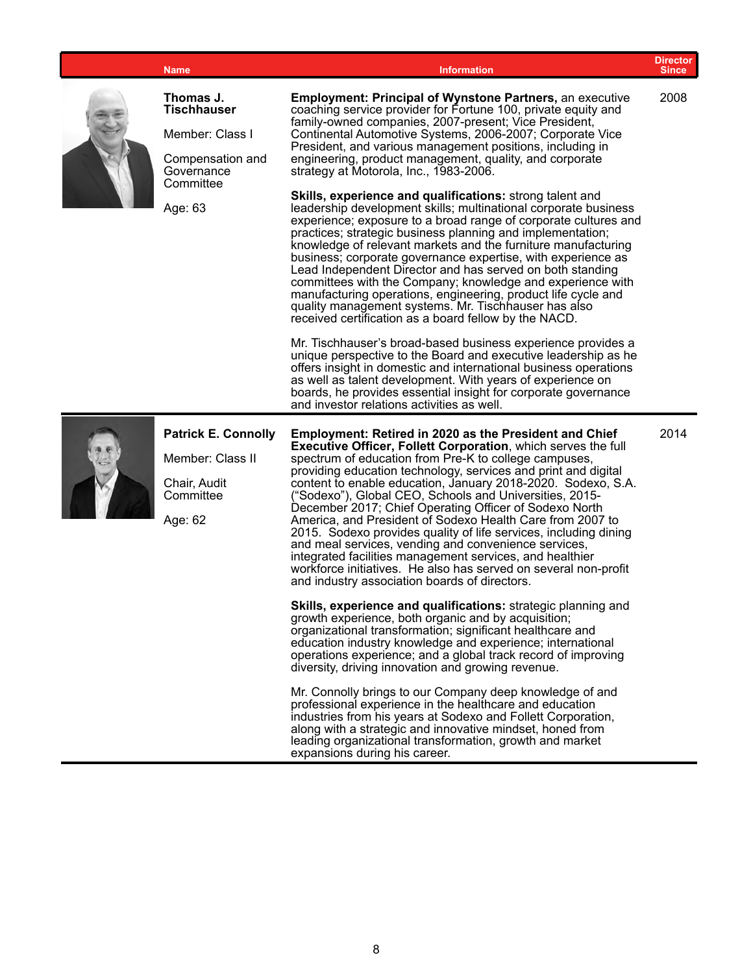|  | <b>Name</b>                                                                                       | <b>Information</b>                                                                                                                                                                                                                                                                                                                                                                                                                                                                                                                                                                                                                                                                                                                                                                                                                                                                                                                                                                                                                                                         | <b>Director</b><br><b>Since</b> |
|--|---------------------------------------------------------------------------------------------------|----------------------------------------------------------------------------------------------------------------------------------------------------------------------------------------------------------------------------------------------------------------------------------------------------------------------------------------------------------------------------------------------------------------------------------------------------------------------------------------------------------------------------------------------------------------------------------------------------------------------------------------------------------------------------------------------------------------------------------------------------------------------------------------------------------------------------------------------------------------------------------------------------------------------------------------------------------------------------------------------------------------------------------------------------------------------------|---------------------------------|
|  | Thomas J.<br><b>Tischhauser</b><br>Member: Class I<br>Compensation and<br>Governance<br>Committee | <b>Employment: Principal of Wynstone Partners, an executive</b><br>coaching service provider for Fortune 100, private equity and<br>family-owned companies, 2007-present; Vice President,<br>Continental Automotive Systems, 2006-2007; Corporate Vice<br>President, and various management positions, including in<br>engineering, product management, quality, and corporate<br>strategy at Motorola, Inc., 1983-2006.                                                                                                                                                                                                                                                                                                                                                                                                                                                                                                                                                                                                                                                   | 2008                            |
|  | Age: 63                                                                                           | Skills, experience and qualifications: strong talent and<br>leadership development skills; multinational corporate business<br>experience; exposure to a broad range of corporate cultures and<br>practices; strategic business planning and implementation;<br>knowledge of relevant markets and the furniture manufacturing<br>business; corporate governance expertise, with experience as<br>Lead Independent Director and has served on both standing<br>committees with the Company; knowledge and experience with<br>manufacturing operations, engineering, product life cycle and<br>quality management systems. Mr. Tischhauser has also<br>received certification as a board fellow by the NACD.                                                                                                                                                                                                                                                                                                                                                                 |                                 |
|  |                                                                                                   | Mr. Tischhauser's broad-based business experience provides a<br>unique perspective to the Board and executive leadership as he<br>offers insight in domestic and international business operations<br>as well as talent development. With years of experience on<br>boards, he provides essential insight for corporate governance<br>and investor relations activities as well.                                                                                                                                                                                                                                                                                                                                                                                                                                                                                                                                                                                                                                                                                           |                                 |
|  | <b>Patrick E. Connolly</b><br>Member: Class II<br>Chair, Audit<br>Committee<br>Age: 62            | <b>Employment: Retired in 2020 as the President and Chief</b><br>Executive Officer, Follett Corporation, which serves the full<br>spectrum of education from Pre-K to college campuses,<br>providing education technology, services and print and digital<br>content to enable education, January 2018-2020. Sodexo, S.A.<br>("Sodexo"), Global CEO, Schools and Universities, 2015-<br>December 2017; Chief Operating Officer of Sodexo North<br>America, and President of Sodexo Health Care from 2007 to<br>2015. Sodexo provides quality of life services, including dining<br>and meal services, vending and convenience services,<br>integrated facilities management services, and healthier<br>workforce initiatives. He also has served on several non-profit<br>and industry association boards of directors.<br>Skills, experience and qualifications: strategic planning and<br>growth experience, both organic and by acquisition;<br>organizational transformation; significant healthcare and<br>education industry knowledge and experience; international | 2014                            |
|  |                                                                                                   | operations experience; and a global track record of improving<br>diversity, driving innovation and growing revenue.<br>Mr. Connolly brings to our Company deep knowledge of and<br>professional experience in the healthcare and education<br>industries from his years at Sodexo and Follett Corporation,<br>along with a strategic and innovative mindset, honed from<br>leading organizational transformation, growth and market<br>expansions during his career.                                                                                                                                                                                                                                                                                                                                                                                                                                                                                                                                                                                                       |                                 |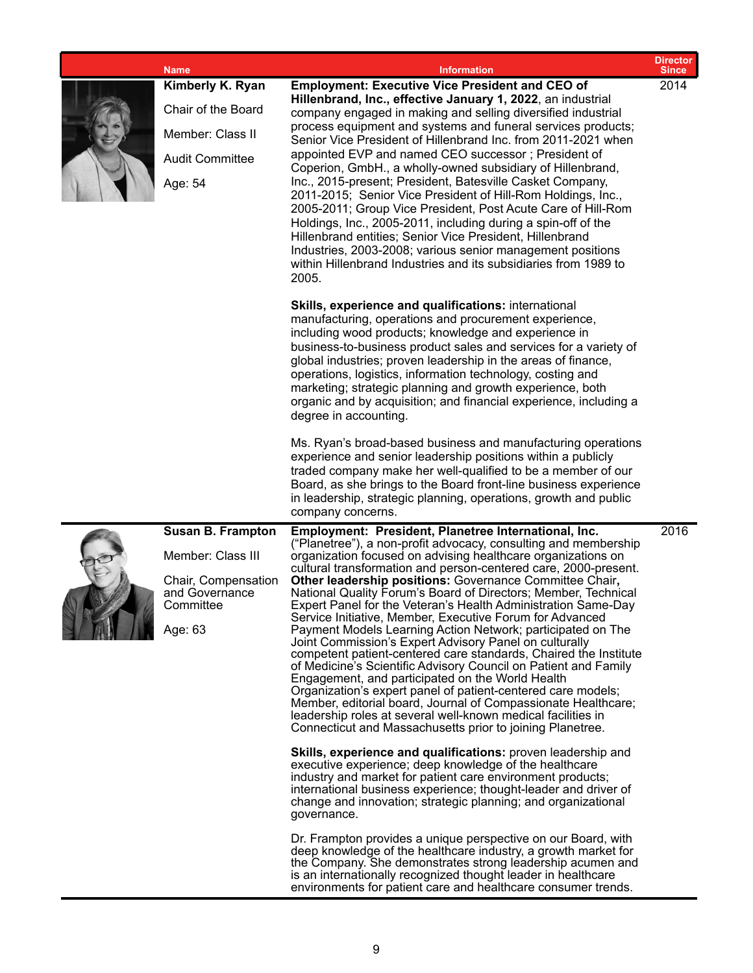| <b>Name</b>                                                                                                    | <b>Information</b>                                                                                                                                                                                                                                                                                                                                                                                                                                                                                                                                                                                                                                                                                                                                                                                                                                                                                                                                                                                                                                                                                     | <b>Director</b><br><b>Since</b> |
|----------------------------------------------------------------------------------------------------------------|--------------------------------------------------------------------------------------------------------------------------------------------------------------------------------------------------------------------------------------------------------------------------------------------------------------------------------------------------------------------------------------------------------------------------------------------------------------------------------------------------------------------------------------------------------------------------------------------------------------------------------------------------------------------------------------------------------------------------------------------------------------------------------------------------------------------------------------------------------------------------------------------------------------------------------------------------------------------------------------------------------------------------------------------------------------------------------------------------------|---------------------------------|
| <b>Kimberly K. Ryan</b><br>Chair of the Board<br>Member: Class II<br><b>Audit Committee</b><br>Age: 54         | <b>Employment: Executive Vice President and CEO of</b><br>Hillenbrand, Inc., effective January 1, 2022, an industrial<br>company engaged in making and selling diversified industrial<br>process equipment and systems and funeral services products;<br>Senior Vice President of Hillenbrand Inc. from 2011-2021 when<br>appointed EVP and named CEO successor; President of<br>Coperion, GmbH., a wholly-owned subsidiary of Hillenbrand,<br>Inc., 2015-present; President, Batesville Casket Company,<br>2011-2015; Senior Vice President of Hill-Rom Holdings, Inc.,<br>2005-2011; Group Vice President, Post Acute Care of Hill-Rom<br>Holdings, Inc., 2005-2011, including during a spin-off of the<br>Hillenbrand entities; Senior Vice President, Hillenbrand<br>Industries, 2003-2008; various senior management positions<br>within Hillenbrand Industries and its subsidiaries from 1989 to<br>2005.                                                                                                                                                                                        | 2014                            |
|                                                                                                                | Skills, experience and qualifications: international<br>manufacturing, operations and procurement experience,<br>including wood products; knowledge and experience in<br>business-to-business product sales and services for a variety of<br>global industries; proven leadership in the areas of finance,<br>operations, logistics, information technology, costing and<br>marketing; strategic planning and growth experience, both<br>organic and by acquisition; and financial experience, including a<br>degree in accounting.<br>Ms. Ryan's broad-based business and manufacturing operations<br>experience and senior leadership positions within a publicly<br>traded company make her well-qualified to be a member of our                                                                                                                                                                                                                                                                                                                                                                    |                                 |
|                                                                                                                | Board, as she brings to the Board front-line business experience<br>in leadership, strategic planning, operations, growth and public<br>company concerns.                                                                                                                                                                                                                                                                                                                                                                                                                                                                                                                                                                                                                                                                                                                                                                                                                                                                                                                                              |                                 |
| <b>Susan B. Frampton</b><br>Member: Class III<br>Chair, Compensation<br>and Governance<br>Committee<br>Age: 63 | Employment: President, Planetree International, Inc.<br>("Planetree"), a non-profit advocacy, consulting and membership<br>organization focused on advising healthcare organizations on<br>cultural transformation and person-centered care, 2000-present.<br>Other leadership positions: Governance Committee Chair,<br>National Quality Forum's Board of Directors; Member, Technical<br>Expert Panel for the Veteran's Health Administration Same-Day<br>Service Initiative, Member, Executive Forum for Advanced<br>Payment Models Learning Action Network; participated on The<br>Joint Commission's Expert Advisory Panel on culturally<br>competent patient-centered care standards, Chaired the Institute<br>of Medicine's Scientific Advisory Council on Patient and Family<br>Engagement, and participated on the World Health<br>Organization's expert panel of patient-centered care models;<br>Member, editorial board, Journal of Compassionate Healthcare;<br>leadership roles at several well-known medical facilities in<br>Connecticut and Massachusetts prior to joining Planetree. | 2016                            |
|                                                                                                                | <b>Skills, experience and qualifications:</b> proven leadership and<br>executive experience; deep knowledge of the healthcare<br>industry and market for patient care environment products;<br>international business experience; thought-leader and driver of<br>change and innovation; strategic planning; and organizational<br>governance.                                                                                                                                                                                                                                                                                                                                                                                                                                                                                                                                                                                                                                                                                                                                                         |                                 |
|                                                                                                                | Dr. Frampton provides a unique perspective on our Board, with<br>deep knowledge of the healthcare industry, a growth market for<br>the Company. She demonstrates strong leadership acumen and<br>is an internationally recognized thought leader in healthcare<br>environments for patient care and healthcare consumer trends.                                                                                                                                                                                                                                                                                                                                                                                                                                                                                                                                                                                                                                                                                                                                                                        |                                 |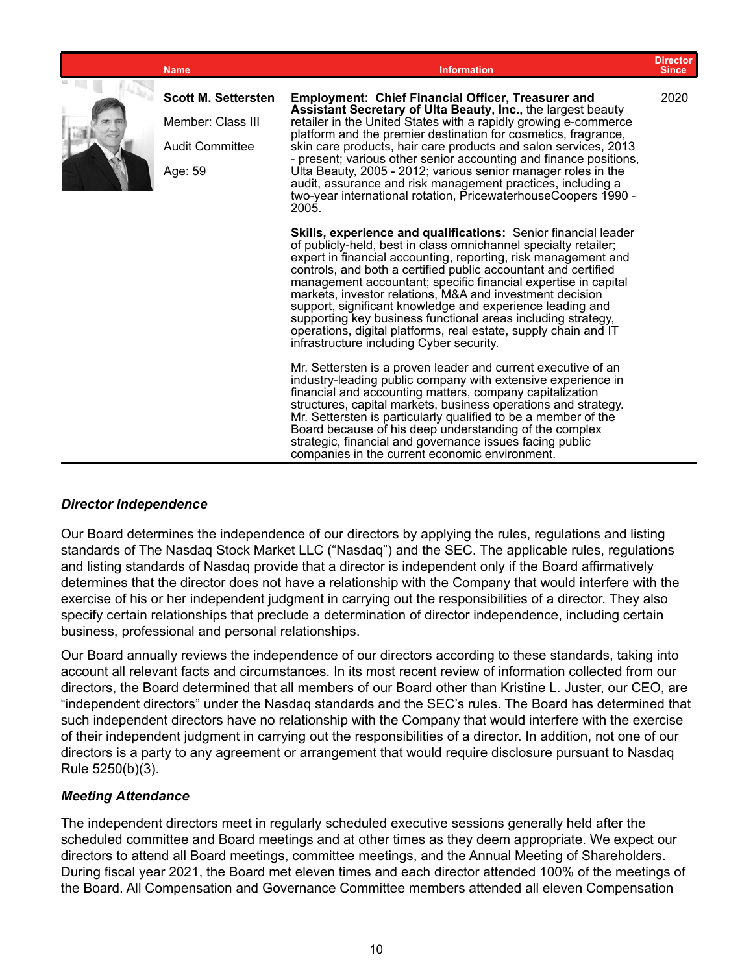| <b>Name</b>                                                                   | <b>Information</b>                                                                                                                                                                                                                                                                                                                                                                                                                                                                                                                                                                                                                              | <b>Director</b><br><b>Since</b> |
|-------------------------------------------------------------------------------|-------------------------------------------------------------------------------------------------------------------------------------------------------------------------------------------------------------------------------------------------------------------------------------------------------------------------------------------------------------------------------------------------------------------------------------------------------------------------------------------------------------------------------------------------------------------------------------------------------------------------------------------------|---------------------------------|
| <b>Scott M. Settersten</b><br>Member: Class III<br>Audit Committee<br>Age: 59 | <b>Employment: Chief Financial Officer, Treasurer and</b><br>Assistant Secretary of Ulta Beauty, Inc., the largest beauty<br>retailer in the United States with a rapidly growing e-commerce<br>platform and the premier destination for cosmetics, fragrance,<br>skin care products, hair care products and salon services, 2013<br>- present; various other senior accounting and finance positions,<br>Ulta Beauty, 2005 - 2012; various senior manager roles in the<br>audit, assurance and risk management practices, including a<br>two-year international rotation, PricewaterhouseCoopers 1990 -<br>2005.                               | 2020                            |
|                                                                               | Skills, experience and qualifications: Senior financial leader<br>of publicly-held, best in class omnichannel specialty retailer;<br>expert in financial accounting, reporting, risk management and<br>controls, and both a certified public accountant and certified<br>management accountant; specific financial expertise in capital<br>markets, investor relations, M&A and investment decision<br>support, significant knowledge and experience leading and<br>supporting key business functional areas including strategy,<br>operations, digital platforms, real estate, supply chain and IT<br>infrastructure including Cyber security. |                                 |
|                                                                               | Mr. Settersten is a proven leader and current executive of an<br>industry-leading public company with extensive experience in<br>financial and accounting matters, company capitalization<br>structures, capital markets, business operations and strategy.<br>Mr. Settersten is particularly qualified to be a member of the<br>Board because of his deep understanding of the complex<br>strategic, financial and governance issues facing public<br>companies in the current economic environment.                                                                                                                                           |                                 |

#### *Director Independence*

Our Board determines the independence of our directors by applying the rules, regulations and listing standards of The Nasdaq Stock Market LLC ("Nasdaq") and the SEC. The applicable rules, regulations and listing standards of Nasdaq provide that a director is independent only if the Board affirmatively determines that the director does not have a relationship with the Company that would interfere with the exercise of his or her independent judgment in carrying out the responsibilities of a director. They also specify certain relationships that preclude a determination of director independence, including certain business, professional and personal relationships.

Our Board annually reviews the independence of our directors according to these standards, taking into account all relevant facts and circumstances. In its most recent review of information collected from our directors, the Board determined that all members of our Board other than Kristine L. Juster, our CEO, are "independent directors" under the Nasdaq standards and the SEC's rules. The Board has determined that such independent directors have no relationship with the Company that would interfere with the exercise of their independent judgment in carrying out the responsibilities of a director. In addition, not one of our directors is a party to any agreement or arrangement that would require disclosure pursuant to Nasdaq Rule 5250(b)(3).

#### *Meeting Attendance*

The independent directors meet in regularly scheduled executive sessions generally held after the scheduled committee and Board meetings and at other times as they deem appropriate. We expect our directors to attend all Board meetings, committee meetings, and the Annual Meeting of Shareholders. During fiscal year 2021, the Board met eleven times and each director attended 100% of the meetings of the Board. All Compensation and Governance Committee members attended all eleven Compensation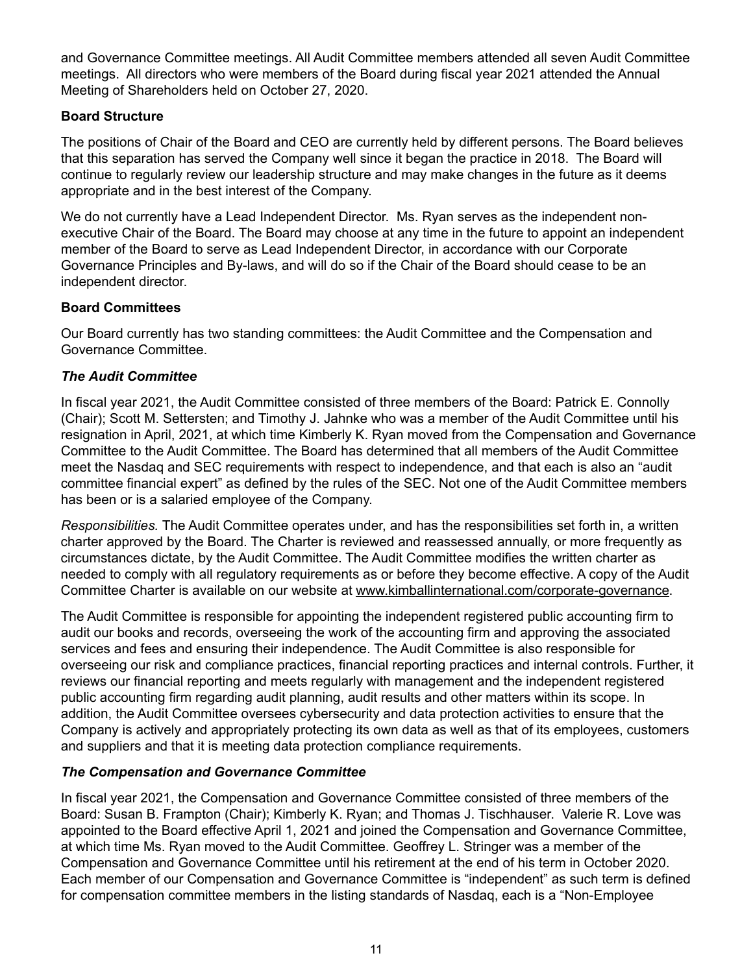and Governance Committee meetings. All Audit Committee members attended all seven Audit Committee meetings. All directors who were members of the Board during fiscal year 2021 attended the Annual Meeting of Shareholders held on October 27, 2020.

#### **Board Structure**

The positions of Chair of the Board and CEO are currently held by different persons. The Board believes that this separation has served the Company well since it began the practice in 2018. The Board will continue to regularly review our leadership structure and may make changes in the future as it deems appropriate and in the best interest of the Company.

We do not currently have a Lead Independent Director. Ms. Ryan serves as the independent nonexecutive Chair of the Board. The Board may choose at any time in the future to appoint an independent member of the Board to serve as Lead Independent Director, in accordance with our Corporate Governance Principles and By-laws, and will do so if the Chair of the Board should cease to be an independent director.

#### **Board Committees**

Our Board currently has two standing committees: the Audit Committee and the Compensation and Governance Committee.

#### *The Audit Committee*

In fiscal year 2021, the Audit Committee consisted of three members of the Board: Patrick E. Connolly (Chair); Scott M. Settersten; and Timothy J. Jahnke who was a member of the Audit Committee until his resignation in April, 2021, at which time Kimberly K. Ryan moved from the Compensation and Governance Committee to the Audit Committee. The Board has determined that all members of the Audit Committee meet the Nasdaq and SEC requirements with respect to independence, and that each is also an "audit committee financial expert" as defined by the rules of the SEC. Not one of the Audit Committee members has been or is a salaried employee of the Company.

*Responsibilities.* The Audit Committee operates under, and has the responsibilities set forth in, a written charter approved by the Board. The Charter is reviewed and reassessed annually, or more frequently as circumstances dictate, by the Audit Committee. The Audit Committee modifies the written charter as needed to comply with all regulatory requirements as or before they become effective. A copy of the Audit Committee Charter is available on our website at www.kimballinternational.com/corporate-governance.

The Audit Committee is responsible for appointing the independent registered public accounting firm to audit our books and records, overseeing the work of the accounting firm and approving the associated services and fees and ensuring their independence. The Audit Committee is also responsible for overseeing our risk and compliance practices, financial reporting practices and internal controls. Further, it reviews our financial reporting and meets regularly with management and the independent registered public accounting firm regarding audit planning, audit results and other matters within its scope. In addition, the Audit Committee oversees cybersecurity and data protection activities to ensure that the Company is actively and appropriately protecting its own data as well as that of its employees, customers and suppliers and that it is meeting data protection compliance requirements.

#### *The Compensation and Governance Committee*

In fiscal year 2021, the Compensation and Governance Committee consisted of three members of the Board: Susan B. Frampton (Chair); Kimberly K. Ryan; and Thomas J. Tischhauser. Valerie R. Love was appointed to the Board effective April 1, 2021 and joined the Compensation and Governance Committee, at which time Ms. Ryan moved to the Audit Committee. Geoffrey L. Stringer was a member of the Compensation and Governance Committee until his retirement at the end of his term in October 2020. Each member of our Compensation and Governance Committee is "independent" as such term is defined for compensation committee members in the listing standards of Nasdaq, each is a "Non-Employee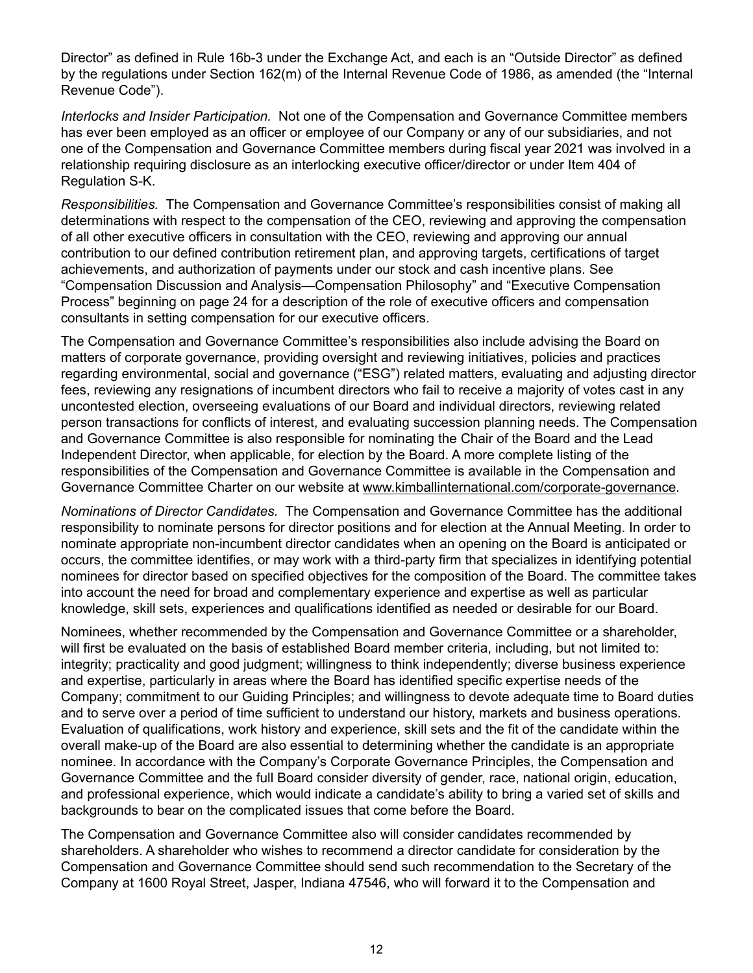Director" as defined in Rule 16b-3 under the Exchange Act, and each is an "Outside Director" as defined by the regulations under Section 162(m) of the Internal Revenue Code of 1986, as amended (the "Internal Revenue Code").

*Interlocks and Insider Participation.* Not one of the Compensation and Governance Committee members has ever been employed as an officer or employee of our Company or any of our subsidiaries, and not one of the Compensation and Governance Committee members during fiscal year 2021 was involved in a relationship requiring disclosure as an interlocking executive officer/director or under Item 404 of Regulation S-K.

*Responsibilities.* The Compensation and Governance Committee's responsibilities consist of making all determinations with respect to the compensation of the CEO, reviewing and approving the compensation of all other executive officers in consultation with the CEO, reviewing and approving our annual contribution to our defined contribution retirement plan, and approving targets, certifications of target achievements, and authorization of payments under our stock and cash incentive plans. See "Compensation Discussion and Analysis—Compensation Philosophy" and "Executive Compensation Process" beginning on page 24 for a description of the role of executive officers and compensation consultants in setting compensation for our executive officers.

The Compensation and Governance Committee's responsibilities also include advising the Board on matters of corporate governance, providing oversight and reviewing initiatives, policies and practices regarding environmental, social and governance ("ESG") related matters, evaluating and adjusting director fees, reviewing any resignations of incumbent directors who fail to receive a majority of votes cast in any uncontested election, overseeing evaluations of our Board and individual directors, reviewing related person transactions for conflicts of interest, and evaluating succession planning needs. The Compensation and Governance Committee is also responsible for nominating the Chair of the Board and the Lead Independent Director, when applicable, for election by the Board. A more complete listing of the responsibilities of the Compensation and Governance Committee is available in the Compensation and Governance Committee Charter on our website at www.kimballinternational.com/corporate-governance.

*Nominations of Director Candidates.* The Compensation and Governance Committee has the additional responsibility to nominate persons for director positions and for election at the Annual Meeting. In order to nominate appropriate non-incumbent director candidates when an opening on the Board is anticipated or occurs, the committee identifies, or may work with a third-party firm that specializes in identifying potential nominees for director based on specified objectives for the composition of the Board. The committee takes into account the need for broad and complementary experience and expertise as well as particular knowledge, skill sets, experiences and qualifications identified as needed or desirable for our Board.

Nominees, whether recommended by the Compensation and Governance Committee or a shareholder, will first be evaluated on the basis of established Board member criteria, including, but not limited to: integrity; practicality and good judgment; willingness to think independently; diverse business experience and expertise, particularly in areas where the Board has identified specific expertise needs of the Company; commitment to our Guiding Principles; and willingness to devote adequate time to Board duties and to serve over a period of time sufficient to understand our history, markets and business operations. Evaluation of qualifications, work history and experience, skill sets and the fit of the candidate within the overall make-up of the Board are also essential to determining whether the candidate is an appropriate nominee. In accordance with the Company's Corporate Governance Principles, the Compensation and Governance Committee and the full Board consider diversity of gender, race, national origin, education, and professional experience, which would indicate a candidate's ability to bring a varied set of skills and backgrounds to bear on the complicated issues that come before the Board.

The Compensation and Governance Committee also will consider candidates recommended by shareholders. A shareholder who wishes to recommend a director candidate for consideration by the Compensation and Governance Committee should send such recommendation to the Secretary of the Company at 1600 Royal Street, Jasper, Indiana 47546, who will forward it to the Compensation and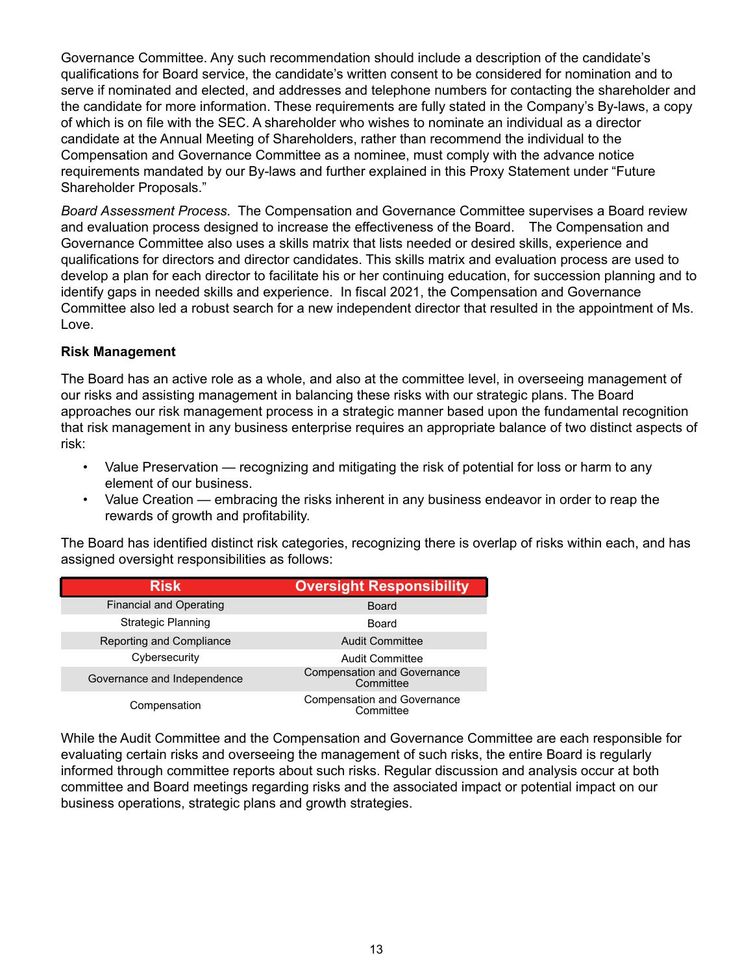Governance Committee. Any such recommendation should include a description of the candidate's qualifications for Board service, the candidate's written consent to be considered for nomination and to serve if nominated and elected, and addresses and telephone numbers for contacting the shareholder and the candidate for more information. These requirements are fully stated in the Company's By-laws, a copy of which is on file with the SEC. A shareholder who wishes to nominate an individual as a director candidate at the Annual Meeting of Shareholders, rather than recommend the individual to the Compensation and Governance Committee as a nominee, must comply with the advance notice requirements mandated by our By-laws and further explained in this Proxy Statement under "Future Shareholder Proposals."

*Board Assessment Process*. The Compensation and Governance Committee supervises a Board review and evaluation process designed to increase the effectiveness of the Board. The Compensation and Governance Committee also uses a skills matrix that lists needed or desired skills, experience and qualifications for directors and director candidates. This skills matrix and evaluation process are used to develop a plan for each director to facilitate his or her continuing education, for succession planning and to identify gaps in needed skills and experience. In fiscal 2021, the Compensation and Governance Committee also led a robust search for a new independent director that resulted in the appointment of Ms. Love.

#### **Risk Management**

The Board has an active role as a whole, and also at the committee level, in overseeing management of our risks and assisting management in balancing these risks with our strategic plans. The Board approaches our risk management process in a strategic manner based upon the fundamental recognition that risk management in any business enterprise requires an appropriate balance of two distinct aspects of risk:

- Value Preservation recognizing and mitigating the risk of potential for loss or harm to any element of our business.
- Value Creation embracing the risks inherent in any business endeavor in order to reap the rewards of growth and profitability.

The Board has identified distinct risk categories, recognizing there is overlap of risks within each, and has assigned oversight responsibilities as follows:

| <b>Risk</b>                    | <b>Oversight Responsibility</b>                 |  |
|--------------------------------|-------------------------------------------------|--|
| <b>Financial and Operating</b> | <b>Board</b>                                    |  |
| <b>Strategic Planning</b>      | Board                                           |  |
| Reporting and Compliance       | <b>Audit Committee</b>                          |  |
| Cybersecurity                  | <b>Audit Committee</b>                          |  |
| Governance and Independence    | <b>Compensation and Governance</b><br>Committee |  |
| Compensation                   | <b>Compensation and Governance</b><br>Committee |  |

While the Audit Committee and the Compensation and Governance Committee are each responsible for evaluating certain risks and overseeing the management of such risks, the entire Board is regularly informed through committee reports about such risks. Regular discussion and analysis occur at both committee and Board meetings regarding risks and the associated impact or potential impact on our business operations, strategic plans and growth strategies.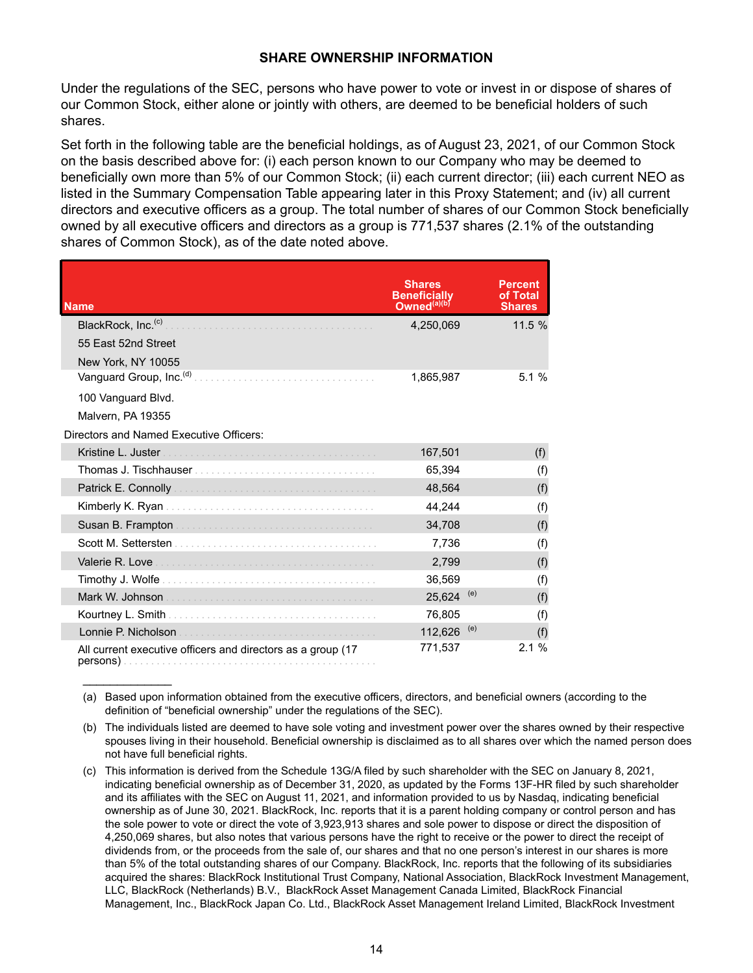#### **SHARE OWNERSHIP INFORMATION**

<span id="page-19-0"></span>Under the regulations of the SEC, persons who have power to vote or invest in or dispose of shares of our Common Stock, either alone or jointly with others, are deemed to be beneficial holders of such shares.

Set forth in the following table are the beneficial holdings, as of August 23, 2021, of our Common Stock on the basis described above for: (i) each person known to our Company who may be deemed to beneficially own more than 5% of our Common Stock; (ii) each current director; (iii) each current NEO as listed in the Summary Compensation Table appearing later in this Proxy Statement; and (iv) all current directors and executive officers as a group. The total number of shares of our Common Stock beneficially owned by all executive officers and directors as a group is 771,537 shares (2.1% of the outstanding shares of Common Stock), as of the date noted above.

| <b>Name</b>                                                  | <b>Shares</b><br>Beneficiallv<br>Owned <sup>(a)(b)</sup> | Percent<br>of Total<br><b>Shares</b> |
|--------------------------------------------------------------|----------------------------------------------------------|--------------------------------------|
| BlackRock, Inc. <sup>(c)</sup>                               | 4,250,069                                                | 11.5%                                |
| 55 East 52nd Street                                          |                                                          |                                      |
| New York, NY 10055                                           |                                                          |                                      |
| Vanguard Group, Inc. <sup>(d)</sup>                          | 1,865,987                                                | 5.1%                                 |
| 100 Vanguard Blvd.                                           |                                                          |                                      |
| Malvern, PA 19355                                            |                                                          |                                      |
| Directors and Named Executive Officers:                      |                                                          |                                      |
|                                                              | 167,501                                                  | (f)                                  |
|                                                              | 65,394                                                   | (f)                                  |
|                                                              | 48,564                                                   | (f)                                  |
|                                                              | 44,244                                                   | (f)                                  |
|                                                              | 34,708                                                   | (f)                                  |
|                                                              | 7,736                                                    | (f)                                  |
| Valerie R. Love                                              | 2,799                                                    | (f)                                  |
|                                                              | 36,569                                                   | (f)                                  |
|                                                              | 25.624                                                   | (e)<br>(f)                           |
|                                                              | 76,805                                                   | (f)                                  |
|                                                              | 112,626                                                  | (e)<br>(f)                           |
| All current executive officers and directors as a group (17) | 771,537                                                  | 2.1%                                 |

 $\mathcal{L}_\text{max}$  , where  $\mathcal{L}_\text{max}$ 

<sup>(</sup>a) Based upon information obtained from the executive officers, directors, and beneficial owners (according to the definition of "beneficial ownership" under the regulations of the SEC).

<sup>(</sup>b) The individuals listed are deemed to have sole voting and investment power over the shares owned by their respective spouses living in their household. Beneficial ownership is disclaimed as to all shares over which the named person does not have full beneficial rights.

<sup>(</sup>c) This information is derived from the Schedule 13G/A filed by such shareholder with the SEC on January 8, 2021, indicating beneficial ownership as of December 31, 2020, as updated by the Forms 13F-HR filed by such shareholder and its affiliates with the SEC on August 11, 2021, and information provided to us by Nasdaq, indicating beneficial ownership as of June 30, 2021. BlackRock, Inc. reports that it is a parent holding company or control person and has the sole power to vote or direct the vote of 3,923,913 shares and sole power to dispose or direct the disposition of 4,250,069 shares, but also notes that various persons have the right to receive or the power to direct the receipt of dividends from, or the proceeds from the sale of, our shares and that no one person's interest in our shares is more than 5% of the total outstanding shares of our Company. BlackRock, Inc. reports that the following of its subsidiaries acquired the shares: BlackRock Institutional Trust Company, National Association, BlackRock Investment Management, LLC, BlackRock (Netherlands) B.V., BlackRock Asset Management Canada Limited, BlackRock Financial Management, Inc., BlackRock Japan Co. Ltd., BlackRock Asset Management Ireland Limited, BlackRock Investment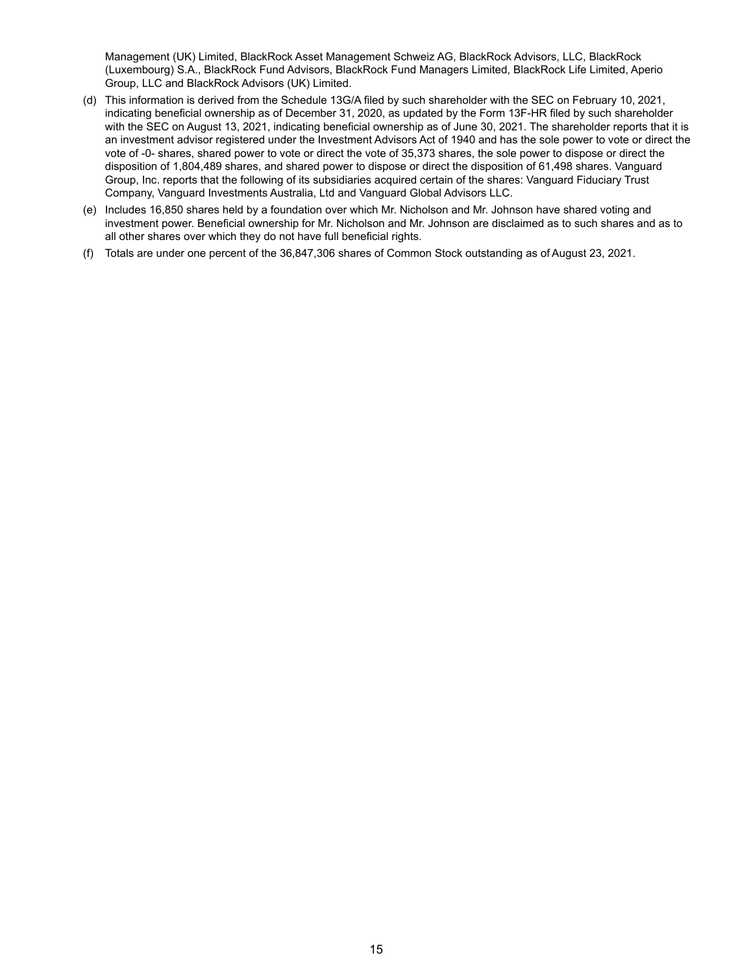Management (UK) Limited, BlackRock Asset Management Schweiz AG, BlackRock Advisors, LLC, BlackRock (Luxembourg) S.A., BlackRock Fund Advisors, BlackRock Fund Managers Limited, BlackRock Life Limited, Aperio Group, LLC and BlackRock Advisors (UK) Limited.

- (d) This information is derived from the Schedule 13G/A filed by such shareholder with the SEC on February 10, 2021, indicating beneficial ownership as of December 31, 2020, as updated by the Form 13F-HR filed by such shareholder with the SEC on August 13, 2021, indicating beneficial ownership as of June 30, 2021. The shareholder reports that it is an investment advisor registered under the Investment Advisors Act of 1940 and has the sole power to vote or direct the vote of -0- shares, shared power to vote or direct the vote of 35,373 shares, the sole power to dispose or direct the disposition of 1,804,489 shares, and shared power to dispose or direct the disposition of 61,498 shares. Vanguard Group, Inc. reports that the following of its subsidiaries acquired certain of the shares: Vanguard Fiduciary Trust Company, Vanguard Investments Australia, Ltd and Vanguard Global Advisors LLC.
- (e) Includes 16,850 shares held by a foundation over which Mr. Nicholson and Mr. Johnson have shared voting and investment power. Beneficial ownership for Mr. Nicholson and Mr. Johnson are disclaimed as to such shares and as to all other shares over which they do not have full beneficial rights.
- (f) Totals are under one percent of the 36,847,306 shares of Common Stock outstanding as of August 23, 2021.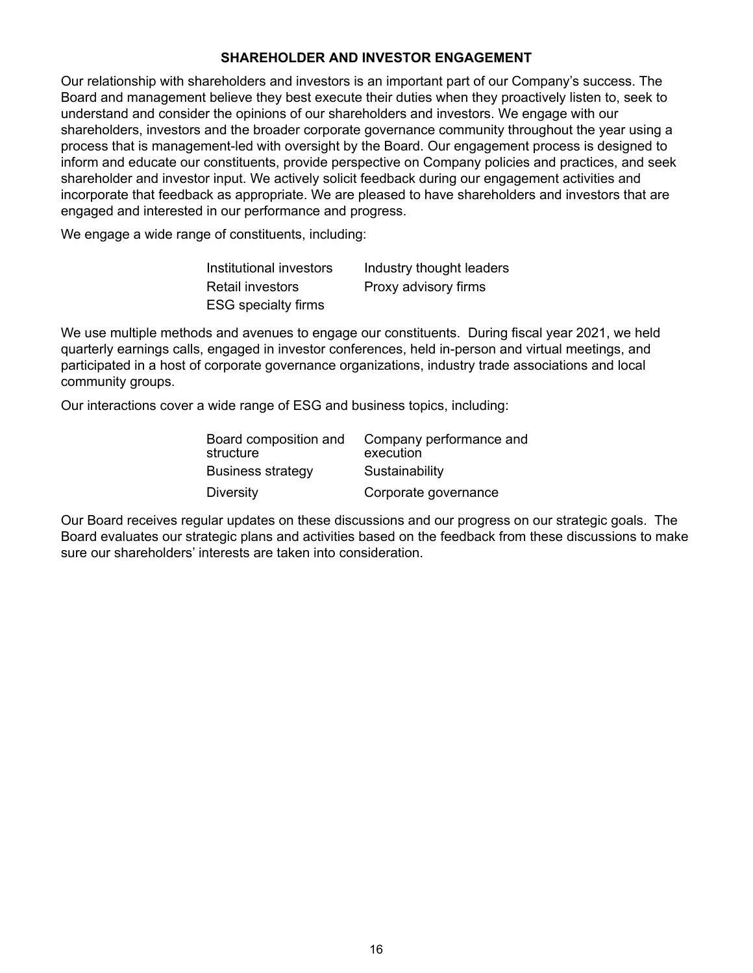#### **SHAREHOLDER AND INVESTOR ENGAGEMENT**

<span id="page-21-0"></span>Our relationship with shareholders and investors is an important part of our Company's success. The Board and management believe they best execute their duties when they proactively listen to, seek to understand and consider the opinions of our shareholders and investors. We engage with our shareholders, investors and the broader corporate governance community throughout the year using a process that is management-led with oversight by the Board. Our engagement process is designed to inform and educate our constituents, provide perspective on Company policies and practices, and seek shareholder and investor input. We actively solicit feedback during our engagement activities and incorporate that feedback as appropriate. We are pleased to have shareholders and investors that are engaged and interested in our performance and progress.

We engage a wide range of constituents, including:

| Institutional investors    | Industry thought leaders |
|----------------------------|--------------------------|
| <b>Retail investors</b>    | Proxy advisory firms     |
| <b>ESG</b> specialty firms |                          |

We use multiple methods and avenues to engage our constituents. During fiscal year 2021, we held quarterly earnings calls, engaged in investor conferences, held in-person and virtual meetings, and participated in a host of corporate governance organizations, industry trade associations and local community groups.

Our interactions cover a wide range of ESG and business topics, including:

| Board composition and<br>structure | Company performance and<br>execution |
|------------------------------------|--------------------------------------|
| <b>Business strategy</b>           | Sustainability                       |
| <b>Diversity</b>                   | Corporate governance                 |

Our Board receives regular updates on these discussions and our progress on our strategic goals. The Board evaluates our strategic plans and activities based on the feedback from these discussions to make sure our shareholders' interests are taken into consideration.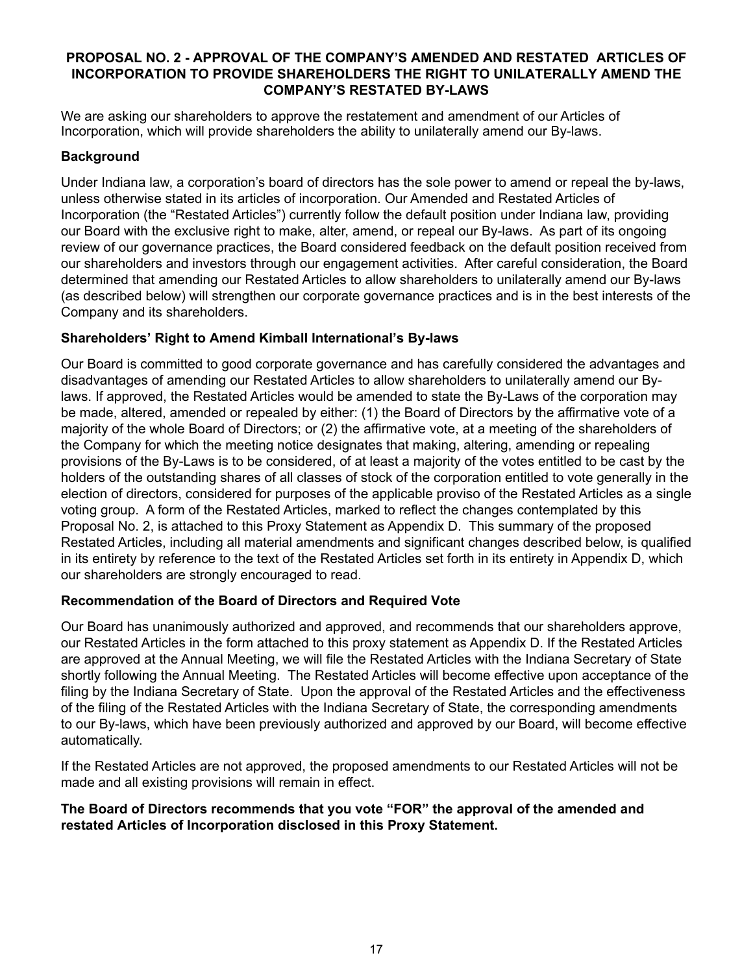#### <span id="page-22-0"></span>**PROPOSAL NO. 2 - APPROVAL OF THE COMPANY'S AMENDED AND RESTATED ARTICLES OF INCORPORATION TO PROVIDE SHAREHOLDERS THE RIGHT TO UNILATERALLY AMEND THE COMPANY'S RESTATED BY-LAWS**

We are asking our shareholders to approve the restatement and amendment of our Articles of Incorporation, which will provide shareholders the ability to unilaterally amend our By-laws.

#### **Background**

Under Indiana law, a corporation's board of directors has the sole power to amend or repeal the by-laws, unless otherwise stated in its articles of incorporation. Our Amended and Restated Articles of Incorporation (the "Restated Articles") currently follow the default position under Indiana law, providing our Board with the exclusive right to make, alter, amend, or repeal our By-laws. As part of its ongoing review of our governance practices, the Board considered feedback on the default position received from our shareholders and investors through our engagement activities. After careful consideration, the Board determined that amending our Restated Articles to allow shareholders to unilaterally amend our By-laws (as described below) will strengthen our corporate governance practices and is in the best interests of the Company and its shareholders.

#### **Shareholders' Right to Amend Kimball International's By-laws**

Our Board is committed to good corporate governance and has carefully considered the advantages and disadvantages of amending our Restated Articles to allow shareholders to unilaterally amend our Bylaws. If approved, the Restated Articles would be amended to state the By-Laws of the corporation may be made, altered, amended or repealed by either: (1) the Board of Directors by the affirmative vote of a majority of the whole Board of Directors; or (2) the affirmative vote, at a meeting of the shareholders of the Company for which the meeting notice designates that making, altering, amending or repealing provisions of the By-Laws is to be considered, of at least a majority of the votes entitled to be cast by the holders of the outstanding shares of all classes of stock of the corporation entitled to vote generally in the election of directors, considered for purposes of the applicable proviso of the Restated Articles as a single voting group. A form of the Restated Articles, marked to reflect the changes contemplated by this Proposal No. 2, is attached to this Proxy Statement as Appendix D. This summary of the proposed Restated Articles, including all material amendments and significant changes described below, is qualified in its entirety by reference to the text of the Restated Articles set forth in its entirety in Appendix D, which our shareholders are strongly encouraged to read.

#### **Recommendation of the Board of Directors and Required Vote**

Our Board has unanimously authorized and approved, and recommends that our shareholders approve, our Restated Articles in the form attached to this proxy statement as Appendix D. If the Restated Articles are approved at the Annual Meeting, we will file the Restated Articles with the Indiana Secretary of State shortly following the Annual Meeting. The Restated Articles will become effective upon acceptance of the filing by the Indiana Secretary of State. Upon the approval of the Restated Articles and the effectiveness of the filing of the Restated Articles with the Indiana Secretary of State, the corresponding amendments to our By-laws, which have been previously authorized and approved by our Board, will become effective automatically.

If the Restated Articles are not approved, the proposed amendments to our Restated Articles will not be made and all existing provisions will remain in effect.

#### **The Board of Directors recommends that you vote "FOR" the approval of the amended and restated Articles of Incorporation disclosed in this Proxy Statement.**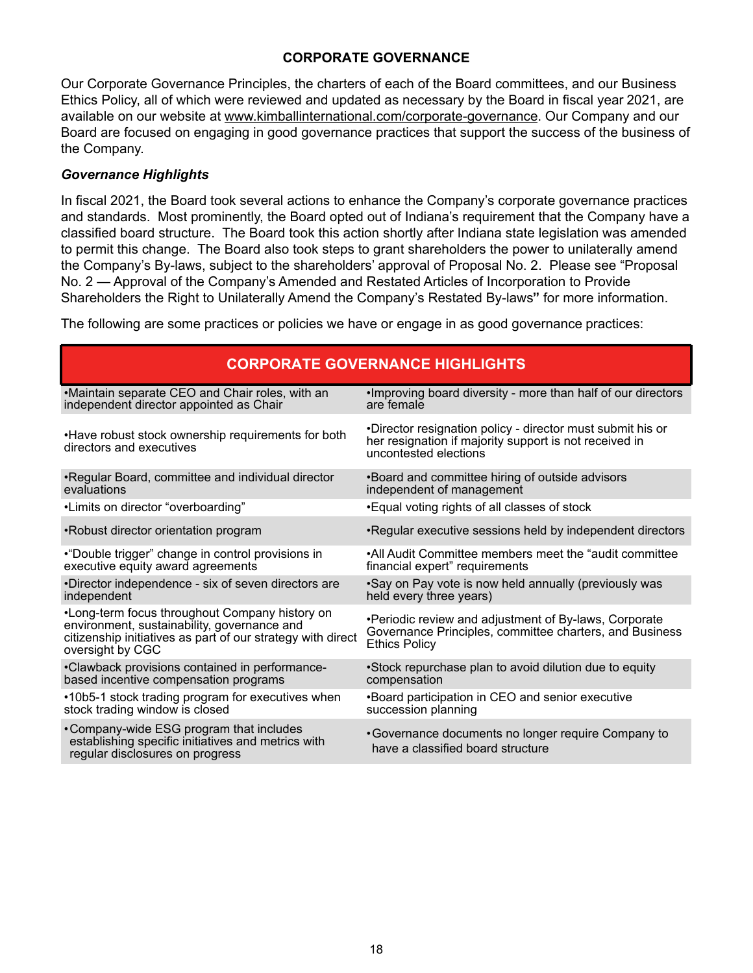#### **CORPORATE GOVERNANCE**

<span id="page-23-0"></span>Our Corporate Governance Principles, the charters of each of the Board committees, and our Business Ethics Policy, all of which were reviewed and updated as necessary by the Board in fiscal year 2021, are available on our website at www.kimballinternational.com/corporate-governance. Our Company and our Board are focused on engaging in good governance practices that support the success of the business of the Company.

#### *Governance Highlights*

In fiscal 2021, the Board took several actions to enhance the Company's corporate governance practices and standards. Most prominently, the Board opted out of Indiana's requirement that the Company have a classified board structure. The Board took this action shortly after Indiana state legislation was amended to permit this change. The Board also took steps to grant shareholders the power to unilaterally amend the Company's By-laws, subject to the shareholders' approval of Proposal No. 2. Please see "Proposal No. 2 — Approval of the Company's Amended and Restated Articles of Incorporation to Provide Shareholders the Right to Unilaterally Amend the Company's Restated By-laws**"** for more information.

The following are some practices or policies we have or engage in as good governance practices:

| <b>CORPORATE GOVERNANCE HIGHLIGHTS</b>                                                                                                                                           |                                                                                                                                               |  |  |
|----------------------------------------------------------------------------------------------------------------------------------------------------------------------------------|-----------------------------------------------------------------------------------------------------------------------------------------------|--|--|
| •Maintain separate CEO and Chair roles, with an                                                                                                                                  | . Improving board diversity - more than half of our directors                                                                                 |  |  |
| independent director appointed as Chair                                                                                                                                          | are female                                                                                                                                    |  |  |
| •Have robust stock ownership requirements for both<br>directors and executives                                                                                                   | •Director resignation policy - director must submit his or<br>her resignation if majority support is not received in<br>uncontested elections |  |  |
| •Regular Board, committee and individual director                                                                                                                                | *Board and committee hiring of outside advisors                                                                                               |  |  |
| evaluations                                                                                                                                                                      | independent of management                                                                                                                     |  |  |
| •Limits on director "overboarding"                                                                                                                                               | • Equal voting rights of all classes of stock                                                                                                 |  |  |
| •Robust director orientation program                                                                                                                                             | •Regular executive sessions held by independent directors                                                                                     |  |  |
| •"Double trigger" change in control provisions in                                                                                                                                | •All Audit Committee members meet the "audit committee                                                                                        |  |  |
| executive equity award agreements                                                                                                                                                | financial expert" requirements                                                                                                                |  |  |
| •Director independence - six of seven directors are                                                                                                                              | .Say on Pay vote is now held annually (previously was                                                                                         |  |  |
| independent                                                                                                                                                                      | held every three years)                                                                                                                       |  |  |
| •Long-term focus throughout Company history on<br>environment, sustainability, governance and<br>citizenship initiatives as part of our strategy with direct<br>oversight by CGC | •Periodic review and adjustment of By-laws, Corporate<br>Governance Principles, committee charters, and Business<br><b>Ethics Policy</b>      |  |  |
| •Clawback provisions contained in performance-                                                                                                                                   | •Stock repurchase plan to avoid dilution due to equity                                                                                        |  |  |
| based incentive compensation programs                                                                                                                                            | compensation                                                                                                                                  |  |  |
| •10b5-1 stock trading program for executives when                                                                                                                                | •Board participation in CEO and senior executive                                                                                              |  |  |
| stock trading window is closed                                                                                                                                                   | succession planning                                                                                                                           |  |  |
| • Company-wide ESG program that includes<br>establishing specific initiatives and metrics with<br>regular disclosures on progress                                                | • Governance documents no longer require Company to<br>have a classified board structure                                                      |  |  |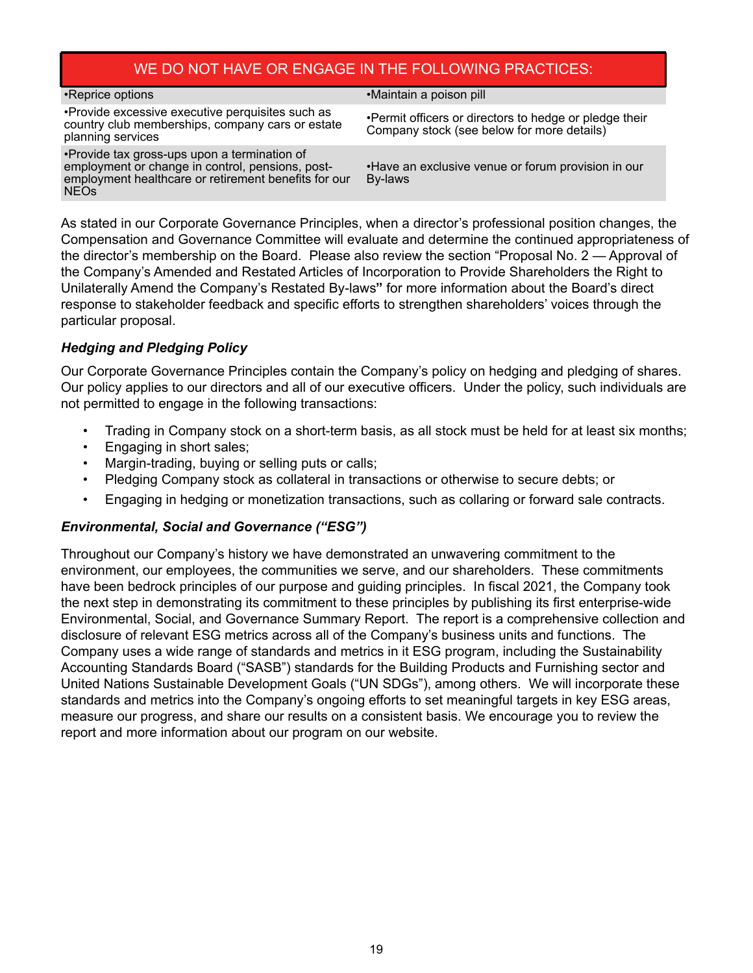#### WE DO NOT HAVE OR ENGAGE IN THE FOLLOWING PRACTICES:

<span id="page-24-0"></span>

| •Reprice options                                                                                                                                                        | •Maintain a poison pill                                                                              |
|-------------------------------------------------------------------------------------------------------------------------------------------------------------------------|------------------------------------------------------------------------------------------------------|
| •Provide excessive executive perquisites such as<br>country club memberships, company cars or estate<br>planning services                                               | •Permit officers or directors to hedge or pledge their<br>Company stock (see below for more details) |
| •Provide tax gross-ups upon a termination of<br>employment or change in control, pensions, post-<br>employment healthcare or retirement benefits for our<br><b>NEOs</b> | • Have an exclusive venue or forum provision in our<br>By-laws                                       |

As stated in our Corporate Governance Principles, when a director's professional position changes, the Compensation and Governance Committee will evaluate and determine the continued appropriateness of the director's membership on the Board. Please also review the section "Proposal No. 2 — Approval of the Company's Amended and Restated Articles of Incorporation to Provide Shareholders the Right to Unilaterally Amend the Company's Restated By-laws**"** for more information about the Board's direct response to stakeholder feedback and specific efforts to strengthen shareholders' voices through the particular proposal.

#### *Hedging and Pledging Policy*

Our Corporate Governance Principles contain the Company's policy on hedging and pledging of shares. Our policy applies to our directors and all of our executive officers. Under the policy, such individuals are not permitted to engage in the following transactions:

- Trading in Company stock on a short-term basis, as all stock must be held for at least six months;
- Engaging in short sales;
- Margin-trading, buying or selling puts or calls;
- Pledging Company stock as collateral in transactions or otherwise to secure debts; or
- Engaging in hedging or monetization transactions, such as collaring or forward sale contracts.

#### *Environmental, Social and Governance ("ESG")*

Throughout our Company's history we have demonstrated an unwavering commitment to the environment, our employees, the communities we serve, and our shareholders. These commitments have been bedrock principles of our purpose and guiding principles. In fiscal 2021, the Company took the next step in demonstrating its commitment to these principles by publishing its first enterprise-wide Environmental, Social, and Governance Summary Report. The report is a comprehensive collection and disclosure of relevant ESG metrics across all of the Company's business units and functions. The Company uses a wide range of standards and metrics in it ESG program, including the Sustainability Accounting Standards Board ("SASB") standards for the Building Products and Furnishing sector and United Nations Sustainable Development Goals ("UN SDGs"), among others. We will incorporate these standards and metrics into the Company's ongoing efforts to set meaningful targets in key ESG areas, measure our progress, and share our results on a consistent basis. We encourage you to review the report and more information about our program on our website.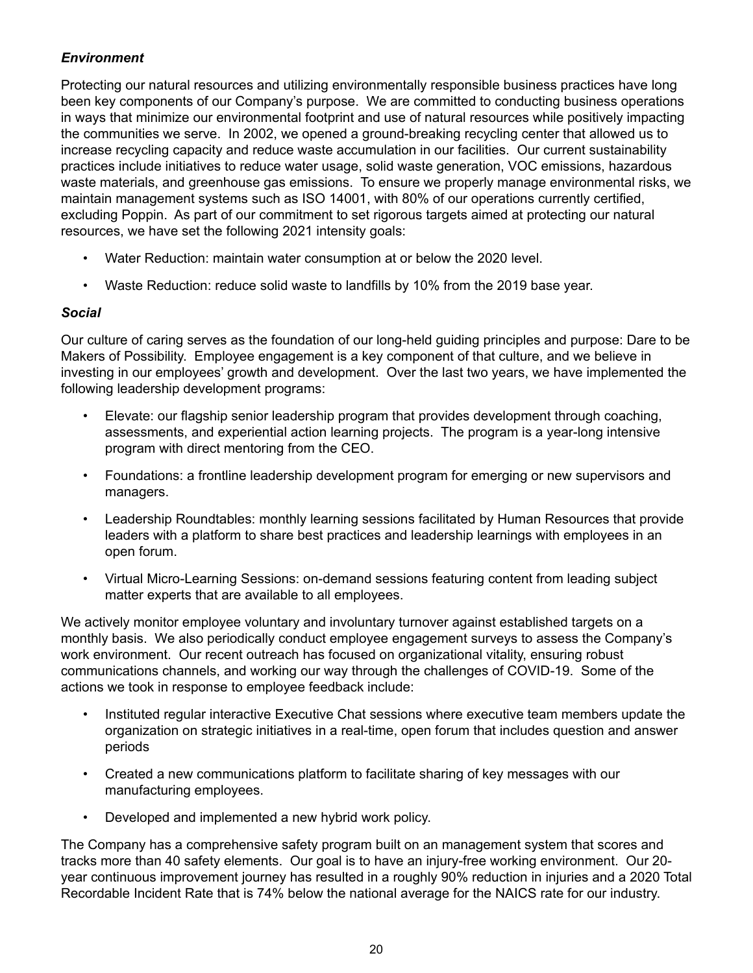#### *Environment*

Protecting our natural resources and utilizing environmentally responsible business practices have long been key components of our Company's purpose. We are committed to conducting business operations in ways that minimize our environmental footprint and use of natural resources while positively impacting the communities we serve. In 2002, we opened a ground-breaking recycling center that allowed us to increase recycling capacity and reduce waste accumulation in our facilities. Our current sustainability practices include initiatives to reduce water usage, solid waste generation, VOC emissions, hazardous waste materials, and greenhouse gas emissions. To ensure we properly manage environmental risks, we maintain management systems such as ISO 14001, with 80% of our operations currently certified, excluding Poppin. As part of our commitment to set rigorous targets aimed at protecting our natural resources, we have set the following 2021 intensity goals:

- Water Reduction: maintain water consumption at or below the 2020 level.
- Waste Reduction: reduce solid waste to landfills by 10% from the 2019 base year.

#### *Social*

Our culture of caring serves as the foundation of our long-held guiding principles and purpose: Dare to be Makers of Possibility. Employee engagement is a key component of that culture, and we believe in investing in our employees' growth and development. Over the last two years, we have implemented the following leadership development programs:

- Elevate: our flagship senior leadership program that provides development through coaching, assessments, and experiential action learning projects. The program is a year-long intensive program with direct mentoring from the CEO.
- Foundations: a frontline leadership development program for emerging or new supervisors and managers.
- Leadership Roundtables: monthly learning sessions facilitated by Human Resources that provide leaders with a platform to share best practices and leadership learnings with employees in an open forum.
- Virtual Micro-Learning Sessions: on-demand sessions featuring content from leading subject matter experts that are available to all employees.

We actively monitor employee voluntary and involuntary turnover against established targets on a monthly basis. We also periodically conduct employee engagement surveys to assess the Company's work environment. Our recent outreach has focused on organizational vitality, ensuring robust communications channels, and working our way through the challenges of COVID-19. Some of the actions we took in response to employee feedback include:

- Instituted regular interactive Executive Chat sessions where executive team members update the organization on strategic initiatives in a real-time, open forum that includes question and answer periods
- Created a new communications platform to facilitate sharing of key messages with our manufacturing employees.
- Developed and implemented a new hybrid work policy.

The Company has a comprehensive safety program built on an management system that scores and tracks more than 40 safety elements. Our goal is to have an injury-free working environment. Our 20 year continuous improvement journey has resulted in a roughly 90% reduction in injuries and a 2020 Total Recordable Incident Rate that is 74% below the national average for the NAICS rate for our industry.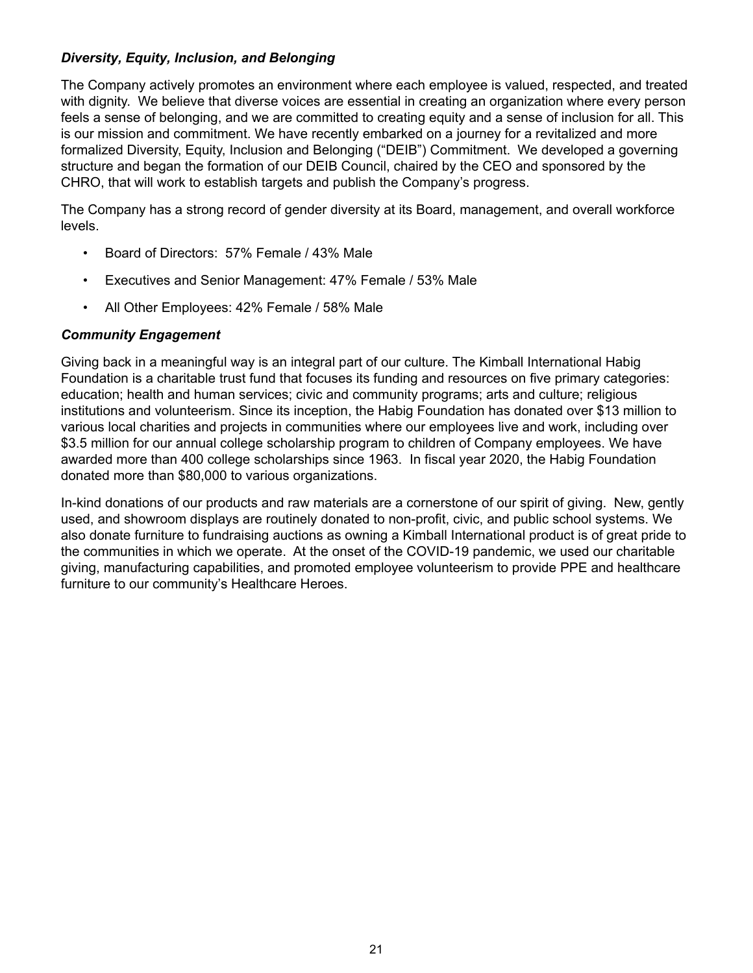#### *Diversity, Equity, Inclusion, and Belonging*

The Company actively promotes an environment where each employee is valued, respected, and treated with dignity. We believe that diverse voices are essential in creating an organization where every person feels a sense of belonging, and we are committed to creating equity and a sense of inclusion for all. This is our mission and commitment. We have recently embarked on a journey for a revitalized and more formalized Diversity, Equity, Inclusion and Belonging ("DEIB") Commitment. We developed a governing structure and began the formation of our DEIB Council, chaired by the CEO and sponsored by the CHRO, that will work to establish targets and publish the Company's progress.

The Company has a strong record of gender diversity at its Board, management, and overall workforce levels.

- Board of Directors: 57% Female / 43% Male
- Executives and Senior Management: 47% Female / 53% Male
- All Other Employees: 42% Female / 58% Male

#### *Community Engagement*

Giving back in a meaningful way is an integral part of our culture. The Kimball International Habig Foundation is a charitable trust fund that focuses its funding and resources on five primary categories: education; health and human services; civic and community programs; arts and culture; religious institutions and volunteerism. Since its inception, the Habig Foundation has donated over \$13 million to various local charities and projects in communities where our employees live and work, including over \$3.5 million for our annual college scholarship program to children of Company employees. We have awarded more than 400 college scholarships since 1963. In fiscal year 2020, the Habig Foundation donated more than \$80,000 to various organizations.

In-kind donations of our products and raw materials are a cornerstone of our spirit of giving. New, gently used, and showroom displays are routinely donated to non-profit, civic, and public school systems. We also donate furniture to fundraising auctions as owning a Kimball International product is of great pride to the communities in which we operate. At the onset of the COVID-19 pandemic, we used our charitable giving, manufacturing capabilities, and promoted employee volunteerism to provide PPE and healthcare furniture to our community's Healthcare Heroes.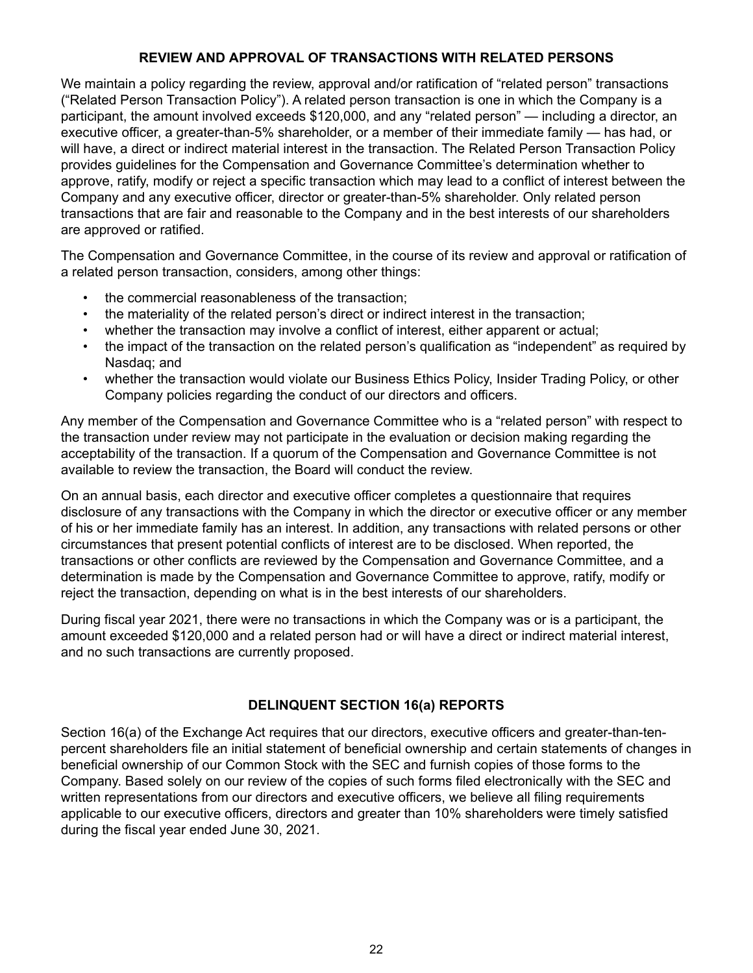#### **REVIEW AND APPROVAL OF TRANSACTIONS WITH RELATED PERSONS**

<span id="page-27-0"></span>We maintain a policy regarding the review, approval and/or ratification of "related person" transactions ("Related Person Transaction Policy"). A related person transaction is one in which the Company is a participant, the amount involved exceeds \$120,000, and any "related person" — including a director, an executive officer, a greater-than-5% shareholder, or a member of their immediate family — has had, or will have, a direct or indirect material interest in the transaction. The Related Person Transaction Policy provides guidelines for the Compensation and Governance Committee's determination whether to approve, ratify, modify or reject a specific transaction which may lead to a conflict of interest between the Company and any executive officer, director or greater-than-5% shareholder. Only related person transactions that are fair and reasonable to the Company and in the best interests of our shareholders are approved or ratified.

The Compensation and Governance Committee, in the course of its review and approval or ratification of a related person transaction, considers, among other things:

- the commercial reasonableness of the transaction;
- the materiality of the related person's direct or indirect interest in the transaction;
- whether the transaction may involve a conflict of interest, either apparent or actual;
- the impact of the transaction on the related person's qualification as "independent" as required by Nasdaq; and
- whether the transaction would violate our Business Ethics Policy, Insider Trading Policy, or other Company policies regarding the conduct of our directors and officers.

Any member of the Compensation and Governance Committee who is a "related person" with respect to the transaction under review may not participate in the evaluation or decision making regarding the acceptability of the transaction. If a quorum of the Compensation and Governance Committee is not available to review the transaction, the Board will conduct the review.

On an annual basis, each director and executive officer completes a questionnaire that requires disclosure of any transactions with the Company in which the director or executive officer or any member of his or her immediate family has an interest. In addition, any transactions with related persons or other circumstances that present potential conflicts of interest are to be disclosed. When reported, the transactions or other conflicts are reviewed by the Compensation and Governance Committee, and a determination is made by the Compensation and Governance Committee to approve, ratify, modify or reject the transaction, depending on what is in the best interests of our shareholders.

During fiscal year 2021, there were no transactions in which the Company was or is a participant, the amount exceeded \$120,000 and a related person had or will have a direct or indirect material interest, and no such transactions are currently proposed.

#### **DELINQUENT SECTION 16(a) REPORTS**

Section 16(a) of the Exchange Act requires that our directors, executive officers and greater-than-tenpercent shareholders file an initial statement of beneficial ownership and certain statements of changes in beneficial ownership of our Common Stock with the SEC and furnish copies of those forms to the Company. Based solely on our review of the copies of such forms filed electronically with the SEC and written representations from our directors and executive officers, we believe all filing requirements applicable to our executive officers, directors and greater than 10% shareholders were timely satisfied during the fiscal year ended June 30, 2021.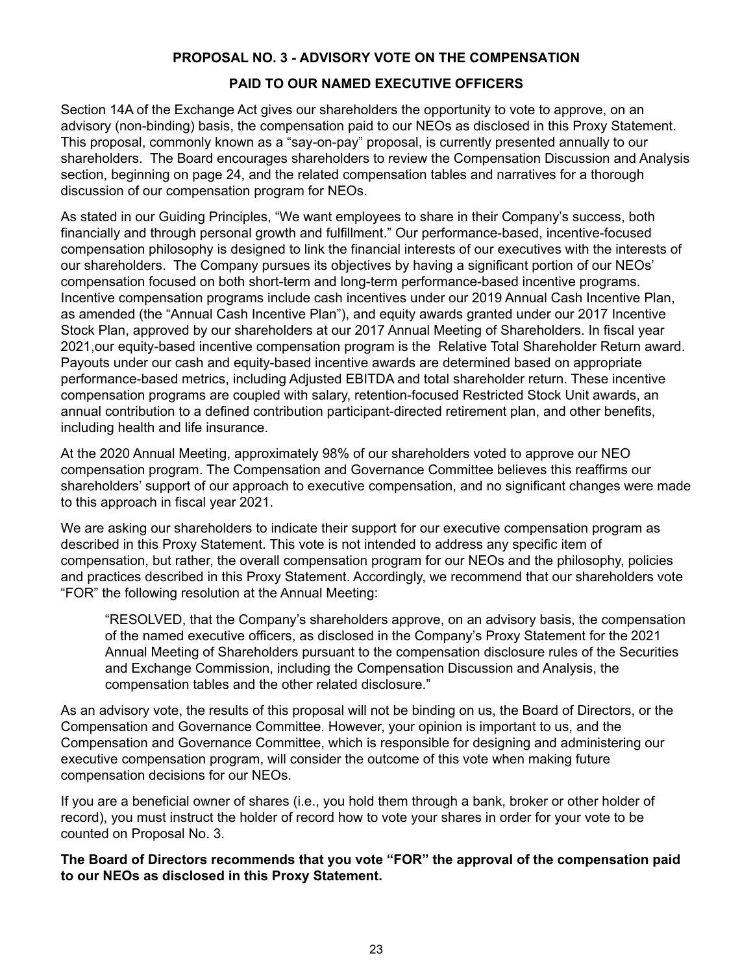#### **PROPOSAL NO. 3 - ADVISORY VOTE ON THE COMPENSATION**

#### **PAID TO OUR NAMED EXECUTIVE OFFICERS**

<span id="page-28-0"></span>Section 14A of the Exchange Act gives our shareholders the opportunity to vote to approve, on an advisory (non-binding) basis, the compensation paid to our NEOs as disclosed in this Proxy Statement. This proposal, commonly known as a "say-on-pay" proposal, is currently presented annually to our shareholders. The Board encourages shareholders to review the Compensation Discussion and Analysis section, beginning on page 24, and the related compensation tables and narratives for a thorough discussion of our compensation program for NEOs.

As stated in our Guiding Principles, "We want employees to share in their Company's success, both financially and through personal growth and fulfillment." Our performance-based, incentive-focused compensation philosophy is designed to link the financial interests of our executives with the interests of our shareholders. The Company pursues its objectives by having a significant portion of our NEOs' compensation focused on both short-term and long-term performance-based incentive programs. Incentive compensation programs include cash incentives under our 2019 Annual Cash Incentive Plan, as amended (the "Annual Cash Incentive Plan"), and equity awards granted under our 2017 Incentive Stock Plan, approved by our shareholders at our 2017 Annual Meeting of Shareholders. In fiscal year 2021,our equity-based incentive compensation program is the Relative Total Shareholder Return award. Payouts under our cash and equity-based incentive awards are determined based on appropriate performance-based metrics, including Adjusted EBITDA and total shareholder return. These incentive compensation programs are coupled with salary, retention-focused Restricted Stock Unit awards, an annual contribution to a defined contribution participant-directed retirement plan, and other benefits, including health and life insurance.

At the 2020 Annual Meeting, approximately 98% of our shareholders voted to approve our NEO compensation program. The Compensation and Governance Committee believes this reaffirms our shareholders' support of our approach to executive compensation, and no significant changes were made to this approach in fiscal year 2021.

We are asking our shareholders to indicate their support for our executive compensation program as described in this Proxy Statement. This vote is not intended to address any specific item of compensation, but rather, the overall compensation program for our NEOs and the philosophy, policies and practices described in this Proxy Statement. Accordingly, we recommend that our shareholders vote "FOR" the following resolution at the Annual Meeting:

"RESOLVED, that the Company's shareholders approve, on an advisory basis, the compensation of the named executive officers, as disclosed in the Company's Proxy Statement for the 2021 Annual Meeting of Shareholders pursuant to the compensation disclosure rules of the Securities and Exchange Commission, including the Compensation Discussion and Analysis, the compensation tables and the other related disclosure."

As an advisory vote, the results of this proposal will not be binding on us, the Board of Directors, or the Compensation and Governance Committee. However, your opinion is important to us, and the Compensation and Governance Committee, which is responsible for designing and administering our executive compensation program, will consider the outcome of this vote when making future compensation decisions for our NEOs.

If you are a beneficial owner of shares (i.e., you hold them through a bank, broker or other holder of record), you must instruct the holder of record how to vote your shares in order for your vote to be counted on Proposal No. 3.

**The Board of Directors recommends that you vote "FOR" the approval of the compensation paid to our NEOs as disclosed in this Proxy Statement.**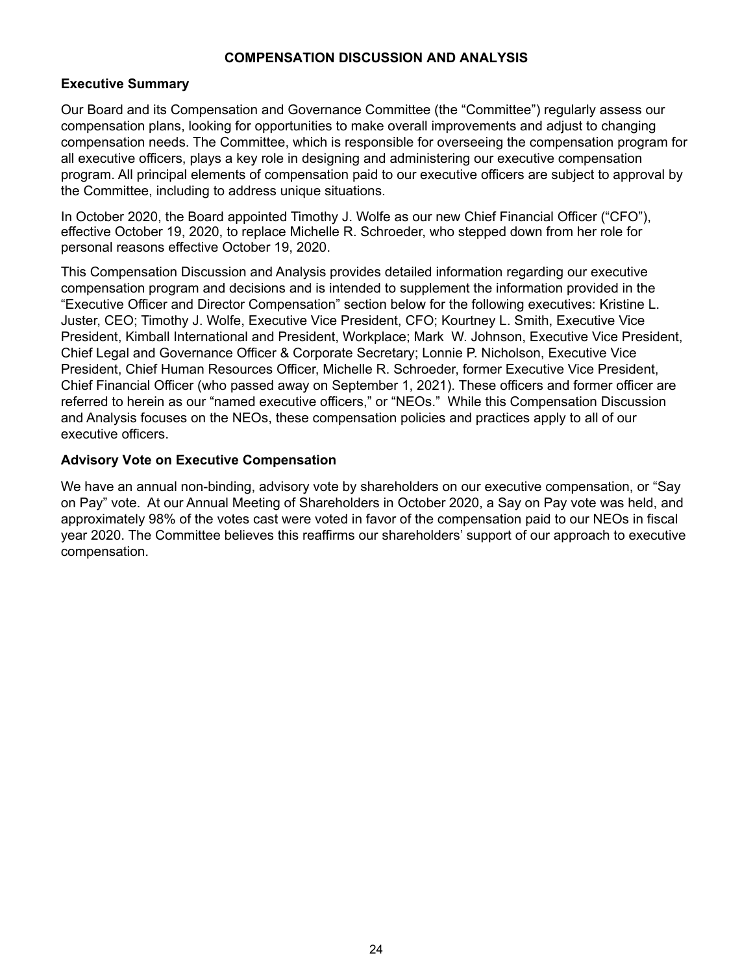#### **COMPENSATION DISCUSSION AND ANALYSIS**

#### <span id="page-29-0"></span>**Executive Summary**

Our Board and its Compensation and Governance Committee (the "Committee") regularly assess our compensation plans, looking for opportunities to make overall improvements and adjust to changing compensation needs. The Committee, which is responsible for overseeing the compensation program for all executive officers, plays a key role in designing and administering our executive compensation program. All principal elements of compensation paid to our executive officers are subject to approval by the Committee, including to address unique situations.

In October 2020, the Board appointed Timothy J. Wolfe as our new Chief Financial Officer ("CFO"), effective October 19, 2020, to replace Michelle R. Schroeder, who stepped down from her role for personal reasons effective October 19, 2020.

This Compensation Discussion and Analysis provides detailed information regarding our executive compensation program and decisions and is intended to supplement the information provided in the "Executive Officer and Director Compensation" section below for the following executives: Kristine L. Juster, CEO; Timothy J. Wolfe, Executive Vice President, CFO; Kourtney L. Smith, Executive Vice President, Kimball International and President, Workplace; Mark W. Johnson, Executive Vice President, Chief Legal and Governance Officer & Corporate Secretary; Lonnie P. Nicholson, Executive Vice President, Chief Human Resources Officer, Michelle R. Schroeder, former Executive Vice President, Chief Financial Officer (who passed away on September 1, 2021). These officers and former officer are referred to herein as our "named executive officers," or "NEOs." While this Compensation Discussion and Analysis focuses on the NEOs, these compensation policies and practices apply to all of our executive officers.

#### **Advisory Vote on Executive Compensation**

We have an annual non-binding, advisory vote by shareholders on our executive compensation, or "Say on Pay" vote. At our Annual Meeting of Shareholders in October 2020, a Say on Pay vote was held, and approximately 98% of the votes cast were voted in favor of the compensation paid to our NEOs in fiscal year 2020. The Committee believes this reaffirms our shareholders' support of our approach to executive compensation.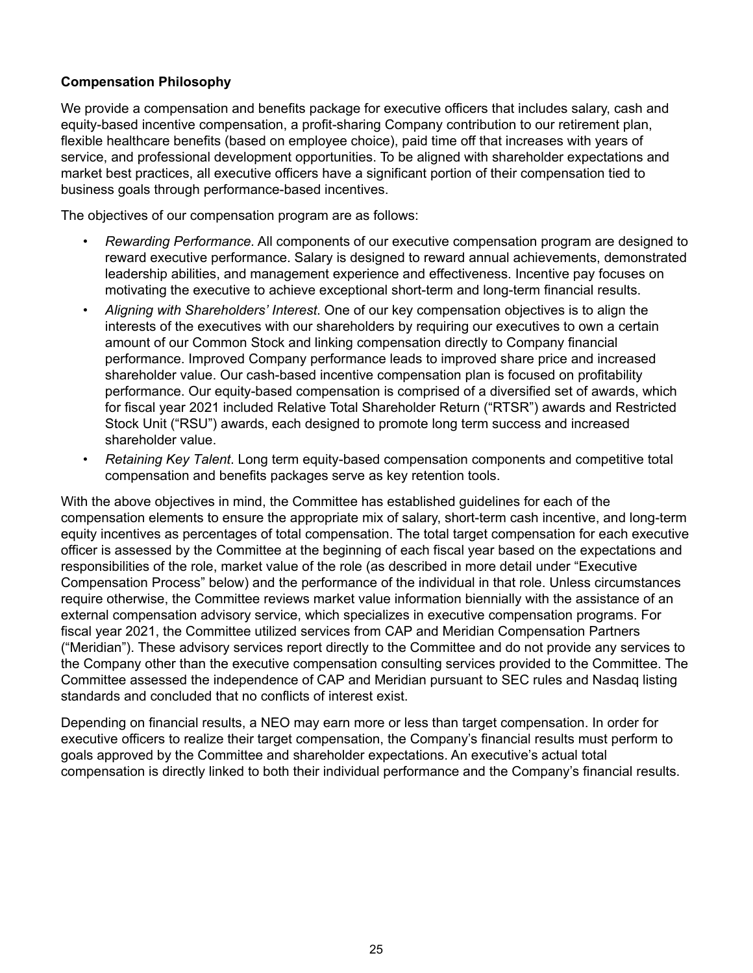#### <span id="page-30-0"></span>**Compensation Philosophy**

We provide a compensation and benefits package for executive officers that includes salary, cash and equity-based incentive compensation, a profit-sharing Company contribution to our retirement plan, flexible healthcare benefits (based on employee choice), paid time off that increases with years of service, and professional development opportunities. To be aligned with shareholder expectations and market best practices, all executive officers have a significant portion of their compensation tied to business goals through performance-based incentives.

The objectives of our compensation program are as follows:

- *Rewarding Performance.* All components of our executive compensation program are designed to reward executive performance. Salary is designed to reward annual achievements, demonstrated leadership abilities, and management experience and effectiveness. Incentive pay focuses on motivating the executive to achieve exceptional short-term and long-term financial results.
- *Aligning with Shareholders' Interest*. One of our key compensation objectives is to align the interests of the executives with our shareholders by requiring our executives to own a certain amount of our Common Stock and linking compensation directly to Company financial performance. Improved Company performance leads to improved share price and increased shareholder value. Our cash-based incentive compensation plan is focused on profitability performance. Our equity-based compensation is comprised of a diversified set of awards, which for fiscal year 2021 included Relative Total Shareholder Return ("RTSR") awards and Restricted Stock Unit ("RSU") awards, each designed to promote long term success and increased shareholder value.
- *Retaining Key Talent*. Long term equity-based compensation components and competitive total compensation and benefits packages serve as key retention tools.

With the above objectives in mind, the Committee has established guidelines for each of the compensation elements to ensure the appropriate mix of salary, short-term cash incentive, and long-term equity incentives as percentages of total compensation. The total target compensation for each executive officer is assessed by the Committee at the beginning of each fiscal year based on the expectations and responsibilities of the role, market value of the role (as described in more detail under "Executive Compensation Process" below) and the performance of the individual in that role. Unless circumstances require otherwise, the Committee reviews market value information biennially with the assistance of an external compensation advisory service, which specializes in executive compensation programs. For fiscal year 2021, the Committee utilized services from CAP and Meridian Compensation Partners ("Meridian"). These advisory services report directly to the Committee and do not provide any services to the Company other than the executive compensation consulting services provided to the Committee. The Committee assessed the independence of CAP and Meridian pursuant to SEC rules and Nasdaq listing standards and concluded that no conflicts of interest exist.

Depending on financial results, a NEO may earn more or less than target compensation. In order for executive officers to realize their target compensation, the Company's financial results must perform to goals approved by the Committee and shareholder expectations. An executive's actual total compensation is directly linked to both their individual performance and the Company's financial results.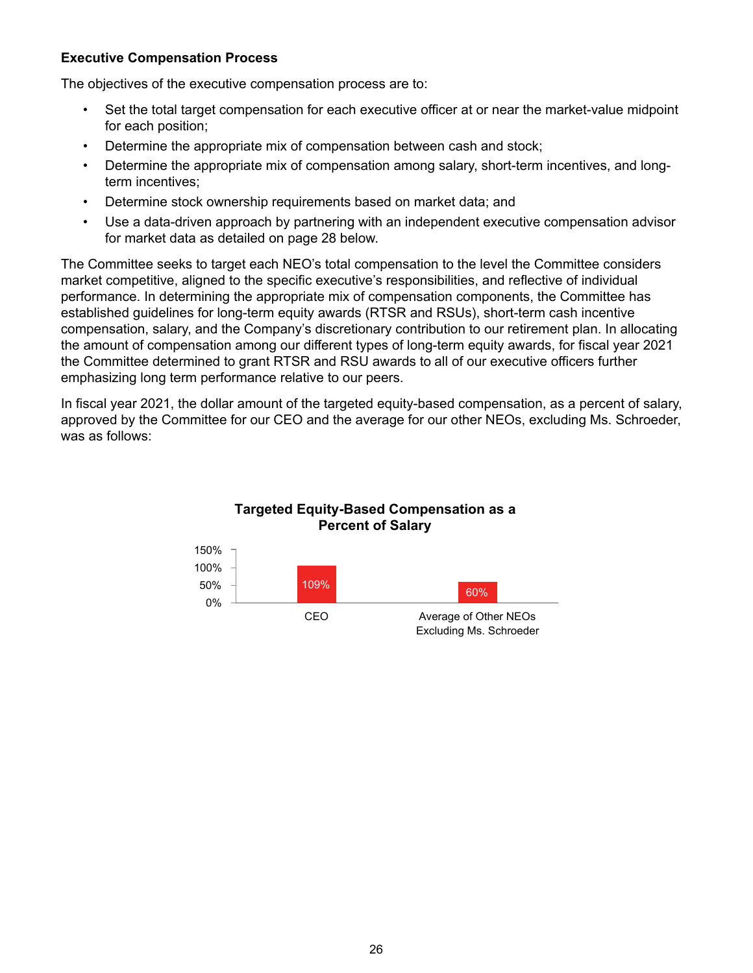#### <span id="page-31-0"></span>**Executive Compensation Process**

The objectives of the executive compensation process are to:

- Set the total target compensation for each executive officer at or near the market-value midpoint for each position;
- Determine the appropriate mix of compensation between cash and stock;
- Determine the appropriate mix of compensation among salary, short-term incentives, and longterm incentives;
- Determine stock ownership requirements based on market data; and
- Use a data-driven approach by partnering with an independent executive compensation advisor for market data as detailed on page 28 below.

The Committee seeks to target each NEO's total compensation to the level the Committee considers market competitive, aligned to the specific executive's responsibilities, and reflective of individual performance. In determining the appropriate mix of compensation components, the Committee has established guidelines for long-term equity awards (RTSR and RSUs), short-term cash incentive compensation, salary, and the Company's discretionary contribution to our retirement plan. In allocating the amount of compensation among our different types of long-term equity awards, for fiscal year 2021 the Committee determined to grant RTSR and RSU awards to all of our executive officers further emphasizing long term performance relative to our peers.

In fiscal year 2021, the dollar amount of the targeted equity-based compensation, as a percent of salary, approved by the Committee for our CEO and the average for our other NEOs, excluding Ms. Schroeder, was as follows:



## Excluding Ms. Schroeder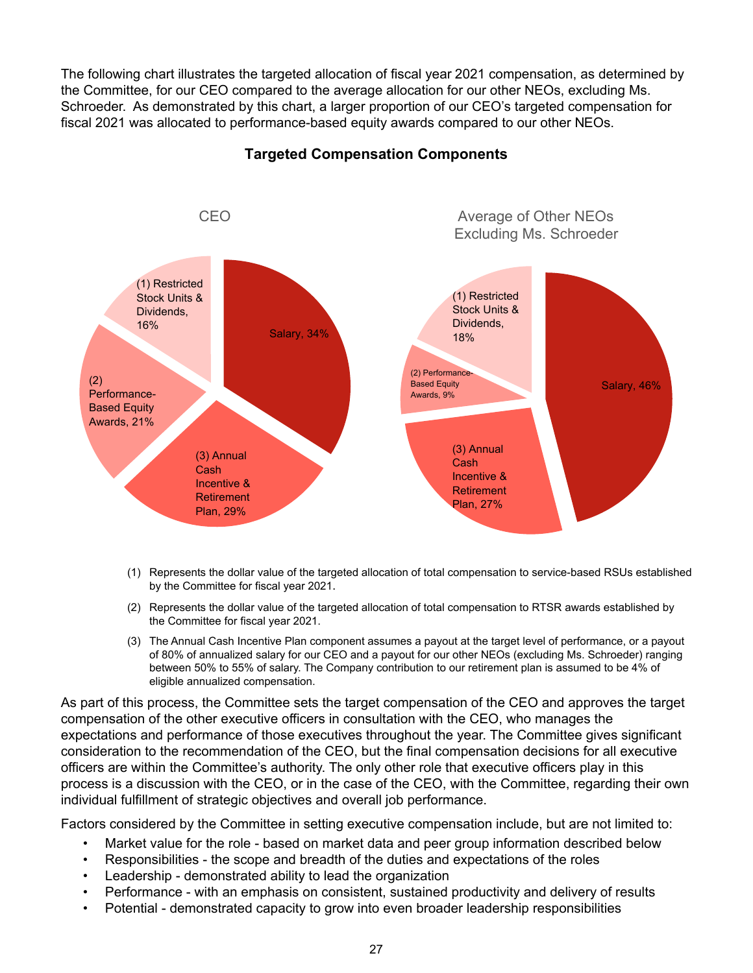The following chart illustrates the targeted allocation of fiscal year 2021 compensation, as determined by the Committee, for our CEO compared to the average allocation for our other NEOs, excluding Ms. Schroeder. As demonstrated by this chart, a larger proportion of our CEO's targeted compensation for fiscal 2021 was allocated to performance-based equity awards compared to our other NEOs.



#### **Targeted Compensation Components**

- (1) Represents the dollar value of the targeted allocation of total compensation to service-based RSUs established by the Committee for fiscal year 2021.
- (2) Represents the dollar value of the targeted allocation of total compensation to RTSR awards established by the Committee for fiscal year 2021.
- (3) The Annual Cash Incentive Plan component assumes a payout at the target level of performance, or a payout of 80% of annualized salary for our CEO and a payout for our other NEOs (excluding Ms. Schroeder) ranging between 50% to 55% of salary. The Company contribution to our retirement plan is assumed to be 4% of eligible annualized compensation.

As part of this process, the Committee sets the target compensation of the CEO and approves the target compensation of the other executive officers in consultation with the CEO, who manages the expectations and performance of those executives throughout the year. The Committee gives significant consideration to the recommendation of the CEO, but the final compensation decisions for all executive officers are within the Committee's authority. The only other role that executive officers play in this process is a discussion with the CEO, or in the case of the CEO, with the Committee, regarding their own individual fulfillment of strategic objectives and overall job performance.

Factors considered by the Committee in setting executive compensation include, but are not limited to:

- Market value for the role based on market data and peer group information described below
- Responsibilities the scope and breadth of the duties and expectations of the roles
- Leadership demonstrated ability to lead the organization
- Performance with an emphasis on consistent, sustained productivity and delivery of results
- Potential demonstrated capacity to grow into even broader leadership responsibilities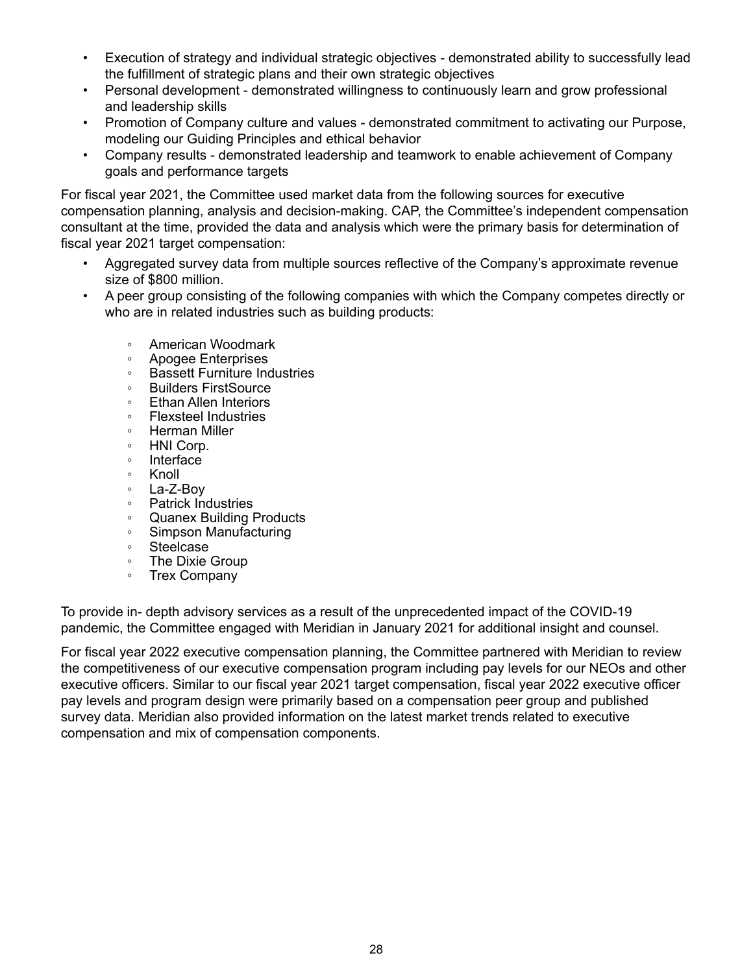- Execution of strategy and individual strategic objectives demonstrated ability to successfully lead the fulfillment of strategic plans and their own strategic objectives
- Personal development demonstrated willingness to continuously learn and grow professional and leadership skills
- Promotion of Company culture and values demonstrated commitment to activating our Purpose, modeling our Guiding Principles and ethical behavior
- Company results demonstrated leadership and teamwork to enable achievement of Company goals and performance targets

For fiscal year 2021, the Committee used market data from the following sources for executive compensation planning, analysis and decision-making. CAP, the Committee's independent compensation consultant at the time, provided the data and analysis which were the primary basis for determination of fiscal year 2021 target compensation:

- Aggregated survey data from multiple sources reflective of the Company's approximate revenue size of \$800 million.
- A peer group consisting of the following companies with which the Company competes directly or who are in related industries such as building products:
	- American Woodmark
	- Apogee Enterprises
	- Bassett Furniture Industries<br>◦ Builders FirstSource
	- Builders FirstSource
	- Ethan Allen Interiors
	- Flexsteel Industries
	- Herman Miller
	- HNI Corp.
	- Interface
	- Knoll
	- La-Z-Boy
	- Patrick Industries
	- Quanex Building Products
	- Simpson Manufacturing
	- Steelcase
	- The Dixie Group
	- Trex Company

To provide in- depth advisory services as a result of the unprecedented impact of the COVID-19 pandemic, the Committee engaged with Meridian in January 2021 for additional insight and counsel.

For fiscal year 2022 executive compensation planning, the Committee partnered with Meridian to review the competitiveness of our executive compensation program including pay levels for our NEOs and other executive officers. Similar to our fiscal year 2021 target compensation, fiscal year 2022 executive officer pay levels and program design were primarily based on a compensation peer group and published survey data. Meridian also provided information on the latest market trends related to executive compensation and mix of compensation components.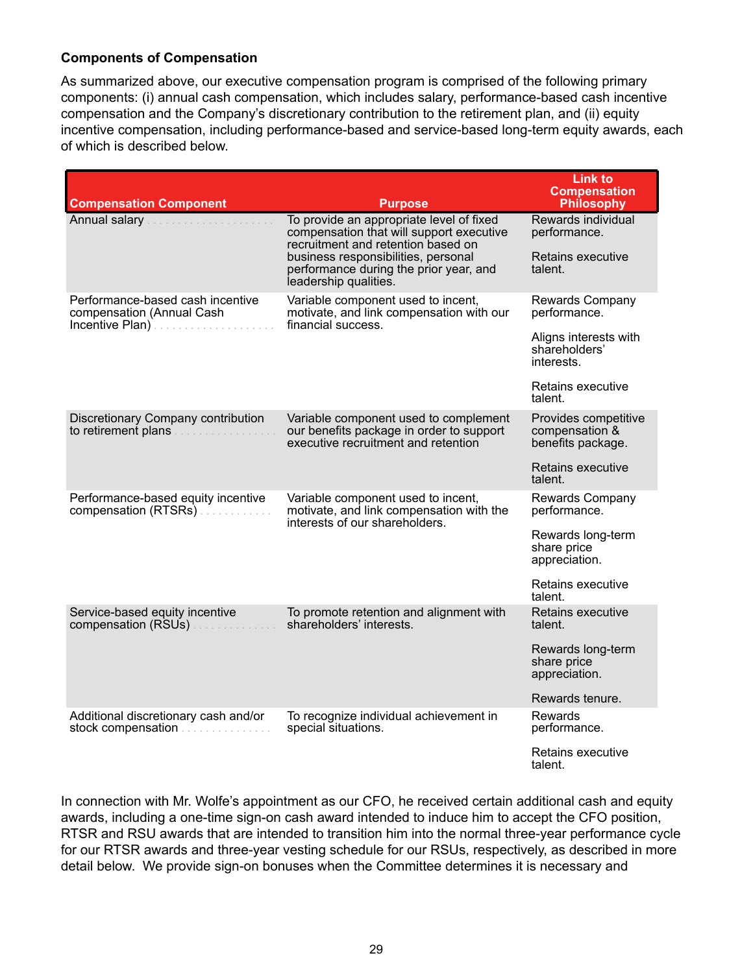#### <span id="page-34-0"></span>**Components of Compensation**

As summarized above, our executive compensation program is comprised of the following primary components: (i) annual cash compensation, which includes salary, performance-based cash incentive compensation and the Company's discretionary contribution to the retirement plan, and (ii) equity incentive compensation, including performance-based and service-based long-term equity awards, each of which is described below.

| <b>Compensation Component</b>                                                    | <b>Purpose</b>                                                                                                             | <b>Link to</b><br><b>Compensation</b><br><b>Philosophy</b>  |
|----------------------------------------------------------------------------------|----------------------------------------------------------------------------------------------------------------------------|-------------------------------------------------------------|
| Annual salary                                                                    | To provide an appropriate level of fixed<br>compensation that will support executive<br>recruitment and retention based on | Rewards individual<br>performance.                          |
|                                                                                  | business responsibilities, personal<br>performance during the prior year, and<br>leadership qualities.                     | Retains executive<br>talent.                                |
| Performance-based cash incentive<br>compensation (Annual Cash<br>Incentive Plan) | Variable component used to incent,<br>motivate, and link compensation with our<br>financial success.                       | Rewards Company<br>performance.                             |
|                                                                                  |                                                                                                                            | Aligns interests with<br>shareholders'<br>interests.        |
|                                                                                  |                                                                                                                            | Retains executive<br>talent.                                |
| Discretionary Company contribution<br>to retirement plans                        | Variable component used to complement<br>our benefits package in order to support<br>executive recruitment and retention   | Provides competitive<br>compensation &<br>benefits package. |
|                                                                                  |                                                                                                                            | Retains executive<br>talent.                                |
| Performance-based equity incentive<br>compensation (RTSRs)                       | Variable component used to incent,<br>motivate, and link compensation with the<br>interests of our shareholders.           | Rewards Company<br>performance.                             |
|                                                                                  |                                                                                                                            | Rewards long-term<br>share price<br>appreciation.           |
|                                                                                  |                                                                                                                            | Retains executive<br>talent.                                |
| Service-based equity incentive<br>compensation (RSUs)                            | To promote retention and alignment with<br>shareholders' interests.                                                        | Retains executive<br>talent.                                |
|                                                                                  |                                                                                                                            | Rewards long-term<br>share price<br>appreciation.           |
|                                                                                  |                                                                                                                            | Rewards tenure.                                             |
| Additional discretionary cash and/or<br>stock compensation                       | To recognize individual achievement in<br>special situations.                                                              | Rewards<br>performance.                                     |
|                                                                                  |                                                                                                                            | Retains executive<br>talent.                                |

In connection with Mr. Wolfe's appointment as our CFO, he received certain additional cash and equity awards, including a one-time sign-on cash award intended to induce him to accept the CFO position, RTSR and RSU awards that are intended to transition him into the normal three-year performance cycle for our RTSR awards and three-year vesting schedule for our RSUs, respectively, as described in more detail below. We provide sign-on bonuses when the Committee determines it is necessary and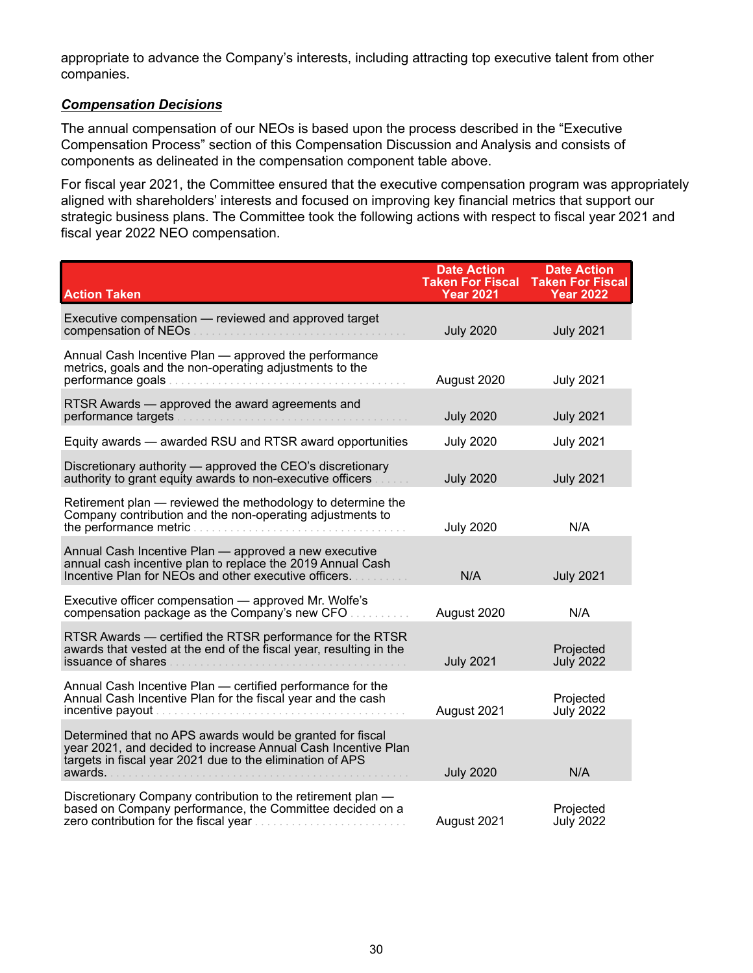appropriate to advance the Company's interests, including attracting top executive talent from other companies.

#### *Compensation Decisions*

The annual compensation of our NEOs is based upon the process described in the "Executive Compensation Process" section of this Compensation Discussion and Analysis and consists of components as delineated in the compensation component table above.

For fiscal year 2021, the Committee ensured that the executive compensation program was appropriately aligned with shareholders' interests and focused on improving key financial metrics that support our strategic business plans. The Committee took the following actions with respect to fiscal year 2021 and fiscal year 2022 NEO compensation.

| <b>Action Taken</b>                                                                                                                                                                                | <b>Date Action</b><br><b>Taken For Fiscal</b><br><b>Year 2021</b> | <b>Date Action</b><br><b>Taken For Fiscal</b><br><b>Year 2022</b> |
|----------------------------------------------------------------------------------------------------------------------------------------------------------------------------------------------------|-------------------------------------------------------------------|-------------------------------------------------------------------|
| Executive compensation - reviewed and approved target<br>compensation of NEOs                                                                                                                      | <b>July 2020</b>                                                  | <b>July 2021</b>                                                  |
| Annual Cash Incentive Plan - approved the performance<br>metrics, goals and the non-operating adjustments to the                                                                                   | August 2020                                                       | <b>July 2021</b>                                                  |
| RTSR Awards — approved the award agreements and<br>performance targets                                                                                                                             | <b>July 2020</b>                                                  | <b>July 2021</b>                                                  |
| Equity awards - awarded RSU and RTSR award opportunities                                                                                                                                           | <b>July 2020</b>                                                  | <b>July 2021</b>                                                  |
| Discretionary authority - approved the CEO's discretionary<br>authority to grant equity awards to non-executive officers                                                                           | <b>July 2020</b>                                                  | <b>July 2021</b>                                                  |
| Retirement plan - reviewed the methodology to determine the<br>Company contribution and the non-operating adjustments to                                                                           | <b>July 2020</b>                                                  | N/A                                                               |
| Annual Cash Incentive Plan - approved a new executive<br>annual cash incentive plan to replace the 2019 Annual Cash<br>Incentive Plan for NEOs and other executive officers.                       | N/A                                                               | <b>July 2021</b>                                                  |
| Executive officer compensation - approved Mr. Wolfe's<br>compensation package as the Company's new CFO                                                                                             | August 2020                                                       | N/A                                                               |
| RTSR Awards - certified the RTSR performance for the RTSR<br>awards that vested at the end of the fiscal year, resulting in the<br>issuance of shares                                              | <b>July 2021</b>                                                  | Projected<br><b>July 2022</b>                                     |
| Annual Cash Incentive Plan - certified performance for the<br>Annual Cash Incentive Plan for the fiscal year and the cash                                                                          | August 2021                                                       | Projected<br><b>July 2022</b>                                     |
| Determined that no APS awards would be granted for fiscal<br>year 2021, and decided to increase Annual Cash Incentive Plan<br>targets in fiscal year 2021 due to the elimination of APS<br>awards. | <b>July 2020</b>                                                  | N/A                                                               |
| Discretionary Company contribution to the retirement plan -<br>based on Company performance, the Committee decided on a                                                                            | August 2021                                                       | Projected<br><b>July 2022</b>                                     |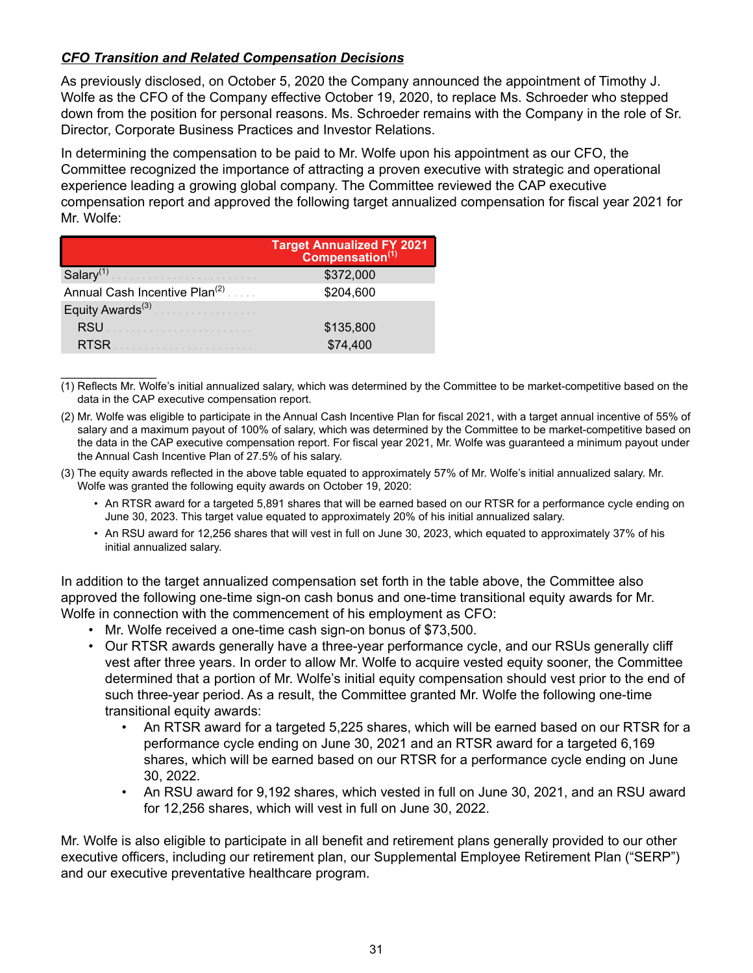# *CFO Transition and Related Compensation Decisions*

As previously disclosed, on October 5, 2020 the Company announced the appointment of Timothy J. Wolfe as the CFO of the Company effective October 19, 2020, to replace Ms. Schroeder who stepped down from the position for personal reasons. Ms. Schroeder remains with the Company in the role of Sr. Director, Corporate Business Practices and Investor Relations.

In determining the compensation to be paid to Mr. Wolfe upon his appointment as our CFO, the Committee recognized the importance of attracting a proven executive with strategic and operational experience leading a growing global company. The Committee reviewed the CAP executive compensation report and approved the following target annualized compensation for fiscal year 2021 for Mr. Wolfe:

|                                           | Target Annualized FY 2021<br>Compensation(1) |
|-------------------------------------------|----------------------------------------------|
| Salary <sup>(1)</sup>                     | \$372,000                                    |
| Annual Cash Incentive Plan <sup>(2)</sup> | \$204,600                                    |
| Equity Awards <sup>(3)</sup>              |                                              |
| <b>RSU</b>                                | \$135,800                                    |
| <b>RTSR</b>                               | \$74,400                                     |

 $\mathcal{L}_\text{max}$  , where  $\mathcal{L}_\text{max}$ (1) Reflects Mr. Wolfe's initial annualized salary, which was determined by the Committee to be market-competitive based on the data in the CAP executive compensation report.

- (2) Mr. Wolfe was eligible to participate in the Annual Cash Incentive Plan for fiscal 2021, with a target annual incentive of 55% of salary and a maximum payout of 100% of salary, which was determined by the Committee to be market-competitive based on the data in the CAP executive compensation report. For fiscal year 2021, Mr. Wolfe was guaranteed a minimum payout under the Annual Cash Incentive Plan of 27.5% of his salary.
- (3) The equity awards reflected in the above table equated to approximately 57% of Mr. Wolfe's initial annualized salary. Mr. Wolfe was granted the following equity awards on October 19, 2020:
	- An RTSR award for a targeted 5,891 shares that will be earned based on our RTSR for a performance cycle ending on June 30, 2023. This target value equated to approximately 20% of his initial annualized salary.
	- An RSU award for 12,256 shares that will vest in full on June 30, 2023, which equated to approximately 37% of his initial annualized salary.

In addition to the target annualized compensation set forth in the table above, the Committee also approved the following one-time sign-on cash bonus and one-time transitional equity awards for Mr. Wolfe in connection with the commencement of his employment as CFO:

- Mr. Wolfe received a one-time cash sign-on bonus of \$73,500.
- Our RTSR awards generally have a three-year performance cycle, and our RSUs generally cliff vest after three years. In order to allow Mr. Wolfe to acquire vested equity sooner, the Committee determined that a portion of Mr. Wolfe's initial equity compensation should vest prior to the end of such three-year period. As a result, the Committee granted Mr. Wolfe the following one-time transitional equity awards:
	- An RTSR award for a targeted 5,225 shares, which will be earned based on our RTSR for a performance cycle ending on June 30, 2021 and an RTSR award for a targeted 6,169 shares, which will be earned based on our RTSR for a performance cycle ending on June 30, 2022.
	- An RSU award for 9,192 shares, which vested in full on June 30, 2021, and an RSU award for 12,256 shares, which will vest in full on June 30, 2022.

Mr. Wolfe is also eligible to participate in all benefit and retirement plans generally provided to our other executive officers, including our retirement plan, our Supplemental Employee Retirement Plan ("SERP") and our executive preventative healthcare program.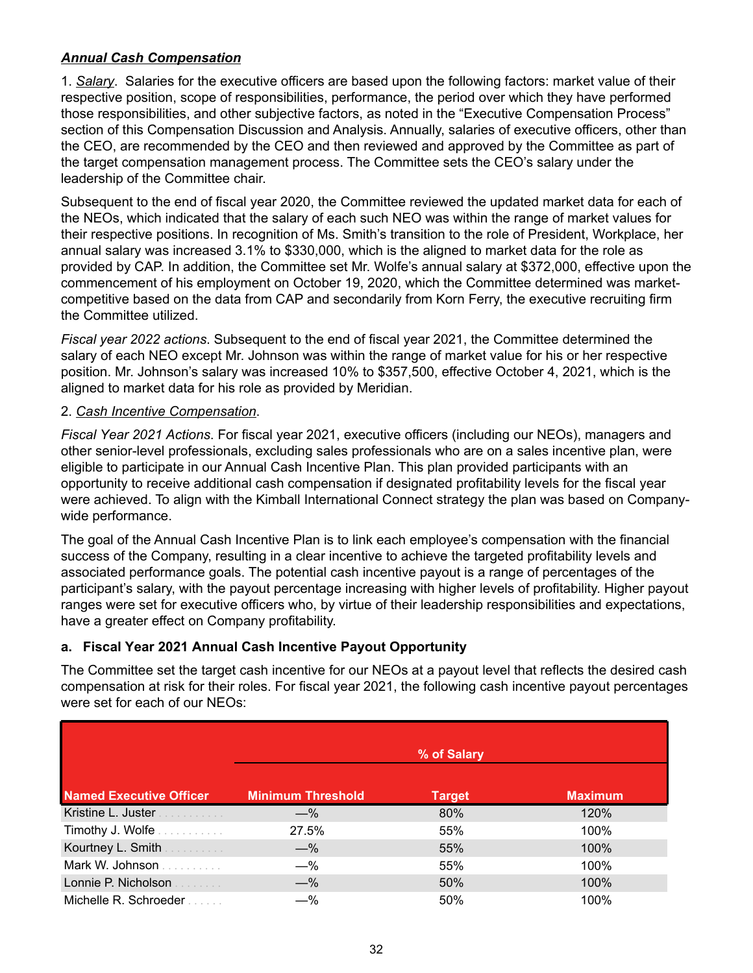# *Annual Cash Compensation*

1. *Salary*. Salaries for the executive officers are based upon the following factors: market value of their respective position, scope of responsibilities, performance, the period over which they have performed those responsibilities, and other subjective factors, as noted in the "Executive Compensation Process" section of this Compensation Discussion and Analysis. Annually, salaries of executive officers, other than the CEO, are recommended by the CEO and then reviewed and approved by the Committee as part of the target compensation management process. The Committee sets the CEO's salary under the leadership of the Committee chair.

Subsequent to the end of fiscal year 2020, the Committee reviewed the updated market data for each of the NEOs, which indicated that the salary of each such NEO was within the range of market values for their respective positions. In recognition of Ms. Smith's transition to the role of President, Workplace, her annual salary was increased 3.1% to \$330,000, which is the aligned to market data for the role as provided by CAP. In addition, the Committee set Mr. Wolfe's annual salary at \$372,000, effective upon the commencement of his employment on October 19, 2020, which the Committee determined was marketcompetitive based on the data from CAP and secondarily from Korn Ferry, the executive recruiting firm the Committee utilized.

*Fiscal year 2022 actions*. Subsequent to the end of fiscal year 2021, the Committee determined the salary of each NEO except Mr. Johnson was within the range of market value for his or her respective position. Mr. Johnson's salary was increased 10% to \$357,500, effective October 4, 2021, which is the aligned to market data for his role as provided by Meridian.

# 2. *Cash Incentive Compensation*.

*Fiscal Year 2021 Actions*. For fiscal year 2021, executive officers (including our NEOs), managers and other senior-level professionals, excluding sales professionals who are on a sales incentive plan, were eligible to participate in our Annual Cash Incentive Plan. This plan provided participants with an opportunity to receive additional cash compensation if designated profitability levels for the fiscal year were achieved. To align with the Kimball International Connect strategy the plan was based on Companywide performance.

The goal of the Annual Cash Incentive Plan is to link each employee's compensation with the financial success of the Company, resulting in a clear incentive to achieve the targeted profitability levels and associated performance goals. The potential cash incentive payout is a range of percentages of the participant's salary, with the payout percentage increasing with higher levels of profitability. Higher payout ranges were set for executive officers who, by virtue of their leadership responsibilities and expectations, have a greater effect on Company profitability.

# **a. Fiscal Year 2021 Annual Cash Incentive Payout Opportunity**

The Committee set the target cash incentive for our NEOs at a payout level that reflects the desired cash compensation at risk for their roles. For fiscal year 2021, the following cash incentive payout percentages were set for each of our NEOs:

|                                | % of Salary              |               |                |
|--------------------------------|--------------------------|---------------|----------------|
| <b>Named Executive Officer</b> | <b>Minimum Threshold</b> | <b>Target</b> | <b>Maximum</b> |
| Kristine L. Juster             | $-\%$                    | 80%           | 120%           |
| Timothy J. Wolfe               | 27.5%                    | 55%           | 100%           |
| Kourtney L. Smith              | $-\%$                    | 55%           | 100%           |
| Mark W. Johnson                | $-\%$                    | 55%           | 100%           |
| Lonnie P. Nicholson            | $-\%$                    | 50%           | 100%           |
| Michelle R. Schroeder          | $-\%$                    | 50%           | 100%           |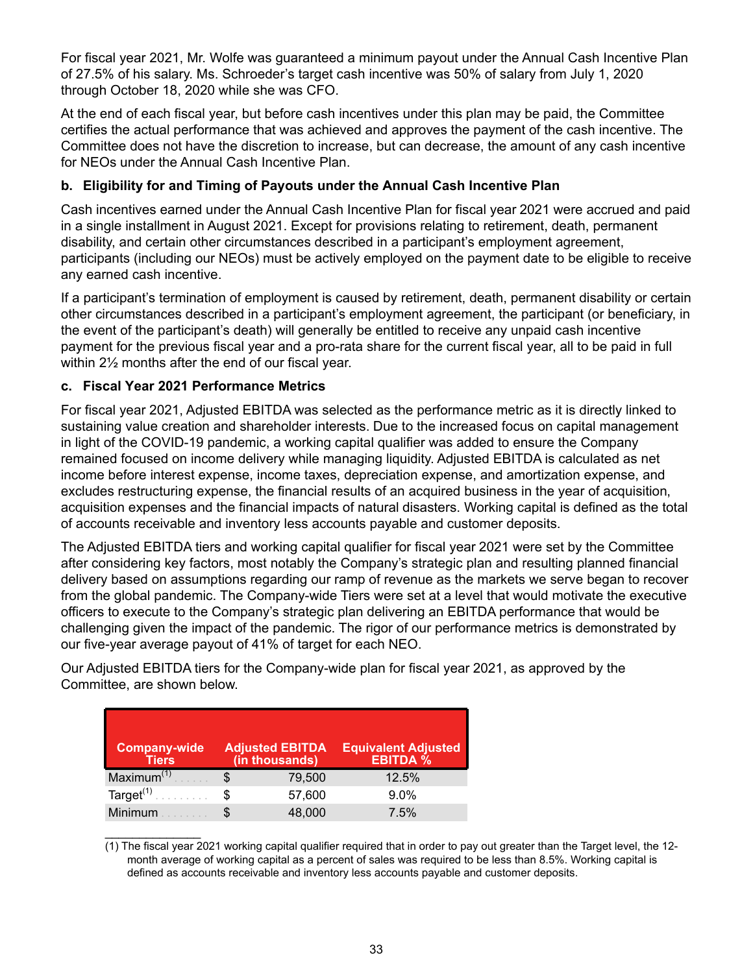For fiscal year 2021, Mr. Wolfe was guaranteed a minimum payout under the Annual Cash Incentive Plan of 27.5% of his salary. Ms. Schroeder's target cash incentive was 50% of salary from July 1, 2020 through October 18, 2020 while she was CFO.

At the end of each fiscal year, but before cash incentives under this plan may be paid, the Committee certifies the actual performance that was achieved and approves the payment of the cash incentive. The Committee does not have the discretion to increase, but can decrease, the amount of any cash incentive for NEOs under the Annual Cash Incentive Plan.

# **b. Eligibility for and Timing of Payouts under the Annual Cash Incentive Plan**

Cash incentives earned under the Annual Cash Incentive Plan for fiscal year 2021 were accrued and paid in a single installment in August 2021. Except for provisions relating to retirement, death, permanent disability, and certain other circumstances described in a participant's employment agreement, participants (including our NEOs) must be actively employed on the payment date to be eligible to receive any earned cash incentive.

If a participant's termination of employment is caused by retirement, death, permanent disability or certain other circumstances described in a participant's employment agreement, the participant (or beneficiary, in the event of the participant's death) will generally be entitled to receive any unpaid cash incentive payment for the previous fiscal year and a pro-rata share for the current fiscal year, all to be paid in full within 2½ months after the end of our fiscal year.

# **c. Fiscal Year 2021 Performance Metrics**

 $\mathcal{L}_\text{max}$  . The set of the set of the set of the set of the set of the set of the set of the set of the set of the set of the set of the set of the set of the set of the set of the set of the set of the set of the set

For fiscal year 2021, Adjusted EBITDA was selected as the performance metric as it is directly linked to sustaining value creation and shareholder interests. Due to the increased focus on capital management in light of the COVID-19 pandemic, a working capital qualifier was added to ensure the Company remained focused on income delivery while managing liquidity. Adjusted EBITDA is calculated as net income before interest expense, income taxes, depreciation expense, and amortization expense, and excludes restructuring expense, the financial results of an acquired business in the year of acquisition, acquisition expenses and the financial impacts of natural disasters. Working capital is defined as the total of accounts receivable and inventory less accounts payable and customer deposits.

The Adjusted EBITDA tiers and working capital qualifier for fiscal year 2021 were set by the Committee after considering key factors, most notably the Company's strategic plan and resulting planned financial delivery based on assumptions regarding our ramp of revenue as the markets we serve began to recover from the global pandemic. The Company-wide Tiers were set at a level that would motivate the executive officers to execute to the Company's strategic plan delivering an EBITDA performance that would be challenging given the impact of the pandemic. The rigor of our performance metrics is demonstrated by our five-year average payout of 41% of target for each NEO.

Our Adjusted EBITDA tiers for the Company-wide plan for fiscal year 2021, as approved by the Committee, are shown below.

| <b>Company-wide</b><br><b>Tiers</b> |   | <b>Adjusted EBITDA</b><br>(in thousands) | <b>Equivalent Adjusted</b><br><b>EBITDA</b> % |
|-------------------------------------|---|------------------------------------------|-----------------------------------------------|
| Maximum <sup>(1)</sup>              |   | 79,500                                   | 12.5%                                         |
| Target $(1)$                        | S | 57,600                                   | 9.0%                                          |
| Minimum                             |   | 48,000                                   | 7.5%                                          |

<sup>(1)</sup> The fiscal year 2021 working capital qualifier required that in order to pay out greater than the Target level, the 12 month average of working capital as a percent of sales was required to be less than 8.5%. Working capital is defined as accounts receivable and inventory less accounts payable and customer deposits.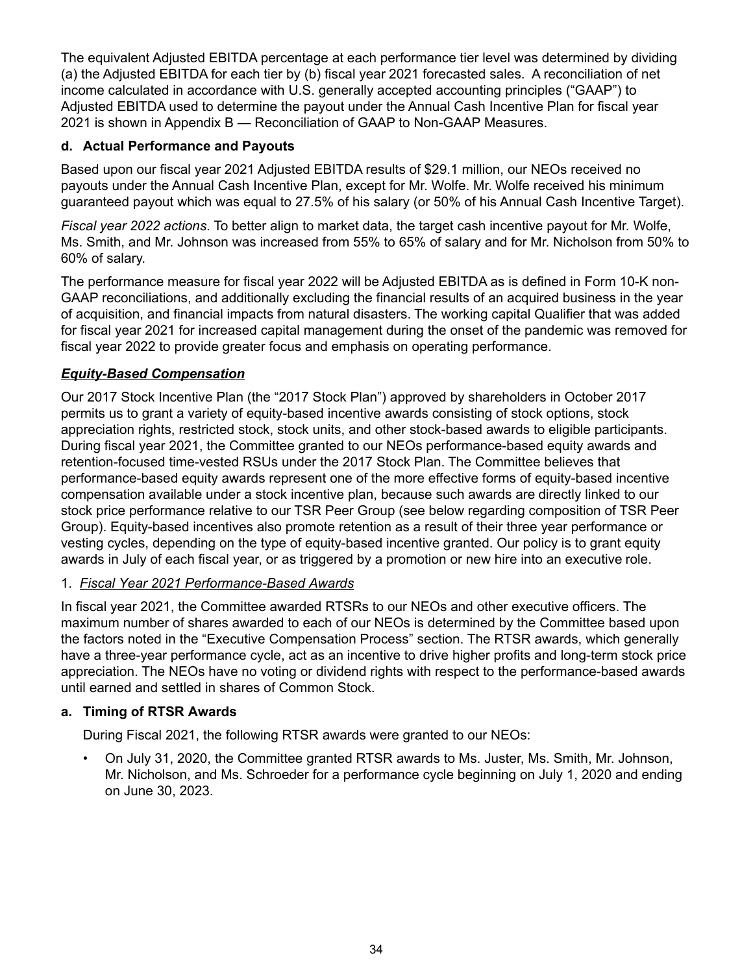The equivalent Adjusted EBITDA percentage at each performance tier level was determined by dividing (a) the Adjusted EBITDA for each tier by (b) fiscal year 2021 forecasted sales. A reconciliation of net income calculated in accordance with U.S. generally accepted accounting principles ("GAAP") to Adjusted EBITDA used to determine the payout under the Annual Cash Incentive Plan for fiscal year 2021 is shown in Appendix B — Reconciliation of GAAP to Non-GAAP Measures.

# **d. Actual Performance and Payouts**

Based upon our fiscal year 2021 Adjusted EBITDA results of \$29.1 million, our NEOs received no payouts under the Annual Cash Incentive Plan, except for Mr. Wolfe. Mr. Wolfe received his minimum guaranteed payout which was equal to 27.5% of his salary (or 50% of his Annual Cash Incentive Target).

*Fiscal year 2022 actions*. To better align to market data, the target cash incentive payout for Mr. Wolfe, Ms. Smith, and Mr. Johnson was increased from 55% to 65% of salary and for Mr. Nicholson from 50% to 60% of salary.

The performance measure for fiscal year 2022 will be Adjusted EBITDA as is defined in Form 10-K non-GAAP reconciliations, and additionally excluding the financial results of an acquired business in the year of acquisition, and financial impacts from natural disasters. The working capital Qualifier that was added for fiscal year 2021 for increased capital management during the onset of the pandemic was removed for fiscal year 2022 to provide greater focus and emphasis on operating performance.

# *Equity-Based Compensation*

Our 2017 Stock Incentive Plan (the "2017 Stock Plan") approved by shareholders in October 2017 permits us to grant a variety of equity-based incentive awards consisting of stock options, stock appreciation rights, restricted stock, stock units, and other stock-based awards to eligible participants. During fiscal year 2021, the Committee granted to our NEOs performance-based equity awards and retention-focused time-vested RSUs under the 2017 Stock Plan. The Committee believes that performance-based equity awards represent one of the more effective forms of equity-based incentive compensation available under a stock incentive plan, because such awards are directly linked to our stock price performance relative to our TSR Peer Group (see below regarding composition of TSR Peer Group). Equity-based incentives also promote retention as a result of their three year performance or vesting cycles, depending on the type of equity-based incentive granted. Our policy is to grant equity awards in July of each fiscal year, or as triggered by a promotion or new hire into an executive role.

### 1. *Fiscal Year 2021 Performance-Based Awards*

In fiscal year 2021, the Committee awarded RTSRs to our NEOs and other executive officers. The maximum number of shares awarded to each of our NEOs is determined by the Committee based upon the factors noted in the "Executive Compensation Process" section. The RTSR awards, which generally have a three-year performance cycle, act as an incentive to drive higher profits and long-term stock price appreciation. The NEOs have no voting or dividend rights with respect to the performance-based awards until earned and settled in shares of Common Stock.

### **a. Timing of RTSR Awards**

During Fiscal 2021, the following RTSR awards were granted to our NEOs:

• On July 31, 2020, the Committee granted RTSR awards to Ms. Juster, Ms. Smith, Mr. Johnson, Mr. Nicholson, and Ms. Schroeder for a performance cycle beginning on July 1, 2020 and ending on June 30, 2023.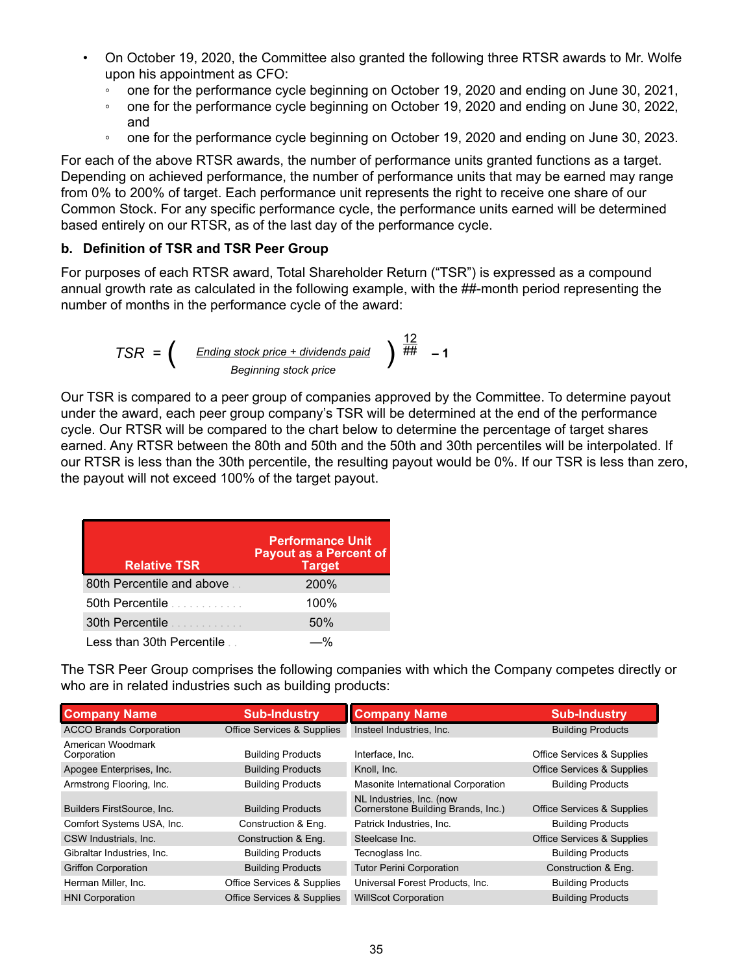- On October 19, 2020, the Committee also granted the following three RTSR awards to Mr. Wolfe upon his appointment as CFO:
	- one for the performance cycle beginning on October 19, 2020 and ending on June 30, 2021,
	- one for the performance cycle beginning on October 19, 2020 and ending on June 30, 2022, and
	- one for the performance cycle beginning on October 19, 2020 and ending on June 30, 2023.

For each of the above RTSR awards, the number of performance units granted functions as a target. Depending on achieved performance, the number of performance units that may be earned may range from 0% to 200% of target. Each performance unit represents the right to receive one share of our Common Stock. For any specific performance cycle, the performance units earned will be determined based entirely on our RTSR, as of the last day of the performance cycle.

# **b. Definition of TSR and TSR Peer Group**

For purposes of each RTSR award, Total Shareholder Return ("TSR") is expressed as a compound annual growth rate as calculated in the following example, with the ##-month period representing the number of months in the performance cycle of the award:

$$
TSR = \left( \frac{\text{Ending stock price} + \text{dividends paid}}{\text{Beginning stock price}} \right) \stackrel{12}{\#} - 1
$$

Our TSR is compared to a peer group of companies approved by the Committee. To determine payout under the award, each peer group company's TSR will be determined at the end of the performance cycle. Our RTSR will be compared to the chart below to determine the percentage of target shares earned. Any RTSR between the 80th and 50th and the 50th and 30th percentiles will be interpolated. If our RTSR is less than the 30th percentile, the resulting payout would be 0%. If our TSR is less than zero, the payout will not exceed 100% of the target payout.

| <b>Relative TSR</b>       | <b>Performance Unit</b><br><b>Payout as a Percent of</b><br><b>Target</b> |
|---------------------------|---------------------------------------------------------------------------|
| 80th Percentile and above | <b>200%</b>                                                               |
| 50th Percentile           | 100%                                                                      |
| 30th Percentile           | 50%                                                                       |
| Less than 30th Percentile |                                                                           |

The TSR Peer Group comprises the following companies with which the Company competes directly or who are in related industries such as building products:

| <b>Company Name</b>              | <b>Sub-Industry</b>                   | <b>Company Name</b>                                            | <b>Sub-Industry</b>                   |
|----------------------------------|---------------------------------------|----------------------------------------------------------------|---------------------------------------|
| <b>ACCO Brands Corporation</b>   | <b>Office Services &amp; Supplies</b> | Insteel Industries, Inc.                                       | <b>Building Products</b>              |
| American Woodmark<br>Corporation | <b>Building Products</b>              | Interface, Inc.                                                | Office Services & Supplies            |
| Apogee Enterprises, Inc.         | <b>Building Products</b>              | Knoll, Inc.                                                    | <b>Office Services &amp; Supplies</b> |
| Armstrong Flooring, Inc.         | <b>Building Products</b>              | Masonite International Corporation                             | <b>Building Products</b>              |
| Builders FirstSource, Inc.       | <b>Building Products</b>              | NL Industries, Inc. (now<br>Cornerstone Building Brands, Inc.) | <b>Office Services &amp; Supplies</b> |
| Comfort Systems USA, Inc.        | Construction & Eng.                   | Patrick Industries, Inc.                                       | <b>Building Products</b>              |
| CSW Industrials, Inc.            | Construction & Eng.                   | Steelcase Inc.                                                 | <b>Office Services &amp; Supplies</b> |
| Gibraltar Industries, Inc.       | <b>Building Products</b>              | Tecnoglass Inc.                                                | <b>Building Products</b>              |
| <b>Griffon Corporation</b>       | <b>Building Products</b>              | <b>Tutor Perini Corporation</b>                                | Construction & Eng.                   |
| Herman Miller, Inc.              | <b>Office Services &amp; Supplies</b> | Universal Forest Products, Inc.                                | <b>Building Products</b>              |
| <b>HNI</b> Corporation           | <b>Office Services &amp; Supplies</b> | <b>WillScot Corporation</b>                                    | <b>Building Products</b>              |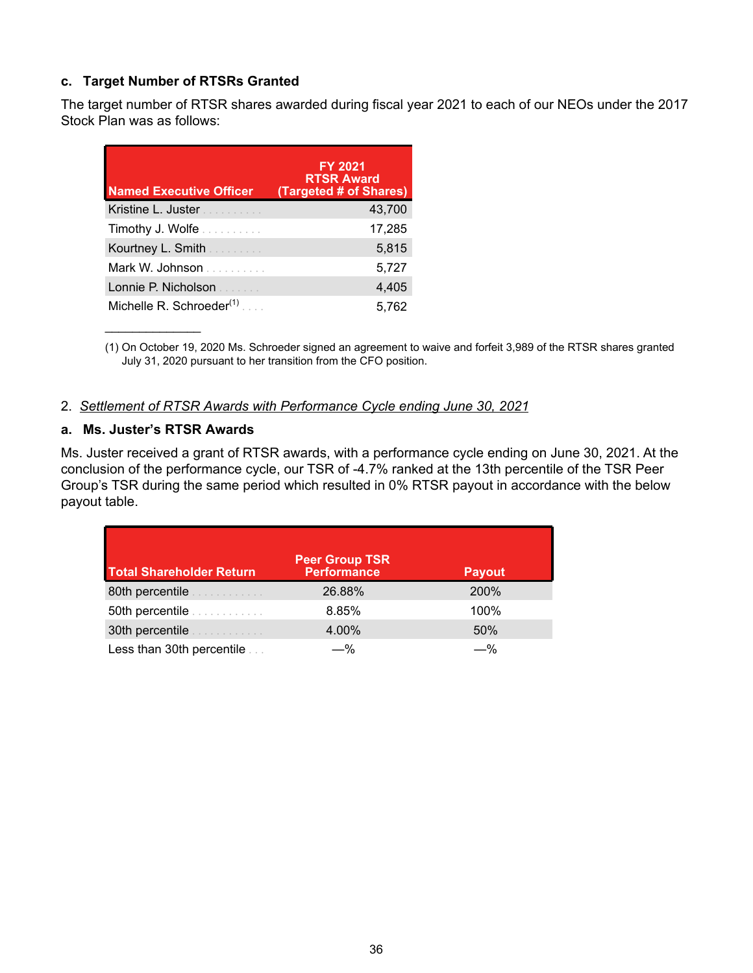# **c. Target Number of RTSRs Granted**

The target number of RTSR shares awarded during fiscal year 2021 to each of our NEOs under the 2017 Stock Plan was as follows:

| <b>Named Executive Officer</b>      | <b>FY 2021</b><br><b>RTSR Award</b><br>(Targeted # of Shares) |
|-------------------------------------|---------------------------------------------------------------|
| Kristine L. Juster<br>.             | 43,700                                                        |
| Timothy J. Wolfe                    | 17,285                                                        |
| Kourtney L. Smith <b>Superinten</b> | 5,815                                                         |
| Mark W. Johnson                     | 5,727                                                         |
| Lonnie P. Nicholson<br>and a string | 4,405                                                         |
| Michelle R. Schroeder $(1)$         | 5.762                                                         |

(1) On October 19, 2020 Ms. Schroeder signed an agreement to waive and forfeit 3,989 of the RTSR shares granted July 31, 2020 pursuant to her transition from the CFO position.

### 2. *Settlement of RTSR Awards with Performance Cycle ending June 30, 2021*

#### **a. Ms. Juster's RTSR Awards**

 $\mathcal{L}_\text{max}$  , where  $\mathcal{L}_\text{max}$ 

Ms. Juster received a grant of RTSR awards, with a performance cycle ending on June 30, 2021. At the conclusion of the performance cycle, our TSR of -4.7% ranked at the 13th percentile of the TSR Peer Group's TSR during the same period which resulted in 0% RTSR payout in accordance with the below payout table.

| <b>Total Shareholder Return</b>                       | <b>Peer Group TSR</b><br>Performance | <b>Payout</b> |
|-------------------------------------------------------|--------------------------------------|---------------|
| 80th percentile <b>Allen Both Percentile</b>          | 26.88%                               | 200%          |
| 50th percentile <b><i>Community</i></b>               | 8.85%                                | 100%          |
| 30th percentile <b>Superior Additional Properties</b> | 4.00%                                | 50%           |
| Less than 30th percentile                             | —%                                   | —%            |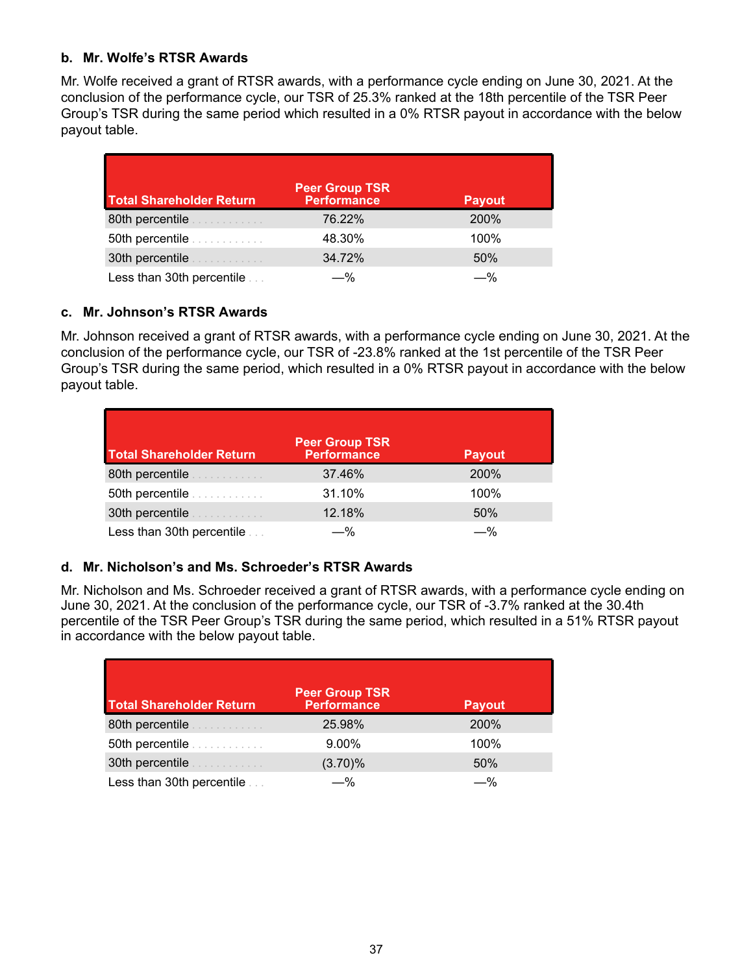# **b. Mr. Wolfe's RTSR Awards**

Mr. Wolfe received a grant of RTSR awards, with a performance cycle ending on June 30, 2021. At the conclusion of the performance cycle, our TSR of 25.3% ranked at the 18th percentile of the TSR Peer Group's TSR during the same period which resulted in a 0% RTSR payout in accordance with the below payout table.

| <b>Total Shareholder Return</b>                                                                                                                                                                                                      | Peer Group TSR<br><b>Performance</b> | <b>Payout</b> |
|--------------------------------------------------------------------------------------------------------------------------------------------------------------------------------------------------------------------------------------|--------------------------------------|---------------|
| 80th percentile <b>Allen Both Percentile</b>                                                                                                                                                                                         | 76.22%                               | 200%          |
| 50th percentile <b>containing the set of the set of the set of the set of the set of the set of the set of the set of the set of the set of the set of the set of the set of the set of the set of the set of the set of the set</b> | 48.30%                               | 100%          |
| 30th percentile <b>Allen Burden</b>                                                                                                                                                                                                  | 34.72%                               | 50%           |
| Less than 30th percentile                                                                                                                                                                                                            | —%                                   | —%            |

### **c. Mr. Johnson's RTSR Awards**

Mr. Johnson received a grant of RTSR awards, with a performance cycle ending on June 30, 2021. At the conclusion of the performance cycle, our TSR of -23.8% ranked at the 1st percentile of the TSR Peer Group's TSR during the same period, which resulted in a 0% RTSR payout in accordance with the below payout table.

| <b>Total Shareholder Return</b>              | <b>Peer Group TSR</b><br>Performance | <b>Payout</b> |
|----------------------------------------------|--------------------------------------|---------------|
| 80th percentile <b>Allen Both Percentile</b> | 37.46%                               | 200%          |
| 50th percentile <i>manufacturer</i>          | 31.10%                               | 100%          |
| 30th percentile <b>Allen Burden</b>          | 12.18%                               | 50%           |
| Less than 30th percentile                    | -%                                   |               |

# **d. Mr. Nicholson's and Ms. Schroeder's RTSR Awards**

Mr. Nicholson and Ms. Schroeder received a grant of RTSR awards, with a performance cycle ending on June 30, 2021. At the conclusion of the performance cycle, our TSR of -3.7% ranked at the 30.4th percentile of the TSR Peer Group's TSR during the same period, which resulted in a 51% RTSR payout in accordance with the below payout table.

| <b>Total Shareholder Return</b>                  | <b>Peer Group TSR</b><br><b>Performance</b> | <b>Payout</b> |
|--------------------------------------------------|---------------------------------------------|---------------|
| 80th percentile <b>Allen Both Percentile</b>     | 25.98%                                      | 200%          |
| 50th percentile <b>Superior South Properties</b> | 9.00%                                       | 100%          |
|                                                  | (3.70)%                                     | 50%           |
| Less than 30th percentile                        | -%                                          | —%            |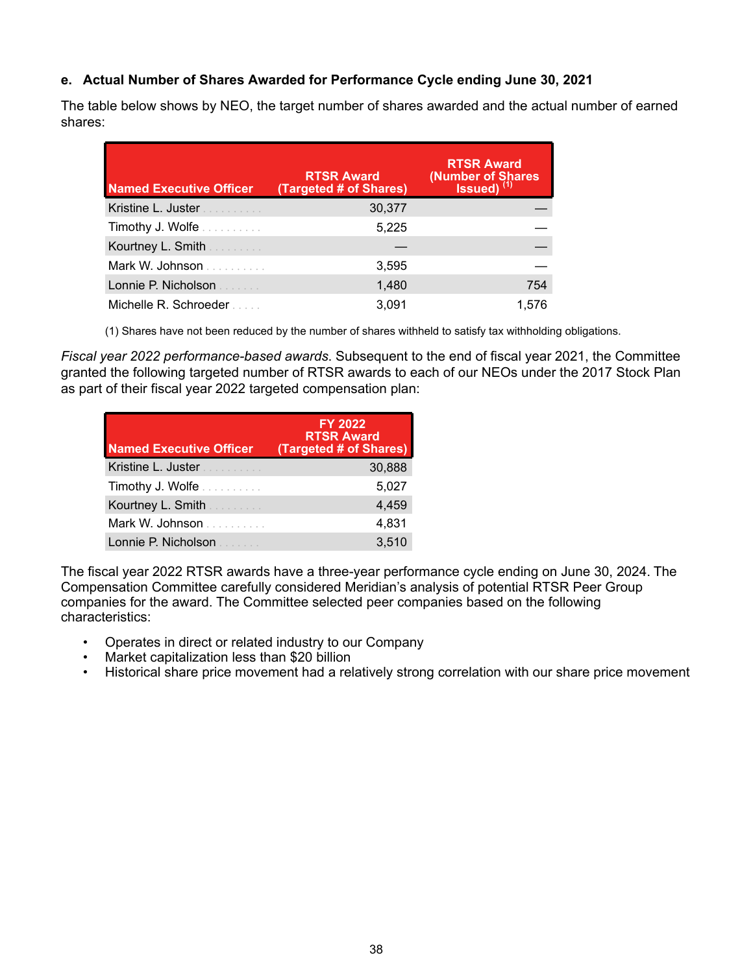# **e. Actual Number of Shares Awarded for Performance Cycle ending June 30, 2021**

The table below shows by NEO, the target number of shares awarded and the actual number of earned shares:

| <b>Named Executive Officer</b>    | <b>RTSR Award</b><br>(Targeted # of Shares) | <b>RTSR Award</b><br>(Number of Shares<br>Issued) <sup>(1)</sup> |
|-----------------------------------|---------------------------------------------|------------------------------------------------------------------|
| Kristine L. Juster                | 30,377                                      |                                                                  |
| Timothy J. Wolfe                  | 5,225                                       |                                                                  |
| Kourtney L. Smith <b>Courtney</b> |                                             |                                                                  |
| Mark W. Johnson                   | 3,595                                       |                                                                  |
| Lonnie P. Nicholson               | 1,480                                       | 754                                                              |
| Michelle R. Schroeder             | 3.091                                       | 1.576                                                            |

(1) Shares have not been reduced by the number of shares withheld to satisfy tax withholding obligations.

*Fiscal year 2022 performance-based awards*. Subsequent to the end of fiscal year 2021, the Committee granted the following targeted number of RTSR awards to each of our NEOs under the 2017 Stock Plan as part of their fiscal year 2022 targeted compensation plan:

| <b>Named Executive Officer</b>         | <b>FY 2022</b><br><b>RTSR Award</b><br>(Targeted # of Shares) |
|----------------------------------------|---------------------------------------------------------------|
| Kristine L. Juster                     | 30,888                                                        |
| Timothy J. Wolfe                       | 5,027                                                         |
| Kourtney L. Smith                      | 4,459                                                         |
| Mark W. Johnson                        | 4,831                                                         |
| Lonnie P. Nicholson<br>and the control | 3,510                                                         |

The fiscal year 2022 RTSR awards have a three-year performance cycle ending on June 30, 2024. The Compensation Committee carefully considered Meridian's analysis of potential RTSR Peer Group companies for the award. The Committee selected peer companies based on the following characteristics:

- Operates in direct or related industry to our Company
- Market capitalization less than \$20 billion
- Historical share price movement had a relatively strong correlation with our share price movement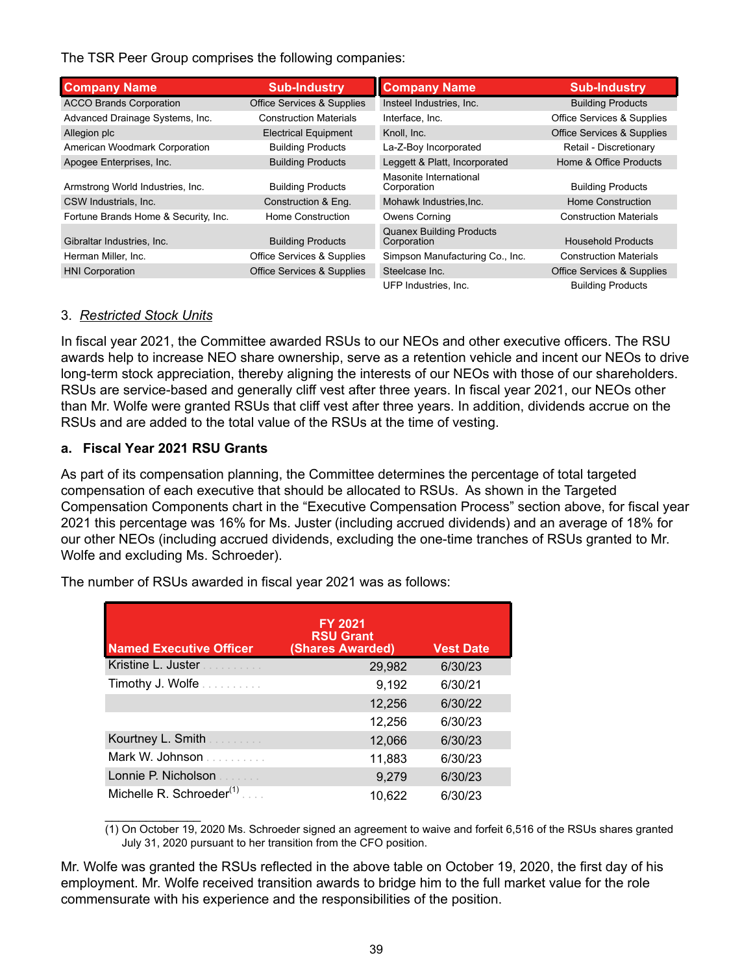The TSR Peer Group comprises the following companies:

| <b>Company Name</b>                  | <b>Sub-Industry</b>                   | <b>Company Name</b>                            | <b>Sub-Industry</b>                   |
|--------------------------------------|---------------------------------------|------------------------------------------------|---------------------------------------|
| <b>ACCO Brands Corporation</b>       | <b>Office Services &amp; Supplies</b> | Insteel Industries, Inc.                       | <b>Building Products</b>              |
| Advanced Drainage Systems, Inc.      | <b>Construction Materials</b>         | Interface, Inc.                                | Office Services & Supplies            |
| Allegion plc                         | <b>Electrical Equipment</b>           | Knoll, Inc.                                    | <b>Office Services &amp; Supplies</b> |
| American Woodmark Corporation        | <b>Building Products</b>              | La-Z-Boy Incorporated                          | Retail - Discretionary                |
| Apogee Enterprises, Inc.             | <b>Building Products</b>              | Leggett & Platt, Incorporated                  | Home & Office Products                |
| Armstrong World Industries, Inc.     | <b>Building Products</b>              | Masonite International<br>Corporation          | <b>Building Products</b>              |
| CSW Industrials, Inc.                | Construction & Eng.                   | Mohawk Industries, Inc.                        | Home Construction                     |
| Fortune Brands Home & Security, Inc. | Home Construction                     | Owens Corning                                  | <b>Construction Materials</b>         |
| Gibraltar Industries, Inc.           | <b>Building Products</b>              | <b>Quanex Building Products</b><br>Corporation | Household Products                    |
| Herman Miller, Inc.                  | Office Services & Supplies            | Simpson Manufacturing Co., Inc.                | <b>Construction Materials</b>         |
| <b>HNI</b> Corporation               | <b>Office Services &amp; Supplies</b> | Steelcase Inc.                                 | <b>Office Services &amp; Supplies</b> |
|                                      |                                       | UFP Industries, Inc.                           | <b>Building Products</b>              |

#### 3. *Restricted Stock Units*

In fiscal year 2021, the Committee awarded RSUs to our NEOs and other executive officers. The RSU awards help to increase NEO share ownership, serve as a retention vehicle and incent our NEOs to drive long-term stock appreciation, thereby aligning the interests of our NEOs with those of our shareholders. RSUs are service-based and generally cliff vest after three years. In fiscal year 2021, our NEOs other than Mr. Wolfe were granted RSUs that cliff vest after three years. In addition, dividends accrue on the RSUs and are added to the total value of the RSUs at the time of vesting.

# **a. Fiscal Year 2021 RSU Grants**

As part of its compensation planning, the Committee determines the percentage of total targeted compensation of each executive that should be allocated to RSUs. As shown in the Targeted Compensation Components chart in the "Executive Compensation Process" section above, for fiscal year 2021 this percentage was 16% for Ms. Juster (including accrued dividends) and an average of 18% for our other NEOs (including accrued dividends, excluding the one-time tranches of RSUs granted to Mr. Wolfe and excluding Ms. Schroeder).

| <b>Named Executive Officer</b>           | <b>FY 2021</b><br><b>RSU Grant</b><br><b>(Shares Awarded)</b> | <b>Vest Date</b> |
|------------------------------------------|---------------------------------------------------------------|------------------|
| Kristine L. Juster                       | 29,982                                                        | 6/30/23          |
| Timothy J. Wolfe                         | 9,192                                                         | 6/30/21          |
|                                          | 12,256                                                        | 6/30/22          |
|                                          | 12,256                                                        | 6/30/23          |
| Kourtney L. Smith <b>Election Report</b> | 12,066                                                        | 6/30/23          |
| Mark W. Johnson                          | 11,883                                                        | 6/30/23          |
| Lonnie P. Nicholson                      | 9,279                                                         | 6/30/23          |
| Michelle R. Schroeder $(1)$              | 10,622                                                        | 6/30/23          |

The number of RSUs awarded in fiscal year 2021 was as follows:

 $\mathcal{L}_\text{max}$  , where  $\mathcal{L}_\text{max}$ (1) On October 19, 2020 Ms. Schroeder signed an agreement to waive and forfeit 6,516 of the RSUs shares granted July 31, 2020 pursuant to her transition from the CFO position.

Mr. Wolfe was granted the RSUs reflected in the above table on October 19, 2020, the first day of his employment. Mr. Wolfe received transition awards to bridge him to the full market value for the role commensurate with his experience and the responsibilities of the position.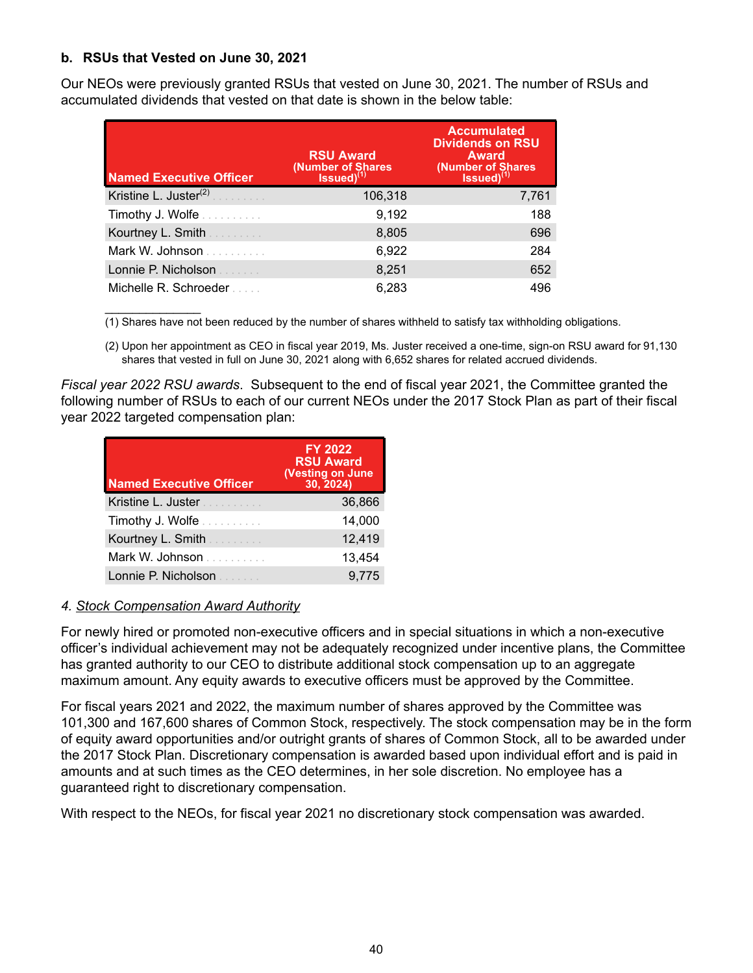# **b. RSUs that Vested on June 30, 2021**

 $\mathcal{L}_\text{max}$  . The set of the set of the set of the set of the set of the set of the set of the set of the set of the set of the set of the set of the set of the set of the set of the set of the set of the set of the set

Our NEOs were previously granted RSUs that vested on June 30, 2021. The number of RSUs and accumulated dividends that vested on that date is shown in the below table:

| <b>Named Executive Officer</b>    | <b>RSU Award</b><br>(Number of Shares Issued) $^{(1)}$ | <b>Accumulated</b><br><b>Dividends on RSU</b><br><b>Award</b><br>(Number of Shares Issued) $^{(1)}$ |
|-----------------------------------|--------------------------------------------------------|-----------------------------------------------------------------------------------------------------|
| Kristine L. Juster <sup>(2)</sup> | 106,318                                                | 7,761                                                                                               |
| Timothy J. Wolfe                  | 9,192                                                  | 188                                                                                                 |
| Kourtney L. Smith <b>Courtney</b> | 8,805                                                  | 696                                                                                                 |
| Mark W. Johnson                   | 6,922                                                  | 284                                                                                                 |
| Lonnie P. Nicholson               | 8,251                                                  | 652                                                                                                 |
| Michelle R. Schroeder             | 6.283                                                  | 496                                                                                                 |

(1) Shares have not been reduced by the number of shares withheld to satisfy tax withholding obligations.

(2) Upon her appointment as CEO in fiscal year 2019, Ms. Juster received a one-time, sign-on RSU award for 91,130 shares that vested in full on June 30, 2021 along with 6,652 shares for related accrued dividends.

*Fiscal year 2022 RSU awards*. Subsequent to the end of fiscal year 2021, the Committee granted the following number of RSUs to each of our current NEOs under the 2017 Stock Plan as part of their fiscal year 2022 targeted compensation plan:

| <b>Named Executive Officer</b> | <b>FY 2022</b><br><b>RSU Award</b><br><b>(Vesting on June</b><br>30, 2024) |
|--------------------------------|----------------------------------------------------------------------------|
| Kristine L. Juster             | 36,866                                                                     |
| <b>Timothy J. Wolfe</b>        | 14,000                                                                     |
| Kourtney L. Smith<br>.         | 12,419                                                                     |
| Mark W. Johnson                | 13,454                                                                     |
| Lonnie P. Nicholson            | 9.775                                                                      |

### *4. Stock Compensation Award Authority*

For newly hired or promoted non-executive officers and in special situations in which a non-executive officer's individual achievement may not be adequately recognized under incentive plans, the Committee has granted authority to our CEO to distribute additional stock compensation up to an aggregate maximum amount. Any equity awards to executive officers must be approved by the Committee.

For fiscal years 2021 and 2022, the maximum number of shares approved by the Committee was 101,300 and 167,600 shares of Common Stock, respectively. The stock compensation may be in the form of equity award opportunities and/or outright grants of shares of Common Stock, all to be awarded under the 2017 Stock Plan. Discretionary compensation is awarded based upon individual effort and is paid in amounts and at such times as the CEO determines, in her sole discretion. No employee has a guaranteed right to discretionary compensation.

With respect to the NEOs, for fiscal year 2021 no discretionary stock compensation was awarded.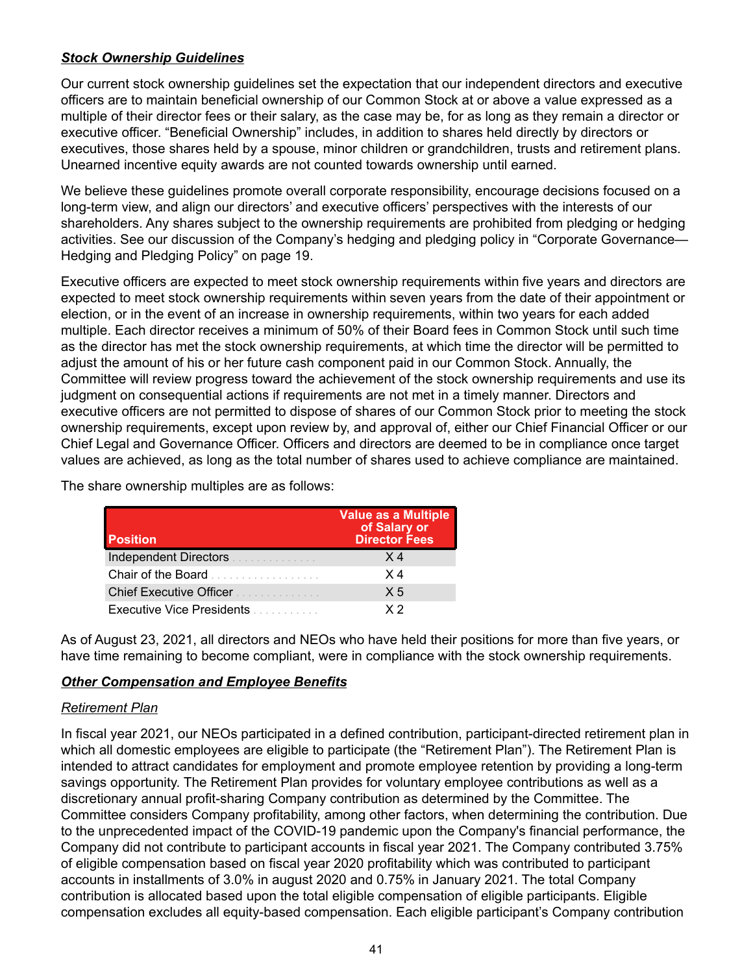# *Stock Ownership Guidelines*

Our current stock ownership guidelines set the expectation that our independent directors and executive officers are to maintain beneficial ownership of our Common Stock at or above a value expressed as a multiple of their director fees or their salary, as the case may be, for as long as they remain a director or executive officer. "Beneficial Ownership" includes, in addition to shares held directly by directors or executives, those shares held by a spouse, minor children or grandchildren, trusts and retirement plans. Unearned incentive equity awards are not counted towards ownership until earned.

We believe these guidelines promote overall corporate responsibility, encourage decisions focused on a long-term view, and align our directors' and executive officers' perspectives with the interests of our shareholders. Any shares subject to the ownership requirements are prohibited from pledging or hedging activities. See our discussion of the Company's hedging and pledging policy in "Corporate Governance— Hedging and Pledging Policy" on page 19.

Executive officers are expected to meet stock ownership requirements within five years and directors are expected to meet stock ownership requirements within seven years from the date of their appointment or election, or in the event of an increase in ownership requirements, within two years for each added multiple. Each director receives a minimum of 50% of their Board fees in Common Stock until such time as the director has met the stock ownership requirements, at which time the director will be permitted to adjust the amount of his or her future cash component paid in our Common Stock. Annually, the Committee will review progress toward the achievement of the stock ownership requirements and use its judgment on consequential actions if requirements are not met in a timely manner. Directors and executive officers are not permitted to dispose of shares of our Common Stock prior to meeting the stock ownership requirements, except upon review by, and approval of, either our Chief Financial Officer or our Chief Legal and Governance Officer. Officers and directors are deemed to be in compliance once target values are achieved, as long as the total number of shares used to achieve compliance are maintained.

The share ownership multiples are as follows:

| <b>Position</b>                                            | Value as a Multiple<br>of Salary or<br><b>Director Fees</b> |
|------------------------------------------------------------|-------------------------------------------------------------|
| Independent Directors <b>Constitution</b>                  | X 4                                                         |
| Chair of the Board                                         | X 4                                                         |
| Chief Executive Officer <b>Chief Executive Officer</b>     | X <sub>5</sub>                                              |
| <b>Executive Vice Presidents Executive Vice Presidents</b> | $\times 2$                                                  |

As of August 23, 2021, all directors and NEOs who have held their positions for more than five years, or have time remaining to become compliant, were in compliance with the stock ownership requirements.

# *Other Compensation and Employee Benefits*

### *Retirement Plan*

In fiscal year 2021, our NEOs participated in a defined contribution, participant-directed retirement plan in which all domestic employees are eligible to participate (the "Retirement Plan"). The Retirement Plan is intended to attract candidates for employment and promote employee retention by providing a long-term savings opportunity. The Retirement Plan provides for voluntary employee contributions as well as a discretionary annual profit-sharing Company contribution as determined by the Committee. The Committee considers Company profitability, among other factors, when determining the contribution. Due to the unprecedented impact of the COVID-19 pandemic upon the Company's financial performance, the Company did not contribute to participant accounts in fiscal year 2021. The Company contributed 3.75% of eligible compensation based on fiscal year 2020 profitability which was contributed to participant accounts in installments of 3.0% in august 2020 and 0.75% in January 2021. The total Company contribution is allocated based upon the total eligible compensation of eligible participants. Eligible compensation excludes all equity-based compensation. Each eligible participant's Company contribution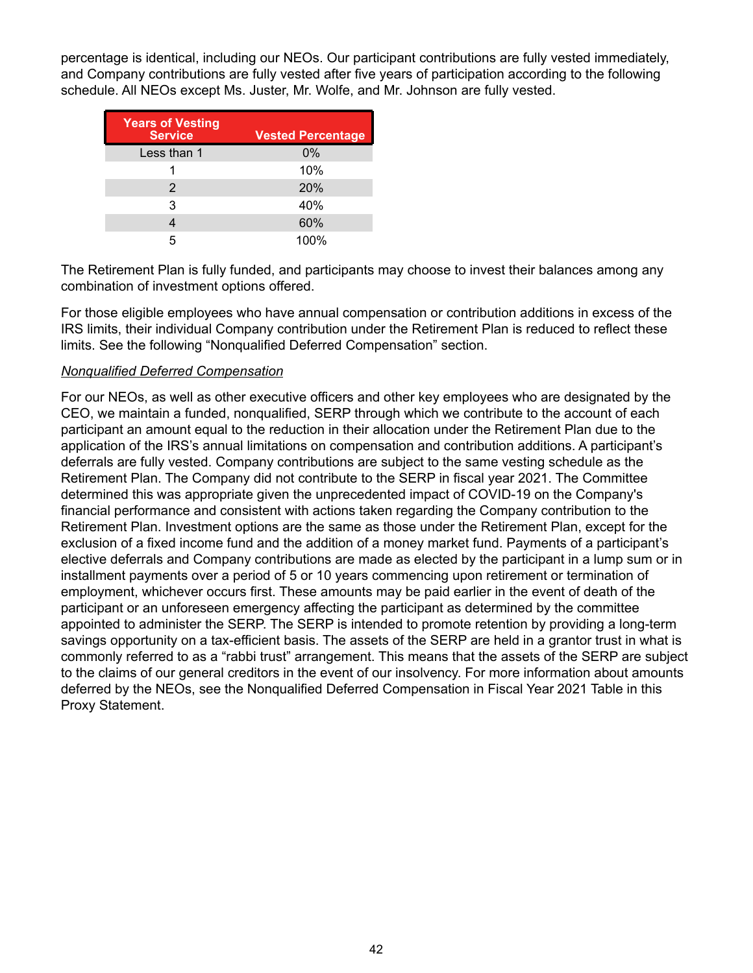percentage is identical, including our NEOs. Our participant contributions are fully vested immediately, and Company contributions are fully vested after five years of participation according to the following schedule. All NEOs except Ms. Juster, Mr. Wolfe, and Mr. Johnson are fully vested.

| <b>Years of Vesting</b><br><b>Service</b> | <b>Vested Percentage</b> |
|-------------------------------------------|--------------------------|
| Less than 1                               | 0%                       |
|                                           | 10%                      |
| 2                                         | 20%                      |
| 3                                         | 40%                      |
|                                           | 60%                      |
| 5                                         | 100%                     |

The Retirement Plan is fully funded, and participants may choose to invest their balances among any combination of investment options offered.

For those eligible employees who have annual compensation or contribution additions in excess of the IRS limits, their individual Company contribution under the Retirement Plan is reduced to reflect these limits. See the following "Nonqualified Deferred Compensation" section.

### *Nonqualified Deferred Compensation*

For our NEOs, as well as other executive officers and other key employees who are designated by the CEO, we maintain a funded, nonqualified, SERP through which we contribute to the account of each participant an amount equal to the reduction in their allocation under the Retirement Plan due to the application of the IRS's annual limitations on compensation and contribution additions. A participant's deferrals are fully vested. Company contributions are subject to the same vesting schedule as the Retirement Plan. The Company did not contribute to the SERP in fiscal year 2021. The Committee determined this was appropriate given the unprecedented impact of COVID-19 on the Company's financial performance and consistent with actions taken regarding the Company contribution to the Retirement Plan. Investment options are the same as those under the Retirement Plan, except for the exclusion of a fixed income fund and the addition of a money market fund. Payments of a participant's elective deferrals and Company contributions are made as elected by the participant in a lump sum or in installment payments over a period of 5 or 10 years commencing upon retirement or termination of employment, whichever occurs first. These amounts may be paid earlier in the event of death of the participant or an unforeseen emergency affecting the participant as determined by the committee appointed to administer the SERP. The SERP is intended to promote retention by providing a long-term savings opportunity on a tax-efficient basis. The assets of the SERP are held in a grantor trust in what is commonly referred to as a "rabbi trust" arrangement. This means that the assets of the SERP are subject to the claims of our general creditors in the event of our insolvency. For more information about amounts deferred by the NEOs, see the Nonqualified Deferred Compensation in Fiscal Year 2021 Table in this Proxy Statement.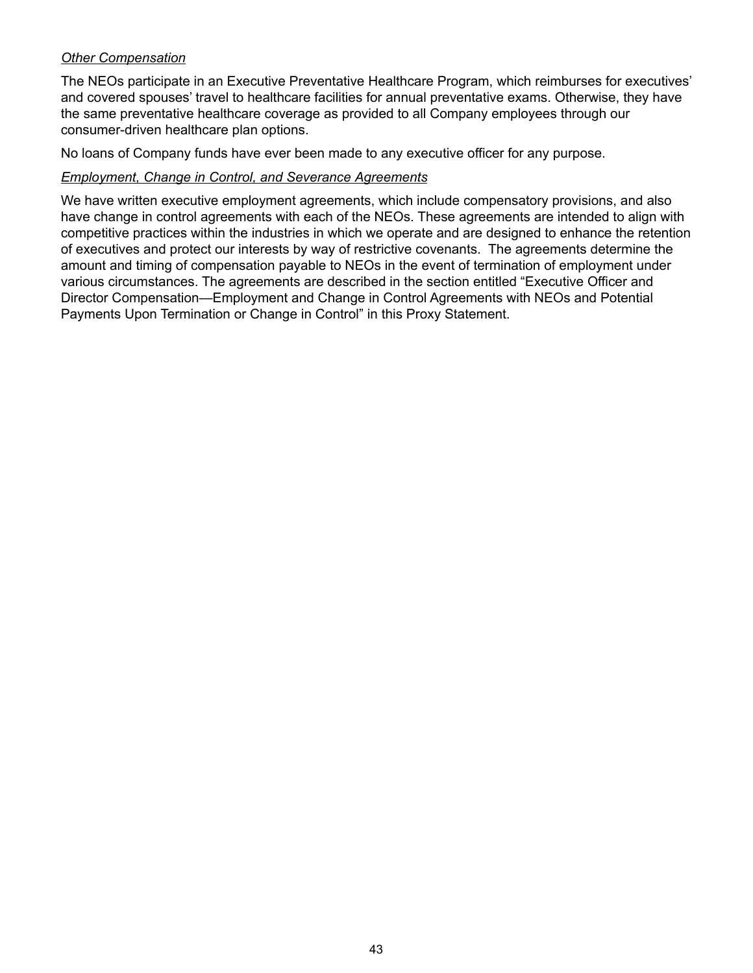# *Other Compensation*

The NEOs participate in an Executive Preventative Healthcare Program, which reimburses for executives' and covered spouses' travel to healthcare facilities for annual preventative exams. Otherwise, they have the same preventative healthcare coverage as provided to all Company employees through our consumer-driven healthcare plan options.

No loans of Company funds have ever been made to any executive officer for any purpose.

#### *Employment, Change in Control, and Severance Agreements*

We have written executive employment agreements, which include compensatory provisions, and also have change in control agreements with each of the NEOs. These agreements are intended to align with competitive practices within the industries in which we operate and are designed to enhance the retention of executives and protect our interests by way of restrictive covenants. The agreements determine the amount and timing of compensation payable to NEOs in the event of termination of employment under various circumstances. The agreements are described in the section entitled "Executive Officer and Director Compensation—Employment and Change in Control Agreements with NEOs and Potential Payments Upon Termination or Change in Control" in this Proxy Statement.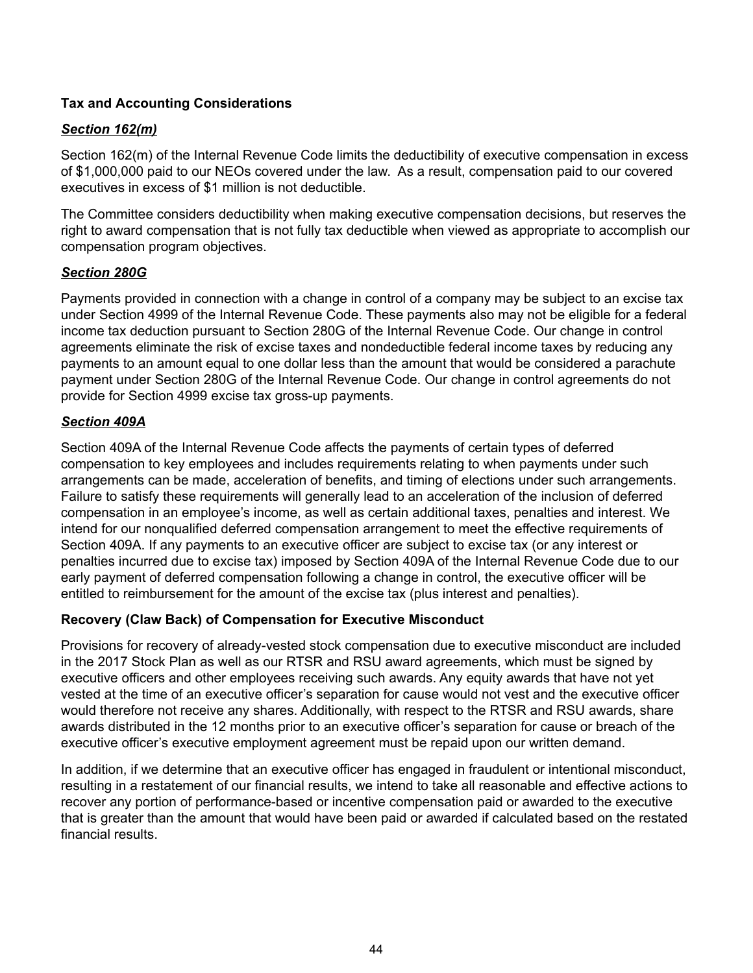# **Tax and Accounting Considerations**

# *Section 162(m)*

Section 162(m) of the Internal Revenue Code limits the deductibility of executive compensation in excess of \$1,000,000 paid to our NEOs covered under the law. As a result, compensation paid to our covered executives in excess of \$1 million is not deductible.

The Committee considers deductibility when making executive compensation decisions, but reserves the right to award compensation that is not fully tax deductible when viewed as appropriate to accomplish our compensation program objectives.

### *Section 280G*

Payments provided in connection with a change in control of a company may be subject to an excise tax under Section 4999 of the Internal Revenue Code. These payments also may not be eligible for a federal income tax deduction pursuant to Section 280G of the Internal Revenue Code. Our change in control agreements eliminate the risk of excise taxes and nondeductible federal income taxes by reducing any payments to an amount equal to one dollar less than the amount that would be considered a parachute payment under Section 280G of the Internal Revenue Code. Our change in control agreements do not provide for Section 4999 excise tax gross-up payments.

### *Section 409A*

Section 409A of the Internal Revenue Code affects the payments of certain types of deferred compensation to key employees and includes requirements relating to when payments under such arrangements can be made, acceleration of benefits, and timing of elections under such arrangements. Failure to satisfy these requirements will generally lead to an acceleration of the inclusion of deferred compensation in an employee's income, as well as certain additional taxes, penalties and interest. We intend for our nonqualified deferred compensation arrangement to meet the effective requirements of Section 409A. If any payments to an executive officer are subject to excise tax (or any interest or penalties incurred due to excise tax) imposed by Section 409A of the Internal Revenue Code due to our early payment of deferred compensation following a change in control, the executive officer will be entitled to reimbursement for the amount of the excise tax (plus interest and penalties).

### **Recovery (Claw Back) of Compensation for Executive Misconduct**

Provisions for recovery of already-vested stock compensation due to executive misconduct are included in the 2017 Stock Plan as well as our RTSR and RSU award agreements, which must be signed by executive officers and other employees receiving such awards. Any equity awards that have not yet vested at the time of an executive officer's separation for cause would not vest and the executive officer would therefore not receive any shares. Additionally, with respect to the RTSR and RSU awards, share awards distributed in the 12 months prior to an executive officer's separation for cause or breach of the executive officer's executive employment agreement must be repaid upon our written demand.

In addition, if we determine that an executive officer has engaged in fraudulent or intentional misconduct, resulting in a restatement of our financial results, we intend to take all reasonable and effective actions to recover any portion of performance-based or incentive compensation paid or awarded to the executive that is greater than the amount that would have been paid or awarded if calculated based on the restated financial results.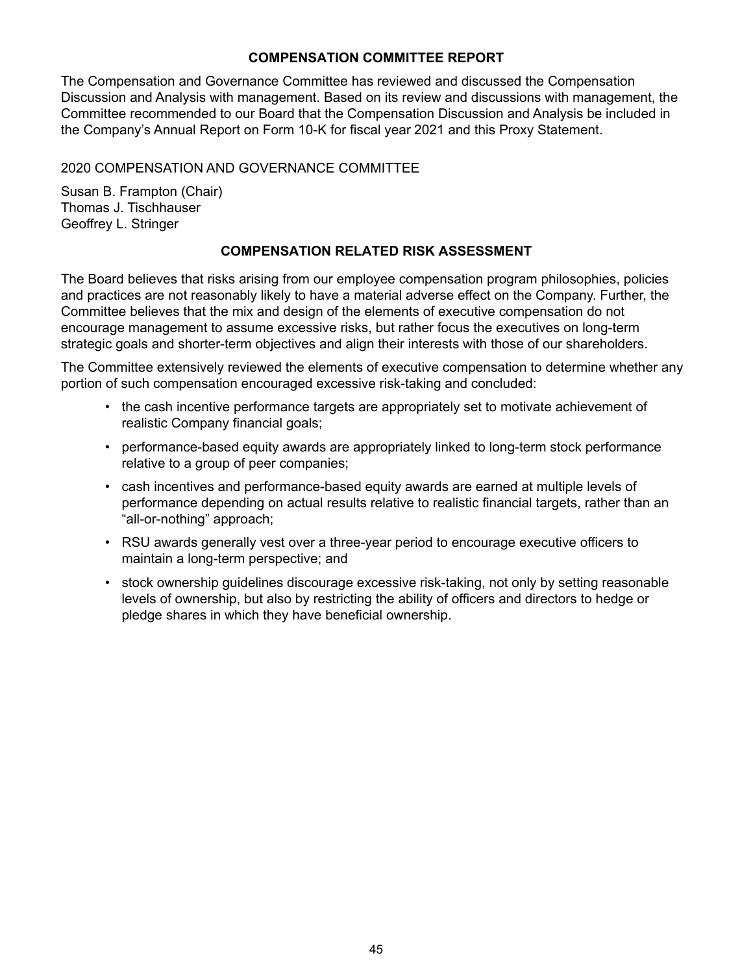# **COMPENSATION COMMITTEE REPORT**

The Compensation and Governance Committee has reviewed and discussed the Compensation Discussion and Analysis with management. Based on its review and discussions with management, the Committee recommended to our Board that the Compensation Discussion and Analysis be included in the Company's Annual Report on Form 10-K for fiscal year 2021 and this Proxy Statement.

# 2020 COMPENSATION AND GOVERNANCE COMMITTEE

Susan B. Frampton (Chair) Thomas J. Tischhauser Geoffrey L. Stringer

# **COMPENSATION RELATED RISK ASSESSMENT**

The Board believes that risks arising from our employee compensation program philosophies, policies and practices are not reasonably likely to have a material adverse effect on the Company. Further, the Committee believes that the mix and design of the elements of executive compensation do not encourage management to assume excessive risks, but rather focus the executives on long-term strategic goals and shorter-term objectives and align their interests with those of our shareholders.

The Committee extensively reviewed the elements of executive compensation to determine whether any portion of such compensation encouraged excessive risk-taking and concluded:

- the cash incentive performance targets are appropriately set to motivate achievement of realistic Company financial goals;
- performance-based equity awards are appropriately linked to long-term stock performance relative to a group of peer companies;
- cash incentives and performance-based equity awards are earned at multiple levels of performance depending on actual results relative to realistic financial targets, rather than an "all-or-nothing" approach;
- RSU awards generally vest over a three-year period to encourage executive officers to maintain a long-term perspective; and
- stock ownership guidelines discourage excessive risk-taking, not only by setting reasonable levels of ownership, but also by restricting the ability of officers and directors to hedge or pledge shares in which they have beneficial ownership.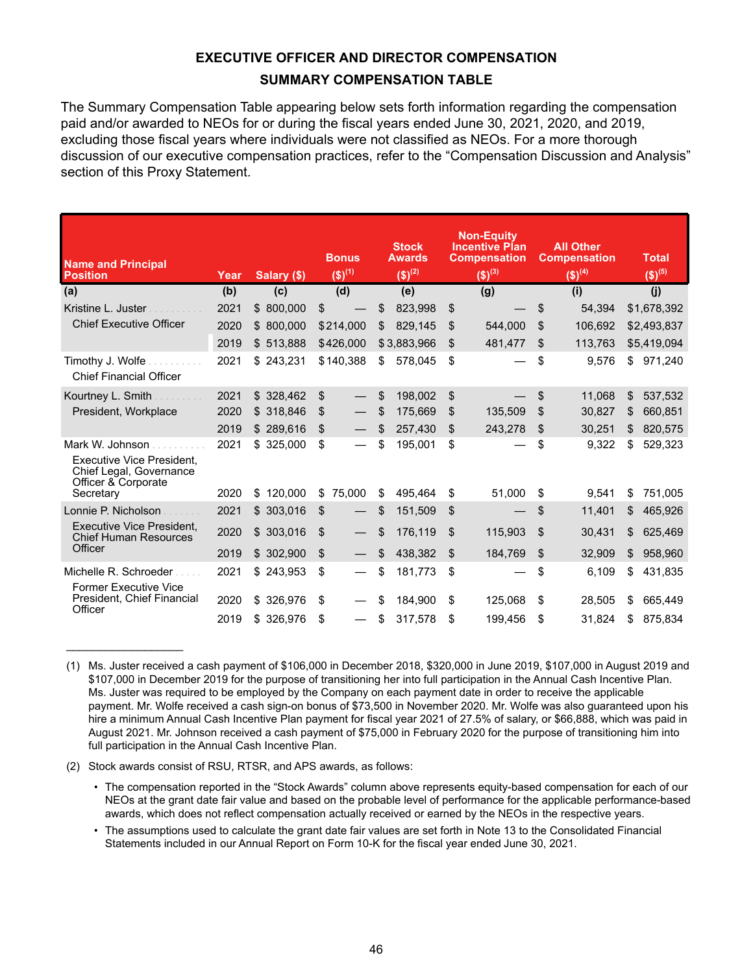# **EXECUTIVE OFFICER AND DIRECTOR COMPENSATION SUMMARY COMPENSATION TABLE**

The Summary Compensation Table appearing below sets forth information regarding the compensation paid and/or awarded to NEOs for or during the fiscal years ended June 30, 2021, 2020, and 2019, excluding those fiscal years where individuals were not classified as NEOs. For a more thorough discussion of our executive compensation practices, refer to the "Compensation Discussion and Analysis" section of this Proxy Statement.

| <b>Name and Principal</b><br><b>Position</b>                                                          | Year | Salary (\$)   | <b>Bonus</b><br>$(5)^{(1)}$ | <b>Stock</b><br><b>Awards</b><br>$(5)^{(2)}$ |    | <b>Non-Equity</b><br><b>Incentive Plan</b><br><b>Compensation</b><br>$(5)^{(3)}$ |                | <b>All Other</b><br><b>Compensation</b><br>$(5)^{(4)}$ | <b>Total</b><br>$($ \$) <sup>(5)</sup> |
|-------------------------------------------------------------------------------------------------------|------|---------------|-----------------------------|----------------------------------------------|----|----------------------------------------------------------------------------------|----------------|--------------------------------------------------------|----------------------------------------|
| (a)                                                                                                   | (b)  | (c)           | (d)                         | (e)                                          |    | (g)                                                                              |                | (i)                                                    | (j)                                    |
| Kristine L. Juster                                                                                    | 2021 | 800,000<br>\$ | \$                          | \$<br>823,998                                | \$ |                                                                                  | \$             | 54,394                                                 | \$1,678,392                            |
| <b>Chief Executive Officer</b>                                                                        | 2020 | \$800,000     | \$214,000                   | \$<br>829,145                                | \$ | 544,000                                                                          | \$             | 106.692                                                | \$2,493,837                            |
|                                                                                                       | 2019 | \$513,888     | \$426,000                   | \$3,883,966                                  | \$ | 481,477                                                                          | \$             | 113,763                                                | \$5,419,094                            |
| Timothy J. Wolfe<br><b>Chief Financial Officer</b>                                                    | 2021 | \$243,231     | \$140,388                   | \$<br>578,045                                | \$ |                                                                                  | \$             | 9,576                                                  | \$<br>971,240                          |
| Kourtney L. Smith                                                                                     | 2021 | \$328,462     | \$                          | \$<br>198,002                                | \$ |                                                                                  | \$             | 11.068                                                 | \$<br>537,532                          |
| President, Workplace                                                                                  | 2020 | \$318,846     | \$                          | \$<br>175,669                                | S  | 135,509                                                                          | \$             | 30,827                                                 | \$<br>660,851                          |
|                                                                                                       | 2019 | \$289,616     | \$                          | \$<br>257,430                                | \$ | 243,278                                                                          | \$             | 30,251                                                 | \$<br>820,575                          |
| Mark W. Johnson<br><b>Executive Vice President,</b><br>Chief Legal, Governance<br>Officer & Corporate | 2021 | \$325,000     | \$                          | \$<br>195,001                                | \$ |                                                                                  | \$             | 9,322                                                  | \$<br>529,323                          |
| Secretary                                                                                             | 2020 | 120,000<br>\$ | \$<br>75,000                | \$<br>495,464                                | \$ | 51,000                                                                           | \$             | 9,541                                                  | \$<br>751,005                          |
| Lonnie P. Nicholson                                                                                   | 2021 | \$<br>303,016 | \$                          | \$<br>151,509                                | \$ |                                                                                  | \$             | 11,401                                                 | \$<br>465,926                          |
| Executive Vice President.<br><b>Chief Human Resources</b>                                             | 2020 | \$303,016     | \$                          | \$<br>176,119                                | \$ | 115,903                                                                          | \$             | 30,431                                                 | \$<br>625,469                          |
| Officer                                                                                               | 2019 | \$ 302,900    | \$                          | \$<br>438,382                                | \$ | 184,769                                                                          | $\mathfrak{S}$ | 32,909                                                 | \$<br>958,960                          |
| Michelle R. Schroeder<br><b>Former Executive Vice</b>                                                 | 2021 | \$243,953     | \$                          | \$<br>181,773                                | \$ |                                                                                  | \$             | 6,109                                                  | \$<br>431,835                          |
| President, Chief Financial<br>Officer                                                                 | 2020 | 326,976<br>\$ | \$                          | \$<br>184,900                                | \$ | 125,068                                                                          | \$             | 28,505                                                 | \$<br>665,449                          |
|                                                                                                       | 2019 | \$326,976     | \$                          | \$<br>317,578                                | \$ | 199,456                                                                          | \$             | 31,824                                                 | \$<br>875,834                          |

<sup>(1)</sup> Ms. Juster received a cash payment of \$106,000 in December 2018, \$320,000 in June 2019, \$107,000 in August 2019 and \$107,000 in December 2019 for the purpose of transitioning her into full participation in the Annual Cash Incentive Plan. Ms. Juster was required to be employed by the Company on each payment date in order to receive the applicable payment. Mr. Wolfe received a cash sign-on bonus of \$73,500 in November 2020. Mr. Wolfe was also guaranteed upon his hire a minimum Annual Cash Incentive Plan payment for fiscal year 2021 of 27.5% of salary, or \$66,888, which was paid in August 2021. Mr. Johnson received a cash payment of \$75,000 in February 2020 for the purpose of transitioning him into full participation in the Annual Cash Incentive Plan.

(2) Stock awards consist of RSU, RTSR, and APS awards, as follows:

 $\mathcal{L}_\text{max}$  , where  $\mathcal{L}_\text{max}$  , we have the set of the set of the set of the set of the set of the set of the set of the set of the set of the set of the set of the set of the set of the set of the set of the set of

- The compensation reported in the "Stock Awards" column above represents equity-based compensation for each of our NEOs at the grant date fair value and based on the probable level of performance for the applicable performance-based awards, which does not reflect compensation actually received or earned by the NEOs in the respective years.
- The assumptions used to calculate the grant date fair values are set forth in Note 13 to the Consolidated Financial Statements included in our Annual Report on Form 10-K for the fiscal year ended June 30, 2021.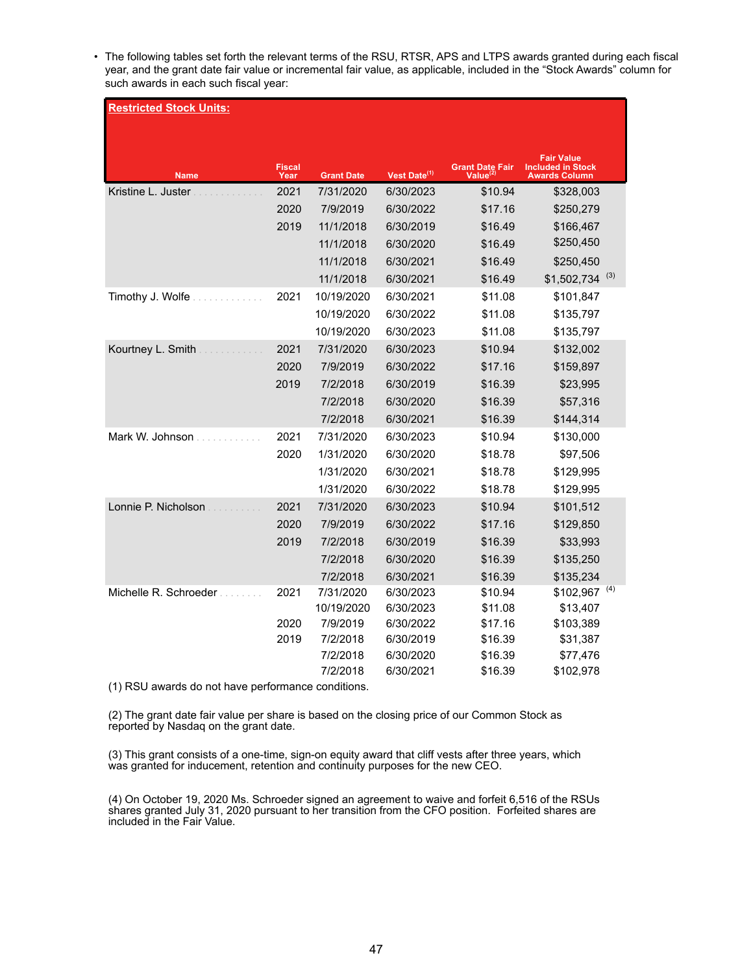• The following tables set forth the relevant terms of the RSU, RTSR, APS and LTPS awards granted during each fiscal year, and the grant date fair value or incremental fair value, as applicable, included in the "Stock Awards" column for such awards in each such fiscal year:

| <b>Restricted Stock Units:</b> |                       |                      |                          |                                              |                                                                       |  |  |  |
|--------------------------------|-----------------------|----------------------|--------------------------|----------------------------------------------|-----------------------------------------------------------------------|--|--|--|
|                                |                       |                      |                          |                                              |                                                                       |  |  |  |
| <b>Name</b>                    | <b>Fiscal</b><br>Year | <b>Grant Date</b>    | Vest Date <sup>(1)</sup> | <b>Grant Date Fair</b><br>Value <sup>(</sup> | <b>Fair Value</b><br><b>Included in Stock</b><br><b>Awards Column</b> |  |  |  |
| Kristine L. Juster             | 2021                  | 7/31/2020            | 6/30/2023                | \$10.94                                      | \$328,003                                                             |  |  |  |
|                                | 2020                  | 7/9/2019             | 6/30/2022                | \$17.16                                      | \$250,279                                                             |  |  |  |
|                                | 2019                  | 11/1/2018            | 6/30/2019                | \$16.49                                      | \$166,467                                                             |  |  |  |
|                                |                       | 11/1/2018            | 6/30/2020                | \$16.49                                      | \$250,450                                                             |  |  |  |
|                                |                       | 11/1/2018            | 6/30/2021                | \$16.49                                      | \$250,450                                                             |  |  |  |
|                                |                       | 11/1/2018            | 6/30/2021                | \$16.49                                      | $$1,502,734$ <sup>(3)</sup>                                           |  |  |  |
| Timothy J. Wolfe               | 2021                  | 10/19/2020           | 6/30/2021                | \$11.08                                      | \$101,847                                                             |  |  |  |
|                                |                       | 10/19/2020           | 6/30/2022                | \$11.08                                      | \$135,797                                                             |  |  |  |
|                                |                       | 10/19/2020           | 6/30/2023                | \$11.08                                      | \$135,797                                                             |  |  |  |
| Kourtney L. Smith              | 2021                  | 7/31/2020            | 6/30/2023                | \$10.94                                      | \$132,002                                                             |  |  |  |
|                                | 2020                  | 7/9/2019             | 6/30/2022                | \$17.16                                      | \$159,897                                                             |  |  |  |
|                                | 2019                  | 7/2/2018             | 6/30/2019                | \$16.39                                      | \$23,995                                                              |  |  |  |
|                                |                       | 7/2/2018             | 6/30/2020                | \$16.39                                      | \$57,316                                                              |  |  |  |
|                                |                       | 7/2/2018             | 6/30/2021                | \$16.39                                      | \$144,314                                                             |  |  |  |
| Mark W. Johnson                | 2021                  | 7/31/2020            | 6/30/2023                | \$10.94                                      | \$130,000                                                             |  |  |  |
|                                | 2020                  | 1/31/2020            | 6/30/2020                | \$18.78                                      | \$97,506                                                              |  |  |  |
|                                |                       | 1/31/2020            | 6/30/2021                | \$18.78                                      | \$129,995                                                             |  |  |  |
|                                |                       | 1/31/2020            | 6/30/2022                | \$18.78                                      | \$129,995                                                             |  |  |  |
| Lonnie P. Nicholson            | 2021                  | 7/31/2020            | 6/30/2023                | \$10.94                                      | \$101,512                                                             |  |  |  |
|                                | 2020                  | 7/9/2019             | 6/30/2022                | \$17.16                                      | \$129,850                                                             |  |  |  |
|                                | 2019                  | 7/2/2018             | 6/30/2019                | \$16.39                                      | \$33,993                                                              |  |  |  |
|                                |                       | 7/2/2018             | 6/30/2020                | \$16.39                                      | \$135,250                                                             |  |  |  |
|                                |                       | 7/2/2018             | 6/30/2021                | \$16.39                                      | \$135,234                                                             |  |  |  |
| Michelle R. Schroeder          | 2021                  | 7/31/2020            | 6/30/2023                | \$10.94                                      | $$102,967$ <sup>(4)</sup>                                             |  |  |  |
|                                |                       | 10/19/2020           | 6/30/2023                | \$11.08                                      | \$13,407                                                              |  |  |  |
|                                | 2020                  | 7/9/2019             | 6/30/2022                | \$17.16                                      | \$103,389                                                             |  |  |  |
|                                | 2019                  | 7/2/2018             | 6/30/2019                | \$16.39                                      | \$31,387                                                              |  |  |  |
|                                |                       | 7/2/2018<br>7/2/2018 | 6/30/2020<br>6/30/2021   | \$16.39<br>\$16.39                           | \$77,476<br>\$102,978                                                 |  |  |  |
| $(4)$ DOII                     |                       | در در دانشان دان     |                          |                                              |                                                                       |  |  |  |

(1) RSU awards do not have performance conditions.

(2) The grant date fair value per share is based on the closing price of our Common Stock as reported by Nasdaq on the grant date.

(3) This grant consists of a one-time, sign-on equity award that cliff vests after three years, which was granted for inducement, retention and continuity purposes for the new CEO.

(4) On October 19, 2020 Ms. Schroeder signed an agreement to waive and forfeit 6,516 of the RSUs shares granted July 31, 2020 pursuant to her transition from the CFO position. Forfeited shares are included in the Fair Value.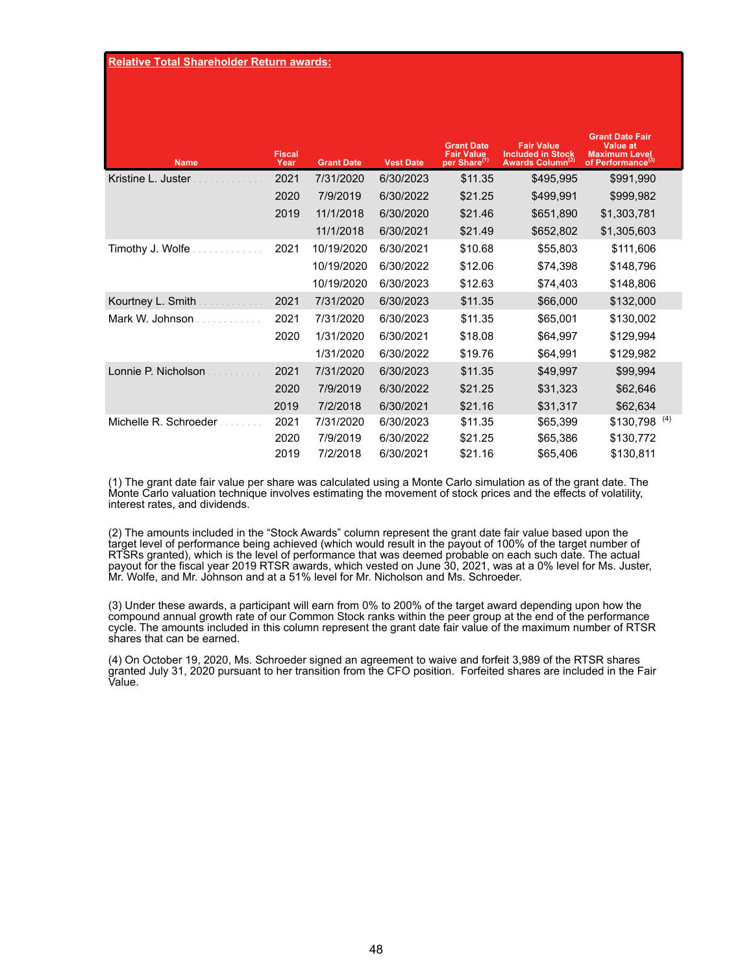| <b>Name</b>           | <b>Fiscal</b><br>Year | <b>Grant Date</b> | <b>Vest Date</b> | <b>Grant Date</b><br><b>Fair Value</b><br>per Share <sup>(1)</sup> | <b>Fair Value</b><br><b>Included in Stock</b><br>Awards Column <sup>(2)</sup> | <b>Grant Date Fair</b><br><b>Value at</b><br><b>Maximum Level</b><br>of Performance <sup>(3)</sup> |
|-----------------------|-----------------------|-------------------|------------------|--------------------------------------------------------------------|-------------------------------------------------------------------------------|----------------------------------------------------------------------------------------------------|
| Kristine L. Juster    | 2021                  | 7/31/2020         | 6/30/2023        | \$11.35                                                            | \$495,995                                                                     | \$991,990                                                                                          |
|                       | 2020                  | 7/9/2019          | 6/30/2022        | \$21.25                                                            | \$499,991                                                                     | \$999,982                                                                                          |
|                       | 2019                  | 11/1/2018         | 6/30/2020        | \$21.46                                                            | \$651,890                                                                     | \$1,303,781                                                                                        |
|                       |                       | 11/1/2018         | 6/30/2021        | \$21.49                                                            | \$652,802                                                                     | \$1,305,603                                                                                        |
| Timothy J. Wolfe      | 2021                  | 10/19/2020        | 6/30/2021        | \$10.68                                                            | \$55,803                                                                      | \$111,606                                                                                          |
|                       |                       | 10/19/2020        | 6/30/2022        | \$12.06                                                            | \$74,398                                                                      | \$148,796                                                                                          |
|                       |                       | 10/19/2020        | 6/30/2023        | \$12.63                                                            | \$74,403                                                                      | \$148,806                                                                                          |
| Kourtney L. Smith     | 2021                  | 7/31/2020         | 6/30/2023        | \$11.35                                                            | \$66,000                                                                      | \$132,000                                                                                          |
| Mark W. Johnson       | 2021                  | 7/31/2020         | 6/30/2023        | \$11.35                                                            | \$65,001                                                                      | \$130,002                                                                                          |
|                       | 2020                  | 1/31/2020         | 6/30/2021        | \$18.08                                                            | \$64,997                                                                      | \$129,994                                                                                          |
|                       |                       | 1/31/2020         | 6/30/2022        | \$19.76                                                            | \$64,991                                                                      | \$129,982                                                                                          |
| Lonnie P. Nicholson   | 2021                  | 7/31/2020         | 6/30/2023        | \$11.35                                                            | \$49,997                                                                      | \$99,994                                                                                           |
|                       | 2020                  | 7/9/2019          | 6/30/2022        | \$21.25                                                            | \$31,323                                                                      | \$62,646                                                                                           |
|                       | 2019                  | 7/2/2018          | 6/30/2021        | \$21.16                                                            | \$31,317                                                                      | \$62,634                                                                                           |
| Michelle R. Schroeder | 2021                  | 7/31/2020         | 6/30/2023        | \$11.35                                                            | \$65,399                                                                      | $$130,798$ <sup>(4)</sup>                                                                          |
|                       | 2020                  | 7/9/2019          | 6/30/2022        | \$21.25                                                            | \$65,386                                                                      | \$130,772                                                                                          |
|                       | 2019                  | 7/2/2018          | 6/30/2021        | \$21.16                                                            | \$65,406                                                                      | \$130,811                                                                                          |

(1) The grant date fair value per share was calculated using a Monte Carlo simulation as of the grant date. The Monte Carlo valuation technique involves estimating the movement of stock prices and the effects of volatility, interest rates, and dividends.

(2) The amounts included in the "Stock Awards" column represent the grant date fair value based upon the target level of performance being achieved (which would result in the payout of 100% of the target number of RTSRs granted), which is the level of performance that was deemed probable on each such date. The actual payout for the fiscal year 2019 RTSR awards, which vested on June 30, 2021, was at a 0% level for Ms. Juster, Mr. Wolfe, and Mr. Johnson and at a 51% level for Mr. Nicholson and Ms. Schroeder.

(3) Under these awards, a participant will earn from 0% to 200% of the target award depending upon how the compound annual growth rate of our Common Stock ranks within the peer group at the end of the performance cycle. The amounts included in this column represent the grant date fair value of the maximum number of RTSR shares that can be earned.

(4) On October 19, 2020, Ms. Schroeder signed an agreement to waive and forfeit 3,989 of the RTSR shares granted July 31, 2020 pursuant to her transition from the CFO position. Forfeited shares are included in the Fair Value.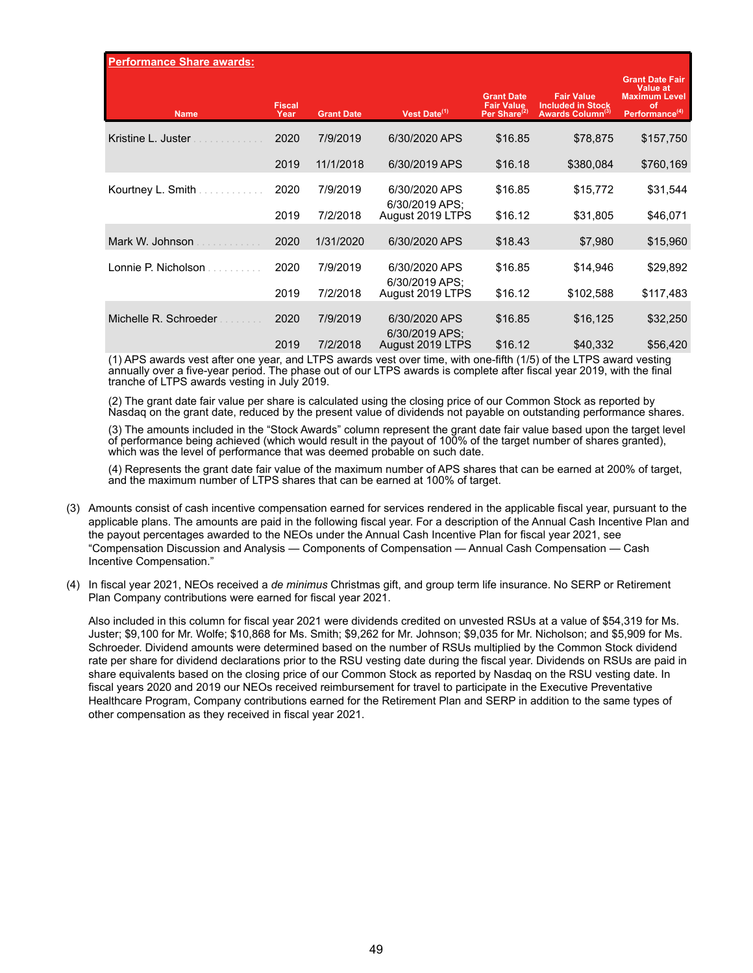| <b>Performance Share awards:</b> |                       |                   |                                 |                                                                    |                                                                               |                                                                                                       |
|----------------------------------|-----------------------|-------------------|---------------------------------|--------------------------------------------------------------------|-------------------------------------------------------------------------------|-------------------------------------------------------------------------------------------------------|
| <b>Name</b>                      | <b>Fiscal</b><br>Year | <b>Grant Date</b> | Vest Date $(1)$                 | <b>Grant Date</b><br><b>Fair Value</b><br>Per Share <sup>(2)</sup> | <b>Fair Value</b><br><b>Included in Stock</b><br>Awards Column <sup>(3)</sup> | <b>Grant Date Fair</b><br><b>Value at</b><br><b>Maximum Level</b><br>of<br>Performance <sup>(4)</sup> |
| Kristine L. Juster               | 2020                  | 7/9/2019          | 6/30/2020 APS                   | \$16.85                                                            | \$78,875                                                                      | \$157,750                                                                                             |
|                                  | 2019                  | 11/1/2018         | 6/30/2019 APS                   | \$16.18                                                            | \$380,084                                                                     | \$760,169                                                                                             |
| Kourtney L. Smith                | 2020                  | 7/9/2019          | 6/30/2020 APS<br>6/30/2019 APS; | \$16.85                                                            | \$15,772                                                                      | \$31,544                                                                                              |
|                                  | 2019                  | 7/2/2018          | August 2019 LTPS                | \$16.12                                                            | \$31,805                                                                      | \$46,071                                                                                              |
| Mark W. Johnson                  | 2020                  | 1/31/2020         | 6/30/2020 APS                   | \$18.43                                                            | \$7,980                                                                       | \$15,960                                                                                              |
| Lonnie P. Nicholson              | 2020                  | 7/9/2019          | 6/30/2020 APS<br>6/30/2019 APS; | \$16.85                                                            | \$14,946                                                                      | \$29,892                                                                                              |
|                                  | 2019                  | 7/2/2018          | August 2019 LTPS                | \$16.12                                                            | \$102,588                                                                     | \$117,483                                                                                             |
| Michelle R. Schroeder            | 2020                  | 7/9/2019          | 6/30/2020 APS<br>6/30/2019 APS: | \$16.85                                                            | \$16,125                                                                      | \$32,250                                                                                              |
|                                  | 2019                  | 7/2/2018          | August 2019 LTPS                | \$16.12                                                            | \$40,332                                                                      | \$56,420                                                                                              |

(1) APS awards vest after one year, and LTPS awards vest over time, with one-fifth (1/5) of the LTPS award vesting annually over a five-year period. The phase out of our LTPS awards is complete after fiscal year 2019, with the final tranche of LTPS awards vesting in July 2019.

(2) The grant date fair value per share is calculated using the closing price of our Common Stock as reported by Nasdaq on the grant date, reduced by the present value of dividends not payable on outstanding performance shares.

(3) The amounts included in the "Stock Awards" column represent the grant date fair value based upon the target level of performance being achieved (which would result in the payout of 100% of the target number of shares granted), which was the level of performance that was deemed probable on such date.

(4) Represents the grant date fair value of the maximum number of APS shares that can be earned at 200% of target, and the maximum number of LTPS shares that can be earned at 100% of target.

- (3) Amounts consist of cash incentive compensation earned for services rendered in the applicable fiscal year, pursuant to the applicable plans. The amounts are paid in the following fiscal year. For a description of the Annual Cash Incentive Plan and the payout percentages awarded to the NEOs under the Annual Cash Incentive Plan for fiscal year 2021, see "Compensation Discussion and Analysis — Components of Compensation — Annual Cash Compensation — Cash Incentive Compensation."
- (4) In fiscal year 2021, NEOs received a *de minimus* Christmas gift, and group term life insurance. No SERP or Retirement Plan Company contributions were earned for fiscal year 2021.

Also included in this column for fiscal year 2021 were dividends credited on unvested RSUs at a value of \$54,319 for Ms. Juster; \$9,100 for Mr. Wolfe; \$10,868 for Ms. Smith; \$9,262 for Mr. Johnson; \$9,035 for Mr. Nicholson; and \$5,909 for Ms. Schroeder. Dividend amounts were determined based on the number of RSUs multiplied by the Common Stock dividend rate per share for dividend declarations prior to the RSU vesting date during the fiscal year. Dividends on RSUs are paid in share equivalents based on the closing price of our Common Stock as reported by Nasdaq on the RSU vesting date. In fiscal years 2020 and 2019 our NEOs received reimbursement for travel to participate in the Executive Preventative Healthcare Program, Company contributions earned for the Retirement Plan and SERP in addition to the same types of other compensation as they received in fiscal year 2021.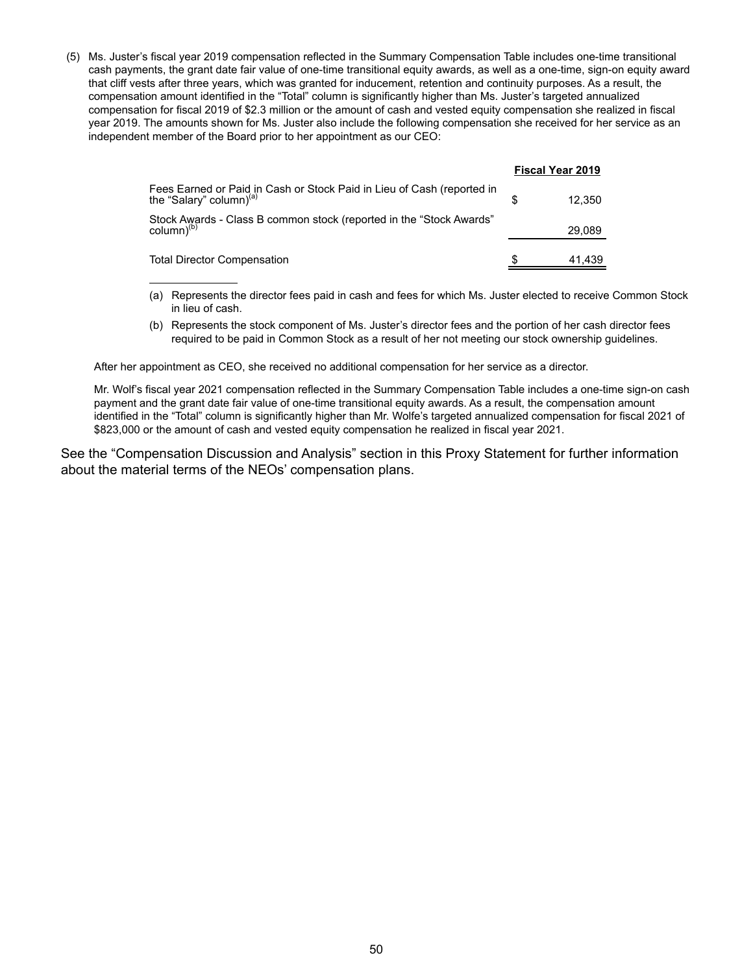(5) Ms. Juster's fiscal year 2019 compensation reflected in the Summary Compensation Table includes one-time transitional cash payments, the grant date fair value of one-time transitional equity awards, as well as a one-time, sign-on equity award that cliff vests after three years, which was granted for inducement, retention and continuity purposes. As a result, the compensation amount identified in the "Total" column is significantly higher than Ms. Juster's targeted annualized compensation for fiscal 2019 of \$2.3 million or the amount of cash and vested equity compensation she realized in fiscal year 2019. The amounts shown for Ms. Juster also include the following compensation she received for her service as an independent member of the Board prior to her appointment as our CEO:

|                                                                                                               | <b>Fiscal Year 2019</b> |
|---------------------------------------------------------------------------------------------------------------|-------------------------|
| Fees Earned or Paid in Cash or Stock Paid in Lieu of Cash (reported in<br>the "Salary" column) <sup>(a)</sup> | 12.350                  |
| Stock Awards - Class B common stock (reported in the "Stock Awards"<br>column) <sup>(b)</sup>                 | 29.089                  |
| Total Director Compensation                                                                                   | 41,439                  |

- (a) Represents the director fees paid in cash and fees for which Ms. Juster elected to receive Common Stock in lieu of cash.
- (b) Represents the stock component of Ms. Juster's director fees and the portion of her cash director fees required to be paid in Common Stock as a result of her not meeting our stock ownership guidelines.

After her appointment as CEO, she received no additional compensation for her service as a director.

 $\overline{a}$ 

Mr. Wolf's fiscal year 2021 compensation reflected in the Summary Compensation Table includes a one-time sign-on cash payment and the grant date fair value of one-time transitional equity awards. As a result, the compensation amount identified in the "Total" column is significantly higher than Mr. Wolfe's targeted annualized compensation for fiscal 2021 of \$823,000 or the amount of cash and vested equity compensation he realized in fiscal year 2021.

See the "Compensation Discussion and Analysis" section in this Proxy Statement for further information about the material terms of the NEOs' compensation plans.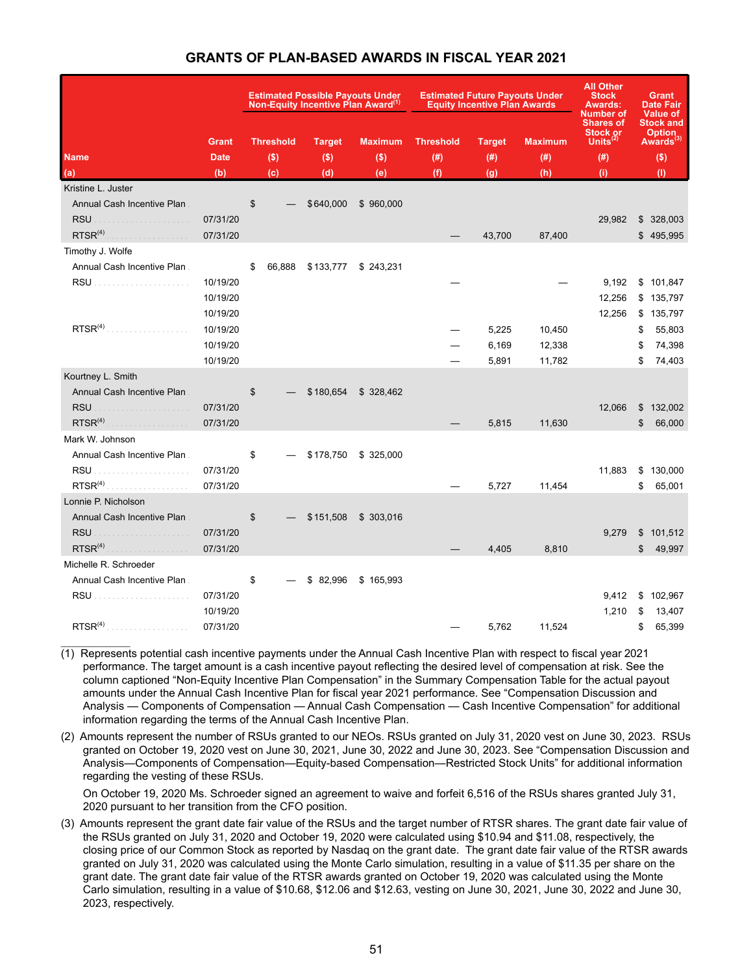|                                                   | <b>Estimated Possible Payouts Under</b><br>Non-Equity Incentive Plan Award <sup>(1)</sup> |  |               |                            |                  | <b>Estimated Future Payouts Under</b><br><b>Equity Incentive Plan Awards</b> | <b>All Other</b><br><b>Stock</b><br><b>Awards:</b><br>Number of<br><b>Shares of</b> | Grant<br><b>Date Fair</b><br><b>Value of</b><br><b>Stock and</b> |                                        |
|---------------------------------------------------|-------------------------------------------------------------------------------------------|--|---------------|----------------------------|------------------|------------------------------------------------------------------------------|-------------------------------------------------------------------------------------|------------------------------------------------------------------|----------------------------------------|
| <b>Grant</b>                                      | <b>Threshold</b>                                                                          |  | <b>Target</b> | <b>Maximum</b>             | <b>Threshold</b> | <b>Target</b>                                                                | <b>Maximum</b>                                                                      | <b>Stock or</b><br>Units $^{(2)}$                                | <b>Option</b><br>Awards <sup>(3)</sup> |
| <b>Name</b><br><b>Date</b>                        | $($ \$)                                                                                   |  | $($ \$)       | $($ \$)                    | (# )             | (# )                                                                         | (# )                                                                                | (# )                                                             | $($ \$)                                |
| (a)<br>(b)                                        | (c)                                                                                       |  | (d)           | (e)                        | (f)              | (g)                                                                          | (h)                                                                                 | (i)                                                              | (1)                                    |
| Kristine L. Juster                                |                                                                                           |  |               |                            |                  |                                                                              |                                                                                     |                                                                  |                                        |
| Annual Cash Incentive Plan                        | \$                                                                                        |  | \$640,000     | \$960,000                  |                  |                                                                              |                                                                                     |                                                                  |                                        |
| <b>RSU</b><br>07/31/20<br>.                       |                                                                                           |  |               |                            |                  |                                                                              |                                                                                     | 29,982                                                           | \$328,003                              |
| RTSR <sup>(4)</sup><br>07/31/20<br>.              |                                                                                           |  |               |                            |                  | 43,700                                                                       | 87,400                                                                              |                                                                  | \$495,995                              |
| Timothy J. Wolfe                                  |                                                                                           |  |               |                            |                  |                                                                              |                                                                                     |                                                                  |                                        |
| Annual Cash Incentive Plan                        | \$                                                                                        |  |               | 66,888 \$133,777 \$243,231 |                  |                                                                              |                                                                                     |                                                                  |                                        |
| 10/19/20                                          |                                                                                           |  |               |                            |                  |                                                                              |                                                                                     | 9,192                                                            | \$101,847                              |
| 10/19/20                                          |                                                                                           |  |               |                            |                  |                                                                              |                                                                                     | 12,256                                                           | \$135,797                              |
| 10/19/20                                          |                                                                                           |  |               |                            |                  |                                                                              |                                                                                     | 12,256                                                           | \$135,797                              |
| RTSR <sup>(4)</sup><br>10/19/20                   |                                                                                           |  |               |                            |                  | 5,225                                                                        | 10,450                                                                              |                                                                  | \$<br>55,803                           |
| 10/19/20                                          |                                                                                           |  |               |                            |                  | 6,169                                                                        | 12,338                                                                              |                                                                  | \$<br>74,398                           |
| 10/19/20                                          |                                                                                           |  |               |                            |                  | 5,891                                                                        | 11,782                                                                              |                                                                  | \$<br>74,403                           |
| Kourtney L. Smith                                 |                                                                                           |  |               |                            |                  |                                                                              |                                                                                     |                                                                  |                                        |
| Annual Cash Incentive Plan                        | \$                                                                                        |  |               | \$180,654 \$328,462        |                  |                                                                              |                                                                                     |                                                                  |                                        |
| <b>RSU</b><br>07/31/20<br>.                       |                                                                                           |  |               |                            |                  |                                                                              |                                                                                     | 12,066                                                           | \$<br>132,002                          |
| RTSR <sup>(4)</sup><br>07/31/20                   |                                                                                           |  |               |                            |                  | 5,815                                                                        | 11,630                                                                              |                                                                  | \$<br>66,000                           |
| Mark W. Johnson                                   |                                                                                           |  |               |                            |                  |                                                                              |                                                                                     |                                                                  |                                        |
| Annual Cash Incentive Plan                        | \$                                                                                        |  |               | \$178,750 \$325,000        |                  |                                                                              |                                                                                     |                                                                  |                                        |
| 07/31/20                                          |                                                                                           |  |               |                            |                  |                                                                              |                                                                                     | 11,883                                                           | \$130,000                              |
| 07/31/20                                          |                                                                                           |  |               |                            |                  | 5,727                                                                        | 11,454                                                                              |                                                                  | \$<br>65,001                           |
| Lonnie P. Nicholson<br>Annual Cash Incentive Plan |                                                                                           |  |               |                            |                  |                                                                              |                                                                                     |                                                                  |                                        |
| <b>RSU</b><br>07/31/20                            | \$                                                                                        |  |               | \$151,508 \$303,016        |                  |                                                                              |                                                                                     | 9,279                                                            | \$<br>101,512                          |
| .<br>RTSR <sup>(4)</sup><br>07/31/20              |                                                                                           |  |               |                            |                  | 4,405                                                                        | 8,810                                                                               |                                                                  | \$<br>49,997                           |
| Michelle R. Schroeder                             |                                                                                           |  |               |                            |                  |                                                                              |                                                                                     |                                                                  |                                        |
| Annual Cash Incentive Plan                        | \$                                                                                        |  |               | $$82,996$ $$165,993$       |                  |                                                                              |                                                                                     |                                                                  |                                        |
| 07/31/20                                          |                                                                                           |  |               |                            |                  |                                                                              |                                                                                     | 9,412                                                            | \$102,967                              |
| 10/19/20                                          |                                                                                           |  |               |                            |                  |                                                                              |                                                                                     | 1,210                                                            | \$<br>13,407                           |
| RTSR <sup>(4)</sup><br>07/31/20<br>.              |                                                                                           |  |               |                            |                  | 5,762                                                                        | 11,524                                                                              |                                                                  | \$<br>65,399                           |

- (1) Represents potential cash incentive payments under the Annual Cash Incentive Plan with respect to fiscal year 2021 performance. The target amount is a cash incentive payout reflecting the desired level of compensation at risk. See the column captioned "Non-Equity Incentive Plan Compensation" in the Summary Compensation Table for the actual payout amounts under the Annual Cash Incentive Plan for fiscal year 2021 performance. See "Compensation Discussion and Analysis — Components of Compensation — Annual Cash Compensation — Cash Incentive Compensation" for additional information regarding the terms of the Annual Cash Incentive Plan.
- (2) Amounts represent the number of RSUs granted to our NEOs. RSUs granted on July 31, 2020 vest on June 30, 2023. RSUs granted on October 19, 2020 vest on June 30, 2021, June 30, 2022 and June 30, 2023. See "Compensation Discussion and Analysis—Components of Compensation—Equity-based Compensation—Restricted Stock Units" for additional information regarding the vesting of these RSUs.

On October 19, 2020 Ms. Schroeder signed an agreement to waive and forfeit 6,516 of the RSUs shares granted July 31, 2020 pursuant to her transition from the CFO position.

(3) Amounts represent the grant date fair value of the RSUs and the target number of RTSR shares. The grant date fair value of the RSUs granted on July 31, 2020 and October 19, 2020 were calculated using \$10.94 and \$11.08, respectively, the closing price of our Common Stock as reported by Nasdaq on the grant date. The grant date fair value of the RTSR awards granted on July 31, 2020 was calculated using the Monte Carlo simulation, resulting in a value of \$11.35 per share on the grant date. The grant date fair value of the RTSR awards granted on October 19, 2020 was calculated using the Monte Carlo simulation, resulting in a value of \$10.68, \$12.06 and \$12.63, vesting on June 30, 2021, June 30, 2022 and June 30, 2023, respectively.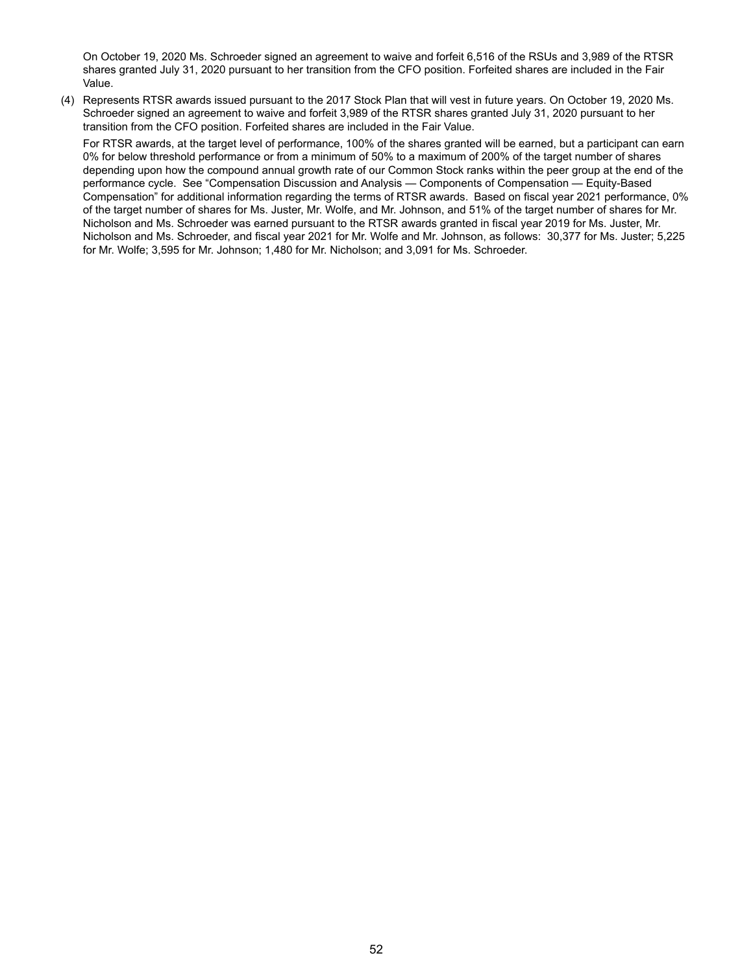On October 19, 2020 Ms. Schroeder signed an agreement to waive and forfeit 6,516 of the RSUs and 3,989 of the RTSR shares granted July 31, 2020 pursuant to her transition from the CFO position. Forfeited shares are included in the Fair Value.

(4) Represents RTSR awards issued pursuant to the 2017 Stock Plan that will vest in future years. On October 19, 2020 Ms. Schroeder signed an agreement to waive and forfeit 3,989 of the RTSR shares granted July 31, 2020 pursuant to her transition from the CFO position. Forfeited shares are included in the Fair Value.

For RTSR awards, at the target level of performance, 100% of the shares granted will be earned, but a participant can earn 0% for below threshold performance or from a minimum of 50% to a maximum of 200% of the target number of shares depending upon how the compound annual growth rate of our Common Stock ranks within the peer group at the end of the performance cycle. See "Compensation Discussion and Analysis — Components of Compensation — Equity-Based Compensation" for additional information regarding the terms of RTSR awards. Based on fiscal year 2021 performance, 0% of the target number of shares for Ms. Juster, Mr. Wolfe, and Mr. Johnson, and 51% of the target number of shares for Mr. Nicholson and Ms. Schroeder was earned pursuant to the RTSR awards granted in fiscal year 2019 for Ms. Juster, Mr. Nicholson and Ms. Schroeder, and fiscal year 2021 for Mr. Wolfe and Mr. Johnson, as follows: 30,377 for Ms. Juster; 5,225 for Mr. Wolfe; 3,595 for Mr. Johnson; 1,480 for Mr. Nicholson; and 3,091 for Ms. Schroeder.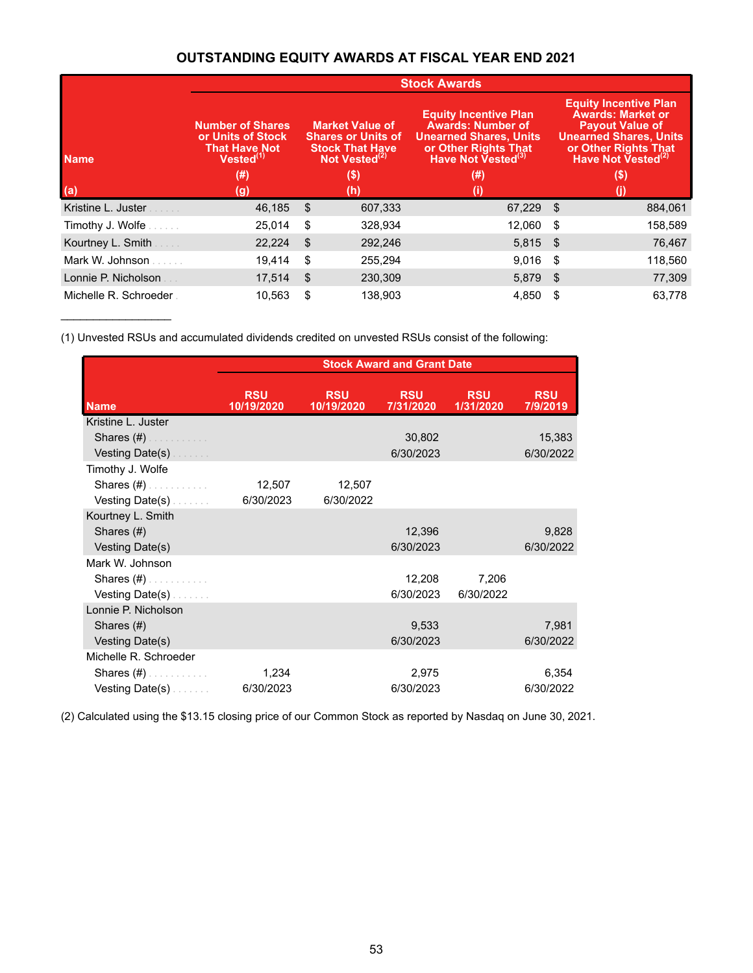# **OUTSTANDING EQUITY AWARDS AT FISCAL YEAR END 2021**

|                       |                                                                                        |                                                                                                            | <b>Stock Awards</b>                                                                                                                                 |      |                                                                                                                                                                               |
|-----------------------|----------------------------------------------------------------------------------------|------------------------------------------------------------------------------------------------------------|-----------------------------------------------------------------------------------------------------------------------------------------------------|------|-------------------------------------------------------------------------------------------------------------------------------------------------------------------------------|
| <b>Name</b>           | <b>Number of Shares</b><br>or Units of Stock<br><b>That Have Not</b><br>$Vested^{(1)}$ | <b>Market Value of</b><br><b>Shares or Units of</b><br><b>Stock That Have</b><br>Not Vested <sup>(2)</sup> | <b>Equity Incentive Plan</b><br><b>Awards: Number of</b><br><b>Unearned Shares, Units</b><br>or Other Rights That<br>Have Not Vested <sup>(3)</sup> |      | <b>Equity Incentive Plan</b><br><b>Awards: Market or</b><br><b>Payout Value of</b><br><b>Unearned Shares, Units</b><br>or Other Rights That<br>Have Not Vested <sup>(2)</sup> |
|                       | $(\#)$                                                                                 | (\$)<br>(# )                                                                                               |                                                                                                                                                     |      | $($ \$)                                                                                                                                                                       |
| (a)                   | (g)                                                                                    | (h)                                                                                                        |                                                                                                                                                     |      |                                                                                                                                                                               |
| Kristine L. Juster    | 46,185                                                                                 | \$<br>607,333                                                                                              | 67,229 \$                                                                                                                                           |      | 884,061                                                                                                                                                                       |
| Timothy J. Wolfe      | 25,014                                                                                 | \$<br>328,934                                                                                              | 12,060                                                                                                                                              | - \$ | 158,589                                                                                                                                                                       |
| Kourtney L. Smith     | 22,224                                                                                 | \$<br>292,246                                                                                              | $5,815$ \$                                                                                                                                          |      | 76,467                                                                                                                                                                        |
| Mark W. Johnson       | 19,414                                                                                 | \$<br>255,294                                                                                              | 9,016                                                                                                                                               | - \$ | 118,560                                                                                                                                                                       |
| Lonnie P. Nicholson   | 17,514                                                                                 | \$<br>230,309                                                                                              | 5,879 \$                                                                                                                                            |      | 77,309                                                                                                                                                                        |
| Michelle R. Schroeder | 10,563                                                                                 | \$<br>138,903                                                                                              | 4,850                                                                                                                                               | S    | 63,778                                                                                                                                                                        |

(1) Unvested RSUs and accumulated dividends credited on unvested RSUs consist of the following:

 $\overline{\phantom{a}}$  , and the set of the set of the set of the set of the set of the set of the set of the set of the set of the set of the set of the set of the set of the set of the set of the set of the set of the set of the s

|                                                                                                                                                                                                                               | <b>Stock Award and Grant Date</b> |                          |                         |                         |                        |  |  |  |  |  |
|-------------------------------------------------------------------------------------------------------------------------------------------------------------------------------------------------------------------------------|-----------------------------------|--------------------------|-------------------------|-------------------------|------------------------|--|--|--|--|--|
| <b>Name</b>                                                                                                                                                                                                                   | <b>RSU</b><br>10/19/2020          | <b>RSU</b><br>10/19/2020 | <b>RSU</b><br>7/31/2020 | <b>RSU</b><br>1/31/2020 | <b>RSU</b><br>7/9/2019 |  |  |  |  |  |
| Kristine L. Juster                                                                                                                                                                                                            |                                   |                          |                         |                         |                        |  |  |  |  |  |
| Shares $(\#)$                                                                                                                                                                                                                 |                                   |                          | 30,802                  |                         | 15,383                 |  |  |  |  |  |
| Vesting Date(s)                                                                                                                                                                                                               |                                   |                          | 6/30/2023               |                         | 6/30/2022              |  |  |  |  |  |
| Timothy J. Wolfe                                                                                                                                                                                                              |                                   |                          |                         |                         |                        |  |  |  |  |  |
| Shares $(\#)$ . The summary                                                                                                                                                                                                   | 12,507                            | 12,507                   |                         |                         |                        |  |  |  |  |  |
| Vesting Date(s)                                                                                                                                                                                                               | 6/30/2023                         | 6/30/2022                |                         |                         |                        |  |  |  |  |  |
| Kourtney L. Smith                                                                                                                                                                                                             |                                   |                          |                         |                         |                        |  |  |  |  |  |
| Shares (#)                                                                                                                                                                                                                    |                                   |                          | 12,396                  |                         | 9,828                  |  |  |  |  |  |
| Vesting Date(s)                                                                                                                                                                                                               |                                   |                          | 6/30/2023               |                         | 6/30/2022              |  |  |  |  |  |
| Mark W. Johnson                                                                                                                                                                                                               |                                   |                          |                         |                         |                        |  |  |  |  |  |
| Shares $(\#)$ . The set of the set of the set of the set of the set of the set of the set of the set of the set of the set of the set of the set of the set of the set of the set of the set of the set of the set of the set |                                   |                          | 12,208                  | 7,206                   |                        |  |  |  |  |  |
| Vesting Date(s).                                                                                                                                                                                                              |                                   |                          | 6/30/2023               | 6/30/2022               |                        |  |  |  |  |  |
| Lonnie P. Nicholson                                                                                                                                                                                                           |                                   |                          |                         |                         |                        |  |  |  |  |  |
| Shares (#)                                                                                                                                                                                                                    |                                   |                          | 9,533                   |                         | 7,981                  |  |  |  |  |  |
| Vesting Date(s)                                                                                                                                                                                                               |                                   |                          | 6/30/2023               |                         | 6/30/2022              |  |  |  |  |  |
| Michelle R. Schroeder                                                                                                                                                                                                         |                                   |                          |                         |                         |                        |  |  |  |  |  |
| Shares $(\#)$ . The summary                                                                                                                                                                                                   | 1,234                             |                          | 2,975                   |                         | 6,354                  |  |  |  |  |  |
| Vesting Date(s).                                                                                                                                                                                                              | 6/30/2023                         |                          | 6/30/2023               |                         | 6/30/2022              |  |  |  |  |  |

(2) Calculated using the \$13.15 closing price of our Common Stock as reported by Nasdaq on June 30, 2021.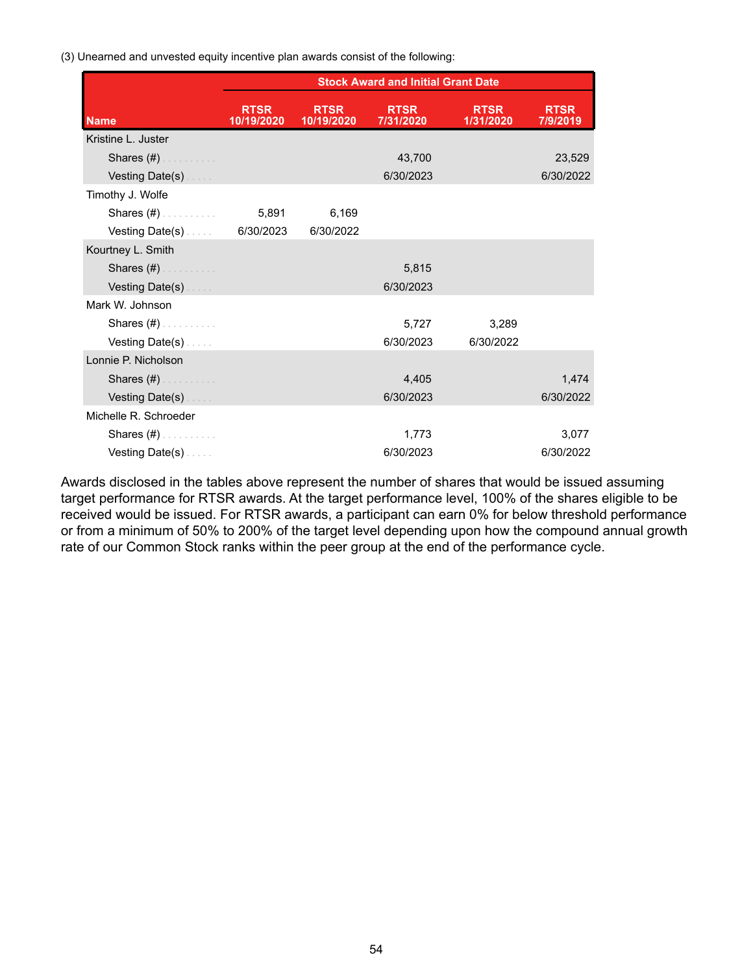(3) Unearned and unvested equity incentive plan awards consist of the following:

|                             |                           |                           | <b>Stock Award and Initial Grant Date</b> |                          |                         |
|-----------------------------|---------------------------|---------------------------|-------------------------------------------|--------------------------|-------------------------|
| <b>Name</b>                 | <b>RTSR</b><br>10/19/2020 | <b>RTSR</b><br>10/19/2020 | <b>RTSR</b><br>7/31/2020                  | <b>RTSR</b><br>1/31/2020 | <b>RTSR</b><br>7/9/2019 |
| Kristine L. Juster          |                           |                           |                                           |                          |                         |
| Shares $(\#)$               |                           |                           | 43,700                                    |                          | 23,529                  |
| Vesting Date(s)             |                           |                           | 6/30/2023                                 |                          | 6/30/2022               |
| Timothy J. Wolfe            |                           |                           |                                           |                          |                         |
| Shares (#)                  | 5,891                     | 6,169                     |                                           |                          |                         |
| Vesting Date(s) $6/30/2023$ |                           | 6/30/2022                 |                                           |                          |                         |
| Kourtney L. Smith           |                           |                           |                                           |                          |                         |
| Shares $(\#)$               |                           |                           | 5,815                                     |                          |                         |
| Vesting Date(s)             |                           |                           | 6/30/2023                                 |                          |                         |
| Mark W. Johnson             |                           |                           |                                           |                          |                         |
| Shares $(\#)$               |                           |                           | 5,727                                     | 3,289                    |                         |
| Vesting Date(s).            |                           |                           | 6/30/2023                                 | 6/30/2022                |                         |
| Lonnie P. Nicholson         |                           |                           |                                           |                          |                         |
| Shares (#)                  |                           |                           | 4,405                                     |                          | 1,474                   |
| Vesting Date(s)             |                           |                           | 6/30/2023                                 |                          | 6/30/2022               |
| Michelle R. Schroeder       |                           |                           |                                           |                          |                         |
| Shares $(\#)$               |                           |                           | 1,773                                     |                          | 3,077                   |
| Vesting Date(s)             |                           |                           | 6/30/2023                                 |                          | 6/30/2022               |

Awards disclosed in the tables above represent the number of shares that would be issued assuming target performance for RTSR awards. At the target performance level, 100% of the shares eligible to be received would be issued. For RTSR awards, a participant can earn 0% for below threshold performance or from a minimum of 50% to 200% of the target level depending upon how the compound annual growth rate of our Common Stock ranks within the peer group at the end of the performance cycle.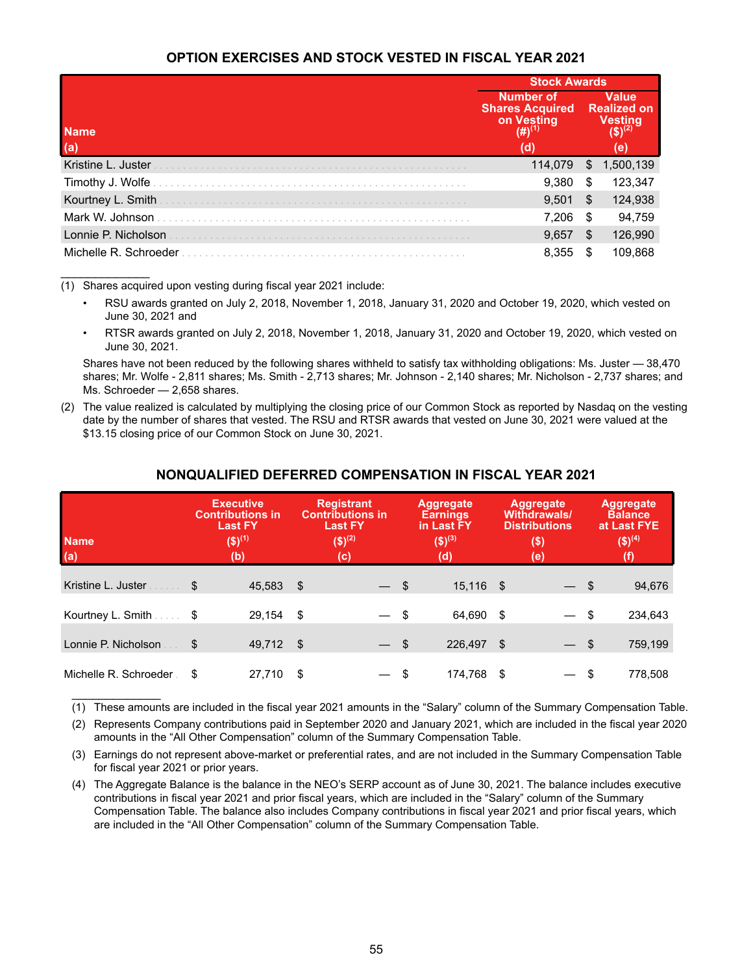# **OPTION EXERCISES AND STOCK VESTED IN FISCAL YEAR 2021**

|                       | <b>Stock Awards</b>                                                             |    |                                                      |  |  |
|-----------------------|---------------------------------------------------------------------------------|----|------------------------------------------------------|--|--|
| <b>Name</b><br>(a)    | <b>Number of</b><br><b>Shares Acquired</b><br>on Vesting<br>(#) $^{(1)}$<br>(d) |    | <b>Value</b><br><b>Realized on</b><br>Vesting<br>(e) |  |  |
| Kristine L. Juster    | 114,079                                                                         | \$ | 1,500,139                                            |  |  |
| Timothy J. Wolfe      | 9,380                                                                           | \$ | 123,347                                              |  |  |
| Kourtney L. Smith     | 9,501                                                                           | \$ | 124,938                                              |  |  |
| Mark W. Johnson       | 7,206                                                                           | S  | 94,759                                               |  |  |
| Lonnie P. Nicholson   | 9,657                                                                           | \$ | 126,990                                              |  |  |
| Michelle R. Schroeder | 8,355                                                                           | S  | 109,868                                              |  |  |

(1) Shares acquired upon vesting during fiscal year 2021 include:

 $\mathcal{L}_\text{max}$  . The set of the set of the set of the set of the set of the set of the set of the set of the set of the set of the set of the set of the set of the set of the set of the set of the set of the set of the set

 $\mathcal{L}_\text{max}$  , where  $\mathcal{L}_\text{max}$ 

- RSU awards granted on July 2, 2018, November 1, 2018, January 31, 2020 and October 19, 2020, which vested on June 30, 2021 and
- RTSR awards granted on July 2, 2018, November 1, 2018, January 31, 2020 and October 19, 2020, which vested on June 30, 2021.

Shares have not been reduced by the following shares withheld to satisfy tax withholding obligations: Ms. Juster — 38,470 shares; Mr. Wolfe - 2,811 shares; Ms. Smith - 2,713 shares; Mr. Johnson - 2,140 shares; Mr. Nicholson - 2,737 shares; and Ms. Schroeder — 2,658 shares.

(2) The value realized is calculated by multiplying the closing price of our Common Stock as reported by Nasdaq on the vesting date by the number of shares that vested. The RSU and RTSR awards that vested on June 30, 2021 were valued at the \$13.15 closing price of our Common Stock on June 30, 2021.

| <b>Name</b><br>(a)        | <b>Executive</b><br><b>Contributions in</b><br><b>Last FY</b><br>$($ \$) <sup>(1)</sup><br>(b) |           |      | <b>Registrant</b><br><b>Contributions in</b><br><b>Last FY</b><br>$($ \$) <sup>(2)</sup><br>(c) |        | <b>Aggregate</b><br><b>Earnings</b><br>in Last FY<br>$($ \$) <sup>(3)</sup><br>(d) |           | Aggregate<br><b>Withdrawals/</b><br><b>Distributions</b><br>$($ \$)<br>(e) |        | <b>Aggregate</b><br><b>Balance</b><br>at Last FYE<br>$($ \$) <sup>(4)</sup> |         |
|---------------------------|------------------------------------------------------------------------------------------------|-----------|------|-------------------------------------------------------------------------------------------------|--------|------------------------------------------------------------------------------------|-----------|----------------------------------------------------------------------------|--------|-----------------------------------------------------------------------------|---------|
| Kristine L. Juster        | S                                                                                              | 45,583    | - \$ |                                                                                                 | $-$ \$ |                                                                                    | 15,116 \$ |                                                                            | — \$   |                                                                             | 94,676  |
| Kourtney L. Smith<br>. \$ |                                                                                                | 29.154    | - \$ |                                                                                                 | $-$ \$ |                                                                                    | 64,690    | - \$                                                                       | — \$   |                                                                             | 234,643 |
| Lonnie P. Nicholson       | \$                                                                                             | 49,712 \$ |      |                                                                                                 | $-$ \$ |                                                                                    | 226,497   | - \$                                                                       | $-$ \$ |                                                                             | 759,199 |
| Michelle R. Schroeder     | \$                                                                                             | 27,710    | S    |                                                                                                 |        | - \$                                                                               | 174.768   | - \$                                                                       |        | \$                                                                          | 778,508 |

#### **NONQUALIFIED DEFERRED COMPENSATION IN FISCAL YEAR 2021**

(1) These amounts are included in the fiscal year 2021 amounts in the "Salary" column of the Summary Compensation Table.

(2) Represents Company contributions paid in September 2020 and January 2021, which are included in the fiscal year 2020 amounts in the "All Other Compensation" column of the Summary Compensation Table.

(3) Earnings do not represent above-market or preferential rates, and are not included in the Summary Compensation Table for fiscal year 2021 or prior years.

(4) The Aggregate Balance is the balance in the NEO's SERP account as of June 30, 2021. The balance includes executive contributions in fiscal year 2021 and prior fiscal years, which are included in the "Salary" column of the Summary Compensation Table. The balance also includes Company contributions in fiscal year 2021 and prior fiscal years, which are included in the "All Other Compensation" column of the Summary Compensation Table.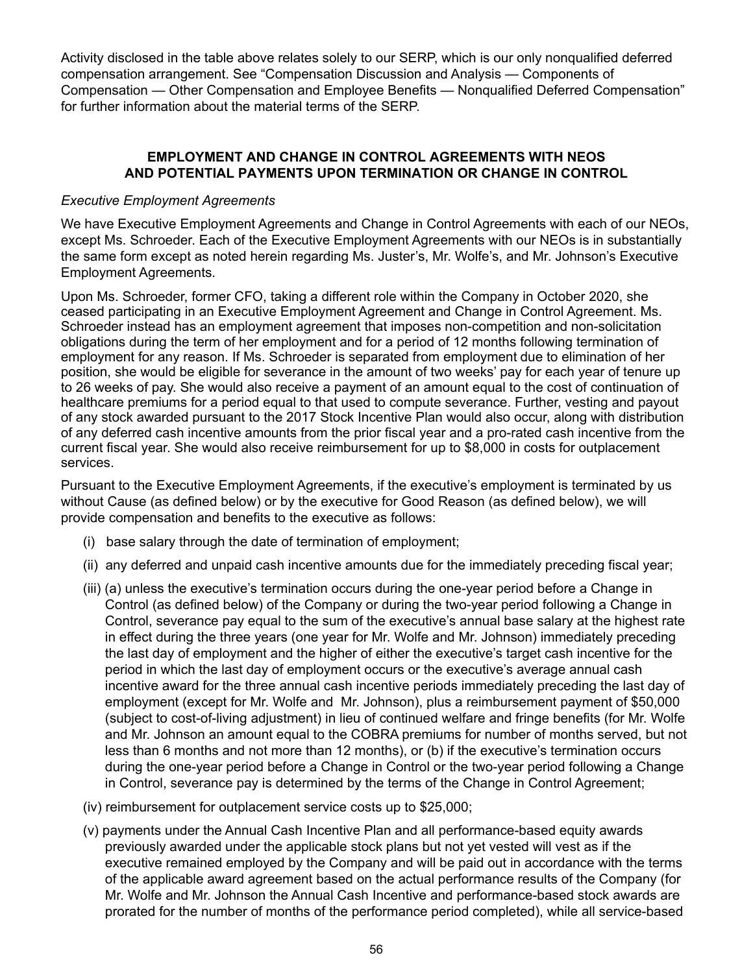Activity disclosed in the table above relates solely to our SERP, which is our only nonqualified deferred compensation arrangement. See "Compensation Discussion and Analysis — Components of Compensation — Other Compensation and Employee Benefits — Nonqualified Deferred Compensation" for further information about the material terms of the SERP.

# **EMPLOYMENT AND CHANGE IN CONTROL AGREEMENTS WITH NEOS AND POTENTIAL PAYMENTS UPON TERMINATION OR CHANGE IN CONTROL**

#### *Executive Employment Agreements*

We have Executive Employment Agreements and Change in Control Agreements with each of our NEOs, except Ms. Schroeder. Each of the Executive Employment Agreements with our NEOs is in substantially the same form except as noted herein regarding Ms. Juster's, Mr. Wolfe's, and Mr. Johnson's Executive Employment Agreements.

Upon Ms. Schroeder, former CFO, taking a different role within the Company in October 2020, she ceased participating in an Executive Employment Agreement and Change in Control Agreement. Ms. Schroeder instead has an employment agreement that imposes non-competition and non-solicitation obligations during the term of her employment and for a period of 12 months following termination of employment for any reason. If Ms. Schroeder is separated from employment due to elimination of her position, she would be eligible for severance in the amount of two weeks' pay for each year of tenure up to 26 weeks of pay. She would also receive a payment of an amount equal to the cost of continuation of healthcare premiums for a period equal to that used to compute severance. Further, vesting and payout of any stock awarded pursuant to the 2017 Stock Incentive Plan would also occur, along with distribution of any deferred cash incentive amounts from the prior fiscal year and a pro-rated cash incentive from the current fiscal year. She would also receive reimbursement for up to \$8,000 in costs for outplacement services.

Pursuant to the Executive Employment Agreements, if the executive's employment is terminated by us without Cause (as defined below) or by the executive for Good Reason (as defined below), we will provide compensation and benefits to the executive as follows:

- (i) base salary through the date of termination of employment;
- (ii) any deferred and unpaid cash incentive amounts due for the immediately preceding fiscal year;
- (iii) (a) unless the executive's termination occurs during the one-year period before a Change in Control (as defined below) of the Company or during the two-year period following a Change in Control, severance pay equal to the sum of the executive's annual base salary at the highest rate in effect during the three years (one year for Mr. Wolfe and Mr. Johnson) immediately preceding the last day of employment and the higher of either the executive's target cash incentive for the period in which the last day of employment occurs or the executive's average annual cash incentive award for the three annual cash incentive periods immediately preceding the last day of employment (except for Mr. Wolfe and Mr. Johnson), plus a reimbursement payment of \$50,000 (subject to cost-of-living adjustment) in lieu of continued welfare and fringe benefits (for Mr. Wolfe and Mr. Johnson an amount equal to the COBRA premiums for number of months served, but not less than 6 months and not more than 12 months), or (b) if the executive's termination occurs during the one-year period before a Change in Control or the two-year period following a Change in Control, severance pay is determined by the terms of the Change in Control Agreement;
- (iv) reimbursement for outplacement service costs up to \$25,000;
- (v) payments under the Annual Cash Incentive Plan and all performance-based equity awards previously awarded under the applicable stock plans but not yet vested will vest as if the executive remained employed by the Company and will be paid out in accordance with the terms of the applicable award agreement based on the actual performance results of the Company (for Mr. Wolfe and Mr. Johnson the Annual Cash Incentive and performance-based stock awards are prorated for the number of months of the performance period completed), while all service-based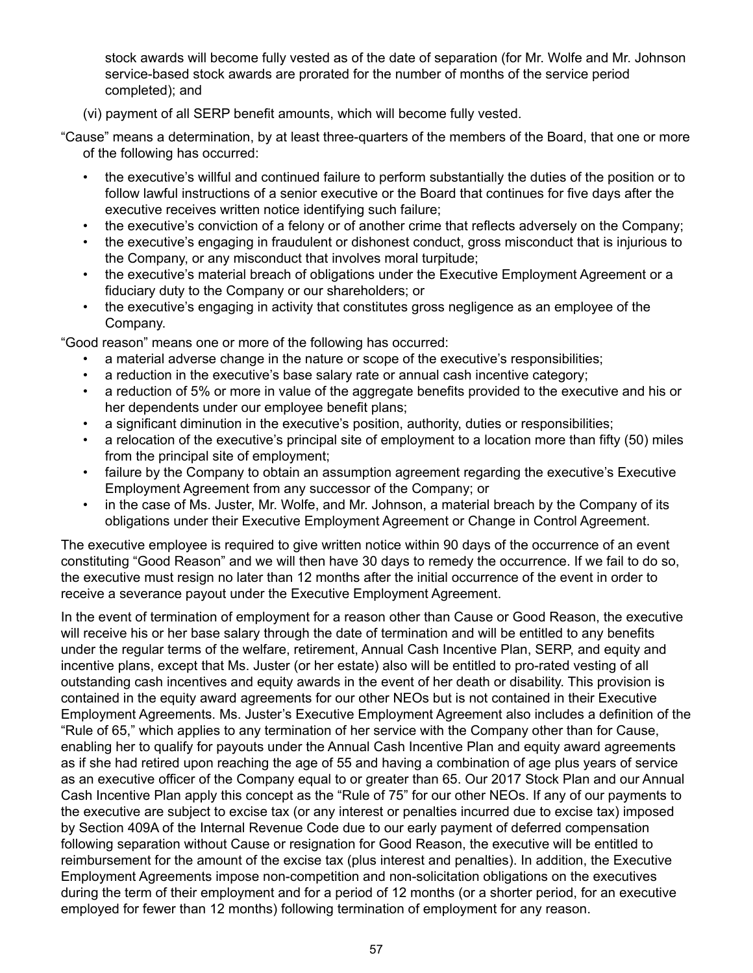stock awards will become fully vested as of the date of separation (for Mr. Wolfe and Mr. Johnson service-based stock awards are prorated for the number of months of the service period completed); and

- (vi) payment of all SERP benefit amounts, which will become fully vested.
- "Cause" means a determination, by at least three-quarters of the members of the Board, that one or more of the following has occurred:
	- the executive's willful and continued failure to perform substantially the duties of the position or to follow lawful instructions of a senior executive or the Board that continues for five days after the executive receives written notice identifying such failure;
	- the executive's conviction of a felony or of another crime that reflects adversely on the Company;
	- the executive's engaging in fraudulent or dishonest conduct, gross misconduct that is injurious to the Company, or any misconduct that involves moral turpitude;
	- the executive's material breach of obligations under the Executive Employment Agreement or a fiduciary duty to the Company or our shareholders; or
	- the executive's engaging in activity that constitutes gross negligence as an employee of the Company.

"Good reason" means one or more of the following has occurred:

- a material adverse change in the nature or scope of the executive's responsibilities;
- a reduction in the executive's base salary rate or annual cash incentive category;
- a reduction of 5% or more in value of the aggregate benefits provided to the executive and his or her dependents under our employee benefit plans;
- a significant diminution in the executive's position, authority, duties or responsibilities;
- a relocation of the executive's principal site of employment to a location more than fifty (50) miles from the principal site of employment;
- failure by the Company to obtain an assumption agreement regarding the executive's Executive Employment Agreement from any successor of the Company; or
- in the case of Ms. Juster, Mr. Wolfe, and Mr. Johnson, a material breach by the Company of its obligations under their Executive Employment Agreement or Change in Control Agreement.

The executive employee is required to give written notice within 90 days of the occurrence of an event constituting "Good Reason" and we will then have 30 days to remedy the occurrence. If we fail to do so, the executive must resign no later than 12 months after the initial occurrence of the event in order to receive a severance payout under the Executive Employment Agreement.

In the event of termination of employment for a reason other than Cause or Good Reason, the executive will receive his or her base salary through the date of termination and will be entitled to any benefits under the regular terms of the welfare, retirement, Annual Cash Incentive Plan, SERP, and equity and incentive plans, except that Ms. Juster (or her estate) also will be entitled to pro-rated vesting of all outstanding cash incentives and equity awards in the event of her death or disability. This provision is contained in the equity award agreements for our other NEOs but is not contained in their Executive Employment Agreements. Ms. Juster's Executive Employment Agreement also includes a definition of the "Rule of 65," which applies to any termination of her service with the Company other than for Cause, enabling her to qualify for payouts under the Annual Cash Incentive Plan and equity award agreements as if she had retired upon reaching the age of 55 and having a combination of age plus years of service as an executive officer of the Company equal to or greater than 65. Our 2017 Stock Plan and our Annual Cash Incentive Plan apply this concept as the "Rule of 75" for our other NEOs. If any of our payments to the executive are subject to excise tax (or any interest or penalties incurred due to excise tax) imposed by Section 409A of the Internal Revenue Code due to our early payment of deferred compensation following separation without Cause or resignation for Good Reason, the executive will be entitled to reimbursement for the amount of the excise tax (plus interest and penalties). In addition, the Executive Employment Agreements impose non-competition and non-solicitation obligations on the executives during the term of their employment and for a period of 12 months (or a shorter period, for an executive employed for fewer than 12 months) following termination of employment for any reason.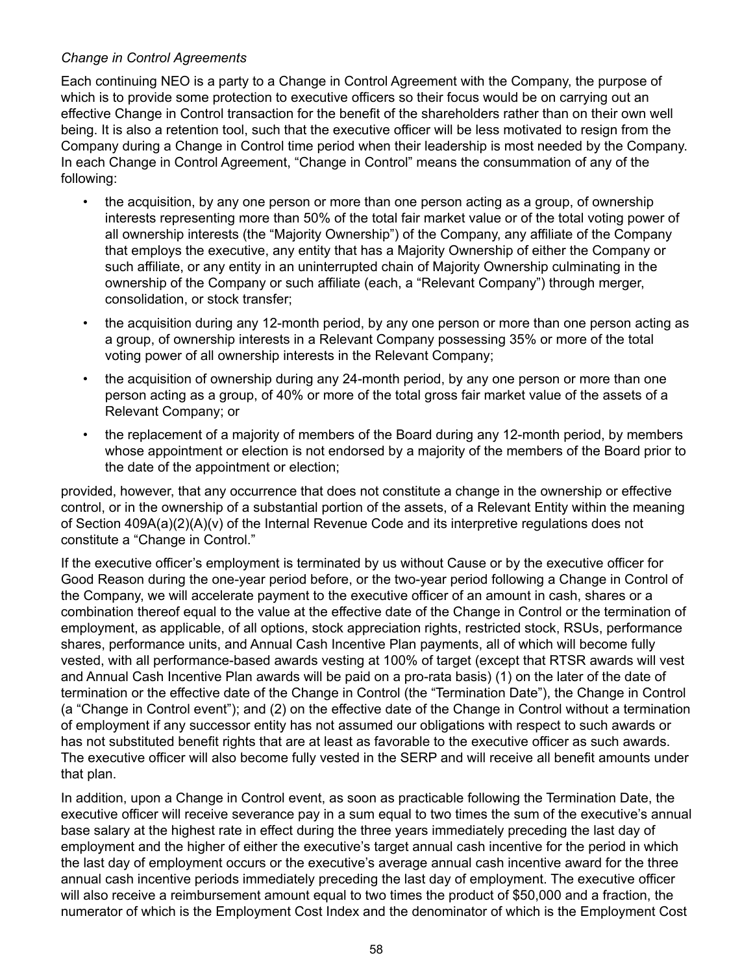# *Change in Control Agreements*

Each continuing NEO is a party to a Change in Control Agreement with the Company, the purpose of which is to provide some protection to executive officers so their focus would be on carrying out an effective Change in Control transaction for the benefit of the shareholders rather than on their own well being. It is also a retention tool, such that the executive officer will be less motivated to resign from the Company during a Change in Control time period when their leadership is most needed by the Company. In each Change in Control Agreement, "Change in Control" means the consummation of any of the following:

- the acquisition, by any one person or more than one person acting as a group, of ownership interests representing more than 50% of the total fair market value or of the total voting power of all ownership interests (the "Majority Ownership") of the Company, any affiliate of the Company that employs the executive, any entity that has a Majority Ownership of either the Company or such affiliate, or any entity in an uninterrupted chain of Majority Ownership culminating in the ownership of the Company or such affiliate (each, a "Relevant Company") through merger, consolidation, or stock transfer;
- the acquisition during any 12-month period, by any one person or more than one person acting as a group, of ownership interests in a Relevant Company possessing 35% or more of the total voting power of all ownership interests in the Relevant Company;
- the acquisition of ownership during any 24-month period, by any one person or more than one person acting as a group, of 40% or more of the total gross fair market value of the assets of a Relevant Company; or
- the replacement of a majority of members of the Board during any 12-month period, by members whose appointment or election is not endorsed by a majority of the members of the Board prior to the date of the appointment or election;

provided, however, that any occurrence that does not constitute a change in the ownership or effective control, or in the ownership of a substantial portion of the assets, of a Relevant Entity within the meaning of Section 409A(a)(2)(A)(v) of the Internal Revenue Code and its interpretive regulations does not constitute a "Change in Control."

If the executive officer's employment is terminated by us without Cause or by the executive officer for Good Reason during the one-year period before, or the two-year period following a Change in Control of the Company, we will accelerate payment to the executive officer of an amount in cash, shares or a combination thereof equal to the value at the effective date of the Change in Control or the termination of employment, as applicable, of all options, stock appreciation rights, restricted stock, RSUs, performance shares, performance units, and Annual Cash Incentive Plan payments, all of which will become fully vested, with all performance-based awards vesting at 100% of target (except that RTSR awards will vest and Annual Cash Incentive Plan awards will be paid on a pro-rata basis) (1) on the later of the date of termination or the effective date of the Change in Control (the "Termination Date"), the Change in Control (a "Change in Control event"); and (2) on the effective date of the Change in Control without a termination of employment if any successor entity has not assumed our obligations with respect to such awards or has not substituted benefit rights that are at least as favorable to the executive officer as such awards. The executive officer will also become fully vested in the SERP and will receive all benefit amounts under that plan.

In addition, upon a Change in Control event, as soon as practicable following the Termination Date, the executive officer will receive severance pay in a sum equal to two times the sum of the executive's annual base salary at the highest rate in effect during the three years immediately preceding the last day of employment and the higher of either the executive's target annual cash incentive for the period in which the last day of employment occurs or the executive's average annual cash incentive award for the three annual cash incentive periods immediately preceding the last day of employment. The executive officer will also receive a reimbursement amount equal to two times the product of \$50,000 and a fraction, the numerator of which is the Employment Cost Index and the denominator of which is the Employment Cost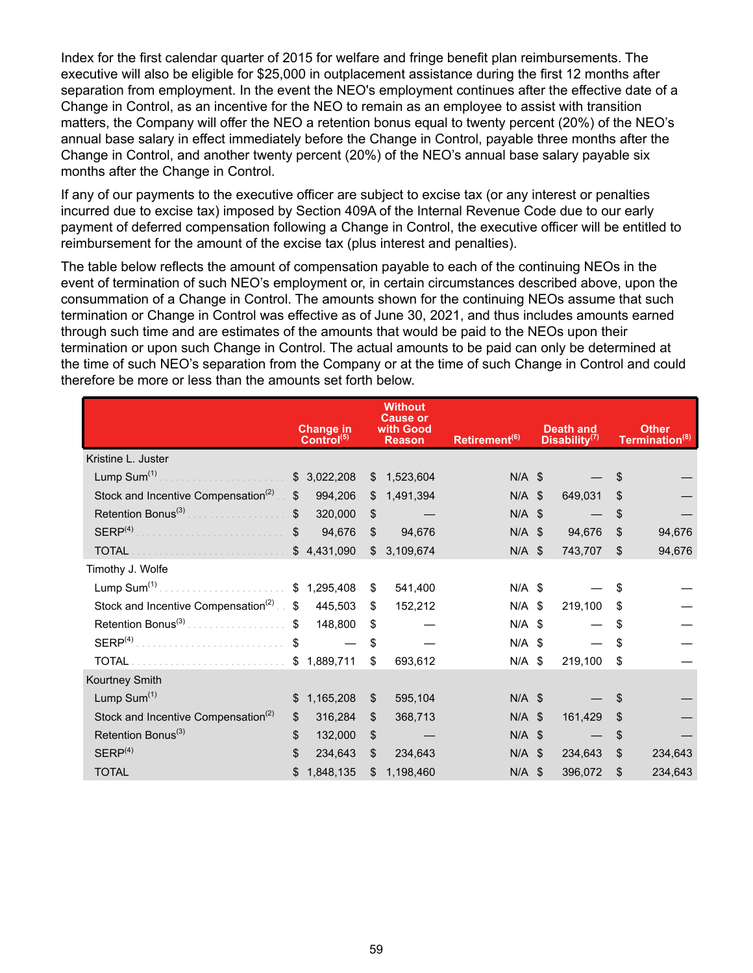Index for the first calendar quarter of 2015 for welfare and fringe benefit plan reimbursements. The executive will also be eligible for \$25,000 in outplacement assistance during the first 12 months after separation from employment. In the event the NEO's employment continues after the effective date of a Change in Control, as an incentive for the NEO to remain as an employee to assist with transition matters, the Company will offer the NEO a retention bonus equal to twenty percent (20%) of the NEO's annual base salary in effect immediately before the Change in Control, payable three months after the Change in Control, and another twenty percent (20%) of the NEO's annual base salary payable six months after the Change in Control.

If any of our payments to the executive officer are subject to excise tax (or any interest or penalties incurred due to excise tax) imposed by Section 409A of the Internal Revenue Code due to our early payment of deferred compensation following a Change in Control, the executive officer will be entitled to reimbursement for the amount of the excise tax (plus interest and penalties).

The table below reflects the amount of compensation payable to each of the continuing NEOs in the event of termination of such NEO's employment or, in certain circumstances described above, upon the consummation of a Change in Control. The amounts shown for the continuing NEOs assume that such termination or Change in Control was effective as of June 30, 2021, and thus includes amounts earned through such time and are estimates of the amounts that would be paid to the NEOs upon their termination or upon such Change in Control. The actual amounts to be paid can only be determined at the time of such NEO's separation from the Company or at the time of such Change in Control and could therefore be more or less than the amounts set forth below.

|                                                   |              | Change in<br>Control <sup>(5)</sup> |    | <b>Without</b><br><b>Cause or</b><br>with Good<br><b>Reason</b> | Retirement <sup>(6)</sup> |  | <b>Death and</b><br>Disability <sup>(7)</sup> |    | <b>Other</b><br>Termination <sup>(8)</sup> |
|---------------------------------------------------|--------------|-------------------------------------|----|-----------------------------------------------------------------|---------------------------|--|-----------------------------------------------|----|--------------------------------------------|
| Kristine L. Juster                                |              |                                     |    |                                                                 |                           |  |                                               |    |                                            |
|                                                   |              | \$3,022,208                         | \$ | 1,523,604                                                       | $N/A$ \$                  |  |                                               | \$ |                                            |
| Stock and Incentive Compensation <sup>(2)</sup>   | $\mathbb{S}$ | 994,206                             | \$ | 1,491,394                                                       | $N/A$ \$                  |  | 649,031                                       | S  |                                            |
| Retention Bonus <sup>(3)</sup>                    | $\mathbb{S}$ | 320,000                             | \$ |                                                                 | $N/A$ \$                  |  |                                               | \$ |                                            |
| SERP <sup>(4)</sup>                               | $\mathbb{S}$ | 94,676                              | \$ | 94,676                                                          | $N/A$ \$                  |  | 94,676                                        | \$ | 94,676                                     |
| <b>TOTAL</b>                                      |              | \$4,431,090                         | \$ | 3,109,674                                                       | $N/A$ \$                  |  | 743,707                                       | \$ | 94,676                                     |
| Timothy J. Wolfe                                  |              |                                     |    |                                                                 |                           |  |                                               |    |                                            |
| Lump $Sum(1)$                                     |              | \$1,295,408                         | \$ | 541,400                                                         | $N/A$ \$                  |  |                                               | \$ |                                            |
| Stock and Incentive Compensation <sup>(2)</sup> . | \$           | 445,503                             | \$ | 152,212                                                         | $N/A$ \$                  |  | 219,100                                       | \$ |                                            |
| Retention Bonus <sup>(3)</sup><br>.               | \$           | 148,800                             | \$ |                                                                 | $N/A$ \$                  |  |                                               | \$ |                                            |
| SERP <sup>(4)</sup>                               | $\mathbb{S}$ |                                     | \$ |                                                                 | $N/A$ \$                  |  |                                               | \$ |                                            |
|                                                   |              | \$1,889,711                         | \$ | 693,612                                                         | $N/A$ \$                  |  | 219,100                                       | \$ |                                            |
| Kourtney Smith                                    |              |                                     |    |                                                                 |                           |  |                                               |    |                                            |
| Lump Sum <sup>(1)</sup>                           | \$           | 1,165,208                           | \$ | 595,104                                                         | $N/A$ \$                  |  |                                               | S  |                                            |
| Stock and Incentive Compensation <sup>(2)</sup>   | \$           | 316,284                             | \$ | 368,713                                                         | $N/A$ \$                  |  | 161,429                                       | \$ |                                            |
| Retention Bonus <sup>(3)</sup>                    | \$           | 132,000                             | \$ |                                                                 | $N/A$ \$                  |  |                                               | \$ |                                            |
| SERP <sup>(4)</sup>                               | \$           | 234,643                             | \$ | 234,643                                                         | $N/A$ \$                  |  | 234,643                                       | \$ | 234,643                                    |
| <b>TOTAL</b>                                      | \$           | 1,848,135                           | \$ | 1,198,460                                                       | $N/A$ \$                  |  | 396,072                                       | \$ | 234,643                                    |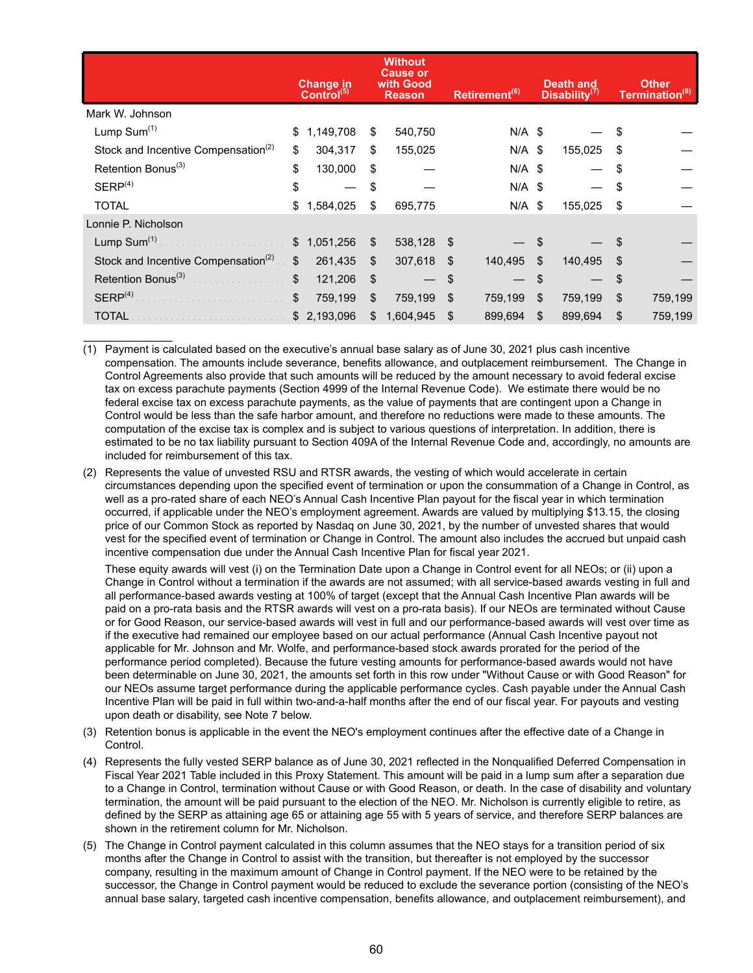|                                                 |              | <b>Change in</b><br>Control <sup>(5)</sup> |    | <b>Without</b><br><b>Cause or</b><br>with Good<br><b>Reason</b> |    | Retirement <sup>(6)</sup> |    | <b>Death and</b><br>Disability <sup>(7)</sup> | <b>Other</b><br>Termination <sup>(8)</sup> |         |  |
|-------------------------------------------------|--------------|--------------------------------------------|----|-----------------------------------------------------------------|----|---------------------------|----|-----------------------------------------------|--------------------------------------------|---------|--|
| Mark W. Johnson                                 |              |                                            |    |                                                                 |    |                           |    |                                               |                                            |         |  |
| Lump Sum <sup>(1)</sup>                         | \$           | 1,149,708                                  | \$ | 540,750                                                         |    | $N/A$ \$                  |    |                                               | \$                                         |         |  |
| Stock and Incentive Compensation <sup>(2)</sup> | \$           | 304,317                                    | \$ | 155,025                                                         |    | $N/A$ \$                  |    | 155,025                                       | \$                                         |         |  |
| Retention Bonus <sup>(3)</sup>                  | \$           | 130,000                                    | \$ |                                                                 |    | $N/A$ \$                  |    |                                               | \$                                         |         |  |
| SERP <sup>(4)</sup>                             | \$           |                                            | \$ |                                                                 |    | $N/A$ \$                  |    |                                               | \$                                         |         |  |
| <b>TOTAL</b>                                    | \$           | 1,584,025                                  | \$ | 695,775                                                         |    | $N/A$ \$                  |    | 155,025                                       | \$                                         |         |  |
| Lonnie P. Nicholson                             |              |                                            |    |                                                                 |    |                           |    |                                               |                                            |         |  |
| Lump Sum <sup>(1)</sup>                         | $\mathbb{S}$ | 1,051,256                                  | \$ | 538,128                                                         | \$ |                           |    |                                               | \$                                         |         |  |
| Stock and Incentive Compensation <sup>(2)</sup> | \$           | 261,435                                    | \$ | 307,618                                                         | \$ | 140,495                   | \$ | 140,495                                       | S                                          |         |  |
| Retention Bonus <sup>(3)</sup>                  | \$           | 121,206                                    | \$ |                                                                 | \$ |                           | \$ |                                               | \$                                         |         |  |
| SERP <sup>(4)</sup>                             | \$           | 759,199                                    | \$ | 759,199                                                         | \$ | 759,199                   | \$ | 759,199                                       | \$                                         | 759,199 |  |
| <b>TOTAL</b>                                    |              | \$2,193,096                                | \$ | 1,604,945                                                       | \$ | 899,694                   | \$ | 899,694                                       | \$                                         | 759,199 |  |

(1) Payment is calculated based on the executive's annual base salary as of June 30, 2021 plus cash incentive compensation. The amounts include severance, benefits allowance, and outplacement reimbursement. The Change in Control Agreements also provide that such amounts will be reduced by the amount necessary to avoid federal excise tax on excess parachute payments (Section 4999 of the Internal Revenue Code). We estimate there would be no federal excise tax on excess parachute payments, as the value of payments that are contingent upon a Change in Control would be less than the safe harbor amount, and therefore no reductions were made to these amounts. The computation of the excise tax is complex and is subject to various questions of interpretation. In addition, there is estimated to be no tax liability pursuant to Section 409A of the Internal Revenue Code and, accordingly, no amounts are included for reimbursement of this tax.

 $\frac{1}{2}$ 

(2) Represents the value of unvested RSU and RTSR awards, the vesting of which would accelerate in certain circumstances depending upon the specified event of termination or upon the consummation of a Change in Control, as well as a pro-rated share of each NEO's Annual Cash Incentive Plan payout for the fiscal year in which termination occurred, if applicable under the NEO's employment agreement. Awards are valued by multiplying \$13.15, the closing price of our Common Stock as reported by Nasdaq on June 30, 2021, by the number of unvested shares that would vest for the specified event of termination or Change in Control. The amount also includes the accrued but unpaid cash incentive compensation due under the Annual Cash Incentive Plan for fiscal year 2021.

These equity awards will vest (i) on the Termination Date upon a Change in Control event for all NEOs; or (ii) upon a Change in Control without a termination if the awards are not assumed; with all service-based awards vesting in full and all performance-based awards vesting at 100% of target (except that the Annual Cash Incentive Plan awards will be paid on a pro-rata basis and the RTSR awards will vest on a pro-rata basis). If our NEOs are terminated without Cause or for Good Reason, our service-based awards will vest in full and our performance-based awards will vest over time as if the executive had remained our employee based on our actual performance (Annual Cash Incentive payout not applicable for Mr. Johnson and Mr. Wolfe, and performance-based stock awards prorated for the period of the performance period completed). Because the future vesting amounts for performance-based awards would not have been determinable on June 30, 2021, the amounts set forth in this row under "Without Cause or with Good Reason" for our NEOs assume target performance during the applicable performance cycles. Cash payable under the Annual Cash Incentive Plan will be paid in full within two-and-a-half months after the end of our fiscal year. For payouts and vesting upon death or disability, see Note 7 below.

- (3) Retention bonus is applicable in the event the NEO's employment continues after the effective date of a Change in Control.
- (4) Represents the fully vested SERP balance as of June 30, 2021 reflected in the Nonqualified Deferred Compensation in Fiscal Year 2021 Table included in this Proxy Statement. This amount will be paid in a lump sum after a separation due to a Change in Control, termination without Cause or with Good Reason, or death. In the case of disability and voluntary termination, the amount will be paid pursuant to the election of the NEO. Mr. Nicholson is currently eligible to retire, as defined by the SERP as attaining age 65 or attaining age 55 with 5 years of service, and therefore SERP balances are shown in the retirement column for Mr. Nicholson.
- (5) The Change in Control payment calculated in this column assumes that the NEO stays for a transition period of six months after the Change in Control to assist with the transition, but thereafter is not employed by the successor company, resulting in the maximum amount of Change in Control payment. If the NEO were to be retained by the successor, the Change in Control payment would be reduced to exclude the severance portion (consisting of the NEO's annual base salary, targeted cash incentive compensation, benefits allowance, and outplacement reimbursement), and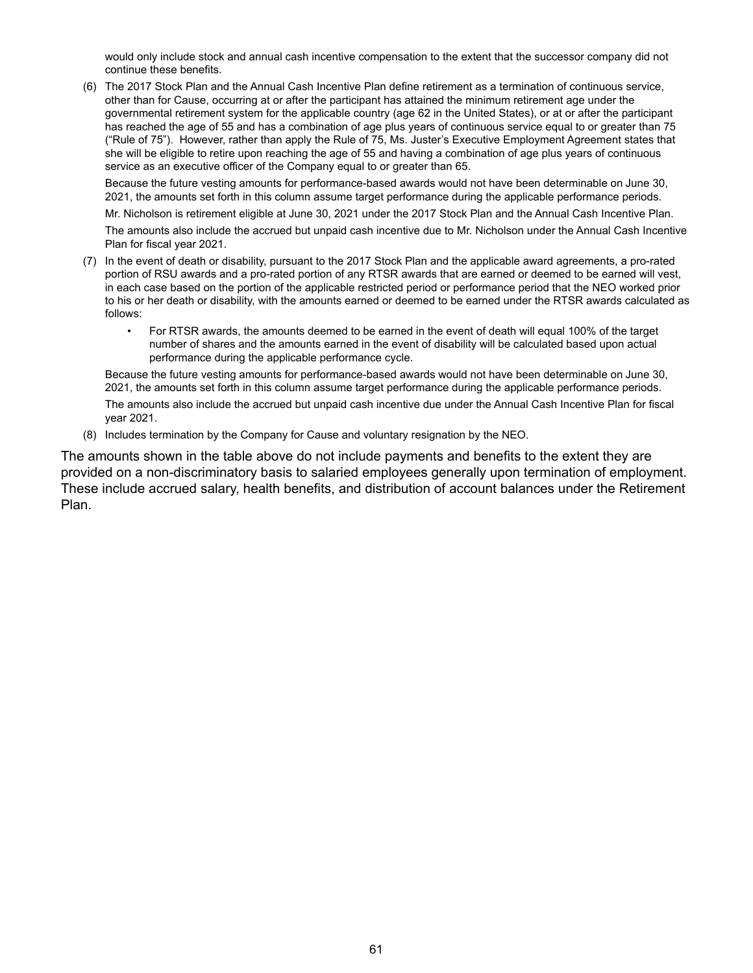would only include stock and annual cash incentive compensation to the extent that the successor company did not continue these benefits.

(6) The 2017 Stock Plan and the Annual Cash Incentive Plan define retirement as a termination of continuous service, other than for Cause, occurring at or after the participant has attained the minimum retirement age under the governmental retirement system for the applicable country (age 62 in the United States), or at or after the participant has reached the age of 55 and has a combination of age plus years of continuous service equal to or greater than 75 ("Rule of 75"). However, rather than apply the Rule of 75, Ms. Juster's Executive Employment Agreement states that she will be eligible to retire upon reaching the age of 55 and having a combination of age plus years of continuous service as an executive officer of the Company equal to or greater than 65.

Because the future vesting amounts for performance-based awards would not have been determinable on June 30, 2021, the amounts set forth in this column assume target performance during the applicable performance periods.

Mr. Nicholson is retirement eligible at June 30, 2021 under the 2017 Stock Plan and the Annual Cash Incentive Plan.

The amounts also include the accrued but unpaid cash incentive due to Mr. Nicholson under the Annual Cash Incentive Plan for fiscal year 2021.

- (7) In the event of death or disability, pursuant to the 2017 Stock Plan and the applicable award agreements, a pro-rated portion of RSU awards and a pro-rated portion of any RTSR awards that are earned or deemed to be earned will vest, in each case based on the portion of the applicable restricted period or performance period that the NEO worked prior to his or her death or disability, with the amounts earned or deemed to be earned under the RTSR awards calculated as follows:
	- For RTSR awards, the amounts deemed to be earned in the event of death will equal 100% of the target number of shares and the amounts earned in the event of disability will be calculated based upon actual performance during the applicable performance cycle.

Because the future vesting amounts for performance-based awards would not have been determinable on June 30, 2021, the amounts set forth in this column assume target performance during the applicable performance periods. The amounts also include the accrued but unpaid cash incentive due under the Annual Cash Incentive Plan for fiscal year 2021.

(8) Includes termination by the Company for Cause and voluntary resignation by the NEO.

The amounts shown in the table above do not include payments and benefits to the extent they are provided on a non-discriminatory basis to salaried employees generally upon termination of employment. These include accrued salary, health benefits, and distribution of account balances under the Retirement Plan.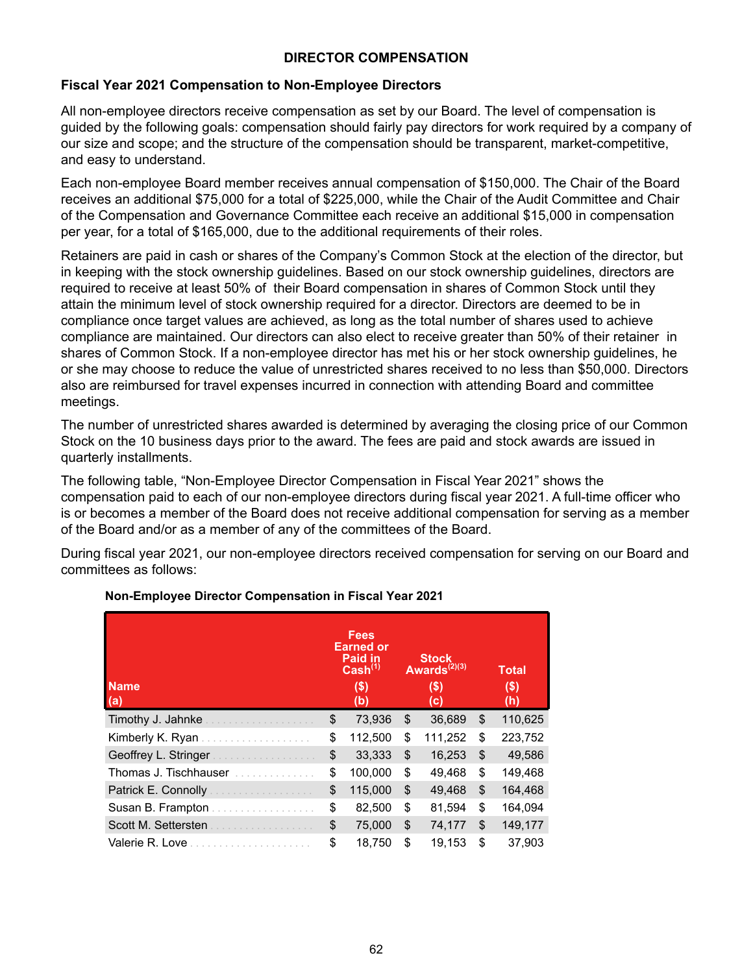# **DIRECTOR COMPENSATION**

# **Fiscal Year 2021 Compensation to Non-Employee Directors**

All non-employee directors receive compensation as set by our Board. The level of compensation is guided by the following goals: compensation should fairly pay directors for work required by a company of our size and scope; and the structure of the compensation should be transparent, market-competitive, and easy to understand.

Each non-employee Board member receives annual compensation of \$150,000. The Chair of the Board receives an additional \$75,000 for a total of \$225,000, while the Chair of the Audit Committee and Chair of the Compensation and Governance Committee each receive an additional \$15,000 in compensation per year, for a total of \$165,000, due to the additional requirements of their roles.

Retainers are paid in cash or shares of the Company's Common Stock at the election of the director, but in keeping with the stock ownership guidelines. Based on our stock ownership guidelines, directors are required to receive at least 50% of their Board compensation in shares of Common Stock until they attain the minimum level of stock ownership required for a director. Directors are deemed to be in compliance once target values are achieved, as long as the total number of shares used to achieve compliance are maintained. Our directors can also elect to receive greater than 50% of their retainer in shares of Common Stock. If a non-employee director has met his or her stock ownership guidelines, he or she may choose to reduce the value of unrestricted shares received to no less than \$50,000. Directors also are reimbursed for travel expenses incurred in connection with attending Board and committee meetings.

The number of unrestricted shares awarded is determined by averaging the closing price of our Common Stock on the 10 business days prior to the award. The fees are paid and stock awards are issued in quarterly installments.

The following table, "Non-Employee Director Compensation in Fiscal Year 2021" shows the compensation paid to each of our non-employee directors during fiscal year 2021. A full-time officer who is or becomes a member of the Board does not receive additional compensation for serving as a member of the Board and/or as a member of any of the committees of the Board.

During fiscal year 2021, our non-employee directors received compensation for serving on our Board and committees as follows:

|                                                       | Fees<br><b>Earned or</b><br>Paid in<br>Cash <sup>(1)</sup> | <b>Stock</b><br>Awards $^{(2)(3)}$ | <b>Total</b>  |
|-------------------------------------------------------|------------------------------------------------------------|------------------------------------|---------------|
| <b>Name</b><br>(a)                                    | \$)<br>(b)                                                 | \$)<br>(C)                         | \$)<br>(h)    |
|                                                       | \$<br>73,936                                               | \$<br>36,689                       | \$<br>110,625 |
|                                                       | \$<br>112,500                                              | \$<br>111,252                      | \$<br>223,752 |
| Geoffrey L. Stringer                                  | \$<br>33,333                                               | \$<br>16,253                       | \$<br>49,586  |
| Thomas J. Tischhauser <i>Communication</i>            | \$<br>100,000                                              | \$<br>49,468                       | \$<br>149,468 |
| Patrick E. Connolly <b>E. A. A. A. A. A. A. A. A.</b> | \$<br>115,000                                              | \$<br>49,468                       | \$<br>164,468 |
| Susan B. Frampton                                     | \$<br>82,500                                               | \$<br>81.594                       | \$<br>164,094 |
| Scott M. Settersten                                   | \$<br>75,000                                               | \$<br>74,177                       | \$<br>149,177 |
| Valerie R. Love<br>.                                  | \$<br>18.750                                               | \$<br>19.153                       | \$<br>37.903  |

# **Non-Employee Director Compensation in Fiscal Year 2021**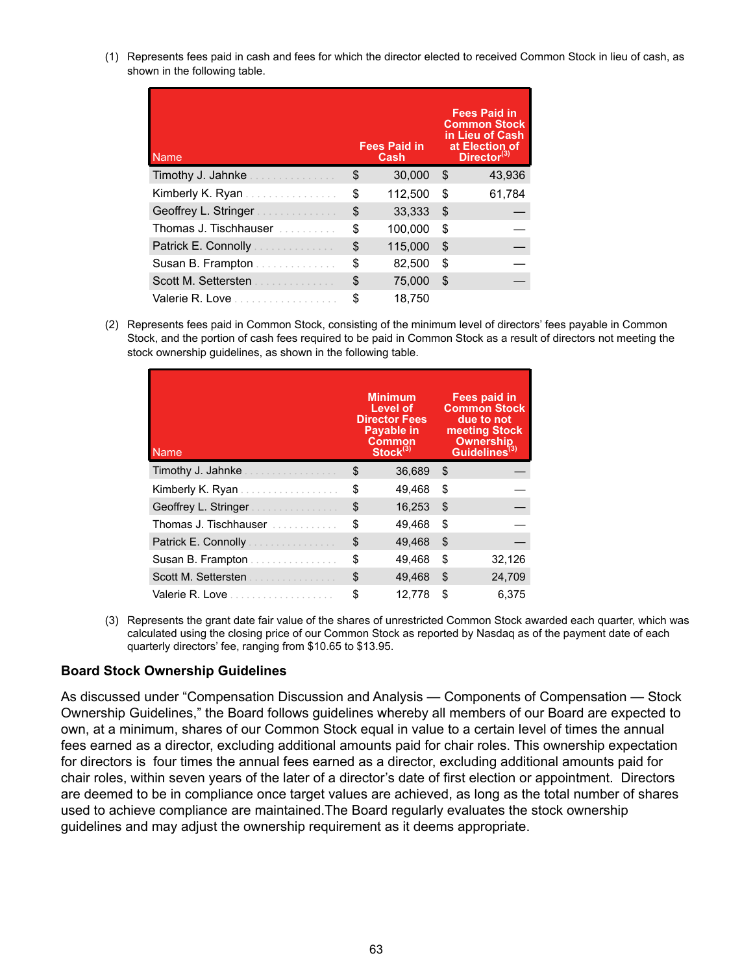(1) Represents fees paid in cash and fees for which the director elected to received Common Stock in lieu of cash, as shown in the following table.

| <b>Name</b>                            | <b>Fees Paid in</b><br>Cash | <b>Fees Paid in</b><br><b>Common Stock</b><br>in Lieu of Cash<br>at Election of<br>Director $(3)$ |
|----------------------------------------|-----------------------------|---------------------------------------------------------------------------------------------------|
| Timothy J. Jahnke                      | \$<br>30,000                | \$<br>43,936                                                                                      |
| Kimberly K. Ryan                       | \$<br>112,500               | \$<br>61,784                                                                                      |
| Geoffrey L. Stringer                   | \$<br>33,333                | \$                                                                                                |
| Thomas J. Tischhauser                  | \$<br>100,000               | \$                                                                                                |
| Patrick E. Connolly <b>E. Connolly</b> | \$<br>115,000               | \$                                                                                                |
| Susan B. Frampton                      | \$<br>82,500                | \$                                                                                                |
| Scott M. Settersten                    | \$<br>75,000                | \$                                                                                                |
| Valerie R. Love                        | \$<br>18.750                |                                                                                                   |

(2) Represents fees paid in Common Stock, consisting of the minimum level of directors' fees payable in Common Stock, and the portion of cash fees required to be paid in Common Stock as a result of directors not meeting the stock ownership guidelines, as shown in the following table.

| Name                  | <b>Minimum</b><br>Level of<br><b>Director Fees</b><br><b>Payable in</b><br><b>Common</b><br>Stock <sup>(3)</sup> | Fees paid in<br><b>Common Stock</b><br>due to not<br>meeting Stock<br><b>Ownership</b><br>Guidelines <sup>(3)</sup> |        |  |  |
|-----------------------|------------------------------------------------------------------------------------------------------------------|---------------------------------------------------------------------------------------------------------------------|--------|--|--|
| Timothy J. Jahnke     | \$<br>36,689                                                                                                     | S                                                                                                                   |        |  |  |
| Kimberly K. Ryan      | \$<br>49,468                                                                                                     | \$                                                                                                                  |        |  |  |
| Geoffrey L. Stringer  | \$<br>16,253                                                                                                     | \$                                                                                                                  |        |  |  |
| Thomas J. Tischhauser | \$<br>49,468                                                                                                     | \$                                                                                                                  |        |  |  |
| Patrick E. Connolly   | \$<br>49,468                                                                                                     | \$                                                                                                                  |        |  |  |
| Susan B. Frampton     | \$<br>49.468                                                                                                     | \$                                                                                                                  | 32,126 |  |  |
| Scott M. Settersten   | \$<br>49,468                                                                                                     | \$                                                                                                                  | 24,709 |  |  |
| Valerie R. Love       | \$<br>12.778                                                                                                     | \$                                                                                                                  | 6.375  |  |  |

(3) Represents the grant date fair value of the shares of unrestricted Common Stock awarded each quarter, which was calculated using the closing price of our Common Stock as reported by Nasdaq as of the payment date of each quarterly directors' fee, ranging from \$10.65 to \$13.95.

#### **Board Stock Ownership Guidelines**

As discussed under "Compensation Discussion and Analysis — Components of Compensation — Stock Ownership Guidelines," the Board follows guidelines whereby all members of our Board are expected to own, at a minimum, shares of our Common Stock equal in value to a certain level of times the annual fees earned as a director, excluding additional amounts paid for chair roles. This ownership expectation for directors is four times the annual fees earned as a director, excluding additional amounts paid for chair roles, within seven years of the later of a director's date of first election or appointment. Directors are deemed to be in compliance once target values are achieved, as long as the total number of shares used to achieve compliance are maintained.The Board regularly evaluates the stock ownership guidelines and may adjust the ownership requirement as it deems appropriate.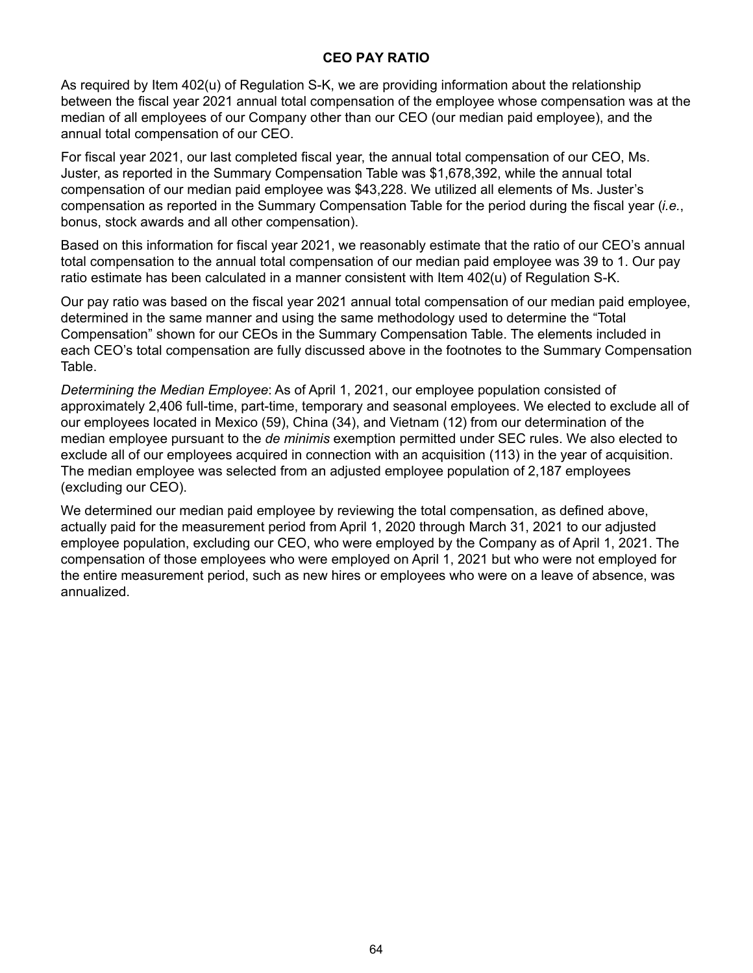#### **CEO PAY RATIO**

As required by Item 402(u) of Regulation S-K, we are providing information about the relationship between the fiscal year 2021 annual total compensation of the employee whose compensation was at the median of all employees of our Company other than our CEO (our median paid employee), and the annual total compensation of our CEO.

For fiscal year 2021, our last completed fiscal year, the annual total compensation of our CEO, Ms. Juster, as reported in the Summary Compensation Table was \$1,678,392, while the annual total compensation of our median paid employee was \$43,228. We utilized all elements of Ms. Juster's compensation as reported in the Summary Compensation Table for the period during the fiscal year (*i.e.*, bonus, stock awards and all other compensation).

Based on this information for fiscal year 2021, we reasonably estimate that the ratio of our CEO's annual total compensation to the annual total compensation of our median paid employee was 39 to 1. Our pay ratio estimate has been calculated in a manner consistent with Item 402(u) of Regulation S-K.

Our pay ratio was based on the fiscal year 2021 annual total compensation of our median paid employee, determined in the same manner and using the same methodology used to determine the "Total Compensation" shown for our CEOs in the Summary Compensation Table. The elements included in each CEO's total compensation are fully discussed above in the footnotes to the Summary Compensation Table.

*Determining the Median Employee*: As of April 1, 2021, our employee population consisted of approximately 2,406 full-time, part-time, temporary and seasonal employees. We elected to exclude all of our employees located in Mexico (59), China (34), and Vietnam (12) from our determination of the median employee pursuant to the *de minimis* exemption permitted under SEC rules. We also elected to exclude all of our employees acquired in connection with an acquisition (113) in the year of acquisition. The median employee was selected from an adjusted employee population of 2,187 employees (excluding our CEO).

We determined our median paid employee by reviewing the total compensation, as defined above, actually paid for the measurement period from April 1, 2020 through March 31, 2021 to our adjusted employee population, excluding our CEO, who were employed by the Company as of April 1, 2021. The compensation of those employees who were employed on April 1, 2021 but who were not employed for the entire measurement period, such as new hires or employees who were on a leave of absence, was annualized.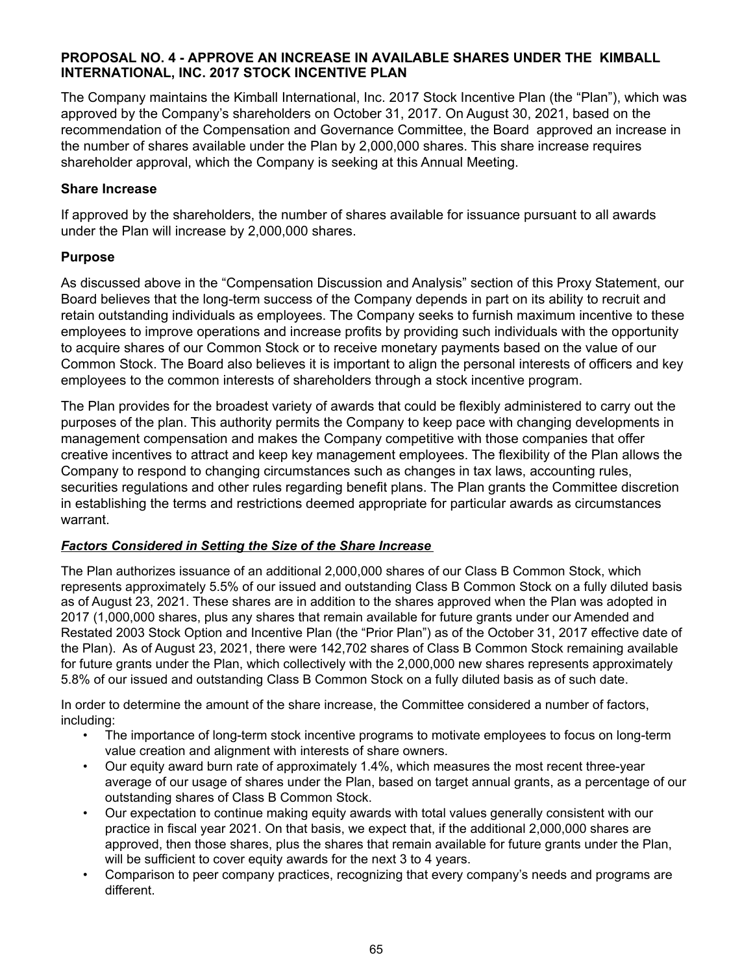#### **PROPOSAL NO. 4 - APPROVE AN INCREASE IN AVAILABLE SHARES UNDER THE KIMBALL INTERNATIONAL, INC. 2017 STOCK INCENTIVE PLAN**

The Company maintains the Kimball International, Inc. 2017 Stock Incentive Plan (the "Plan"), which was approved by the Company's shareholders on October 31, 2017. On August 30, 2021, based on the recommendation of the Compensation and Governance Committee, the Board approved an increase in the number of shares available under the Plan by 2,000,000 shares. This share increase requires shareholder approval, which the Company is seeking at this Annual Meeting.

#### **Share Increase**

If approved by the shareholders, the number of shares available for issuance pursuant to all awards under the Plan will increase by 2,000,000 shares.

### **Purpose**

As discussed above in the "Compensation Discussion and Analysis" section of this Proxy Statement, our Board believes that the long-term success of the Company depends in part on its ability to recruit and retain outstanding individuals as employees. The Company seeks to furnish maximum incentive to these employees to improve operations and increase profits by providing such individuals with the opportunity to acquire shares of our Common Stock or to receive monetary payments based on the value of our Common Stock. The Board also believes it is important to align the personal interests of officers and key employees to the common interests of shareholders through a stock incentive program.

The Plan provides for the broadest variety of awards that could be flexibly administered to carry out the purposes of the plan. This authority permits the Company to keep pace with changing developments in management compensation and makes the Company competitive with those companies that offer creative incentives to attract and keep key management employees. The flexibility of the Plan allows the Company to respond to changing circumstances such as changes in tax laws, accounting rules, securities regulations and other rules regarding benefit plans. The Plan grants the Committee discretion in establishing the terms and restrictions deemed appropriate for particular awards as circumstances warrant.

### *Factors Considered in Setting the Size of the Share Increase*

The Plan authorizes issuance of an additional 2,000,000 shares of our Class B Common Stock, which represents approximately 5.5% of our issued and outstanding Class B Common Stock on a fully diluted basis as of August 23, 2021. These shares are in addition to the shares approved when the Plan was adopted in 2017 (1,000,000 shares, plus any shares that remain available for future grants under our Amended and Restated 2003 Stock Option and Incentive Plan (the "Prior Plan") as of the October 31, 2017 effective date of the Plan). As of August 23, 2021, there were 142,702 shares of Class B Common Stock remaining available for future grants under the Plan, which collectively with the 2,000,000 new shares represents approximately 5.8% of our issued and outstanding Class B Common Stock on a fully diluted basis as of such date.

In order to determine the amount of the share increase, the Committee considered a number of factors, including:

- The importance of long-term stock incentive programs to motivate employees to focus on long-term value creation and alignment with interests of share owners.
- Our equity award burn rate of approximately 1.4%, which measures the most recent three-year average of our usage of shares under the Plan, based on target annual grants, as a percentage of our outstanding shares of Class B Common Stock.
- Our expectation to continue making equity awards with total values generally consistent with our practice in fiscal year 2021. On that basis, we expect that, if the additional 2,000,000 shares are approved, then those shares, plus the shares that remain available for future grants under the Plan, will be sufficient to cover equity awards for the next 3 to 4 years.
- Comparison to peer company practices, recognizing that every company's needs and programs are different.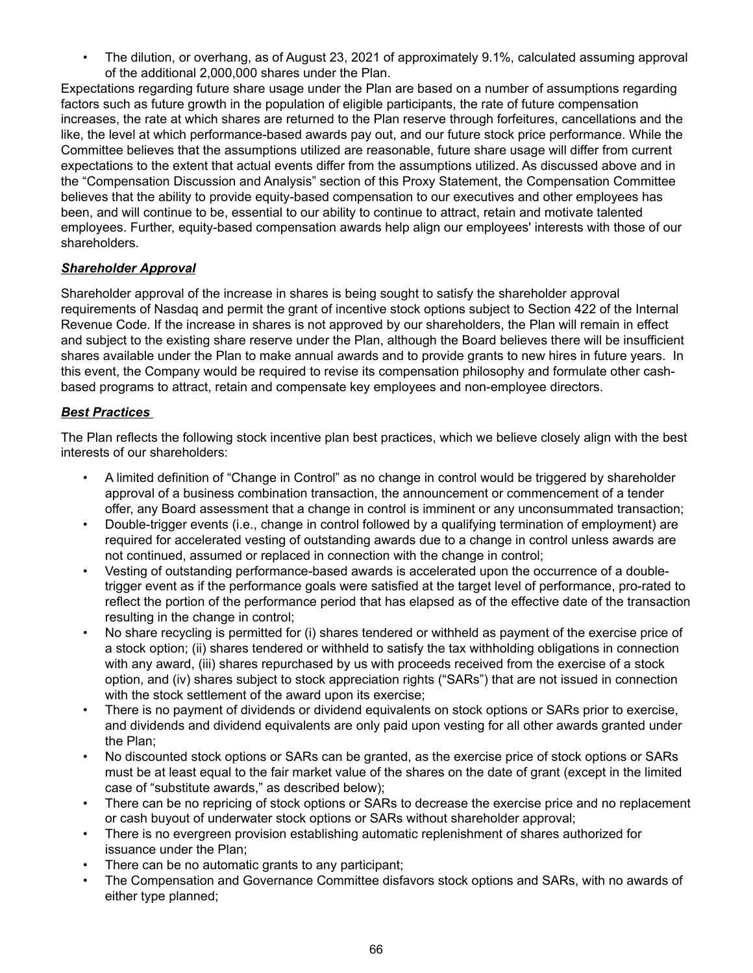• The dilution, or overhang, as of August 23, 2021 of approximately 9.1%, calculated assuming approval of the additional 2,000,000 shares under the Plan.

Expectations regarding future share usage under the Plan are based on a number of assumptions regarding factors such as future growth in the population of eligible participants, the rate of future compensation increases, the rate at which shares are returned to the Plan reserve through forfeitures, cancellations and the like, the level at which performance-based awards pay out, and our future stock price performance. While the Committee believes that the assumptions utilized are reasonable, future share usage will differ from current expectations to the extent that actual events differ from the assumptions utilized. As discussed above and in the "Compensation Discussion and Analysis" section of this Proxy Statement, the Compensation Committee believes that the ability to provide equity-based compensation to our executives and other employees has been, and will continue to be, essential to our ability to continue to attract, retain and motivate talented employees. Further, equity-based compensation awards help align our employees' interests with those of our shareholders.

### *Shareholder Approval*

Shareholder approval of the increase in shares is being sought to satisfy the shareholder approval requirements of Nasdaq and permit the grant of incentive stock options subject to Section 422 of the Internal Revenue Code. If the increase in shares is not approved by our shareholders, the Plan will remain in effect and subject to the existing share reserve under the Plan, although the Board believes there will be insufficient shares available under the Plan to make annual awards and to provide grants to new hires in future years. In this event, the Company would be required to revise its compensation philosophy and formulate other cashbased programs to attract, retain and compensate key employees and non-employee directors.

### *Best Practices*

The Plan reflects the following stock incentive plan best practices, which we believe closely align with the best interests of our shareholders:

- A limited definition of "Change in Control" as no change in control would be triggered by shareholder approval of a business combination transaction, the announcement or commencement of a tender offer, any Board assessment that a change in control is imminent or any unconsummated transaction;
- Double-trigger events (i.e., change in control followed by a qualifying termination of employment) are required for accelerated vesting of outstanding awards due to a change in control unless awards are not continued, assumed or replaced in connection with the change in control;
- Vesting of outstanding performance-based awards is accelerated upon the occurrence of a doubletrigger event as if the performance goals were satisfied at the target level of performance, pro-rated to reflect the portion of the performance period that has elapsed as of the effective date of the transaction resulting in the change in control;
- No share recycling is permitted for (i) shares tendered or withheld as payment of the exercise price of a stock option; (ii) shares tendered or withheld to satisfy the tax withholding obligations in connection with any award, (iii) shares repurchased by us with proceeds received from the exercise of a stock option, and (iv) shares subject to stock appreciation rights ("SARs") that are not issued in connection with the stock settlement of the award upon its exercise;
- There is no payment of dividends or dividend equivalents on stock options or SARs prior to exercise, and dividends and dividend equivalents are only paid upon vesting for all other awards granted under the Plan;
- No discounted stock options or SARs can be granted, as the exercise price of stock options or SARs must be at least equal to the fair market value of the shares on the date of grant (except in the limited case of "substitute awards," as described below);
- There can be no repricing of stock options or SARs to decrease the exercise price and no replacement or cash buyout of underwater stock options or SARs without shareholder approval;
- There is no evergreen provision establishing automatic replenishment of shares authorized for issuance under the Plan;
- There can be no automatic grants to any participant;
- The Compensation and Governance Committee disfavors stock options and SARs, with no awards of either type planned;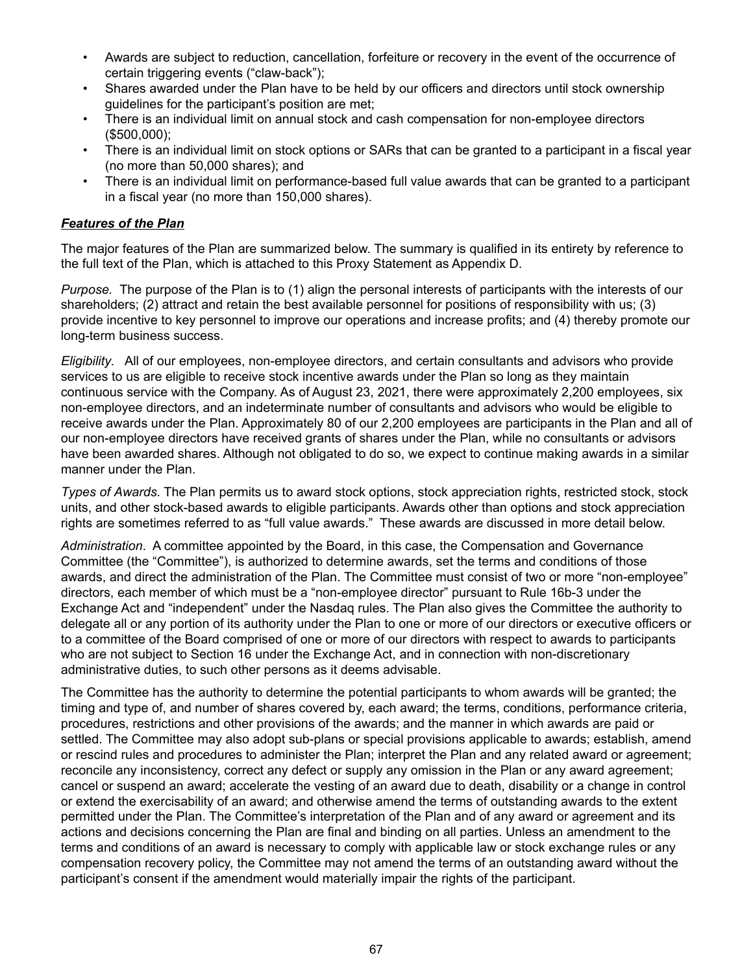- Awards are subject to reduction, cancellation, forfeiture or recovery in the event of the occurrence of certain triggering events ("claw-back");
- Shares awarded under the Plan have to be held by our officers and directors until stock ownership guidelines for the participant's position are met;
- There is an individual limit on annual stock and cash compensation for non-employee directors (\$500,000);
- There is an individual limit on stock options or SARs that can be granted to a participant in a fiscal year (no more than 50,000 shares); and
- There is an individual limit on performance-based full value awards that can be granted to a participant in a fiscal year (no more than 150,000 shares).

### *Features of the Plan*

The major features of the Plan are summarized below. The summary is qualified in its entirety by reference to the full text of the Plan, which is attached to this Proxy Statement as Appendix D.

*Purpose.* The purpose of the Plan is to (1) align the personal interests of participants with the interests of our shareholders; (2) attract and retain the best available personnel for positions of responsibility with us; (3) provide incentive to key personnel to improve our operations and increase profits; and (4) thereby promote our long-term business success.

*Eligibility.* All of our employees, non-employee directors, and certain consultants and advisors who provide services to us are eligible to receive stock incentive awards under the Plan so long as they maintain continuous service with the Company. As of August 23, 2021, there were approximately 2,200 employees, six non-employee directors, and an indeterminate number of consultants and advisors who would be eligible to receive awards under the Plan. Approximately 80 of our 2,200 employees are participants in the Plan and all of our non-employee directors have received grants of shares under the Plan, while no consultants or advisors have been awarded shares. Although not obligated to do so, we expect to continue making awards in a similar manner under the Plan.

*Types of Awards.* The Plan permits us to award stock options, stock appreciation rights, restricted stock, stock units, and other stock-based awards to eligible participants. Awards other than options and stock appreciation rights are sometimes referred to as "full value awards." These awards are discussed in more detail below.

*Administration*. A committee appointed by the Board, in this case, the Compensation and Governance Committee (the "Committee"), is authorized to determine awards, set the terms and conditions of those awards, and direct the administration of the Plan. The Committee must consist of two or more "non-employee" directors, each member of which must be a "non-employee director" pursuant to Rule 16b-3 under the Exchange Act and "independent" under the Nasdaq rules. The Plan also gives the Committee the authority to delegate all or any portion of its authority under the Plan to one or more of our directors or executive officers or to a committee of the Board comprised of one or more of our directors with respect to awards to participants who are not subject to Section 16 under the Exchange Act, and in connection with non-discretionary administrative duties, to such other persons as it deems advisable.

The Committee has the authority to determine the potential participants to whom awards will be granted; the timing and type of, and number of shares covered by, each award; the terms, conditions, performance criteria, procedures, restrictions and other provisions of the awards; and the manner in which awards are paid or settled. The Committee may also adopt sub-plans or special provisions applicable to awards; establish, amend or rescind rules and procedures to administer the Plan; interpret the Plan and any related award or agreement; reconcile any inconsistency, correct any defect or supply any omission in the Plan or any award agreement; cancel or suspend an award; accelerate the vesting of an award due to death, disability or a change in control or extend the exercisability of an award; and otherwise amend the terms of outstanding awards to the extent permitted under the Plan. The Committee's interpretation of the Plan and of any award or agreement and its actions and decisions concerning the Plan are final and binding on all parties. Unless an amendment to the terms and conditions of an award is necessary to comply with applicable law or stock exchange rules or any compensation recovery policy, the Committee may not amend the terms of an outstanding award without the participant's consent if the amendment would materially impair the rights of the participant.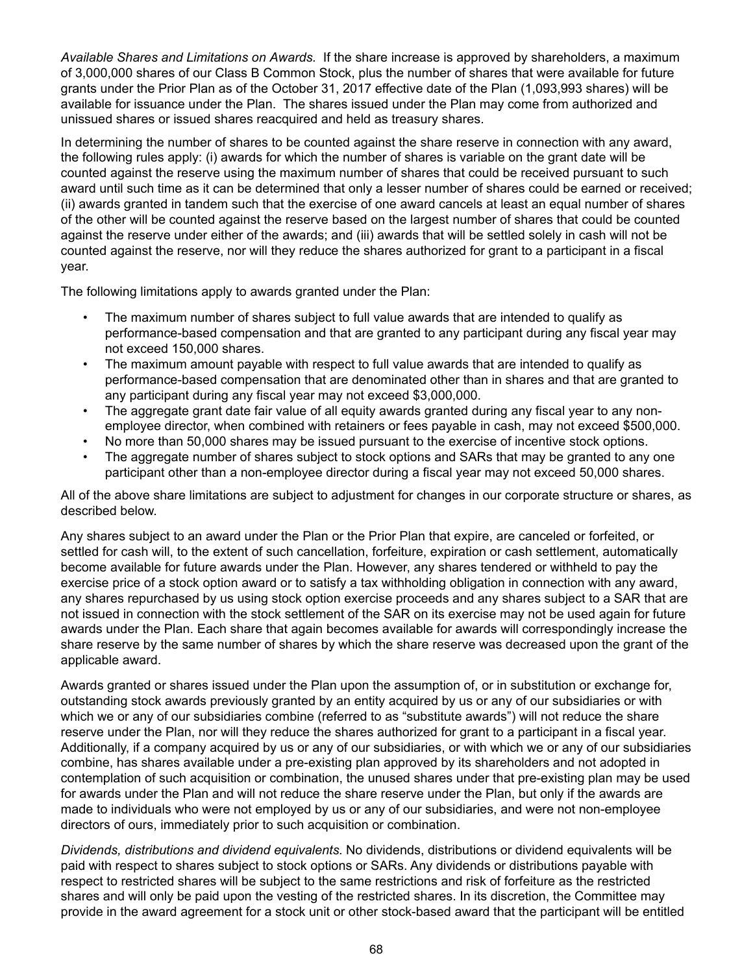*Available Shares and Limitations on Awards.* If the share increase is approved by shareholders, a maximum of 3,000,000 shares of our Class B Common Stock, plus the number of shares that were available for future grants under the Prior Plan as of the October 31, 2017 effective date of the Plan (1,093,993 shares) will be available for issuance under the Plan. The shares issued under the Plan may come from authorized and unissued shares or issued shares reacquired and held as treasury shares.

In determining the number of shares to be counted against the share reserve in connection with any award, the following rules apply: (i) awards for which the number of shares is variable on the grant date will be counted against the reserve using the maximum number of shares that could be received pursuant to such award until such time as it can be determined that only a lesser number of shares could be earned or received; (ii) awards granted in tandem such that the exercise of one award cancels at least an equal number of shares of the other will be counted against the reserve based on the largest number of shares that could be counted against the reserve under either of the awards; and (iii) awards that will be settled solely in cash will not be counted against the reserve, nor will they reduce the shares authorized for grant to a participant in a fiscal year.

The following limitations apply to awards granted under the Plan:

- The maximum number of shares subject to full value awards that are intended to qualify as performance-based compensation and that are granted to any participant during any fiscal year may not exceed 150,000 shares.
- The maximum amount payable with respect to full value awards that are intended to qualify as performance-based compensation that are denominated other than in shares and that are granted to any participant during any fiscal year may not exceed \$3,000,000.
- The aggregate grant date fair value of all equity awards granted during any fiscal year to any nonemployee director, when combined with retainers or fees payable in cash, may not exceed \$500,000.
- No more than 50,000 shares may be issued pursuant to the exercise of incentive stock options.
- The aggregate number of shares subject to stock options and SARs that may be granted to any one participant other than a non-employee director during a fiscal year may not exceed 50,000 shares.

All of the above share limitations are subject to adjustment for changes in our corporate structure or shares, as described below.

Any shares subject to an award under the Plan or the Prior Plan that expire, are canceled or forfeited, or settled for cash will, to the extent of such cancellation, forfeiture, expiration or cash settlement, automatically become available for future awards under the Plan. However, any shares tendered or withheld to pay the exercise price of a stock option award or to satisfy a tax withholding obligation in connection with any award, any shares repurchased by us using stock option exercise proceeds and any shares subject to a SAR that are not issued in connection with the stock settlement of the SAR on its exercise may not be used again for future awards under the Plan. Each share that again becomes available for awards will correspondingly increase the share reserve by the same number of shares by which the share reserve was decreased upon the grant of the applicable award.

Awards granted or shares issued under the Plan upon the assumption of, or in substitution or exchange for, outstanding stock awards previously granted by an entity acquired by us or any of our subsidiaries or with which we or any of our subsidiaries combine (referred to as "substitute awards") will not reduce the share reserve under the Plan, nor will they reduce the shares authorized for grant to a participant in a fiscal year. Additionally, if a company acquired by us or any of our subsidiaries, or with which we or any of our subsidiaries combine, has shares available under a pre-existing plan approved by its shareholders and not adopted in contemplation of such acquisition or combination, the unused shares under that pre-existing plan may be used for awards under the Plan and will not reduce the share reserve under the Plan, but only if the awards are made to individuals who were not employed by us or any of our subsidiaries, and were not non-employee directors of ours, immediately prior to such acquisition or combination.

*Dividends, distributions and dividend equivalents*. No dividends, distributions or dividend equivalents will be paid with respect to shares subject to stock options or SARs. Any dividends or distributions payable with respect to restricted shares will be subject to the same restrictions and risk of forfeiture as the restricted shares and will only be paid upon the vesting of the restricted shares. In its discretion, the Committee may provide in the award agreement for a stock unit or other stock-based award that the participant will be entitled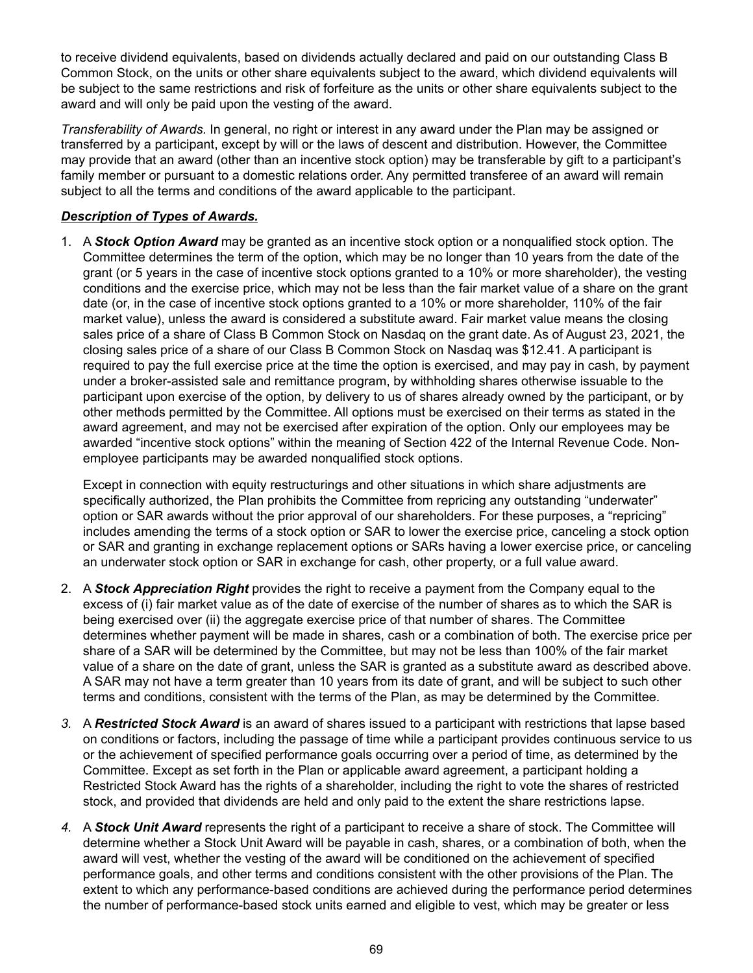to receive dividend equivalents, based on dividends actually declared and paid on our outstanding Class B Common Stock, on the units or other share equivalents subject to the award, which dividend equivalents will be subject to the same restrictions and risk of forfeiture as the units or other share equivalents subject to the award and will only be paid upon the vesting of the award.

*Transferability of Awards.* In general, no right or interest in any award under the Plan may be assigned or transferred by a participant, except by will or the laws of descent and distribution. However, the Committee may provide that an award (other than an incentive stock option) may be transferable by gift to a participant's family member or pursuant to a domestic relations order. Any permitted transferee of an award will remain subject to all the terms and conditions of the award applicable to the participant.

## *Description of Types of Awards.*

1. A *Stock Option Award* may be granted as an incentive stock option or a nonqualified stock option. The Committee determines the term of the option, which may be no longer than 10 years from the date of the grant (or 5 years in the case of incentive stock options granted to a 10% or more shareholder), the vesting conditions and the exercise price, which may not be less than the fair market value of a share on the grant date (or, in the case of incentive stock options granted to a 10% or more shareholder, 110% of the fair market value), unless the award is considered a substitute award. Fair market value means the closing sales price of a share of Class B Common Stock on Nasdaq on the grant date. As of August 23, 2021, the closing sales price of a share of our Class B Common Stock on Nasdaq was \$12.41. A participant is required to pay the full exercise price at the time the option is exercised, and may pay in cash, by payment under a broker-assisted sale and remittance program, by withholding shares otherwise issuable to the participant upon exercise of the option, by delivery to us of shares already owned by the participant, or by other methods permitted by the Committee. All options must be exercised on their terms as stated in the award agreement, and may not be exercised after expiration of the option. Only our employees may be awarded "incentive stock options" within the meaning of Section 422 of the Internal Revenue Code. Nonemployee participants may be awarded nonqualified stock options.

Except in connection with equity restructurings and other situations in which share adjustments are specifically authorized, the Plan prohibits the Committee from repricing any outstanding "underwater" option or SAR awards without the prior approval of our shareholders. For these purposes, a "repricing" includes amending the terms of a stock option or SAR to lower the exercise price, canceling a stock option or SAR and granting in exchange replacement options or SARs having a lower exercise price, or canceling an underwater stock option or SAR in exchange for cash, other property, or a full value award.

- 2. A *Stock Appreciation Right* provides the right to receive a payment from the Company equal to the excess of (i) fair market value as of the date of exercise of the number of shares as to which the SAR is being exercised over (ii) the aggregate exercise price of that number of shares. The Committee determines whether payment will be made in shares, cash or a combination of both. The exercise price per share of a SAR will be determined by the Committee, but may not be less than 100% of the fair market value of a share on the date of grant, unless the SAR is granted as a substitute award as described above. A SAR may not have a term greater than 10 years from its date of grant, and will be subject to such other terms and conditions, consistent with the terms of the Plan, as may be determined by the Committee.
- *3.* A *Restricted Stock Award* is an award of shares issued to a participant with restrictions that lapse based on conditions or factors, including the passage of time while a participant provides continuous service to us or the achievement of specified performance goals occurring over a period of time, as determined by the Committee. Except as set forth in the Plan or applicable award agreement, a participant holding a Restricted Stock Award has the rights of a shareholder, including the right to vote the shares of restricted stock, and provided that dividends are held and only paid to the extent the share restrictions lapse.
- *4.* A *Stock Unit Award* represents the right of a participant to receive a share of stock. The Committee will determine whether a Stock Unit Award will be payable in cash, shares, or a combination of both, when the award will vest, whether the vesting of the award will be conditioned on the achievement of specified performance goals, and other terms and conditions consistent with the other provisions of the Plan. The extent to which any performance-based conditions are achieved during the performance period determines the number of performance-based stock units earned and eligible to vest, which may be greater or less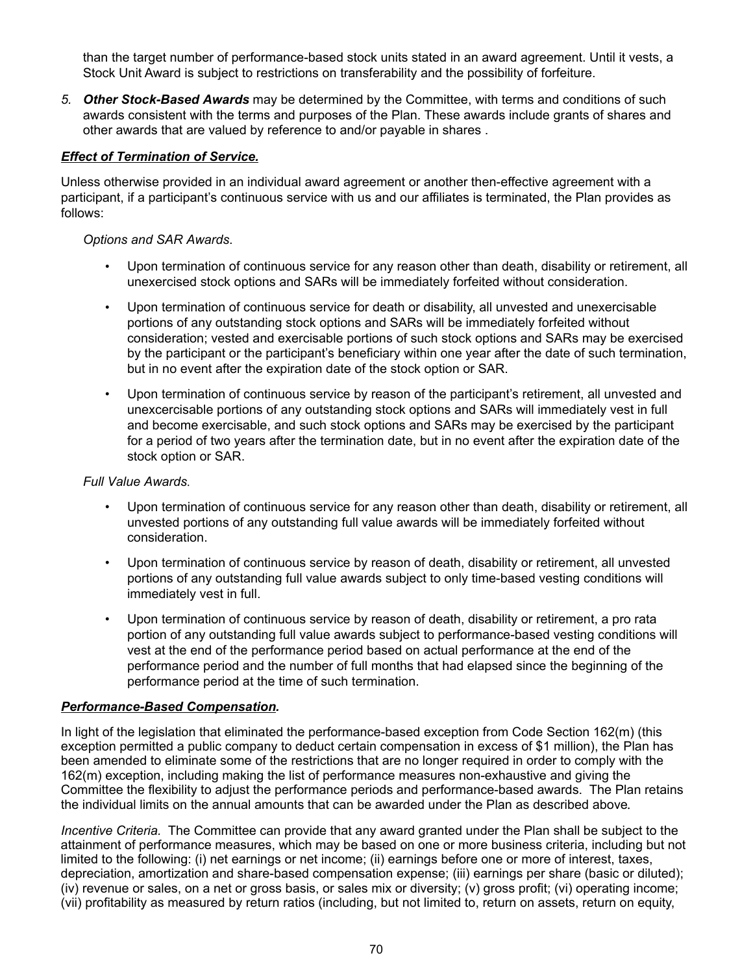than the target number of performance-based stock units stated in an award agreement. Until it vests, a Stock Unit Award is subject to restrictions on transferability and the possibility of forfeiture.

*5. Other Stock-Based Awards* may be determined by the Committee, with terms and conditions of such awards consistent with the terms and purposes of the Plan. These awards include grants of shares and other awards that are valued by reference to and/or payable in shares .

### *Effect of Termination of Service.*

Unless otherwise provided in an individual award agreement or another then-effective agreement with a participant, if a participant's continuous service with us and our affiliates is terminated, the Plan provides as follows:

### *Options and SAR Awards*.

- Upon termination of continuous service for any reason other than death, disability or retirement, all unexercised stock options and SARs will be immediately forfeited without consideration.
- Upon termination of continuous service for death or disability, all unvested and unexercisable portions of any outstanding stock options and SARs will be immediately forfeited without consideration; vested and exercisable portions of such stock options and SARs may be exercised by the participant or the participant's beneficiary within one year after the date of such termination, but in no event after the expiration date of the stock option or SAR.
- Upon termination of continuous service by reason of the participant's retirement, all unvested and unexcercisable portions of any outstanding stock options and SARs will immediately vest in full and become exercisable, and such stock options and SARs may be exercised by the participant for a period of two years after the termination date, but in no event after the expiration date of the stock option or SAR.

### *Full Value Awards*.

- Upon termination of continuous service for any reason other than death, disability or retirement, all unvested portions of any outstanding full value awards will be immediately forfeited without consideration.
- Upon termination of continuous service by reason of death, disability or retirement, all unvested portions of any outstanding full value awards subject to only time-based vesting conditions will immediately vest in full.
- Upon termination of continuous service by reason of death, disability or retirement, a pro rata portion of any outstanding full value awards subject to performance-based vesting conditions will vest at the end of the performance period based on actual performance at the end of the performance period and the number of full months that had elapsed since the beginning of the performance period at the time of such termination.

### *Performance-Based Compensation.*

In light of the legislation that eliminated the performance-based exception from Code Section 162(m) (this exception permitted a public company to deduct certain compensation in excess of \$1 million), the Plan has been amended to eliminate some of the restrictions that are no longer required in order to comply with the 162(m) exception, including making the list of performance measures non-exhaustive and giving the Committee the flexibility to adjust the performance periods and performance-based awards. The Plan retains the individual limits on the annual amounts that can be awarded under the Plan as described above.

*Incentive Criteria.* The Committee can provide that any award granted under the Plan shall be subject to the attainment of performance measures, which may be based on one or more business criteria, including but not limited to the following: (i) net earnings or net income; (ii) earnings before one or more of interest, taxes, depreciation, amortization and share-based compensation expense; (iii) earnings per share (basic or diluted); (iv) revenue or sales, on a net or gross basis, or sales mix or diversity; (v) gross profit; (vi) operating income; (vii) profitability as measured by return ratios (including, but not limited to, return on assets, return on equity,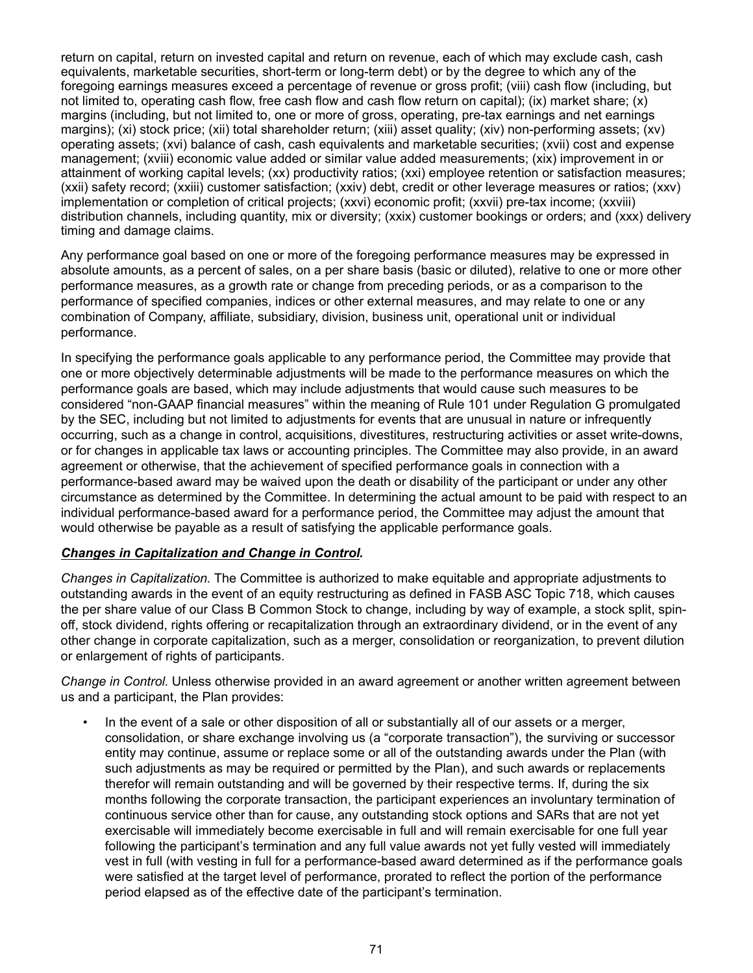return on capital, return on invested capital and return on revenue, each of which may exclude cash, cash equivalents, marketable securities, short-term or long-term debt) or by the degree to which any of the foregoing earnings measures exceed a percentage of revenue or gross profit; (viii) cash flow (including, but not limited to, operating cash flow, free cash flow and cash flow return on capital); (ix) market share; (x) margins (including, but not limited to, one or more of gross, operating, pre-tax earnings and net earnings margins); (xi) stock price; (xii) total shareholder return; (xiii) asset quality; (xiv) non-performing assets; (xv) operating assets; (xvi) balance of cash, cash equivalents and marketable securities; (xvii) cost and expense management; (xviii) economic value added or similar value added measurements; (xix) improvement in or attainment of working capital levels; (xx) productivity ratios; (xxi) employee retention or satisfaction measures; (xxii) safety record; (xxiii) customer satisfaction; (xxiv) debt, credit or other leverage measures or ratios; (xxv) implementation or completion of critical projects; (xxvi) economic profit; (xxvii) pre-tax income; (xxviii) distribution channels, including quantity, mix or diversity; (xxix) customer bookings or orders; and (xxx) delivery timing and damage claims.

Any performance goal based on one or more of the foregoing performance measures may be expressed in absolute amounts, as a percent of sales, on a per share basis (basic or diluted), relative to one or more other performance measures, as a growth rate or change from preceding periods, or as a comparison to the performance of specified companies, indices or other external measures, and may relate to one or any combination of Company, affiliate, subsidiary, division, business unit, operational unit or individual performance.

In specifying the performance goals applicable to any performance period, the Committee may provide that one or more objectively determinable adjustments will be made to the performance measures on which the performance goals are based, which may include adjustments that would cause such measures to be considered "non-GAAP financial measures" within the meaning of Rule 101 under Regulation G promulgated by the SEC, including but not limited to adjustments for events that are unusual in nature or infrequently occurring, such as a change in control, acquisitions, divestitures, restructuring activities or asset write-downs, or for changes in applicable tax laws or accounting principles. The Committee may also provide, in an award agreement or otherwise, that the achievement of specified performance goals in connection with a performance-based award may be waived upon the death or disability of the participant or under any other circumstance as determined by the Committee. In determining the actual amount to be paid with respect to an individual performance-based award for a performance period, the Committee may adjust the amount that would otherwise be payable as a result of satisfying the applicable performance goals.

### *Changes in Capitalization and Change in Control.*

*Changes in Capitalization.* The Committee is authorized to make equitable and appropriate adjustments to outstanding awards in the event of an equity restructuring as defined in FASB ASC Topic 718, which causes the per share value of our Class B Common Stock to change, including by way of example, a stock split, spinoff, stock dividend, rights offering or recapitalization through an extraordinary dividend, or in the event of any other change in corporate capitalization, such as a merger, consolidation or reorganization, to prevent dilution or enlargement of rights of participants.

*Change in Control.* Unless otherwise provided in an award agreement or another written agreement between us and a participant, the Plan provides:

*•* In the event of a sale or other disposition of all or substantially all of our assets or a merger, consolidation, or share exchange involving us (a "corporate transaction"), the surviving or successor entity may continue, assume or replace some or all of the outstanding awards under the Plan (with such adjustments as may be required or permitted by the Plan), and such awards or replacements therefor will remain outstanding and will be governed by their respective terms. If, during the six months following the corporate transaction, the participant experiences an involuntary termination of continuous service other than for cause, any outstanding stock options and SARs that are not yet exercisable will immediately become exercisable in full and will remain exercisable for one full year following the participant's termination and any full value awards not yet fully vested will immediately vest in full (with vesting in full for a performance-based award determined as if the performance goals were satisfied at the target level of performance, prorated to reflect the portion of the performance period elapsed as of the effective date of the participant's termination.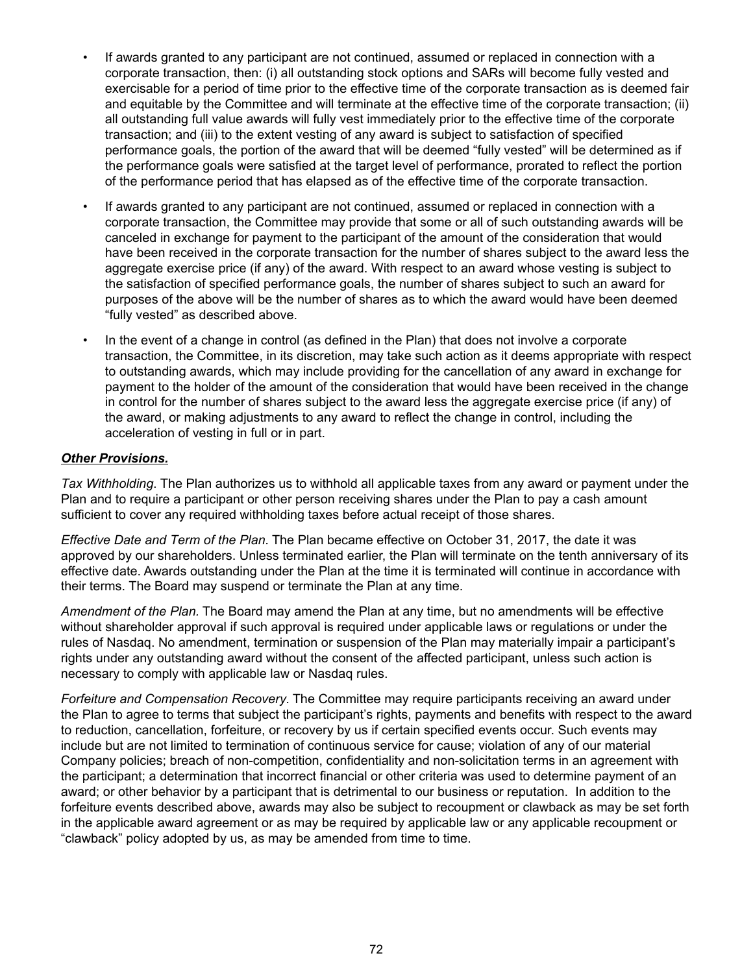- If awards granted to any participant are not continued, assumed or replaced in connection with a corporate transaction, then: (i) all outstanding stock options and SARs will become fully vested and exercisable for a period of time prior to the effective time of the corporate transaction as is deemed fair and equitable by the Committee and will terminate at the effective time of the corporate transaction; (ii) all outstanding full value awards will fully vest immediately prior to the effective time of the corporate transaction; and (iii) to the extent vesting of any award is subject to satisfaction of specified performance goals, the portion of the award that will be deemed "fully vested" will be determined as if the performance goals were satisfied at the target level of performance, prorated to reflect the portion of the performance period that has elapsed as of the effective time of the corporate transaction.
- If awards granted to any participant are not continued, assumed or replaced in connection with a corporate transaction, the Committee may provide that some or all of such outstanding awards will be canceled in exchange for payment to the participant of the amount of the consideration that would have been received in the corporate transaction for the number of shares subject to the award less the aggregate exercise price (if any) of the award. With respect to an award whose vesting is subject to the satisfaction of specified performance goals, the number of shares subject to such an award for purposes of the above will be the number of shares as to which the award would have been deemed "fully vested" as described above.
- *•* In the event of a change in control (as defined in the Plan) that does not involve a corporate transaction, the Committee, in its discretion, may take such action as it deems appropriate with respect to outstanding awards, which may include providing for the cancellation of any award in exchange for payment to the holder of the amount of the consideration that would have been received in the change in control for the number of shares subject to the award less the aggregate exercise price (if any) of the award, or making adjustments to any award to reflect the change in control, including the acceleration of vesting in full or in part.

### *Other Provisions.*

*Tax Withholding*. The Plan authorizes us to withhold all applicable taxes from any award or payment under the Plan and to require a participant or other person receiving shares under the Plan to pay a cash amount sufficient to cover any required withholding taxes before actual receipt of those shares.

*Effective Date and Term of the Plan.* The Plan became effective on October 31, 2017, the date it was approved by our shareholders. Unless terminated earlier, the Plan will terminate on the tenth anniversary of its effective date. Awards outstanding under the Plan at the time it is terminated will continue in accordance with their terms. The Board may suspend or terminate the Plan at any time.

*Amendment of the Plan.* The Board may amend the Plan at any time, but no amendments will be effective without shareholder approval if such approval is required under applicable laws or regulations or under the rules of Nasdaq. No amendment, termination or suspension of the Plan may materially impair a participant's rights under any outstanding award without the consent of the affected participant, unless such action is necessary to comply with applicable law or Nasdaq rules.

*Forfeiture and Compensation Recovery.* The Committee may require participants receiving an award under the Plan to agree to terms that subject the participant's rights, payments and benefits with respect to the award to reduction, cancellation, forfeiture, or recovery by us if certain specified events occur. Such events may include but are not limited to termination of continuous service for cause; violation of any of our material Company policies; breach of non-competition, confidentiality and non-solicitation terms in an agreement with the participant; a determination that incorrect financial or other criteria was used to determine payment of an award; or other behavior by a participant that is detrimental to our business or reputation. In addition to the forfeiture events described above, awards may also be subject to recoupment or clawback as may be set forth in the applicable award agreement or as may be required by applicable law or any applicable recoupment or "clawback" policy adopted by us, as may be amended from time to time.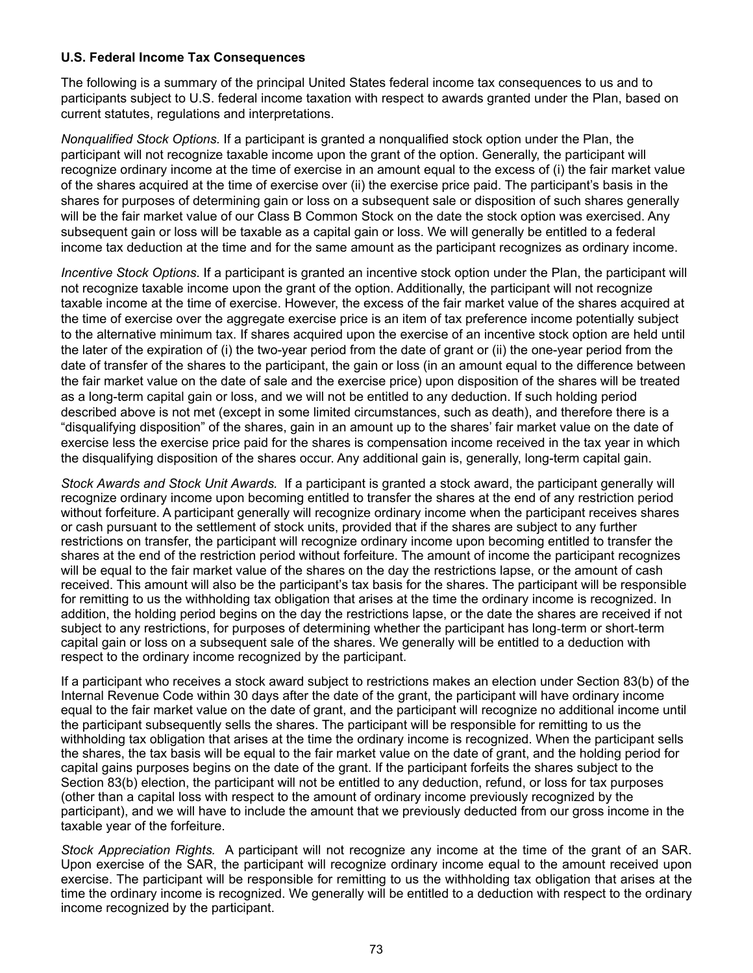### **U.S. Federal Income Tax Consequences**

The following is a summary of the principal United States federal income tax consequences to us and to participants subject to U.S. federal income taxation with respect to awards granted under the Plan, based on current statutes, regulations and interpretations.

*Nonqualified Stock Options.* If a participant is granted a nonqualified stock option under the Plan, the participant will not recognize taxable income upon the grant of the option. Generally, the participant will recognize ordinary income at the time of exercise in an amount equal to the excess of (i) the fair market value of the shares acquired at the time of exercise over (ii) the exercise price paid. The participant's basis in the shares for purposes of determining gain or loss on a subsequent sale or disposition of such shares generally will be the fair market value of our Class B Common Stock on the date the stock option was exercised. Any subsequent gain or loss will be taxable as a capital gain or loss. We will generally be entitled to a federal income tax deduction at the time and for the same amount as the participant recognizes as ordinary income.

*Incentive Stock Options*. If a participant is granted an incentive stock option under the Plan, the participant will not recognize taxable income upon the grant of the option. Additionally, the participant will not recognize taxable income at the time of exercise. However, the excess of the fair market value of the shares acquired at the time of exercise over the aggregate exercise price is an item of tax preference income potentially subject to the alternative minimum tax. If shares acquired upon the exercise of an incentive stock option are held until the later of the expiration of (i) the two-year period from the date of grant or (ii) the one-year period from the date of transfer of the shares to the participant, the gain or loss (in an amount equal to the difference between the fair market value on the date of sale and the exercise price) upon disposition of the shares will be treated as a long-term capital gain or loss, and we will not be entitled to any deduction. If such holding period described above is not met (except in some limited circumstances, such as death), and therefore there is a "disqualifying disposition" of the shares, gain in an amount up to the shares' fair market value on the date of exercise less the exercise price paid for the shares is compensation income received in the tax year in which the disqualifying disposition of the shares occur. Any additional gain is, generally, long-term capital gain.

*Stock Awards and Stock Unit Awards.* If a participant is granted a stock award, the participant generally will recognize ordinary income upon becoming entitled to transfer the shares at the end of any restriction period without forfeiture. A participant generally will recognize ordinary income when the participant receives shares or cash pursuant to the settlement of stock units, provided that if the shares are subject to any further restrictions on transfer, the participant will recognize ordinary income upon becoming entitled to transfer the shares at the end of the restriction period without forfeiture. The amount of income the participant recognizes will be equal to the fair market value of the shares on the day the restrictions lapse, or the amount of cash received. This amount will also be the participant's tax basis for the shares. The participant will be responsible for remitting to us the withholding tax obligation that arises at the time the ordinary income is recognized. In addition, the holding period begins on the day the restrictions lapse, or the date the shares are received if not subject to any restrictions, for purposes of determining whether the participant has long-term or short-term capital gain or loss on a subsequent sale of the shares. We generally will be entitled to a deduction with respect to the ordinary income recognized by the participant.

If a participant who receives a stock award subject to restrictions makes an election under Section 83(b) of the Internal Revenue Code within 30 days after the date of the grant, the participant will have ordinary income equal to the fair market value on the date of grant, and the participant will recognize no additional income until the participant subsequently sells the shares. The participant will be responsible for remitting to us the withholding tax obligation that arises at the time the ordinary income is recognized. When the participant sells the shares, the tax basis will be equal to the fair market value on the date of grant, and the holding period for capital gains purposes begins on the date of the grant. If the participant forfeits the shares subject to the Section 83(b) election, the participant will not be entitled to any deduction, refund, or loss for tax purposes (other than a capital loss with respect to the amount of ordinary income previously recognized by the participant), and we will have to include the amount that we previously deducted from our gross income in the taxable year of the forfeiture.

*Stock Appreciation Rights.* A participant will not recognize any income at the time of the grant of an SAR. Upon exercise of the SAR, the participant will recognize ordinary income equal to the amount received upon exercise. The participant will be responsible for remitting to us the withholding tax obligation that arises at the time the ordinary income is recognized. We generally will be entitled to a deduction with respect to the ordinary income recognized by the participant.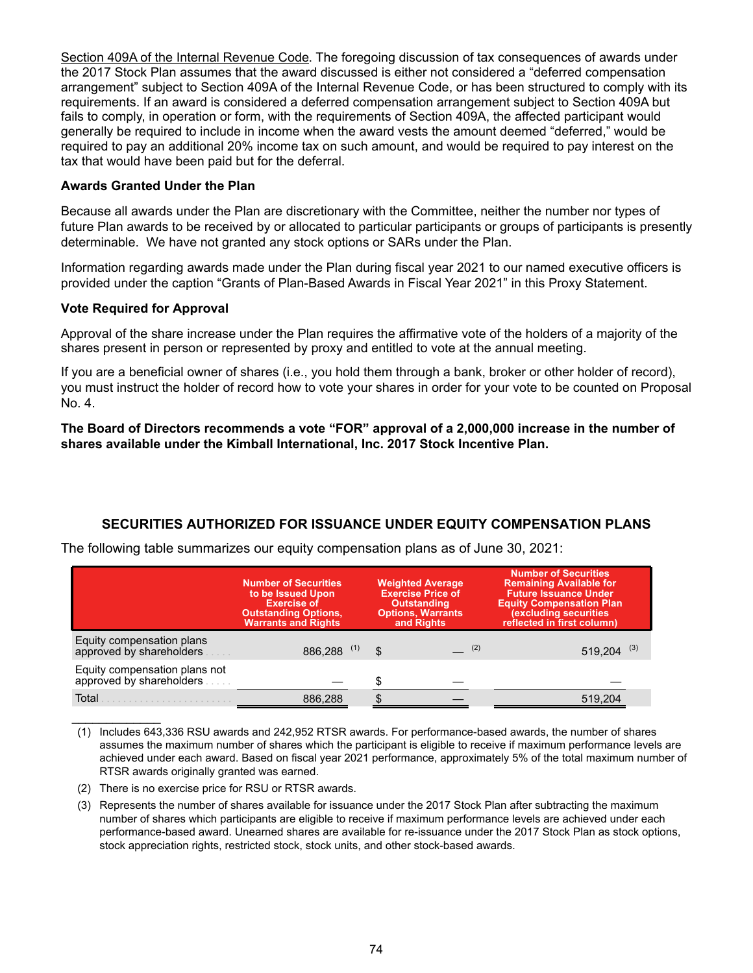Section 409A of the Internal Revenue Code. The foregoing discussion of tax consequences of awards under the 2017 Stock Plan assumes that the award discussed is either not considered a "deferred compensation arrangement" subject to Section 409A of the Internal Revenue Code, or has been structured to comply with its requirements. If an award is considered a deferred compensation arrangement subject to Section 409A but fails to comply, in operation or form, with the requirements of Section 409A, the affected participant would generally be required to include in income when the award vests the amount deemed "deferred," would be required to pay an additional 20% income tax on such amount, and would be required to pay interest on the tax that would have been paid but for the deferral.

### **Awards Granted Under the Plan**

Because all awards under the Plan are discretionary with the Committee, neither the number nor types of future Plan awards to be received by or allocated to particular participants or groups of participants is presently determinable. We have not granted any stock options or SARs under the Plan.

Information regarding awards made under the Plan during fiscal year 2021 to our named executive officers is provided under the caption "Grants of Plan-Based Awards in Fiscal Year 2021" in this Proxy Statement.

### **Vote Required for Approval**

 $\mathcal{L}_\text{max}$  , where  $\mathcal{L}_\text{max}$ 

Approval of the share increase under the Plan requires the affirmative vote of the holders of a majority of the shares present in person or represented by proxy and entitled to vote at the annual meeting.

If you are a beneficial owner of shares (i.e., you hold them through a bank, broker or other holder of record), you must instruct the holder of record how to vote your shares in order for your vote to be counted on Proposal No. 4.

### **The Board of Directors recommends a vote "FOR" approval of a 2,000,000 increase in the number of shares available under the Kimball International, Inc. 2017 Stock Incentive Plan.**

# **SECURITIES AUTHORIZED FOR ISSUANCE UNDER EQUITY COMPENSATION PLANS**

| The following table summarizes our equity compensation plans as of June 30, 2021: |  |  |  |  |  |  |
|-----------------------------------------------------------------------------------|--|--|--|--|--|--|
|-----------------------------------------------------------------------------------|--|--|--|--|--|--|

|                                                           | <b>Number of Securities</b><br>to be Issued Upon<br><b>Exercise of</b><br><b>Outstanding Options,</b><br><b>Warrants and Rights</b> | <b>Weighted Average</b><br><b>Exercise Price of</b><br><b>Outstanding</b><br><b>Options, Warrants</b><br>and Rights | <b>Number of Securities</b><br><b>Remaining Available for</b><br><b>Future Issuance Under</b><br><b>Equity Compensation Plan</b><br>(excluding securities<br>reflected in first column) |  |
|-----------------------------------------------------------|-------------------------------------------------------------------------------------------------------------------------------------|---------------------------------------------------------------------------------------------------------------------|-----------------------------------------------------------------------------------------------------------------------------------------------------------------------------------------|--|
| Equity compensation plans<br>approved by shareholders     | 886,288 (1)                                                                                                                         | \$<br>(2)                                                                                                           | 519.204                                                                                                                                                                                 |  |
| Equity compensation plans not<br>approved by shareholders |                                                                                                                                     |                                                                                                                     |                                                                                                                                                                                         |  |
| Total                                                     | 886.288                                                                                                                             |                                                                                                                     | 519.204                                                                                                                                                                                 |  |

- (1) Includes 643,336 RSU awards and 242,952 RTSR awards. For performance-based awards, the number of shares assumes the maximum number of shares which the participant is eligible to receive if maximum performance levels are achieved under each award. Based on fiscal year 2021 performance, approximately 5% of the total maximum number of RTSR awards originally granted was earned.
- (2) There is no exercise price for RSU or RTSR awards.
- (3) Represents the number of shares available for issuance under the 2017 Stock Plan after subtracting the maximum number of shares which participants are eligible to receive if maximum performance levels are achieved under each performance-based award. Unearned shares are available for re-issuance under the 2017 Stock Plan as stock options, stock appreciation rights, restricted stock, stock units, and other stock-based awards.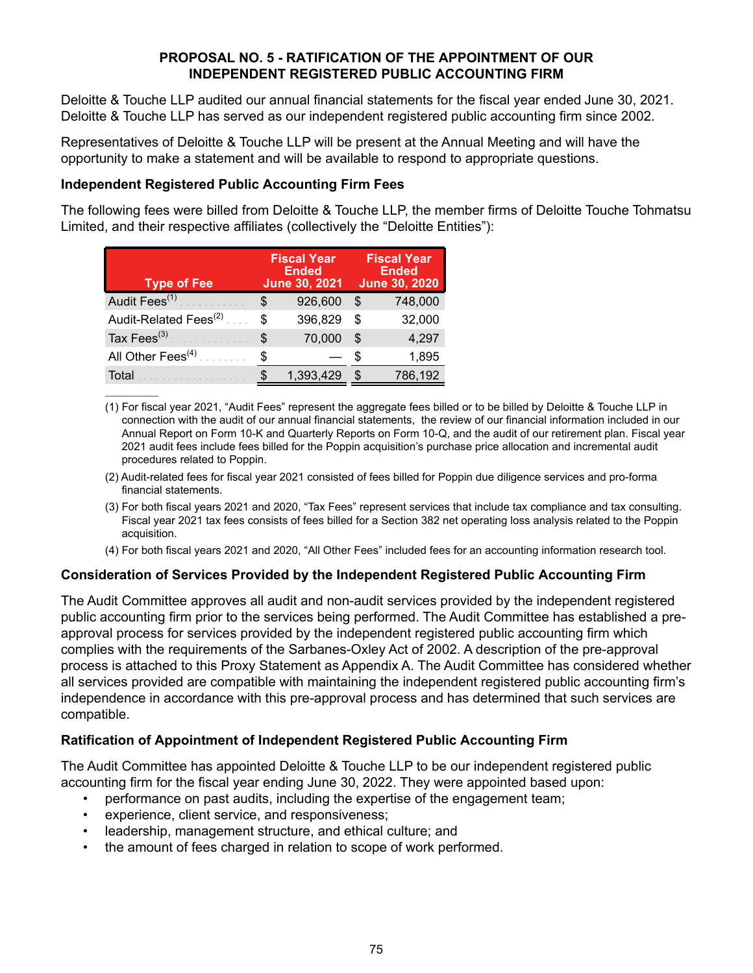### **PROPOSAL NO. 5 - RATIFICATION OF THE APPOINTMENT OF OUR INDEPENDENT REGISTERED PUBLIC ACCOUNTING FIRM**

Deloitte & Touche LLP audited our annual financial statements for the fiscal year ended June 30, 2021. Deloitte & Touche LLP has served as our independent registered public accounting firm since 2002.

Representatives of Deloitte & Touche LLP will be present at the Annual Meeting and will have the opportunity to make a statement and will be available to respond to appropriate questions.

### **Independent Registered Public Accounting Firm Fees**

 $\mathcal{L}_\text{max}$  and  $\mathcal{L}_\text{max}$ 

The following fees were billed from Deloitte & Touche LLP, the member firms of Deloitte Touche Tohmatsu Limited, and their respective affiliates (collectively the "Deloitte Entities"):

| <b>Type of Fee</b>                |     | <b>Fiscal Year</b><br><b>Ended</b><br><b>June 30, 2021</b> |   | <b>Fiscal Year</b><br><b>Ended</b><br><b>June 30, 2020</b> |
|-----------------------------------|-----|------------------------------------------------------------|---|------------------------------------------------------------|
| Audit Fees <sup>(1)</sup>         | S   | 926,600                                                    | S | 748,000                                                    |
| Audit-Related Fees <sup>(2)</sup> | \$  | 396,829                                                    | S | 32,000                                                     |
| Tax Fees $(3)$                    | \$. | 70,000                                                     |   | 4,297                                                      |
| All Other Fees <sup>(4)</sup>     |     |                                                            |   | 1,895                                                      |
| Total                             |     | 1,393,429                                                  |   | 786,192                                                    |

(1) For fiscal year 2021, "Audit Fees" represent the aggregate fees billed or to be billed by Deloitte & Touche LLP in connection with the audit of our annual financial statements, the review of our financial information included in our Annual Report on Form 10-K and Quarterly Reports on Form 10-Q, and the audit of our retirement plan. Fiscal year 2021 audit fees include fees billed for the Poppin acquisition's purchase price allocation and incremental audit procedures related to Poppin.

- (2) Audit-related fees for fiscal year 2021 consisted of fees billed for Poppin due diligence services and pro-forma financial statements.
- (3) For both fiscal years 2021 and 2020, "Tax Fees" represent services that include tax compliance and tax consulting. Fiscal year 2021 tax fees consists of fees billed for a Section 382 net operating loss analysis related to the Poppin acquisition.
- (4) For both fiscal years 2021 and 2020, "All Other Fees" included fees for an accounting information research tool.

### **Consideration of Services Provided by the Independent Registered Public Accounting Firm**

The Audit Committee approves all audit and non-audit services provided by the independent registered public accounting firm prior to the services being performed. The Audit Committee has established a preapproval process for services provided by the independent registered public accounting firm which complies with the requirements of the Sarbanes-Oxley Act of 2002. A description of the pre-approval process is attached to this Proxy Statement as Appendix A. The Audit Committee has considered whether all services provided are compatible with maintaining the independent registered public accounting firm's independence in accordance with this pre-approval process and has determined that such services are compatible.

### **Ratification of Appointment of Independent Registered Public Accounting Firm**

The Audit Committee has appointed Deloitte & Touche LLP to be our independent registered public accounting firm for the fiscal year ending June 30, 2022. They were appointed based upon:

- performance on past audits, including the expertise of the engagement team;
- experience, client service, and responsiveness;
- leadership, management structure, and ethical culture; and
- the amount of fees charged in relation to scope of work performed.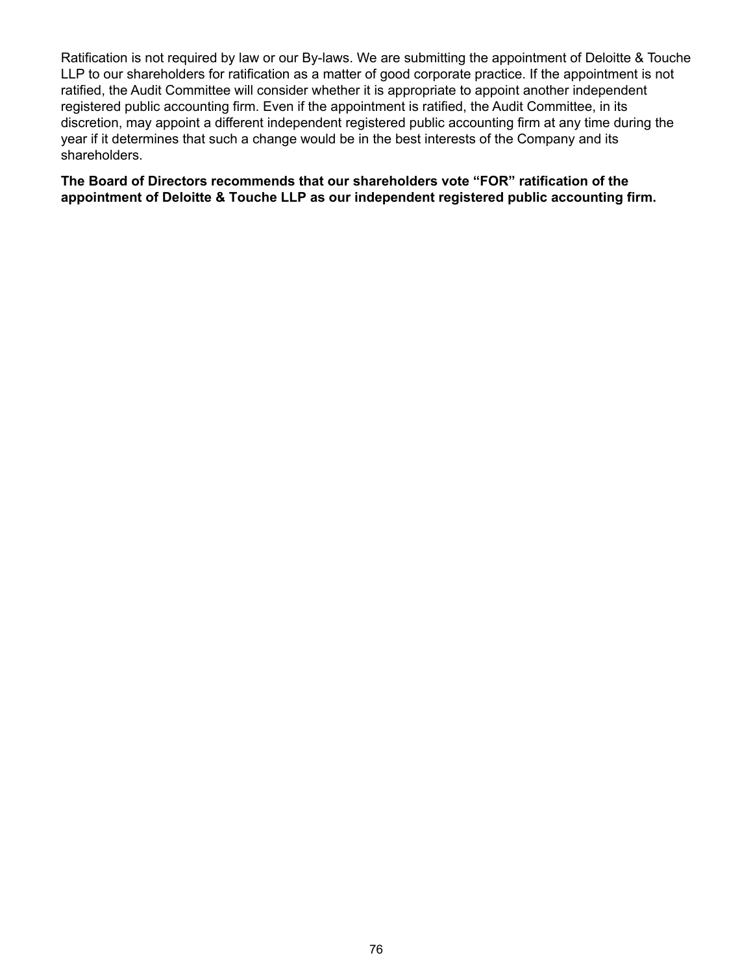Ratification is not required by law or our By-laws. We are submitting the appointment of Deloitte & Touche LLP to our shareholders for ratification as a matter of good corporate practice. If the appointment is not ratified, the Audit Committee will consider whether it is appropriate to appoint another independent registered public accounting firm. Even if the appointment is ratified, the Audit Committee, in its discretion, may appoint a different independent registered public accounting firm at any time during the year if it determines that such a change would be in the best interests of the Company and its shareholders.

**The Board of Directors recommends that our shareholders vote "FOR" ratification of the appointment of Deloitte & Touche LLP as our independent registered public accounting firm.**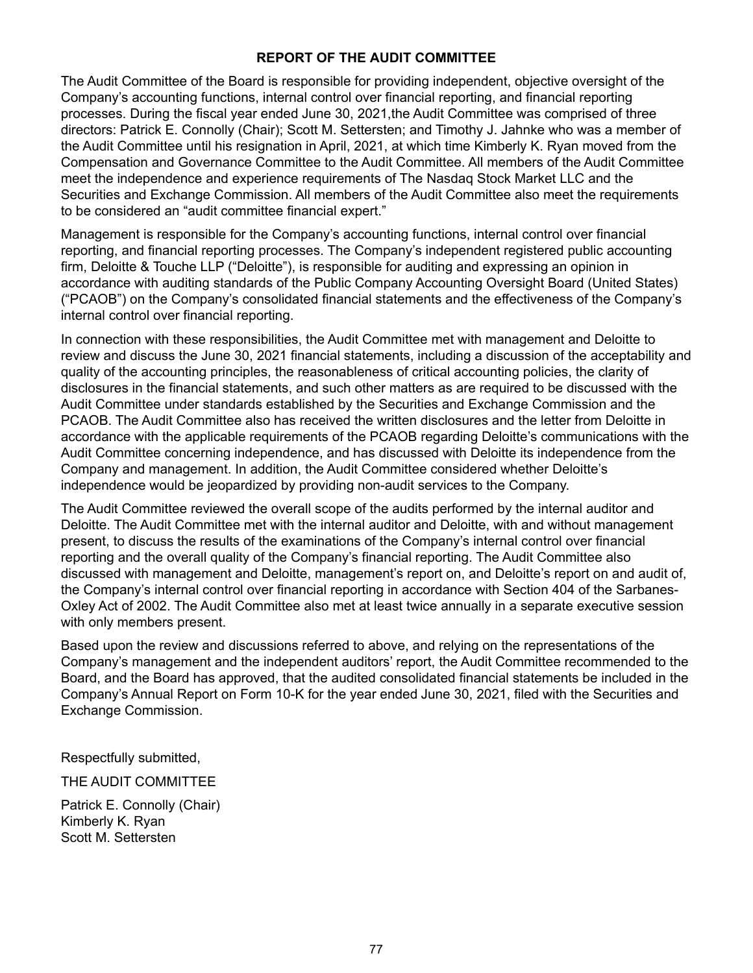## **REPORT OF THE AUDIT COMMITTEE**

The Audit Committee of the Board is responsible for providing independent, objective oversight of the Company's accounting functions, internal control over financial reporting, and financial reporting processes. During the fiscal year ended June 30, 2021,the Audit Committee was comprised of three directors: Patrick E. Connolly (Chair); Scott M. Settersten; and Timothy J. Jahnke who was a member of the Audit Committee until his resignation in April, 2021, at which time Kimberly K. Ryan moved from the Compensation and Governance Committee to the Audit Committee. All members of the Audit Committee meet the independence and experience requirements of The Nasdaq Stock Market LLC and the Securities and Exchange Commission. All members of the Audit Committee also meet the requirements to be considered an "audit committee financial expert."

Management is responsible for the Company's accounting functions, internal control over financial reporting, and financial reporting processes. The Company's independent registered public accounting firm, Deloitte & Touche LLP ("Deloitte"), is responsible for auditing and expressing an opinion in accordance with auditing standards of the Public Company Accounting Oversight Board (United States) ("PCAOB") on the Company's consolidated financial statements and the effectiveness of the Company's internal control over financial reporting.

In connection with these responsibilities, the Audit Committee met with management and Deloitte to review and discuss the June 30, 2021 financial statements, including a discussion of the acceptability and quality of the accounting principles, the reasonableness of critical accounting policies, the clarity of disclosures in the financial statements, and such other matters as are required to be discussed with the Audit Committee under standards established by the Securities and Exchange Commission and the PCAOB. The Audit Committee also has received the written disclosures and the letter from Deloitte in accordance with the applicable requirements of the PCAOB regarding Deloitte's communications with the Audit Committee concerning independence, and has discussed with Deloitte its independence from the Company and management. In addition, the Audit Committee considered whether Deloitte's independence would be jeopardized by providing non-audit services to the Company.

The Audit Committee reviewed the overall scope of the audits performed by the internal auditor and Deloitte. The Audit Committee met with the internal auditor and Deloitte, with and without management present, to discuss the results of the examinations of the Company's internal control over financial reporting and the overall quality of the Company's financial reporting. The Audit Committee also discussed with management and Deloitte, management's report on, and Deloitte's report on and audit of, the Company's internal control over financial reporting in accordance with Section 404 of the Sarbanes-Oxley Act of 2002. The Audit Committee also met at least twice annually in a separate executive session with only members present.

Based upon the review and discussions referred to above, and relying on the representations of the Company's management and the independent auditors' report, the Audit Committee recommended to the Board, and the Board has approved, that the audited consolidated financial statements be included in the Company's Annual Report on Form 10-K for the year ended June 30, 2021, filed with the Securities and Exchange Commission.

Respectfully submitted,

THE AUDIT COMMITTEE

Patrick E. Connolly (Chair) Kimberly K. Ryan Scott M. Settersten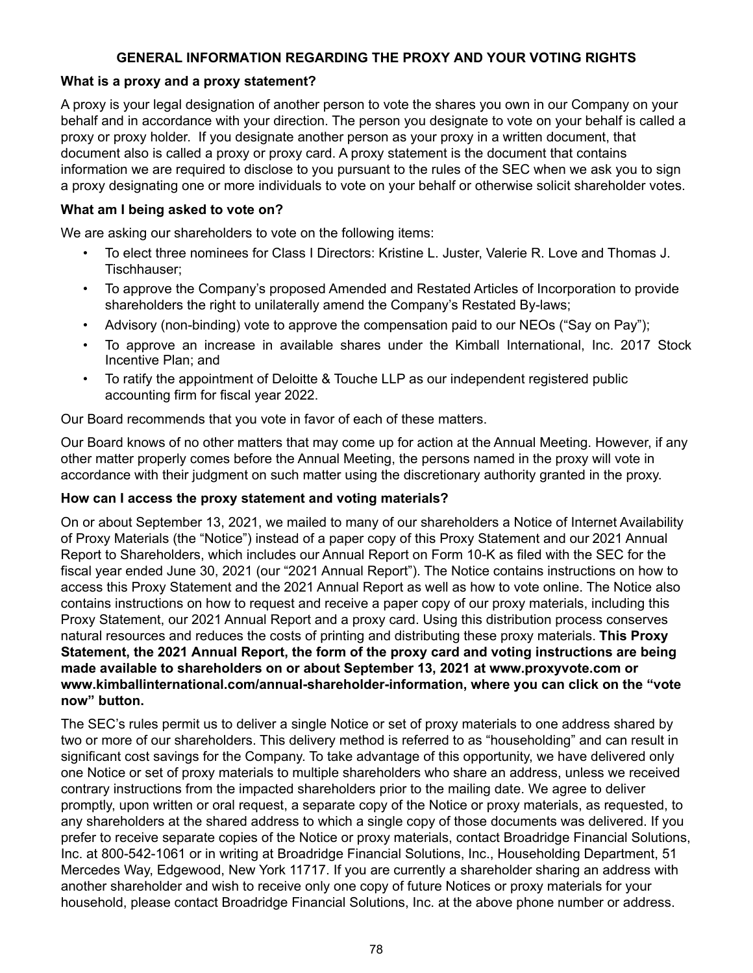# **GENERAL INFORMATION REGARDING THE PROXY AND YOUR VOTING RIGHTS**

### **What is a proxy and a proxy statement?**

A proxy is your legal designation of another person to vote the shares you own in our Company on your behalf and in accordance with your direction. The person you designate to vote on your behalf is called a proxy or proxy holder. If you designate another person as your proxy in a written document, that document also is called a proxy or proxy card. A proxy statement is the document that contains information we are required to disclose to you pursuant to the rules of the SEC when we ask you to sign a proxy designating one or more individuals to vote on your behalf or otherwise solicit shareholder votes.

### **What am I being asked to vote on?**

We are asking our shareholders to vote on the following items:

- To elect three nominees for Class I Directors: Kristine L. Juster, Valerie R. Love and Thomas J. Tischhauser;
- To approve the Company's proposed Amended and Restated Articles of Incorporation to provide shareholders the right to unilaterally amend the Company's Restated By-laws;
- Advisory (non-binding) vote to approve the compensation paid to our NEOs ("Say on Pay");
- To approve an increase in available shares under the Kimball International, Inc. 2017 Stock Incentive Plan; and
- To ratify the appointment of Deloitte & Touche LLP as our independent registered public accounting firm for fiscal year 2022.

Our Board recommends that you vote in favor of each of these matters.

Our Board knows of no other matters that may come up for action at the Annual Meeting. However, if any other matter properly comes before the Annual Meeting, the persons named in the proxy will vote in accordance with their judgment on such matter using the discretionary authority granted in the proxy.

### **How can I access the proxy statement and voting materials?**

On or about September 13, 2021, we mailed to many of our shareholders a Notice of Internet Availability of Proxy Materials (the "Notice") instead of a paper copy of this Proxy Statement and our 2021 Annual Report to Shareholders, which includes our Annual Report on Form 10-K as filed with the SEC for the fiscal year ended June 30, 2021 (our "2021 Annual Report"). The Notice contains instructions on how to access this Proxy Statement and the 2021 Annual Report as well as how to vote online. The Notice also contains instructions on how to request and receive a paper copy of our proxy materials, including this Proxy Statement, our 2021 Annual Report and a proxy card. Using this distribution process conserves natural resources and reduces the costs of printing and distributing these proxy materials. **This Proxy Statement, the 2021 Annual Report, the form of the proxy card and voting instructions are being made available to shareholders on or about September 13, 2021 at www.proxyvote.com or www.kimballinternational.com/annual-shareholder-information, where you can click on the "vote now" button.** 

The SEC's rules permit us to deliver a single Notice or set of proxy materials to one address shared by two or more of our shareholders. This delivery method is referred to as "householding" and can result in significant cost savings for the Company. To take advantage of this opportunity, we have delivered only one Notice or set of proxy materials to multiple shareholders who share an address, unless we received contrary instructions from the impacted shareholders prior to the mailing date. We agree to deliver promptly, upon written or oral request, a separate copy of the Notice or proxy materials, as requested, to any shareholders at the shared address to which a single copy of those documents was delivered. If you prefer to receive separate copies of the Notice or proxy materials, contact Broadridge Financial Solutions, Inc. at 800-542-1061 or in writing at Broadridge Financial Solutions, Inc., Householding Department, 51 Mercedes Way, Edgewood, New York 11717. If you are currently a shareholder sharing an address with another shareholder and wish to receive only one copy of future Notices or proxy materials for your household, please contact Broadridge Financial Solutions, Inc. at the above phone number or address.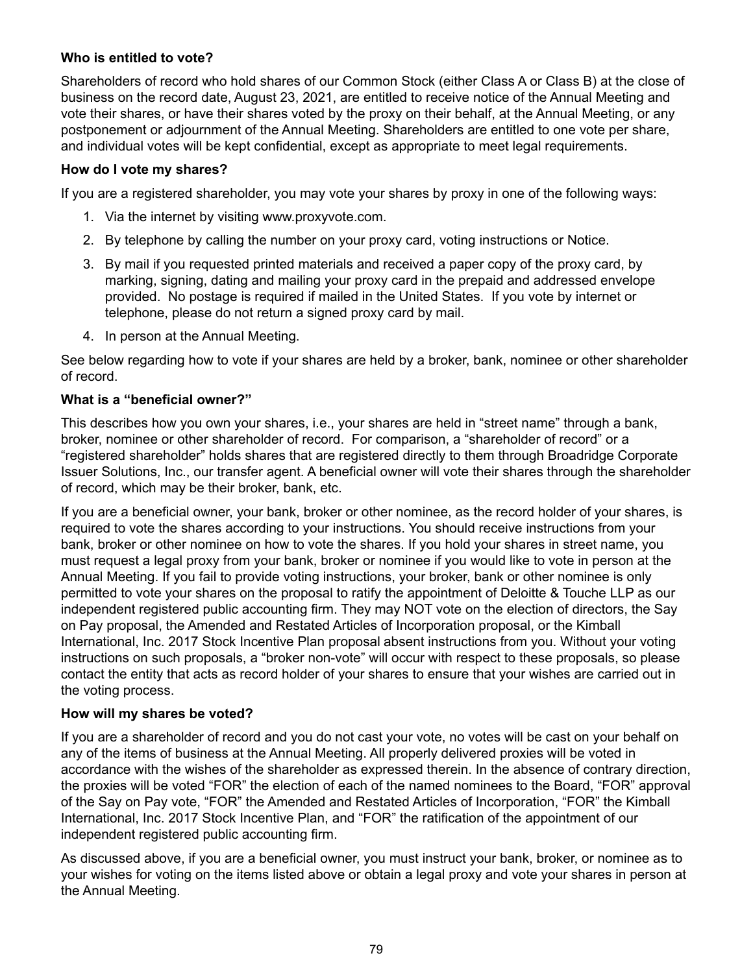# **Who is entitled to vote?**

Shareholders of record who hold shares of our Common Stock (either Class A or Class B) at the close of business on the record date, August 23, 2021, are entitled to receive notice of the Annual Meeting and vote their shares, or have their shares voted by the proxy on their behalf, at the Annual Meeting, or any postponement or adjournment of the Annual Meeting. Shareholders are entitled to one vote per share, and individual votes will be kept confidential, except as appropriate to meet legal requirements.

### **How do I vote my shares?**

If you are a registered shareholder, you may vote your shares by proxy in one of the following ways:

- 1. Via the internet by visiting www.proxyvote.com.
- 2. By telephone by calling the number on your proxy card, voting instructions or Notice.
- 3. By mail if you requested printed materials and received a paper copy of the proxy card, by marking, signing, dating and mailing your proxy card in the prepaid and addressed envelope provided. No postage is required if mailed in the United States. If you vote by internet or telephone, please do not return a signed proxy card by mail.
- 4. In person at the Annual Meeting.

See below regarding how to vote if your shares are held by a broker, bank, nominee or other shareholder of record.

### **What is a "beneficial owner?"**

This describes how you own your shares, i.e., your shares are held in "street name" through a bank, broker, nominee or other shareholder of record. For comparison, a "shareholder of record" or a "registered shareholder" holds shares that are registered directly to them through Broadridge Corporate Issuer Solutions, Inc., our transfer agent. A beneficial owner will vote their shares through the shareholder of record, which may be their broker, bank, etc.

If you are a beneficial owner, your bank, broker or other nominee, as the record holder of your shares, is required to vote the shares according to your instructions. You should receive instructions from your bank, broker or other nominee on how to vote the shares. If you hold your shares in street name, you must request a legal proxy from your bank, broker or nominee if you would like to vote in person at the Annual Meeting. If you fail to provide voting instructions, your broker, bank or other nominee is only permitted to vote your shares on the proposal to ratify the appointment of Deloitte & Touche LLP as our independent registered public accounting firm. They may NOT vote on the election of directors, the Say on Pay proposal, the Amended and Restated Articles of Incorporation proposal, or the Kimball International, Inc. 2017 Stock Incentive Plan proposal absent instructions from you. Without your voting instructions on such proposals, a "broker non-vote" will occur with respect to these proposals, so please contact the entity that acts as record holder of your shares to ensure that your wishes are carried out in the voting process.

### **How will my shares be voted?**

If you are a shareholder of record and you do not cast your vote, no votes will be cast on your behalf on any of the items of business at the Annual Meeting. All properly delivered proxies will be voted in accordance with the wishes of the shareholder as expressed therein. In the absence of contrary direction, the proxies will be voted "FOR" the election of each of the named nominees to the Board, "FOR" approval of the Say on Pay vote, "FOR" the Amended and Restated Articles of Incorporation, "FOR" the Kimball International, Inc. 2017 Stock Incentive Plan, and "FOR" the ratification of the appointment of our independent registered public accounting firm.

As discussed above, if you are a beneficial owner, you must instruct your bank, broker, or nominee as to your wishes for voting on the items listed above or obtain a legal proxy and vote your shares in person at the Annual Meeting.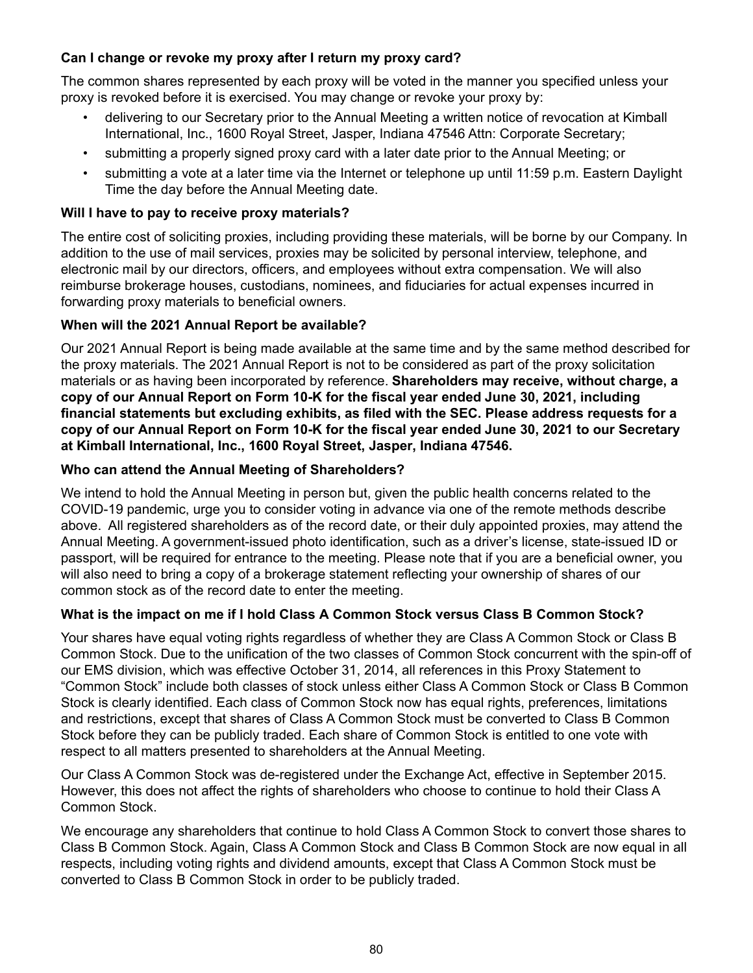# **Can I change or revoke my proxy after I return my proxy card?**

The common shares represented by each proxy will be voted in the manner you specified unless your proxy is revoked before it is exercised. You may change or revoke your proxy by:

- delivering to our Secretary prior to the Annual Meeting a written notice of revocation at Kimball International, Inc., 1600 Royal Street, Jasper, Indiana 47546 Attn: Corporate Secretary;
- submitting a properly signed proxy card with a later date prior to the Annual Meeting; or
- submitting a vote at a later time via the Internet or telephone up until 11:59 p.m. Eastern Daylight Time the day before the Annual Meeting date.

# **Will I have to pay to receive proxy materials?**

The entire cost of soliciting proxies, including providing these materials, will be borne by our Company. In addition to the use of mail services, proxies may be solicited by personal interview, telephone, and electronic mail by our directors, officers, and employees without extra compensation. We will also reimburse brokerage houses, custodians, nominees, and fiduciaries for actual expenses incurred in forwarding proxy materials to beneficial owners.

# **When will the 2021 Annual Report be available?**

Our 2021 Annual Report is being made available at the same time and by the same method described for the proxy materials. The 2021 Annual Report is not to be considered as part of the proxy solicitation materials or as having been incorporated by reference. **Shareholders may receive, without charge, a copy of our Annual Report on Form 10-K for the fiscal year ended June 30, 2021, including financial statements but excluding exhibits, as filed with the SEC. Please address requests for a copy of our Annual Report on Form 10-K for the fiscal year ended June 30, 2021 to our Secretary at Kimball International, Inc., 1600 Royal Street, Jasper, Indiana 47546.**

# **Who can attend the Annual Meeting of Shareholders?**

We intend to hold the Annual Meeting in person but, given the public health concerns related to the COVID-19 pandemic, urge you to consider voting in advance via one of the remote methods describe above. All registered shareholders as of the record date, or their duly appointed proxies, may attend the Annual Meeting. A government-issued photo identification, such as a driver's license, state-issued ID or passport, will be required for entrance to the meeting. Please note that if you are a beneficial owner, you will also need to bring a copy of a brokerage statement reflecting your ownership of shares of our common stock as of the record date to enter the meeting.

# **What is the impact on me if I hold Class A Common Stock versus Class B Common Stock?**

Your shares have equal voting rights regardless of whether they are Class A Common Stock or Class B Common Stock. Due to the unification of the two classes of Common Stock concurrent with the spin-off of our EMS division, which was effective October 31, 2014, all references in this Proxy Statement to "Common Stock" include both classes of stock unless either Class A Common Stock or Class B Common Stock is clearly identified. Each class of Common Stock now has equal rights, preferences, limitations and restrictions, except that shares of Class A Common Stock must be converted to Class B Common Stock before they can be publicly traded. Each share of Common Stock is entitled to one vote with respect to all matters presented to shareholders at the Annual Meeting.

Our Class A Common Stock was de-registered under the Exchange Act, effective in September 2015. However, this does not affect the rights of shareholders who choose to continue to hold their Class A Common Stock.

We encourage any shareholders that continue to hold Class A Common Stock to convert those shares to Class B Common Stock. Again, Class A Common Stock and Class B Common Stock are now equal in all respects, including voting rights and dividend amounts, except that Class A Common Stock must be converted to Class B Common Stock in order to be publicly traded.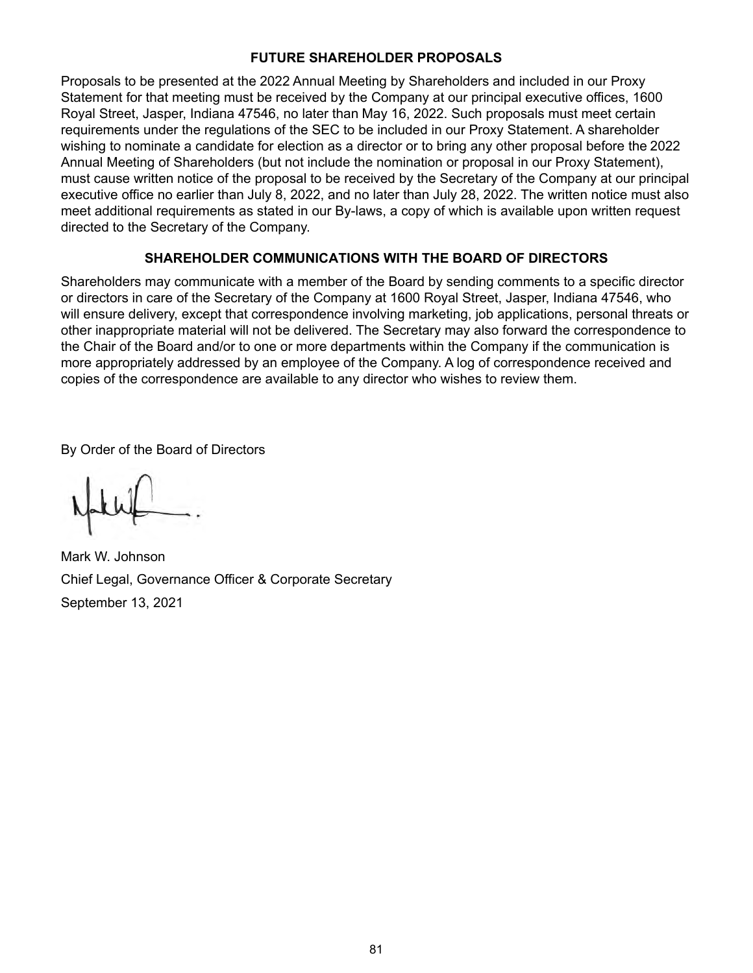## **FUTURE SHAREHOLDER PROPOSALS**

Proposals to be presented at the 2022 Annual Meeting by Shareholders and included in our Proxy Statement for that meeting must be received by the Company at our principal executive offices, 1600 Royal Street, Jasper, Indiana 47546, no later than May 16, 2022. Such proposals must meet certain requirements under the regulations of the SEC to be included in our Proxy Statement. A shareholder wishing to nominate a candidate for election as a director or to bring any other proposal before the 2022 Annual Meeting of Shareholders (but not include the nomination or proposal in our Proxy Statement), must cause written notice of the proposal to be received by the Secretary of the Company at our principal executive office no earlier than July 8, 2022, and no later than July 28, 2022. The written notice must also meet additional requirements as stated in our By-laws, a copy of which is available upon written request directed to the Secretary of the Company.

## **SHAREHOLDER COMMUNICATIONS WITH THE BOARD OF DIRECTORS**

Shareholders may communicate with a member of the Board by sending comments to a specific director or directors in care of the Secretary of the Company at 1600 Royal Street, Jasper, Indiana 47546, who will ensure delivery, except that correspondence involving marketing, job applications, personal threats or other inappropriate material will not be delivered. The Secretary may also forward the correspondence to the Chair of the Board and/or to one or more departments within the Company if the communication is more appropriately addressed by an employee of the Company. A log of correspondence received and copies of the correspondence are available to any director who wishes to review them.

By Order of the Board of Directors

Mark W. Johnson Chief Legal, Governance Officer & Corporate Secretary September 13, 2021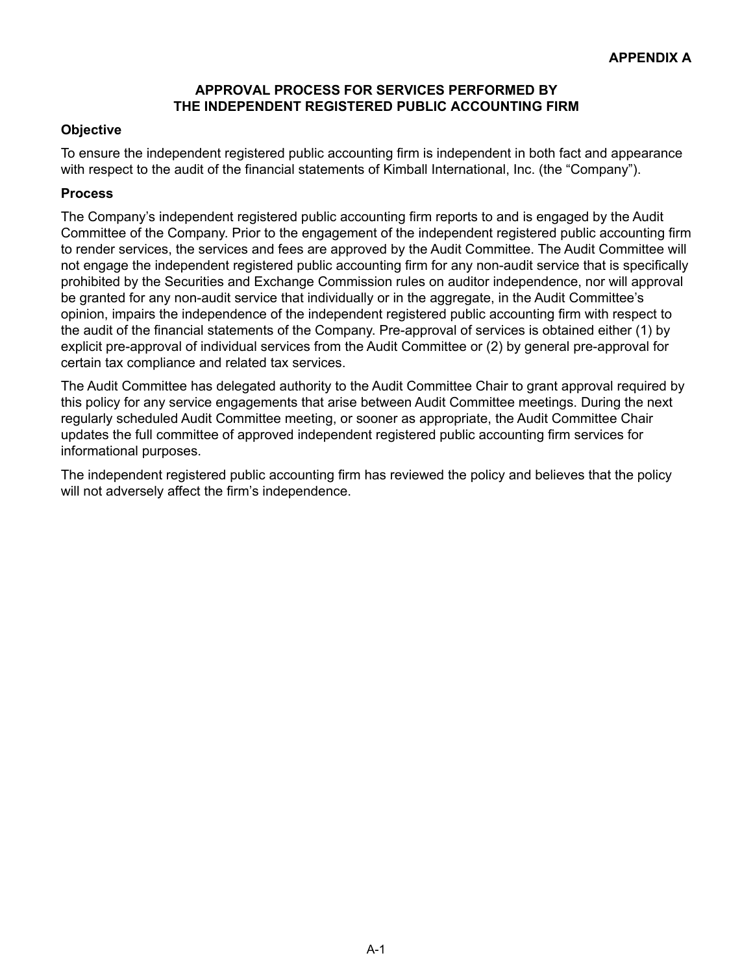### **APPROVAL PROCESS FOR SERVICES PERFORMED BY THE INDEPENDENT REGISTERED PUBLIC ACCOUNTING FIRM**

# **Objective**

To ensure the independent registered public accounting firm is independent in both fact and appearance with respect to the audit of the financial statements of Kimball International, Inc. (the "Company").

## **Process**

The Company's independent registered public accounting firm reports to and is engaged by the Audit Committee of the Company. Prior to the engagement of the independent registered public accounting firm to render services, the services and fees are approved by the Audit Committee. The Audit Committee will not engage the independent registered public accounting firm for any non-audit service that is specifically prohibited by the Securities and Exchange Commission rules on auditor independence, nor will approval be granted for any non-audit service that individually or in the aggregate, in the Audit Committee's opinion, impairs the independence of the independent registered public accounting firm with respect to the audit of the financial statements of the Company. Pre-approval of services is obtained either (1) by explicit pre-approval of individual services from the Audit Committee or (2) by general pre-approval for certain tax compliance and related tax services.

The Audit Committee has delegated authority to the Audit Committee Chair to grant approval required by this policy for any service engagements that arise between Audit Committee meetings. During the next regularly scheduled Audit Committee meeting, or sooner as appropriate, the Audit Committee Chair updates the full committee of approved independent registered public accounting firm services for informational purposes.

The independent registered public accounting firm has reviewed the policy and believes that the policy will not adversely affect the firm's independence.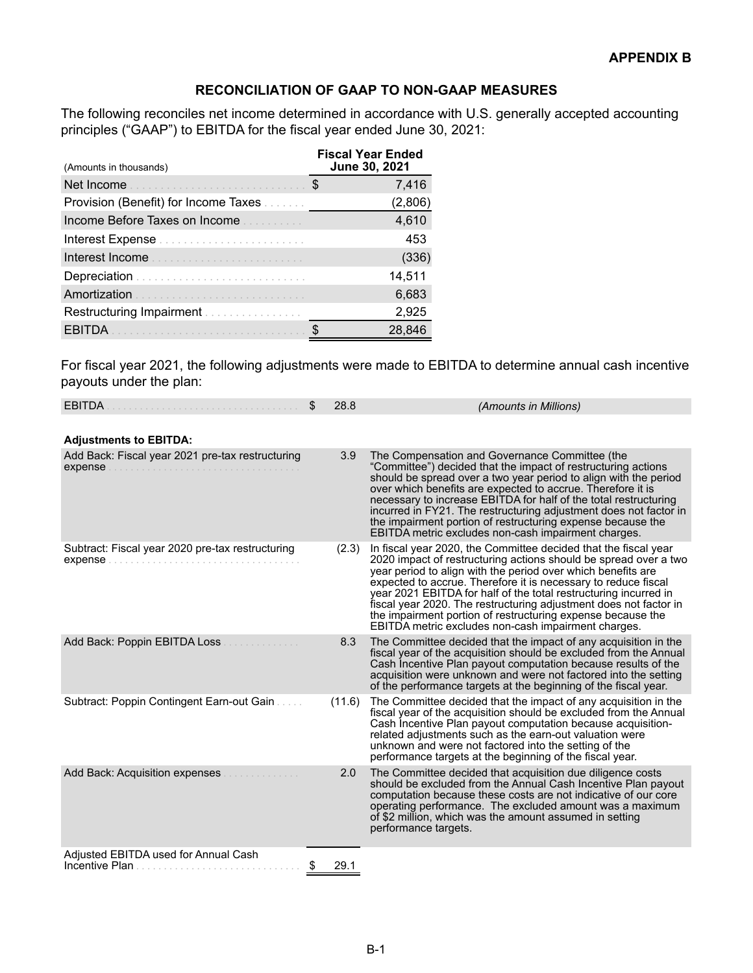## **RECONCILIATION OF GAAP TO NON-GAAP MEASURES**

The following reconciles net income determined in accordance with U.S. generally accepted accounting principles ("GAAP") to EBITDA for the fiscal year ended June 30, 2021:

| (Amounts in thousands)               |   | <b>Fiscal Year Ended</b><br>June 30, 2021 |
|--------------------------------------|---|-------------------------------------------|
|                                      | S | 7,416                                     |
| Provision (Benefit) for Income Taxes |   | (2,806)                                   |
| Income Before Taxes on Income        |   | 4,610                                     |
|                                      |   | 453                                       |
|                                      |   | (336)                                     |
|                                      |   | 14,511                                    |
| Amortization                         |   | 6,683                                     |
|                                      |   | 2,925                                     |
| EBITDA                               |   | 28,846                                    |

For fiscal year 2021, the following adjustments were made to EBITDA to determine annual cash incentive payouts under the plan:

| <b>EBITDA</b>                                               | \$<br>28.8 | (Amounts in Millions)                                                                                                                                                                                                                                                                                                                                                                                                                                                                                                                |
|-------------------------------------------------------------|------------|--------------------------------------------------------------------------------------------------------------------------------------------------------------------------------------------------------------------------------------------------------------------------------------------------------------------------------------------------------------------------------------------------------------------------------------------------------------------------------------------------------------------------------------|
| <b>Adjustments to EBITDA:</b>                               |            |                                                                                                                                                                                                                                                                                                                                                                                                                                                                                                                                      |
| Add Back: Fiscal year 2021 pre-tax restructuring            | 3.9        | The Compensation and Governance Committee (the<br>"Committee") decided that the impact of restructuring actions<br>should be spread over a two year period to align with the period<br>over which benefits are expected to accrue. Therefore it is<br>necessary to increase EBITDA for half of the total restructuring<br>incurred in FY21. The restructuring adjustment does not factor in<br>the impairment portion of restructuring expense because the<br>EBITDA metric excludes non-cash impairment charges.                    |
| Subtract: Fiscal year 2020 pre-tax restructuring<br>expense | (2.3)      | In fiscal year 2020, the Committee decided that the fiscal year<br>2020 impact of restructuring actions should be spread over a two<br>year period to align with the period over which benefits are<br>expected to accrue. Therefore it is necessary to reduce fiscal<br>year 2021 EBITDA for half of the total restructuring incurred in<br>fiscal year 2020. The restructuring adjustment does not factor in<br>the impairment portion of restructuring expense because the<br>EBITDA metric excludes non-cash impairment charges. |
| Add Back: Poppin EBITDA Loss                                | 8.3        | The Committee decided that the impact of any acquisition in the<br>fiscal year of the acquisition should be excluded from the Annual<br>Cash Incentive Plan payout computation because results of the<br>acquisition were unknown and were not factored into the setting<br>of the performance targets at the beginning of the fiscal year.                                                                                                                                                                                          |
| Subtract: Poppin Contingent Earn-out Gain                   | (11.6)     | The Committee decided that the impact of any acquisition in the<br>fiscal year of the acquisition should be excluded from the Annual<br>Cash Incentive Plan payout computation because acquisition-<br>related adjustments such as the earn-out valuation were<br>unknown and were not factored into the setting of the<br>performance targets at the beginning of the fiscal year.                                                                                                                                                  |
| Add Back: Acquisition expenses                              | 2.0        | The Committee decided that acquisition due diligence costs<br>should be excluded from the Annual Cash Incentive Plan payout<br>computation because these costs are not indicative of our core<br>operating performance. The excluded amount was a maximum<br>of \$2 million, which was the amount assumed in setting<br>performance targets.                                                                                                                                                                                         |
| Adjusted EBITDA used for Annual Cash<br>Incentive Plan      | 29.1       |                                                                                                                                                                                                                                                                                                                                                                                                                                                                                                                                      |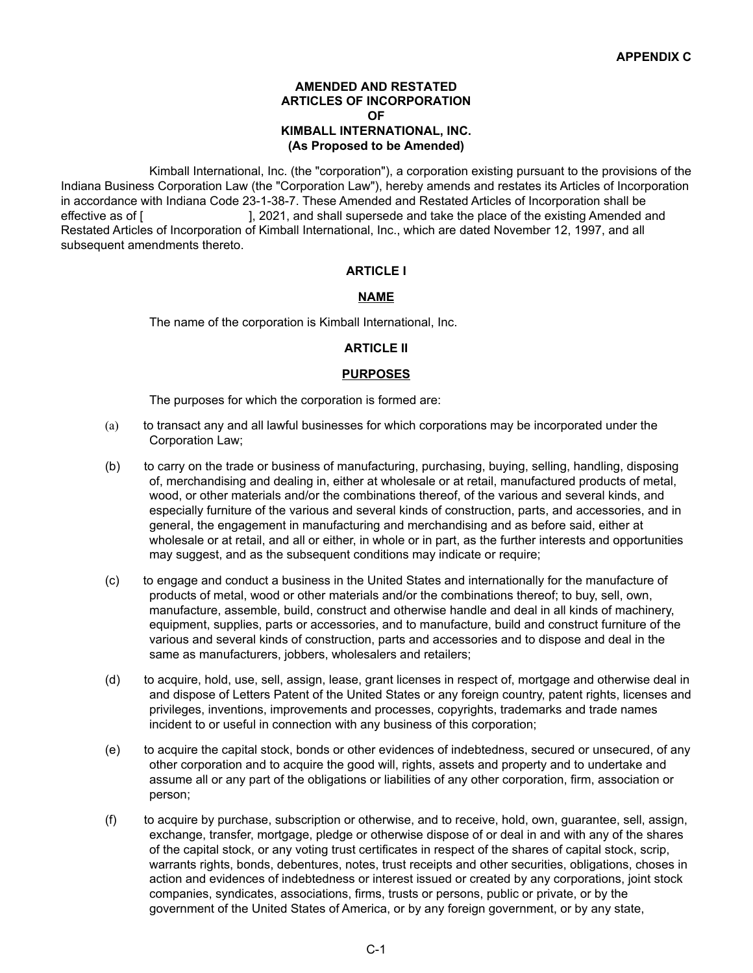#### **AMENDED AND RESTATED ARTICLES OF INCORPORATION OF KIMBALL INTERNATIONAL, INC. (As Proposed to be Amended)**

Kimball International, Inc. (the "corporation"), a corporation existing pursuant to the provisions of the Indiana Business Corporation Law (the "Corporation Law"), hereby amends and restates its Articles of Incorporation in accordance with Indiana Code 23-1-38-7. These Amended and Restated Articles of Incorporation shall be effective as of [  $\qquad \qquad$ ], 2021, and shall supersede and take the place of the existing Amended and Restated Articles of Incorporation of Kimball International, Inc., which are dated November 12, 1997, and all subsequent amendments thereto.

### **ARTICLE I**

#### **NAME**

The name of the corporation is Kimball International, Inc.

#### **ARTICLE II**

#### **PURPOSES**

The purposes for which the corporation is formed are:

- (a) to transact any and all lawful businesses for which corporations may be incorporated under the Corporation Law;
- (b) to carry on the trade or business of manufacturing, purchasing, buying, selling, handling, disposing of, merchandising and dealing in, either at wholesale or at retail, manufactured products of metal, wood, or other materials and/or the combinations thereof, of the various and several kinds, and especially furniture of the various and several kinds of construction, parts, and accessories, and in general, the engagement in manufacturing and merchandising and as before said, either at wholesale or at retail, and all or either, in whole or in part, as the further interests and opportunities may suggest, and as the subsequent conditions may indicate or require;
- (c) to engage and conduct a business in the United States and internationally for the manufacture of products of metal, wood or other materials and/or the combinations thereof; to buy, sell, own, manufacture, assemble, build, construct and otherwise handle and deal in all kinds of machinery, equipment, supplies, parts or accessories, and to manufacture, build and construct furniture of the various and several kinds of construction, parts and accessories and to dispose and deal in the same as manufacturers, jobbers, wholesalers and retailers;
- (d) to acquire, hold, use, sell, assign, lease, grant licenses in respect of, mortgage and otherwise deal in and dispose of Letters Patent of the United States or any foreign country, patent rights, licenses and privileges, inventions, improvements and processes, copyrights, trademarks and trade names incident to or useful in connection with any business of this corporation;
- (e) to acquire the capital stock, bonds or other evidences of indebtedness, secured or unsecured, of any other corporation and to acquire the good will, rights, assets and property and to undertake and assume all or any part of the obligations or liabilities of any other corporation, firm, association or person;
- (f) to acquire by purchase, subscription or otherwise, and to receive, hold, own, guarantee, sell, assign, exchange, transfer, mortgage, pledge or otherwise dispose of or deal in and with any of the shares of the capital stock, or any voting trust certificates in respect of the shares of capital stock, scrip, warrants rights, bonds, debentures, notes, trust receipts and other securities, obligations, choses in action and evidences of indebtedness or interest issued or created by any corporations, joint stock companies, syndicates, associations, firms, trusts or persons, public or private, or by the government of the United States of America, or by any foreign government, or by any state,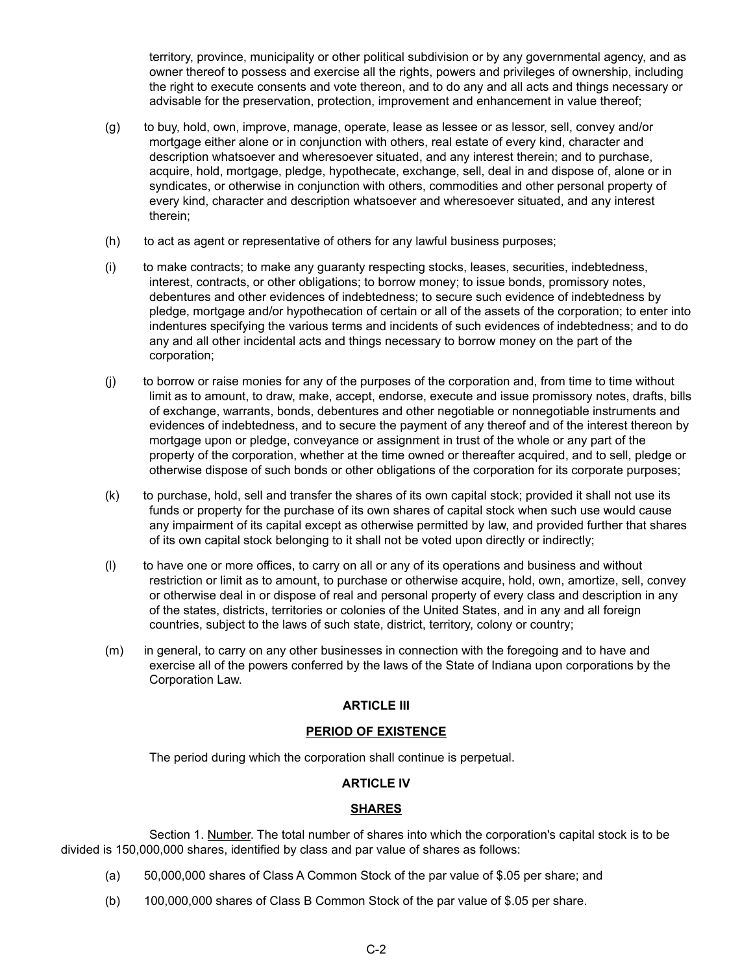territory, province, municipality or other political subdivision or by any governmental agency, and as owner thereof to possess and exercise all the rights, powers and privileges of ownership, including the right to execute consents and vote thereon, and to do any and all acts and things necessary or advisable for the preservation, protection, improvement and enhancement in value thereof;

- (g) to buy, hold, own, improve, manage, operate, lease as lessee or as lessor, sell, convey and/or mortgage either alone or in conjunction with others, real estate of every kind, character and description whatsoever and wheresoever situated, and any interest therein; and to purchase, acquire, hold, mortgage, pledge, hypothecate, exchange, sell, deal in and dispose of, alone or in syndicates, or otherwise in conjunction with others, commodities and other personal property of every kind, character and description whatsoever and wheresoever situated, and any interest therein;
- (h) to act as agent or representative of others for any lawful business purposes;
- (i) to make contracts; to make any guaranty respecting stocks, leases, securities, indebtedness, interest, contracts, or other obligations; to borrow money; to issue bonds, promissory notes, debentures and other evidences of indebtedness; to secure such evidence of indebtedness by pledge, mortgage and/or hypothecation of certain or all of the assets of the corporation; to enter into indentures specifying the various terms and incidents of such evidences of indebtedness; and to do any and all other incidental acts and things necessary to borrow money on the part of the corporation;
- (j) to borrow or raise monies for any of the purposes of the corporation and, from time to time without limit as to amount, to draw, make, accept, endorse, execute and issue promissory notes, drafts, bills of exchange, warrants, bonds, debentures and other negotiable or nonnegotiable instruments and evidences of indebtedness, and to secure the payment of any thereof and of the interest thereon by mortgage upon or pledge, conveyance or assignment in trust of the whole or any part of the property of the corporation, whether at the time owned or thereafter acquired, and to sell, pledge or otherwise dispose of such bonds or other obligations of the corporation for its corporate purposes;
- (k) to purchase, hold, sell and transfer the shares of its own capital stock; provided it shall not use its funds or property for the purchase of its own shares of capital stock when such use would cause any impairment of its capital except as otherwise permitted by law, and provided further that shares of its own capital stock belonging to it shall not be voted upon directly or indirectly;
- (l) to have one or more offices, to carry on all or any of its operations and business and without restriction or limit as to amount, to purchase or otherwise acquire, hold, own, amortize, sell, convey or otherwise deal in or dispose of real and personal property of every class and description in any of the states, districts, territories or colonies of the United States, and in any and all foreign countries, subject to the laws of such state, district, territory, colony or country;
- (m) in general, to carry on any other businesses in connection with the foregoing and to have and exercise all of the powers conferred by the laws of the State of Indiana upon corporations by the Corporation Law.

### **ARTICLE III**

### **PERIOD OF EXISTENCE**

The period during which the corporation shall continue is perpetual.

### **ARTICLE IV**

### **SHARES**

Section 1. Number. The total number of shares into which the corporation's capital stock is to be divided is 150,000,000 shares, identified by class and par value of shares as follows:

- (a) 50,000,000 shares of Class A Common Stock of the par value of \$.05 per share; and
- (b) 100,000,000 shares of Class B Common Stock of the par value of \$.05 per share.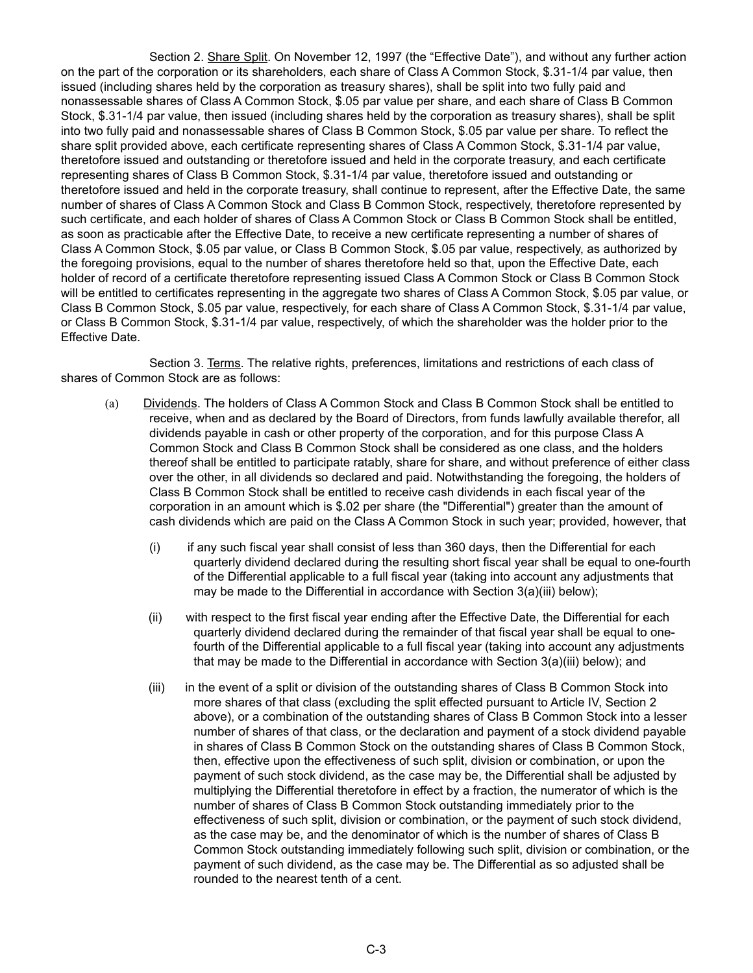Section 2. Share Split. On November 12, 1997 (the "Effective Date"), and without any further action on the part of the corporation or its shareholders, each share of Class A Common Stock, \$.31-1/4 par value, then issued (including shares held by the corporation as treasury shares), shall be split into two fully paid and nonassessable shares of Class A Common Stock, \$.05 par value per share, and each share of Class B Common Stock, \$.31-1/4 par value, then issued (including shares held by the corporation as treasury shares), shall be split into two fully paid and nonassessable shares of Class B Common Stock, \$.05 par value per share. To reflect the share split provided above, each certificate representing shares of Class A Common Stock, \$.31-1/4 par value, theretofore issued and outstanding or theretofore issued and held in the corporate treasury, and each certificate representing shares of Class B Common Stock, \$.31-1/4 par value, theretofore issued and outstanding or theretofore issued and held in the corporate treasury, shall continue to represent, after the Effective Date, the same number of shares of Class A Common Stock and Class B Common Stock, respectively, theretofore represented by such certificate, and each holder of shares of Class A Common Stock or Class B Common Stock shall be entitled, as soon as practicable after the Effective Date, to receive a new certificate representing a number of shares of Class A Common Stock, \$.05 par value, or Class B Common Stock, \$.05 par value, respectively, as authorized by the foregoing provisions, equal to the number of shares theretofore held so that, upon the Effective Date, each holder of record of a certificate theretofore representing issued Class A Common Stock or Class B Common Stock will be entitled to certificates representing in the aggregate two shares of Class A Common Stock, \$.05 par value, or Class B Common Stock, \$.05 par value, respectively, for each share of Class A Common Stock, \$.31-1/4 par value, or Class B Common Stock, \$.31-1/4 par value, respectively, of which the shareholder was the holder prior to the Effective Date.

Section 3. Terms. The relative rights, preferences, limitations and restrictions of each class of shares of Common Stock are as follows:

- (a) Dividends. The holders of Class A Common Stock and Class B Common Stock shall be entitled to receive, when and as declared by the Board of Directors, from funds lawfully available therefor, all dividends payable in cash or other property of the corporation, and for this purpose Class A Common Stock and Class B Common Stock shall be considered as one class, and the holders thereof shall be entitled to participate ratably, share for share, and without preference of either class over the other, in all dividends so declared and paid. Notwithstanding the foregoing, the holders of Class B Common Stock shall be entitled to receive cash dividends in each fiscal year of the corporation in an amount which is \$.02 per share (the "Differential") greater than the amount of cash dividends which are paid on the Class A Common Stock in such year; provided, however, that
	- (i) if any such fiscal year shall consist of less than 360 days, then the Differential for each quarterly dividend declared during the resulting short fiscal year shall be equal to one-fourth of the Differential applicable to a full fiscal year (taking into account any adjustments that may be made to the Differential in accordance with Section 3(a)(iii) below);
	- (ii) with respect to the first fiscal year ending after the Effective Date, the Differential for each quarterly dividend declared during the remainder of that fiscal year shall be equal to onefourth of the Differential applicable to a full fiscal year (taking into account any adjustments that may be made to the Differential in accordance with Section 3(a)(iii) below); and
	- (iii) in the event of a split or division of the outstanding shares of Class B Common Stock into more shares of that class (excluding the split effected pursuant to Article IV, Section 2 above), or a combination of the outstanding shares of Class B Common Stock into a lesser number of shares of that class, or the declaration and payment of a stock dividend payable in shares of Class B Common Stock on the outstanding shares of Class B Common Stock, then, effective upon the effectiveness of such split, division or combination, or upon the payment of such stock dividend, as the case may be, the Differential shall be adjusted by multiplying the Differential theretofore in effect by a fraction, the numerator of which is the number of shares of Class B Common Stock outstanding immediately prior to the effectiveness of such split, division or combination, or the payment of such stock dividend, as the case may be, and the denominator of which is the number of shares of Class B Common Stock outstanding immediately following such split, division or combination, or the payment of such dividend, as the case may be. The Differential as so adjusted shall be rounded to the nearest tenth of a cent.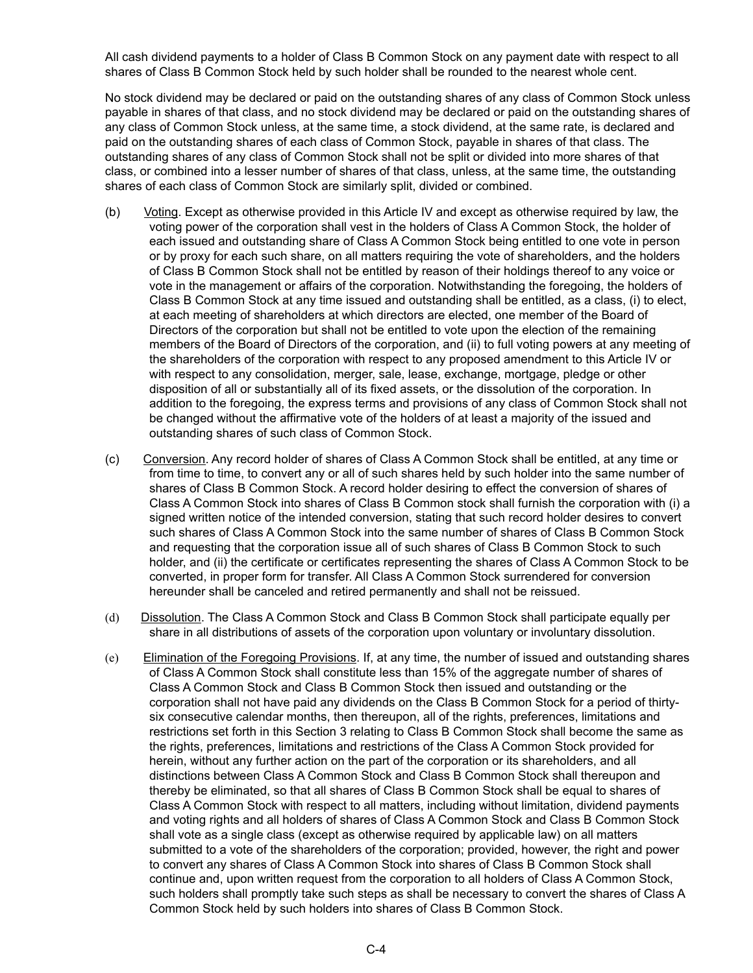All cash dividend payments to a holder of Class B Common Stock on any payment date with respect to all shares of Class B Common Stock held by such holder shall be rounded to the nearest whole cent.

No stock dividend may be declared or paid on the outstanding shares of any class of Common Stock unless payable in shares of that class, and no stock dividend may be declared or paid on the outstanding shares of any class of Common Stock unless, at the same time, a stock dividend, at the same rate, is declared and paid on the outstanding shares of each class of Common Stock, payable in shares of that class. The outstanding shares of any class of Common Stock shall not be split or divided into more shares of that class, or combined into a lesser number of shares of that class, unless, at the same time, the outstanding shares of each class of Common Stock are similarly split, divided or combined.

- (b) Voting. Except as otherwise provided in this Article IV and except as otherwise required by law, the voting power of the corporation shall vest in the holders of Class A Common Stock, the holder of each issued and outstanding share of Class A Common Stock being entitled to one vote in person or by proxy for each such share, on all matters requiring the vote of shareholders, and the holders of Class B Common Stock shall not be entitled by reason of their holdings thereof to any voice or vote in the management or affairs of the corporation. Notwithstanding the foregoing, the holders of Class B Common Stock at any time issued and outstanding shall be entitled, as a class, (i) to elect, at each meeting of shareholders at which directors are elected, one member of the Board of Directors of the corporation but shall not be entitled to vote upon the election of the remaining members of the Board of Directors of the corporation, and (ii) to full voting powers at any meeting of the shareholders of the corporation with respect to any proposed amendment to this Article IV or with respect to any consolidation, merger, sale, lease, exchange, mortgage, pledge or other disposition of all or substantially all of its fixed assets, or the dissolution of the corporation. In addition to the foregoing, the express terms and provisions of any class of Common Stock shall not be changed without the affirmative vote of the holders of at least a majority of the issued and outstanding shares of such class of Common Stock.
- (c) Conversion. Any record holder of shares of Class A Common Stock shall be entitled, at any time or from time to time, to convert any or all of such shares held by such holder into the same number of shares of Class B Common Stock. A record holder desiring to effect the conversion of shares of Class A Common Stock into shares of Class B Common stock shall furnish the corporation with (i) a signed written notice of the intended conversion, stating that such record holder desires to convert such shares of Class A Common Stock into the same number of shares of Class B Common Stock and requesting that the corporation issue all of such shares of Class B Common Stock to such holder, and (ii) the certificate or certificates representing the shares of Class A Common Stock to be converted, in proper form for transfer. All Class A Common Stock surrendered for conversion hereunder shall be canceled and retired permanently and shall not be reissued.
- (d) Dissolution. The Class A Common Stock and Class B Common Stock shall participate equally per share in all distributions of assets of the corporation upon voluntary or involuntary dissolution.
- (e) Elimination of the Foregoing Provisions. If, at any time, the number of issued and outstanding shares of Class A Common Stock shall constitute less than 15% of the aggregate number of shares of Class A Common Stock and Class B Common Stock then issued and outstanding or the corporation shall not have paid any dividends on the Class B Common Stock for a period of thirtysix consecutive calendar months, then thereupon, all of the rights, preferences, limitations and restrictions set forth in this Section 3 relating to Class B Common Stock shall become the same as the rights, preferences, limitations and restrictions of the Class A Common Stock provided for herein, without any further action on the part of the corporation or its shareholders, and all distinctions between Class A Common Stock and Class B Common Stock shall thereupon and thereby be eliminated, so that all shares of Class B Common Stock shall be equal to shares of Class A Common Stock with respect to all matters, including without limitation, dividend payments and voting rights and all holders of shares of Class A Common Stock and Class B Common Stock shall vote as a single class (except as otherwise required by applicable law) on all matters submitted to a vote of the shareholders of the corporation; provided, however, the right and power to convert any shares of Class A Common Stock into shares of Class B Common Stock shall continue and, upon written request from the corporation to all holders of Class A Common Stock, such holders shall promptly take such steps as shall be necessary to convert the shares of Class A Common Stock held by such holders into shares of Class B Common Stock.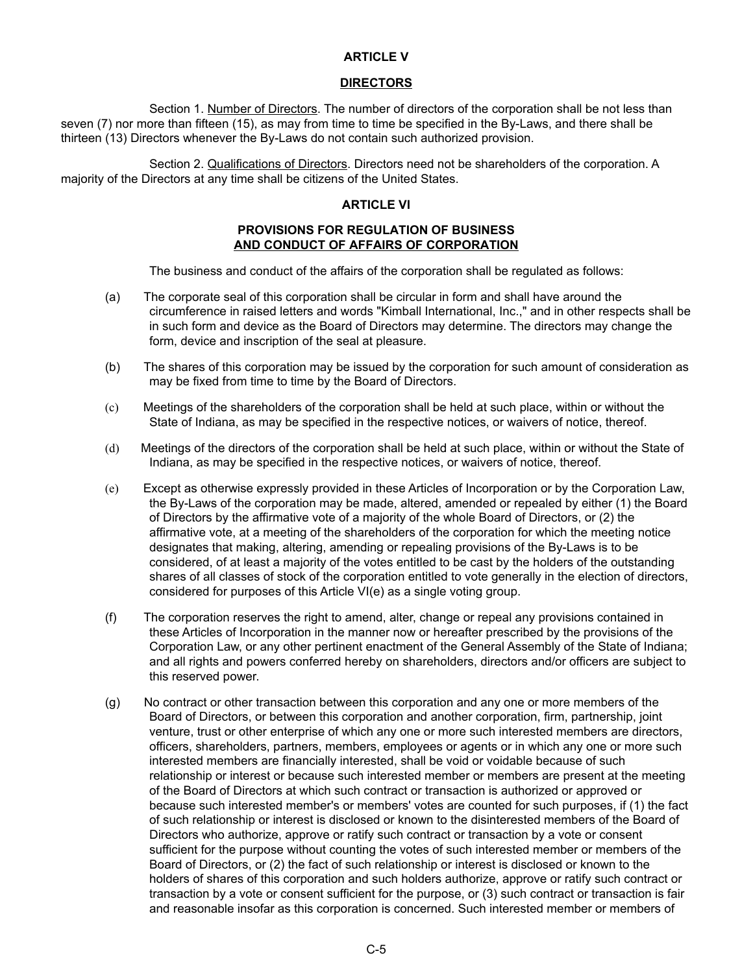#### **ARTICLE V**

#### **DIRECTORS**

Section 1. Number of Directors. The number of directors of the corporation shall be not less than seven (7) nor more than fifteen (15), as may from time to time be specified in the By-Laws, and there shall be thirteen (13) Directors whenever the By-Laws do not contain such authorized provision.

Section 2. Qualifications of Directors. Directors need not be shareholders of the corporation. A majority of the Directors at any time shall be citizens of the United States.

#### **ARTICLE VI**

#### **PROVISIONS FOR REGULATION OF BUSINESS AND CONDUCT OF AFFAIRS OF CORPORATION**

The business and conduct of the affairs of the corporation shall be regulated as follows:

- (a) The corporate seal of this corporation shall be circular in form and shall have around the circumference in raised letters and words "Kimball International, Inc.," and in other respects shall be in such form and device as the Board of Directors may determine. The directors may change the form, device and inscription of the seal at pleasure.
- (b) The shares of this corporation may be issued by the corporation for such amount of consideration as may be fixed from time to time by the Board of Directors.
- (c) Meetings of the shareholders of the corporation shall be held at such place, within or without the State of Indiana, as may be specified in the respective notices, or waivers of notice, thereof.
- (d) Meetings of the directors of the corporation shall be held at such place, within or without the State of Indiana, as may be specified in the respective notices, or waivers of notice, thereof.
- (e) Except as otherwise expressly provided in these Articles of Incorporation or by the Corporation Law, the By-Laws of the corporation may be made, altered, amended or repealed by either (1) the Board of Directors by the affirmative vote of a majority of the whole Board of Directors, or (2) the affirmative vote, at a meeting of the shareholders of the corporation for which the meeting notice designates that making, altering, amending or repealing provisions of the By-Laws is to be considered, of at least a majority of the votes entitled to be cast by the holders of the outstanding shares of all classes of stock of the corporation entitled to vote generally in the election of directors, considered for purposes of this Article VI(e) as a single voting group.
- (f) The corporation reserves the right to amend, alter, change or repeal any provisions contained in these Articles of Incorporation in the manner now or hereafter prescribed by the provisions of the Corporation Law, or any other pertinent enactment of the General Assembly of the State of Indiana; and all rights and powers conferred hereby on shareholders, directors and/or officers are subject to this reserved power.
- (g) No contract or other transaction between this corporation and any one or more members of the Board of Directors, or between this corporation and another corporation, firm, partnership, joint venture, trust or other enterprise of which any one or more such interested members are directors, officers, shareholders, partners, members, employees or agents or in which any one or more such interested members are financially interested, shall be void or voidable because of such relationship or interest or because such interested member or members are present at the meeting of the Board of Directors at which such contract or transaction is authorized or approved or because such interested member's or members' votes are counted for such purposes, if (1) the fact of such relationship or interest is disclosed or known to the disinterested members of the Board of Directors who authorize, approve or ratify such contract or transaction by a vote or consent sufficient for the purpose without counting the votes of such interested member or members of the Board of Directors, or (2) the fact of such relationship or interest is disclosed or known to the holders of shares of this corporation and such holders authorize, approve or ratify such contract or transaction by a vote or consent sufficient for the purpose, or (3) such contract or transaction is fair and reasonable insofar as this corporation is concerned. Such interested member or members of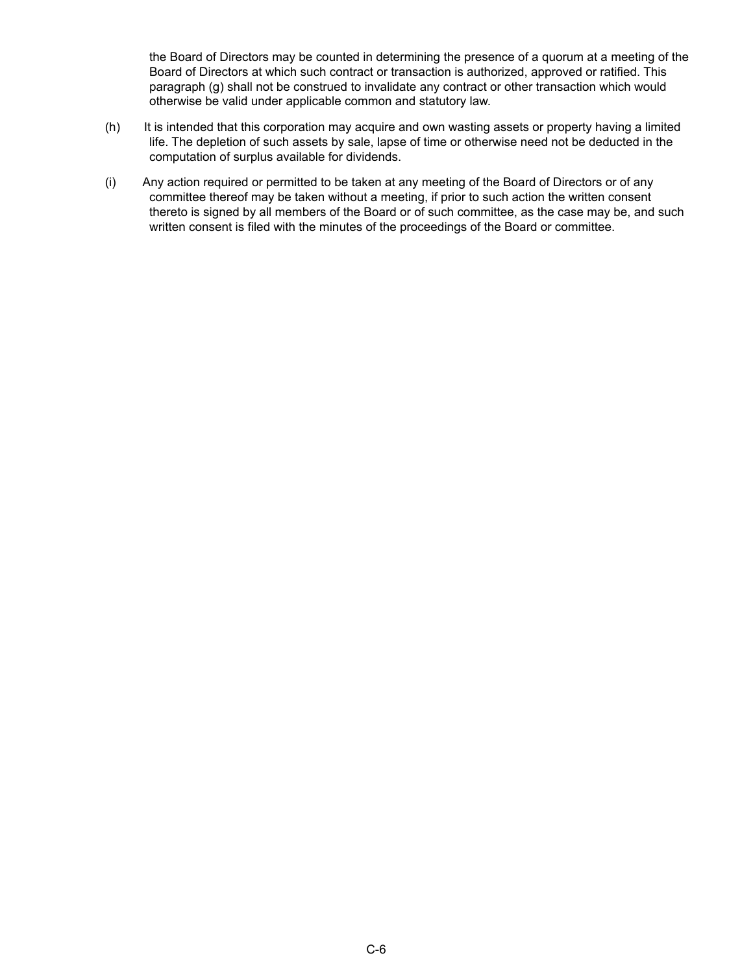the Board of Directors may be counted in determining the presence of a quorum at a meeting of the Board of Directors at which such contract or transaction is authorized, approved or ratified. This paragraph (g) shall not be construed to invalidate any contract or other transaction which would otherwise be valid under applicable common and statutory law.

- (h) It is intended that this corporation may acquire and own wasting assets or property having a limited life. The depletion of such assets by sale, lapse of time or otherwise need not be deducted in the computation of surplus available for dividends.
- (i) Any action required or permitted to be taken at any meeting of the Board of Directors or of any committee thereof may be taken without a meeting, if prior to such action the written consent thereto is signed by all members of the Board or of such committee, as the case may be, and such written consent is filed with the minutes of the proceedings of the Board or committee.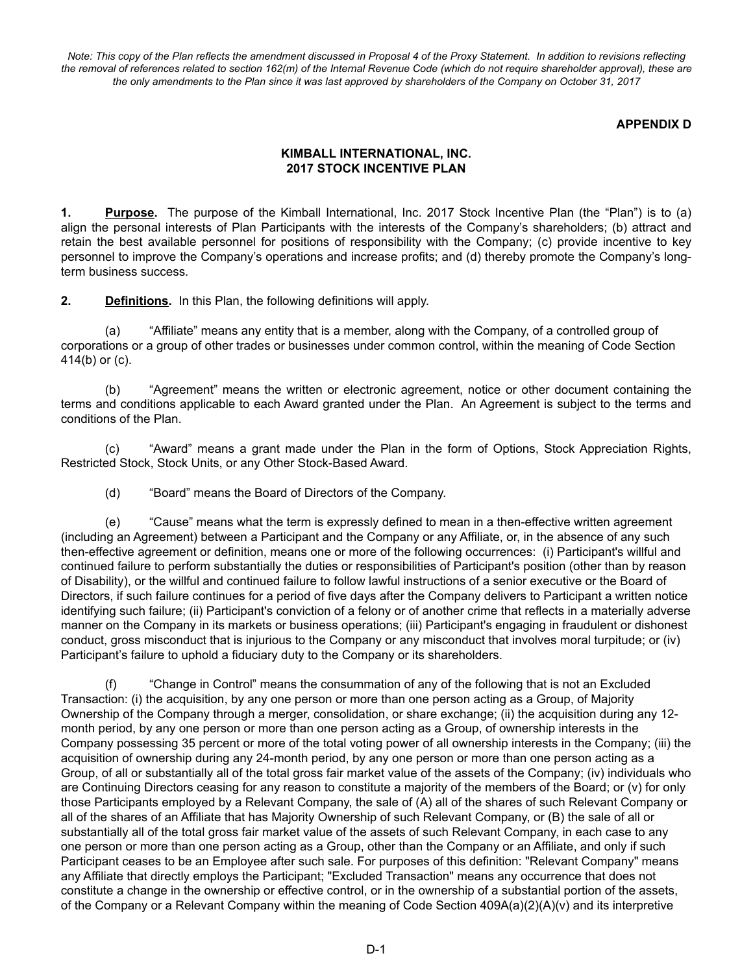*Note: This copy of the Plan reflects the amendment discussed in Proposal 4 of the Proxy Statement. In addition to revisions reflecting the removal of references related to section 162(m) of the Internal Revenue Code (which do not require shareholder approval), these are the only amendments to the Plan since it was last approved by shareholders of the Company on October 31, 2017*

#### **APPENDIX D**

### **KIMBALL INTERNATIONAL, INC. 2017 STOCK INCENTIVE PLAN**

**1. Purpose.** The purpose of the Kimball International, Inc. 2017 Stock Incentive Plan (the "Plan") is to (a) align the personal interests of Plan Participants with the interests of the Company's shareholders; (b) attract and retain the best available personnel for positions of responsibility with the Company; (c) provide incentive to key personnel to improve the Company's operations and increase profits; and (d) thereby promote the Company's longterm business success.

**2. Definitions.** In this Plan, the following definitions will apply.

(a) "Affiliate" means any entity that is a member, along with the Company, of a controlled group of corporations or a group of other trades or businesses under common control, within the meaning of Code Section 414(b) or (c).

(b) "Agreement" means the written or electronic agreement, notice or other document containing the terms and conditions applicable to each Award granted under the Plan. An Agreement is subject to the terms and conditions of the Plan.

(c) "Award" means a grant made under the Plan in the form of Options, Stock Appreciation Rights, Restricted Stock, Stock Units, or any Other Stock-Based Award.

(d) "Board" means the Board of Directors of the Company.

(e) "Cause" means what the term is expressly defined to mean in a then-effective written agreement (including an Agreement) between a Participant and the Company or any Affiliate, or, in the absence of any such then-effective agreement or definition, means one or more of the following occurrences: (i) Participant's willful and continued failure to perform substantially the duties or responsibilities of Participant's position (other than by reason of Disability), or the willful and continued failure to follow lawful instructions of a senior executive or the Board of Directors, if such failure continues for a period of five days after the Company delivers to Participant a written notice identifying such failure; (ii) Participant's conviction of a felony or of another crime that reflects in a materially adverse manner on the Company in its markets or business operations; (iii) Participant's engaging in fraudulent or dishonest conduct, gross misconduct that is injurious to the Company or any misconduct that involves moral turpitude; or (iv) Participant's failure to uphold a fiduciary duty to the Company or its shareholders.

(f) "Change in Control" means the consummation of any of the following that is not an Excluded Transaction: (i) the acquisition, by any one person or more than one person acting as a Group, of Majority Ownership of the Company through a merger, consolidation, or share exchange; (ii) the acquisition during any 12 month period, by any one person or more than one person acting as a Group, of ownership interests in the Company possessing 35 percent or more of the total voting power of all ownership interests in the Company; (iii) the acquisition of ownership during any 24-month period, by any one person or more than one person acting as a Group, of all or substantially all of the total gross fair market value of the assets of the Company; (iv) individuals who are Continuing Directors ceasing for any reason to constitute a majority of the members of the Board; or (v) for only those Participants employed by a Relevant Company, the sale of (A) all of the shares of such Relevant Company or all of the shares of an Affiliate that has Majority Ownership of such Relevant Company, or (B) the sale of all or substantially all of the total gross fair market value of the assets of such Relevant Company, in each case to any one person or more than one person acting as a Group, other than the Company or an Affiliate, and only if such Participant ceases to be an Employee after such sale. For purposes of this definition: "Relevant Company" means any Affiliate that directly employs the Participant; "Excluded Transaction" means any occurrence that does not constitute a change in the ownership or effective control, or in the ownership of a substantial portion of the assets, of the Company or a Relevant Company within the meaning of Code Section 409A(a)(2)(A)(v) and its interpretive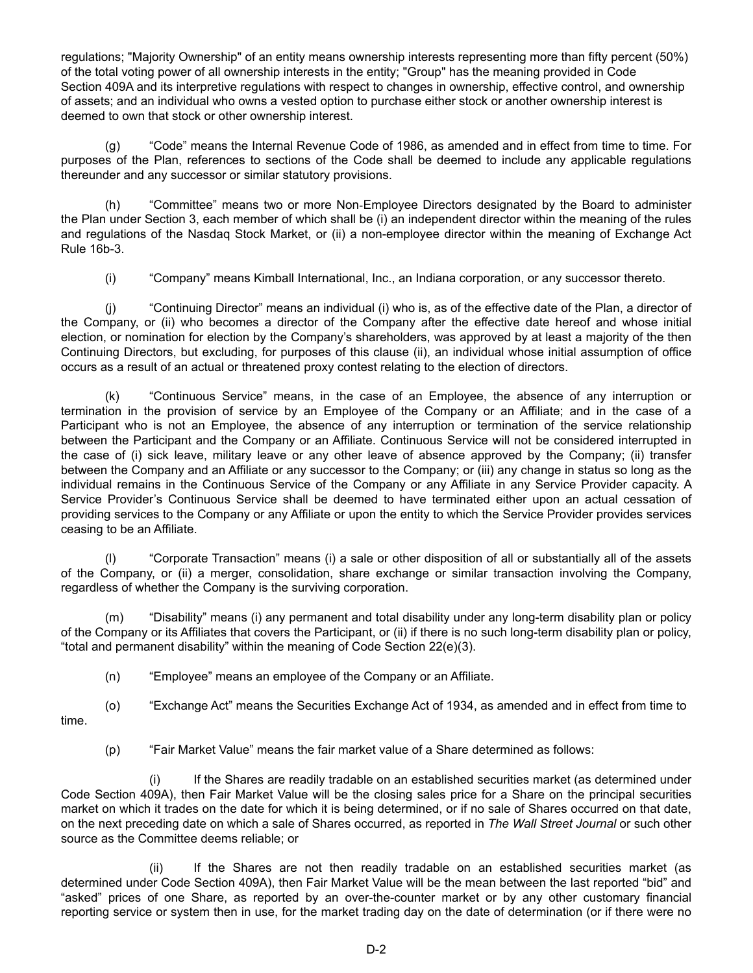regulations; "Majority Ownership" of an entity means ownership interests representing more than fifty percent (50%) of the total voting power of all ownership interests in the entity; "Group" has the meaning provided in Code Section 409A and its interpretive regulations with respect to changes in ownership, effective control, and ownership of assets; and an individual who owns a vested option to purchase either stock or another ownership interest is deemed to own that stock or other ownership interest.

(g) "Code" means the Internal Revenue Code of 1986, as amended and in effect from time to time. For purposes of the Plan, references to sections of the Code shall be deemed to include any applicable regulations thereunder and any successor or similar statutory provisions.

(h) "Committee" means two or more Non‑Employee Directors designated by the Board to administer the Plan under Section 3, each member of which shall be (i) an independent director within the meaning of the rules and regulations of the Nasdaq Stock Market, or (ii) a non-employee director within the meaning of Exchange Act Rule 16b-3.

(i) "Company" means Kimball International, Inc., an Indiana corporation, or any successor thereto.

(j) "Continuing Director" means an individual (i) who is, as of the effective date of the Plan, a director of the Company, or (ii) who becomes a director of the Company after the effective date hereof and whose initial election, or nomination for election by the Company's shareholders, was approved by at least a majority of the then Continuing Directors, but excluding, for purposes of this clause (ii), an individual whose initial assumption of office occurs as a result of an actual or threatened proxy contest relating to the election of directors.

(k) "Continuous Service" means, in the case of an Employee, the absence of any interruption or termination in the provision of service by an Employee of the Company or an Affiliate; and in the case of a Participant who is not an Employee, the absence of any interruption or termination of the service relationship between the Participant and the Company or an Affiliate. Continuous Service will not be considered interrupted in the case of (i) sick leave, military leave or any other leave of absence approved by the Company; (ii) transfer between the Company and an Affiliate or any successor to the Company; or (iii) any change in status so long as the individual remains in the Continuous Service of the Company or any Affiliate in any Service Provider capacity. A Service Provider's Continuous Service shall be deemed to have terminated either upon an actual cessation of providing services to the Company or any Affiliate or upon the entity to which the Service Provider provides services ceasing to be an Affiliate.

(l) "Corporate Transaction" means (i) a sale or other disposition of all or substantially all of the assets of the Company, or (ii) a merger, consolidation, share exchange or similar transaction involving the Company, regardless of whether the Company is the surviving corporation.

(m) "Disability" means (i) any permanent and total disability under any long-term disability plan or policy of the Company or its Affiliates that covers the Participant, or (ii) if there is no such long-term disability plan or policy, "total and permanent disability" within the meaning of Code Section 22(e)(3).

(n) "Employee" means an employee of the Company or an Affiliate.

(o) "Exchange Act" means the Securities Exchange Act of 1934, as amended and in effect from time to time.

(p) "Fair Market Value" means the fair market value of a Share determined as follows:

(i) If the Shares are readily tradable on an established securities market (as determined under Code Section 409A), then Fair Market Value will be the closing sales price for a Share on the principal securities market on which it trades on the date for which it is being determined, or if no sale of Shares occurred on that date, on the next preceding date on which a sale of Shares occurred, as reported in *The Wall Street Journal* or such other source as the Committee deems reliable; or

(ii) If the Shares are not then readily tradable on an established securities market (as determined under Code Section 409A), then Fair Market Value will be the mean between the last reported "bid" and "asked" prices of one Share, as reported by an over-the-counter market or by any other customary financial reporting service or system then in use, for the market trading day on the date of determination (or if there were no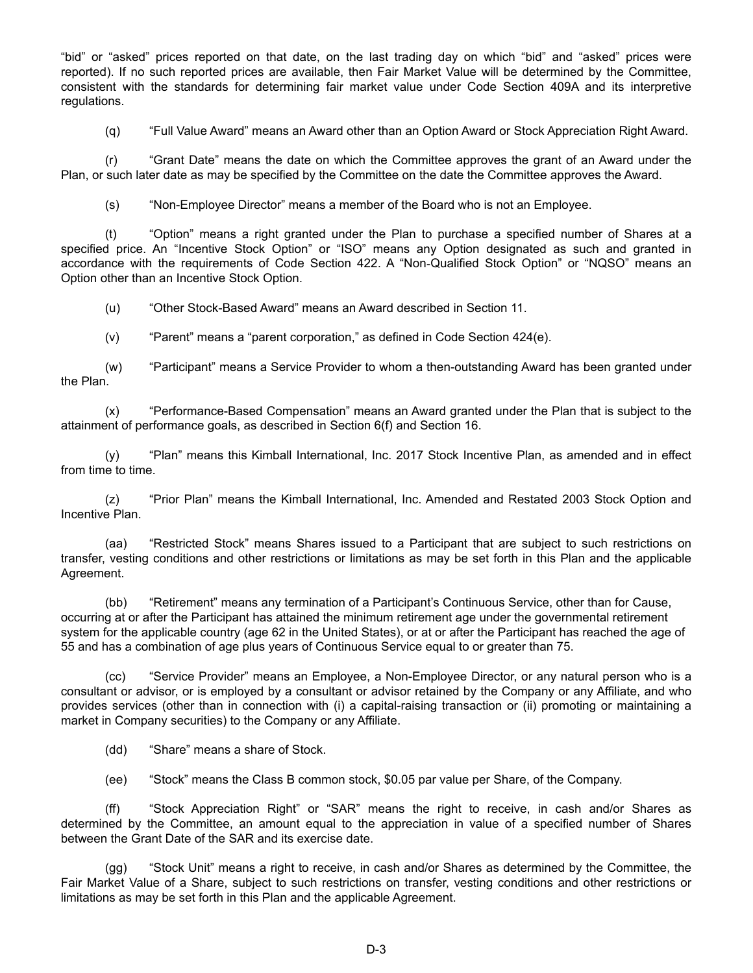"bid" or "asked" prices reported on that date, on the last trading day on which "bid" and "asked" prices were reported). If no such reported prices are available, then Fair Market Value will be determined by the Committee, consistent with the standards for determining fair market value under Code Section 409A and its interpretive regulations.

(q) "Full Value Award" means an Award other than an Option Award or Stock Appreciation Right Award.

(r) "Grant Date" means the date on which the Committee approves the grant of an Award under the Plan, or such later date as may be specified by the Committee on the date the Committee approves the Award.

(s) "Non-Employee Director" means a member of the Board who is not an Employee.

(t) "Option" means a right granted under the Plan to purchase a specified number of Shares at a specified price. An "Incentive Stock Option" or "ISO" means any Option designated as such and granted in accordance with the requirements of Code Section 422. A "Non‑Qualified Stock Option" or "NQSO" means an Option other than an Incentive Stock Option.

(u) "Other Stock-Based Award" means an Award described in Section 11.

(v) "Parent" means a "parent corporation," as defined in Code Section 424(e).

(w) "Participant" means a Service Provider to whom a then-outstanding Award has been granted under the Plan.

(x) "Performance-Based Compensation" means an Award granted under the Plan that is subject to the attainment of performance goals, as described in Section 6(f) and Section 16.

(y) "Plan" means this Kimball International, Inc. 2017 Stock Incentive Plan, as amended and in effect from time to time.

(z) "Prior Plan" means the Kimball International, Inc. Amended and Restated 2003 Stock Option and Incentive Plan.

(aa) "Restricted Stock" means Shares issued to a Participant that are subject to such restrictions on transfer, vesting conditions and other restrictions or limitations as may be set forth in this Plan and the applicable Agreement.

(bb) "Retirement" means any termination of a Participant's Continuous Service, other than for Cause, occurring at or after the Participant has attained the minimum retirement age under the governmental retirement system for the applicable country (age 62 in the United States), or at or after the Participant has reached the age of 55 and has a combination of age plus years of Continuous Service equal to or greater than 75.

(cc) "Service Provider" means an Employee, a Non-Employee Director, or any natural person who is a consultant or advisor, or is employed by a consultant or advisor retained by the Company or any Affiliate, and who provides services (other than in connection with (i) a capital-raising transaction or (ii) promoting or maintaining a market in Company securities) to the Company or any Affiliate.

(dd) "Share" means a share of Stock.

(ee) "Stock" means the Class B common stock, \$0.05 par value per Share, of the Company.

(ff) "Stock Appreciation Right" or "SAR" means the right to receive, in cash and/or Shares as determined by the Committee, an amount equal to the appreciation in value of a specified number of Shares between the Grant Date of the SAR and its exercise date.

(gg) "Stock Unit" means a right to receive, in cash and/or Shares as determined by the Committee, the Fair Market Value of a Share, subject to such restrictions on transfer, vesting conditions and other restrictions or limitations as may be set forth in this Plan and the applicable Agreement.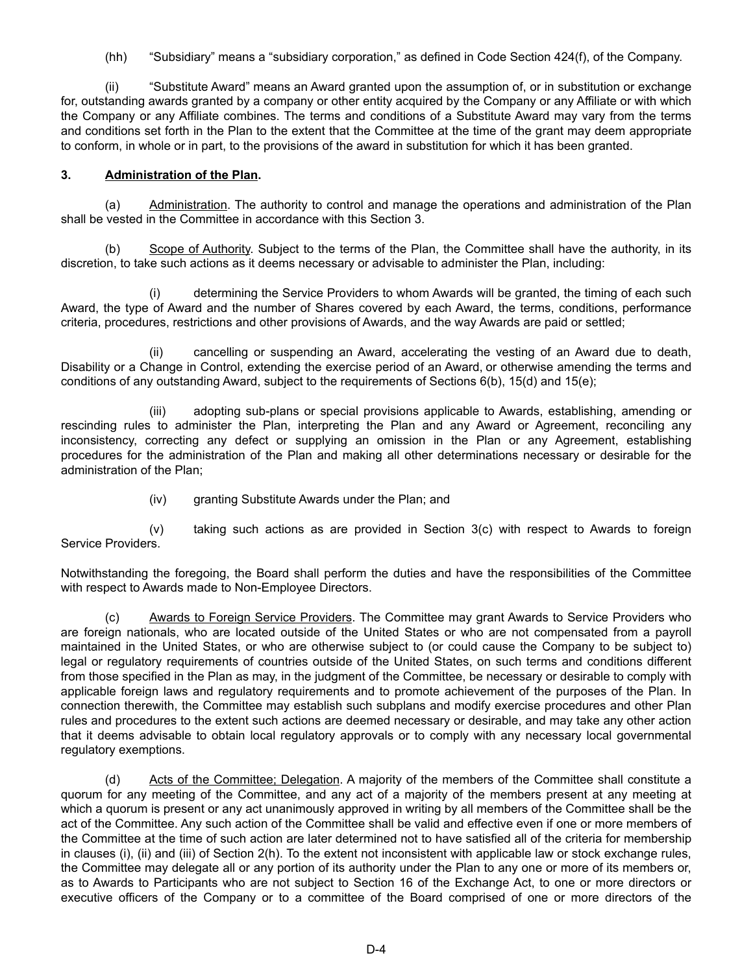(hh) "Subsidiary" means a "subsidiary corporation," as defined in Code Section 424(f), of the Company.

(ii) "Substitute Award" means an Award granted upon the assumption of, or in substitution or exchange for, outstanding awards granted by a company or other entity acquired by the Company or any Affiliate or with which the Company or any Affiliate combines. The terms and conditions of a Substitute Award may vary from the terms and conditions set forth in the Plan to the extent that the Committee at the time of the grant may deem appropriate to conform, in whole or in part, to the provisions of the award in substitution for which it has been granted.

### **3. Administration of the Plan.**

(a) Administration. The authority to control and manage the operations and administration of the Plan shall be vested in the Committee in accordance with this Section 3.

(b) Scope of Authority. Subject to the terms of the Plan, the Committee shall have the authority, in its discretion, to take such actions as it deems necessary or advisable to administer the Plan, including:

(i) determining the Service Providers to whom Awards will be granted, the timing of each such Award, the type of Award and the number of Shares covered by each Award, the terms, conditions, performance criteria, procedures, restrictions and other provisions of Awards, and the way Awards are paid or settled;

(ii) cancelling or suspending an Award, accelerating the vesting of an Award due to death, Disability or a Change in Control, extending the exercise period of an Award, or otherwise amending the terms and conditions of any outstanding Award, subject to the requirements of Sections 6(b), 15(d) and 15(e);

(iii) adopting sub-plans or special provisions applicable to Awards, establishing, amending or rescinding rules to administer the Plan, interpreting the Plan and any Award or Agreement, reconciling any inconsistency, correcting any defect or supplying an omission in the Plan or any Agreement, establishing procedures for the administration of the Plan and making all other determinations necessary or desirable for the administration of the Plan;

(iv) granting Substitute Awards under the Plan; and

(v) taking such actions as are provided in Section 3(c) with respect to Awards to foreign Service Providers.

Notwithstanding the foregoing, the Board shall perform the duties and have the responsibilities of the Committee with respect to Awards made to Non-Employee Directors.

(c) Awards to Foreign Service Providers. The Committee may grant Awards to Service Providers who are foreign nationals, who are located outside of the United States or who are not compensated from a payroll maintained in the United States, or who are otherwise subject to (or could cause the Company to be subject to) legal or regulatory requirements of countries outside of the United States, on such terms and conditions different from those specified in the Plan as may, in the judgment of the Committee, be necessary or desirable to comply with applicable foreign laws and regulatory requirements and to promote achievement of the purposes of the Plan. In connection therewith, the Committee may establish such subplans and modify exercise procedures and other Plan rules and procedures to the extent such actions are deemed necessary or desirable, and may take any other action that it deems advisable to obtain local regulatory approvals or to comply with any necessary local governmental regulatory exemptions.

(d) Acts of the Committee; Delegation. A majority of the members of the Committee shall constitute a quorum for any meeting of the Committee, and any act of a majority of the members present at any meeting at which a quorum is present or any act unanimously approved in writing by all members of the Committee shall be the act of the Committee. Any such action of the Committee shall be valid and effective even if one or more members of the Committee at the time of such action are later determined not to have satisfied all of the criteria for membership in clauses (i), (ii) and (iii) of Section 2(h). To the extent not inconsistent with applicable law or stock exchange rules, the Committee may delegate all or any portion of its authority under the Plan to any one or more of its members or, as to Awards to Participants who are not subject to Section 16 of the Exchange Act, to one or more directors or executive officers of the Company or to a committee of the Board comprised of one or more directors of the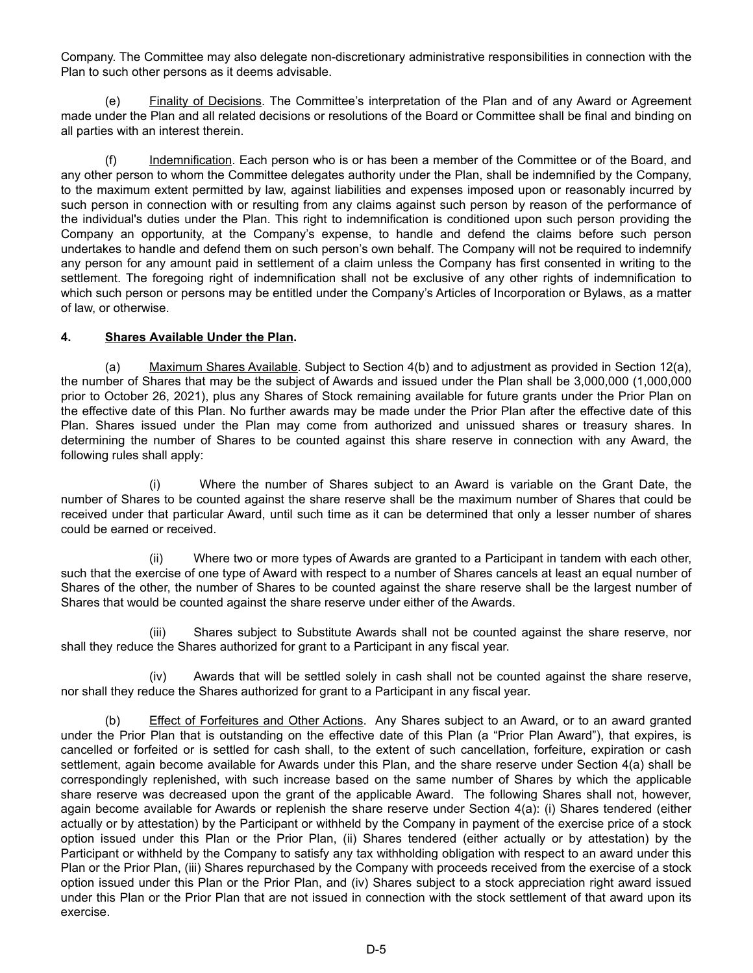Company. The Committee may also delegate non-discretionary administrative responsibilities in connection with the Plan to such other persons as it deems advisable.

(e) Finality of Decisions. The Committee's interpretation of the Plan and of any Award or Agreement made under the Plan and all related decisions or resolutions of the Board or Committee shall be final and binding on all parties with an interest therein.

(f) Indemnification. Each person who is or has been a member of the Committee or of the Board, and any other person to whom the Committee delegates authority under the Plan, shall be indemnified by the Company, to the maximum extent permitted by law, against liabilities and expenses imposed upon or reasonably incurred by such person in connection with or resulting from any claims against such person by reason of the performance of the individual's duties under the Plan. This right to indemnification is conditioned upon such person providing the Company an opportunity, at the Company's expense, to handle and defend the claims before such person undertakes to handle and defend them on such person's own behalf. The Company will not be required to indemnify any person for any amount paid in settlement of a claim unless the Company has first consented in writing to the settlement. The foregoing right of indemnification shall not be exclusive of any other rights of indemnification to which such person or persons may be entitled under the Company's Articles of Incorporation or Bylaws, as a matter of law, or otherwise.

### **4. Shares Available Under the Plan.**

(a) Maximum Shares Available. Subject to Section 4(b) and to adjustment as provided in Section 12(a), the number of Shares that may be the subject of Awards and issued under the Plan shall be 3,000,000 (1,000,000 prior to October 26, 2021), plus any Shares of Stock remaining available for future grants under the Prior Plan on the effective date of this Plan. No further awards may be made under the Prior Plan after the effective date of this Plan. Shares issued under the Plan may come from authorized and unissued shares or treasury shares. In determining the number of Shares to be counted against this share reserve in connection with any Award, the following rules shall apply:

(i) Where the number of Shares subject to an Award is variable on the Grant Date, the number of Shares to be counted against the share reserve shall be the maximum number of Shares that could be received under that particular Award, until such time as it can be determined that only a lesser number of shares could be earned or received.

(ii) Where two or more types of Awards are granted to a Participant in tandem with each other, such that the exercise of one type of Award with respect to a number of Shares cancels at least an equal number of Shares of the other, the number of Shares to be counted against the share reserve shall be the largest number of Shares that would be counted against the share reserve under either of the Awards.

(iii) Shares subject to Substitute Awards shall not be counted against the share reserve, nor shall they reduce the Shares authorized for grant to a Participant in any fiscal year.

(iv) Awards that will be settled solely in cash shall not be counted against the share reserve, nor shall they reduce the Shares authorized for grant to a Participant in any fiscal year.

(b) Effect of Forfeitures and Other Actions. Any Shares subject to an Award, or to an award granted under the Prior Plan that is outstanding on the effective date of this Plan (a "Prior Plan Award"), that expires, is cancelled or forfeited or is settled for cash shall, to the extent of such cancellation, forfeiture, expiration or cash settlement, again become available for Awards under this Plan, and the share reserve under Section 4(a) shall be correspondingly replenished, with such increase based on the same number of Shares by which the applicable share reserve was decreased upon the grant of the applicable Award. The following Shares shall not, however, again become available for Awards or replenish the share reserve under Section 4(a): (i) Shares tendered (either actually or by attestation) by the Participant or withheld by the Company in payment of the exercise price of a stock option issued under this Plan or the Prior Plan, (ii) Shares tendered (either actually or by attestation) by the Participant or withheld by the Company to satisfy any tax withholding obligation with respect to an award under this Plan or the Prior Plan, (iii) Shares repurchased by the Company with proceeds received from the exercise of a stock option issued under this Plan or the Prior Plan, and (iv) Shares subject to a stock appreciation right award issued under this Plan or the Prior Plan that are not issued in connection with the stock settlement of that award upon its exercise.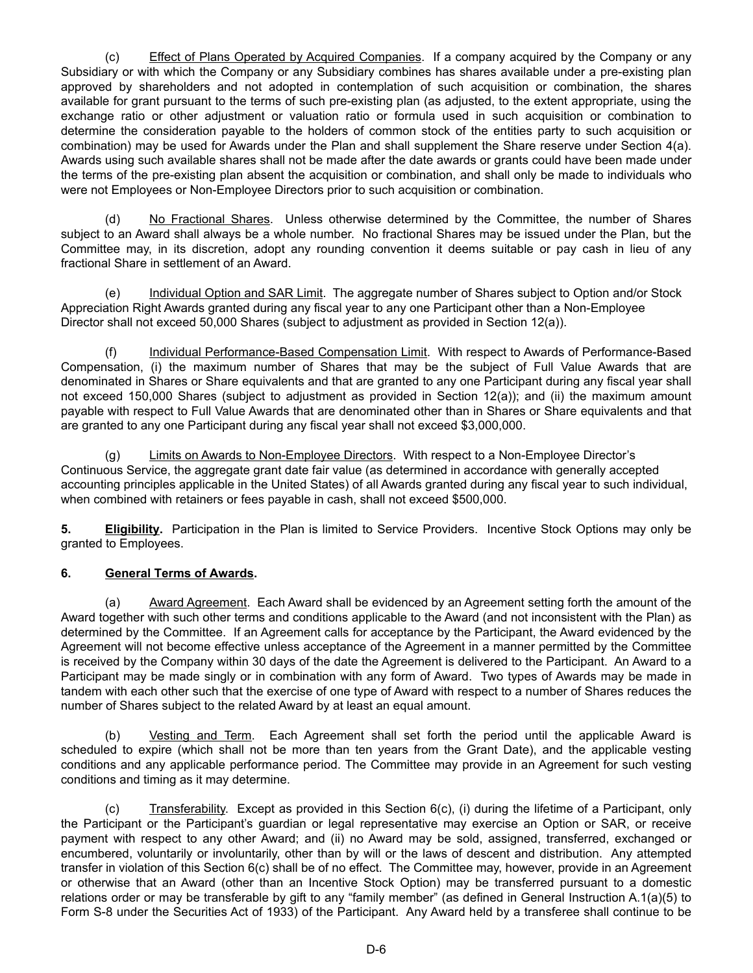(c) Effect of Plans Operated by Acquired Companies. If a company acquired by the Company or any Subsidiary or with which the Company or any Subsidiary combines has shares available under a pre-existing plan approved by shareholders and not adopted in contemplation of such acquisition or combination, the shares available for grant pursuant to the terms of such pre-existing plan (as adjusted, to the extent appropriate, using the exchange ratio or other adjustment or valuation ratio or formula used in such acquisition or combination to determine the consideration payable to the holders of common stock of the entities party to such acquisition or combination) may be used for Awards under the Plan and shall supplement the Share reserve under Section 4(a). Awards using such available shares shall not be made after the date awards or grants could have been made under the terms of the pre-existing plan absent the acquisition or combination, and shall only be made to individuals who were not Employees or Non-Employee Directors prior to such acquisition or combination.

(d) No Fractional Shares. Unless otherwise determined by the Committee, the number of Shares subject to an Award shall always be a whole number. No fractional Shares may be issued under the Plan, but the Committee may, in its discretion, adopt any rounding convention it deems suitable or pay cash in lieu of any fractional Share in settlement of an Award.

(e) Individual Option and SAR Limit. The aggregate number of Shares subject to Option and/or Stock Appreciation Right Awards granted during any fiscal year to any one Participant other than a Non-Employee Director shall not exceed 50,000 Shares (subject to adjustment as provided in Section 12(a)).

(f) Individual Performance-Based Compensation Limit. With respect to Awards of Performance-Based Compensation, (i) the maximum number of Shares that may be the subject of Full Value Awards that are denominated in Shares or Share equivalents and that are granted to any one Participant during any fiscal year shall not exceed 150,000 Shares (subject to adjustment as provided in Section 12(a)); and (ii) the maximum amount payable with respect to Full Value Awards that are denominated other than in Shares or Share equivalents and that are granted to any one Participant during any fiscal year shall not exceed \$3,000,000.

(g) Limits on Awards to Non-Employee Directors. With respect to a Non-Employee Director's Continuous Service, the aggregate grant date fair value (as determined in accordance with generally accepted accounting principles applicable in the United States) of all Awards granted during any fiscal year to such individual, when combined with retainers or fees payable in cash, shall not exceed \$500,000.

**5. Eligibility.** Participation in the Plan is limited to Service Providers. Incentive Stock Options may only be granted to Employees.

### **6. General Terms of Awards.**

(a) Award Agreement. Each Award shall be evidenced by an Agreement setting forth the amount of the Award together with such other terms and conditions applicable to the Award (and not inconsistent with the Plan) as determined by the Committee. If an Agreement calls for acceptance by the Participant, the Award evidenced by the Agreement will not become effective unless acceptance of the Agreement in a manner permitted by the Committee is received by the Company within 30 days of the date the Agreement is delivered to the Participant. An Award to a Participant may be made singly or in combination with any form of Award. Two types of Awards may be made in tandem with each other such that the exercise of one type of Award with respect to a number of Shares reduces the number of Shares subject to the related Award by at least an equal amount.

(b) Vesting and Term. Each Agreement shall set forth the period until the applicable Award is scheduled to expire (which shall not be more than ten years from the Grant Date), and the applicable vesting conditions and any applicable performance period. The Committee may provide in an Agreement for such vesting conditions and timing as it may determine.

(c) Transferability. Except as provided in this Section 6(c), (i) during the lifetime of a Participant, only the Participant or the Participant's guardian or legal representative may exercise an Option or SAR, or receive payment with respect to any other Award; and (ii) no Award may be sold, assigned, transferred, exchanged or encumbered, voluntarily or involuntarily, other than by will or the laws of descent and distribution. Any attempted transfer in violation of this Section 6(c) shall be of no effect. The Committee may, however, provide in an Agreement or otherwise that an Award (other than an Incentive Stock Option) may be transferred pursuant to a domestic relations order or may be transferable by gift to any "family member" (as defined in General Instruction A.1(a)(5) to Form S-8 under the Securities Act of 1933) of the Participant. Any Award held by a transferee shall continue to be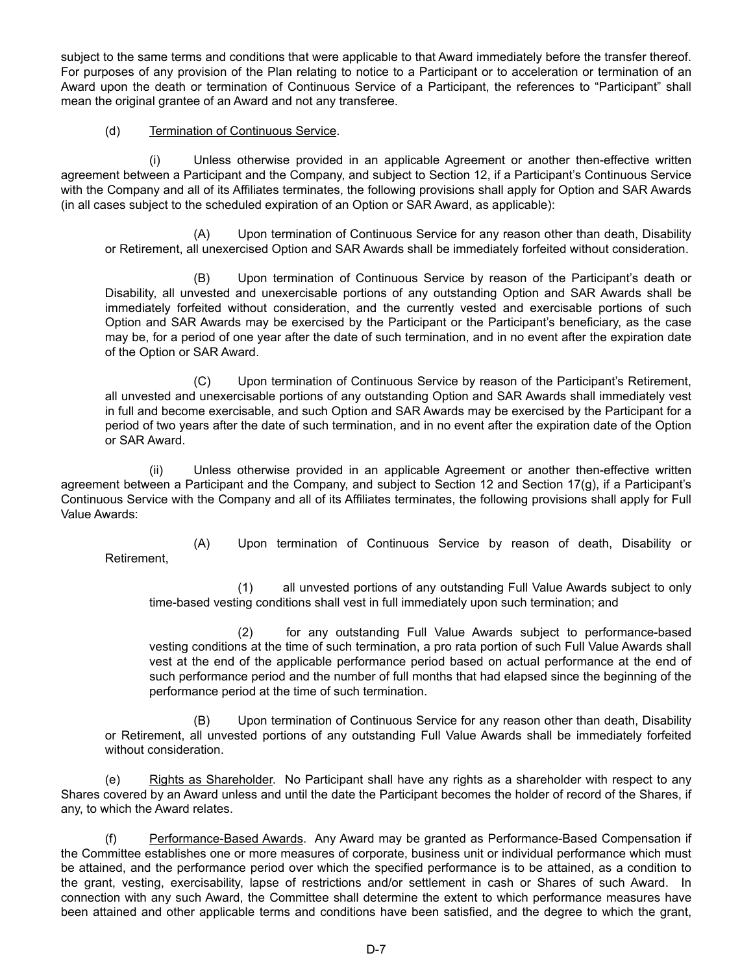subject to the same terms and conditions that were applicable to that Award immediately before the transfer thereof. For purposes of any provision of the Plan relating to notice to a Participant or to acceleration or termination of an Award upon the death or termination of Continuous Service of a Participant, the references to "Participant" shall mean the original grantee of an Award and not any transferee.

#### (d) Termination of Continuous Service.

(i) Unless otherwise provided in an applicable Agreement or another then-effective written agreement between a Participant and the Company, and subject to Section 12, if a Participant's Continuous Service with the Company and all of its Affiliates terminates, the following provisions shall apply for Option and SAR Awards (in all cases subject to the scheduled expiration of an Option or SAR Award, as applicable):

(A) Upon termination of Continuous Service for any reason other than death, Disability or Retirement, all unexercised Option and SAR Awards shall be immediately forfeited without consideration.

(B) Upon termination of Continuous Service by reason of the Participant's death or Disability, all unvested and unexercisable portions of any outstanding Option and SAR Awards shall be immediately forfeited without consideration, and the currently vested and exercisable portions of such Option and SAR Awards may be exercised by the Participant or the Participant's beneficiary, as the case may be, for a period of one year after the date of such termination, and in no event after the expiration date of the Option or SAR Award.

(C) Upon termination of Continuous Service by reason of the Participant's Retirement, all unvested and unexercisable portions of any outstanding Option and SAR Awards shall immediately vest in full and become exercisable, and such Option and SAR Awards may be exercised by the Participant for a period of two years after the date of such termination, and in no event after the expiration date of the Option or SAR Award.

(ii) Unless otherwise provided in an applicable Agreement or another then-effective written agreement between a Participant and the Company, and subject to Section 12 and Section 17(g), if a Participant's Continuous Service with the Company and all of its Affiliates terminates, the following provisions shall apply for Full Value Awards:

(A) Upon termination of Continuous Service by reason of death, Disability or Retirement,

(1) all unvested portions of any outstanding Full Value Awards subject to only time-based vesting conditions shall vest in full immediately upon such termination; and

(2) for any outstanding Full Value Awards subject to performance-based vesting conditions at the time of such termination, a pro rata portion of such Full Value Awards shall vest at the end of the applicable performance period based on actual performance at the end of such performance period and the number of full months that had elapsed since the beginning of the performance period at the time of such termination.

(B) Upon termination of Continuous Service for any reason other than death, Disability or Retirement, all unvested portions of any outstanding Full Value Awards shall be immediately forfeited without consideration.

(e) Rights as Shareholder. No Participant shall have any rights as a shareholder with respect to any Shares covered by an Award unless and until the date the Participant becomes the holder of record of the Shares, if any, to which the Award relates.

(f) Performance-Based Awards. Any Award may be granted as Performance-Based Compensation if the Committee establishes one or more measures of corporate, business unit or individual performance which must be attained, and the performance period over which the specified performance is to be attained, as a condition to the grant, vesting, exercisability, lapse of restrictions and/or settlement in cash or Shares of such Award. In connection with any such Award, the Committee shall determine the extent to which performance measures have been attained and other applicable terms and conditions have been satisfied, and the degree to which the grant,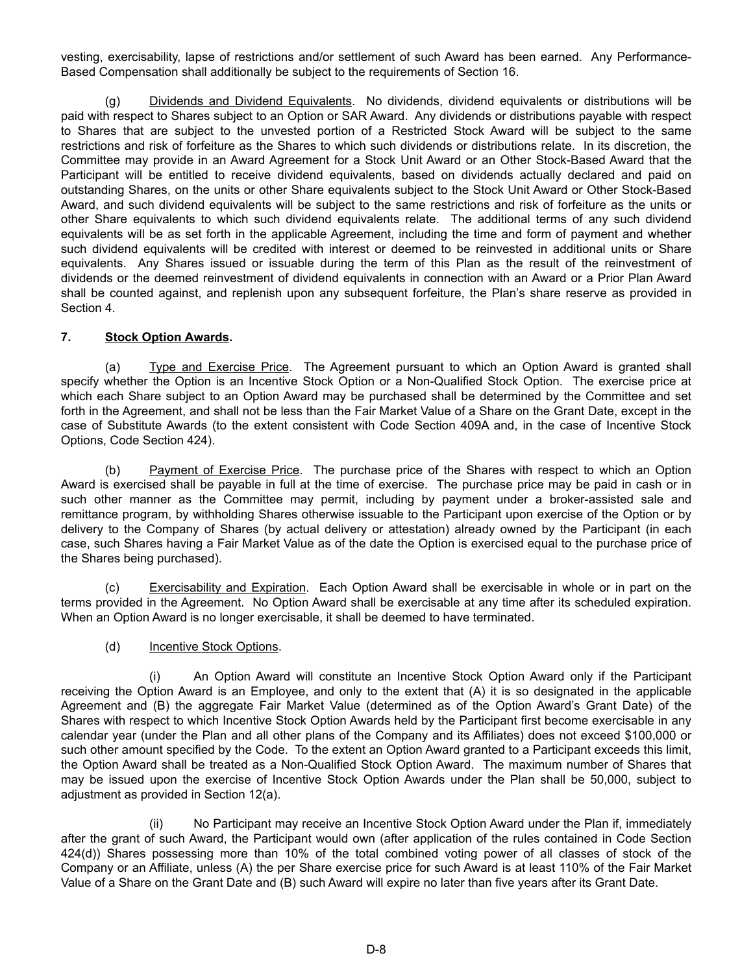vesting, exercisability, lapse of restrictions and/or settlement of such Award has been earned. Any Performance-Based Compensation shall additionally be subject to the requirements of Section 16.

(g) Dividends and Dividend Equivalents. No dividends, dividend equivalents or distributions will be paid with respect to Shares subject to an Option or SAR Award. Any dividends or distributions payable with respect to Shares that are subject to the unvested portion of a Restricted Stock Award will be subject to the same restrictions and risk of forfeiture as the Shares to which such dividends or distributions relate. In its discretion, the Committee may provide in an Award Agreement for a Stock Unit Award or an Other Stock-Based Award that the Participant will be entitled to receive dividend equivalents, based on dividends actually declared and paid on outstanding Shares, on the units or other Share equivalents subject to the Stock Unit Award or Other Stock-Based Award, and such dividend equivalents will be subject to the same restrictions and risk of forfeiture as the units or other Share equivalents to which such dividend equivalents relate. The additional terms of any such dividend equivalents will be as set forth in the applicable Agreement, including the time and form of payment and whether such dividend equivalents will be credited with interest or deemed to be reinvested in additional units or Share equivalents. Any Shares issued or issuable during the term of this Plan as the result of the reinvestment of dividends or the deemed reinvestment of dividend equivalents in connection with an Award or a Prior Plan Award shall be counted against, and replenish upon any subsequent forfeiture, the Plan's share reserve as provided in Section 4.

### **7. Stock Option Awards.**

(a) Type and Exercise Price. The Agreement pursuant to which an Option Award is granted shall specify whether the Option is an Incentive Stock Option or a Non-Qualified Stock Option. The exercise price at which each Share subject to an Option Award may be purchased shall be determined by the Committee and set forth in the Agreement, and shall not be less than the Fair Market Value of a Share on the Grant Date, except in the case of Substitute Awards (to the extent consistent with Code Section 409A and, in the case of Incentive Stock Options, Code Section 424).

(b) Payment of Exercise Price. The purchase price of the Shares with respect to which an Option Award is exercised shall be payable in full at the time of exercise. The purchase price may be paid in cash or in such other manner as the Committee may permit, including by payment under a broker-assisted sale and remittance program, by withholding Shares otherwise issuable to the Participant upon exercise of the Option or by delivery to the Company of Shares (by actual delivery or attestation) already owned by the Participant (in each case, such Shares having a Fair Market Value as of the date the Option is exercised equal to the purchase price of the Shares being purchased).

(c) Exercisability and Expiration. Each Option Award shall be exercisable in whole or in part on the terms provided in the Agreement. No Option Award shall be exercisable at any time after its scheduled expiration. When an Option Award is no longer exercisable, it shall be deemed to have terminated.

### (d) Incentive Stock Options.

(i) An Option Award will constitute an Incentive Stock Option Award only if the Participant receiving the Option Award is an Employee, and only to the extent that (A) it is so designated in the applicable Agreement and (B) the aggregate Fair Market Value (determined as of the Option Award's Grant Date) of the Shares with respect to which Incentive Stock Option Awards held by the Participant first become exercisable in any calendar year (under the Plan and all other plans of the Company and its Affiliates) does not exceed \$100,000 or such other amount specified by the Code. To the extent an Option Award granted to a Participant exceeds this limit, the Option Award shall be treated as a Non-Qualified Stock Option Award. The maximum number of Shares that may be issued upon the exercise of Incentive Stock Option Awards under the Plan shall be 50,000, subject to adjustment as provided in Section 12(a).

(ii) No Participant may receive an Incentive Stock Option Award under the Plan if, immediately after the grant of such Award, the Participant would own (after application of the rules contained in Code Section 424(d)) Shares possessing more than 10% of the total combined voting power of all classes of stock of the Company or an Affiliate, unless (A) the per Share exercise price for such Award is at least 110% of the Fair Market Value of a Share on the Grant Date and (B) such Award will expire no later than five years after its Grant Date.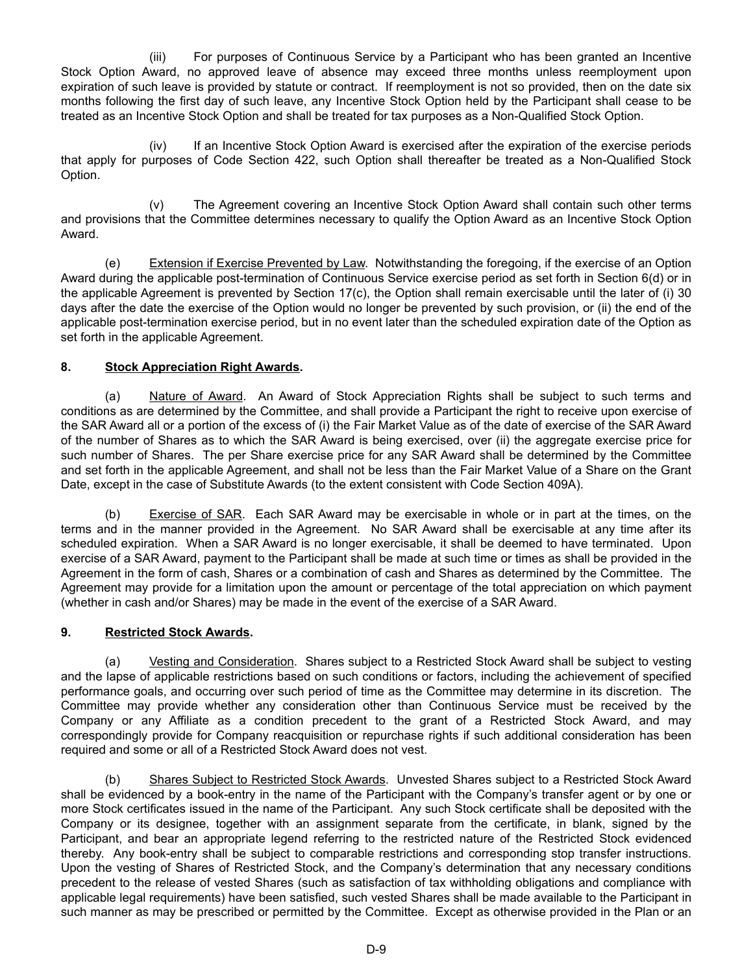(iii) For purposes of Continuous Service by a Participant who has been granted an Incentive Stock Option Award, no approved leave of absence may exceed three months unless reemployment upon expiration of such leave is provided by statute or contract. If reemployment is not so provided, then on the date six months following the first day of such leave, any Incentive Stock Option held by the Participant shall cease to be treated as an Incentive Stock Option and shall be treated for tax purposes as a Non-Qualified Stock Option.

(iv) If an Incentive Stock Option Award is exercised after the expiration of the exercise periods that apply for purposes of Code Section 422, such Option shall thereafter be treated as a Non-Qualified Stock Option.

(v) The Agreement covering an Incentive Stock Option Award shall contain such other terms and provisions that the Committee determines necessary to qualify the Option Award as an Incentive Stock Option Award.

(e) Extension if Exercise Prevented by Law. Notwithstanding the foregoing, if the exercise of an Option Award during the applicable post-termination of Continuous Service exercise period as set forth in Section 6(d) or in the applicable Agreement is prevented by Section 17(c), the Option shall remain exercisable until the later of (i) 30 days after the date the exercise of the Option would no longer be prevented by such provision, or (ii) the end of the applicable post-termination exercise period, but in no event later than the scheduled expiration date of the Option as set forth in the applicable Agreement.

### **8. Stock Appreciation Right Awards.**

(a) Nature of Award. An Award of Stock Appreciation Rights shall be subject to such terms and conditions as are determined by the Committee, and shall provide a Participant the right to receive upon exercise of the SAR Award all or a portion of the excess of (i) the Fair Market Value as of the date of exercise of the SAR Award of the number of Shares as to which the SAR Award is being exercised, over (ii) the aggregate exercise price for such number of Shares. The per Share exercise price for any SAR Award shall be determined by the Committee and set forth in the applicable Agreement, and shall not be less than the Fair Market Value of a Share on the Grant Date, except in the case of Substitute Awards (to the extent consistent with Code Section 409A).

(b) Exercise of SAR. Each SAR Award may be exercisable in whole or in part at the times, on the terms and in the manner provided in the Agreement. No SAR Award shall be exercisable at any time after its scheduled expiration. When a SAR Award is no longer exercisable, it shall be deemed to have terminated. Upon exercise of a SAR Award, payment to the Participant shall be made at such time or times as shall be provided in the Agreement in the form of cash, Shares or a combination of cash and Shares as determined by the Committee. The Agreement may provide for a limitation upon the amount or percentage of the total appreciation on which payment (whether in cash and/or Shares) may be made in the event of the exercise of a SAR Award.

### **9. Restricted Stock Awards.**

(a) Vesting and Consideration. Shares subject to a Restricted Stock Award shall be subject to vesting and the lapse of applicable restrictions based on such conditions or factors, including the achievement of specified performance goals, and occurring over such period of time as the Committee may determine in its discretion. The Committee may provide whether any consideration other than Continuous Service must be received by the Company or any Affiliate as a condition precedent to the grant of a Restricted Stock Award, and may correspondingly provide for Company reacquisition or repurchase rights if such additional consideration has been required and some or all of a Restricted Stock Award does not vest.

(b) Shares Subject to Restricted Stock Awards. Unvested Shares subject to a Restricted Stock Award shall be evidenced by a book-entry in the name of the Participant with the Company's transfer agent or by one or more Stock certificates issued in the name of the Participant. Any such Stock certificate shall be deposited with the Company or its designee, together with an assignment separate from the certificate, in blank, signed by the Participant, and bear an appropriate legend referring to the restricted nature of the Restricted Stock evidenced thereby. Any book-entry shall be subject to comparable restrictions and corresponding stop transfer instructions. Upon the vesting of Shares of Restricted Stock, and the Company's determination that any necessary conditions precedent to the release of vested Shares (such as satisfaction of tax withholding obligations and compliance with applicable legal requirements) have been satisfied, such vested Shares shall be made available to the Participant in such manner as may be prescribed or permitted by the Committee. Except as otherwise provided in the Plan or an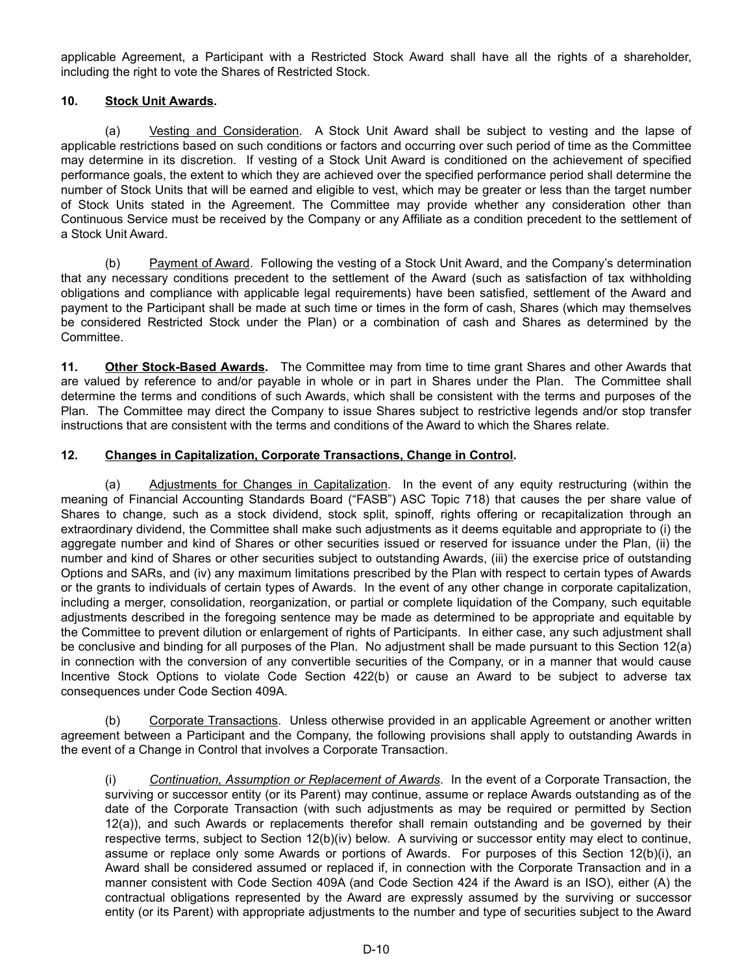applicable Agreement, a Participant with a Restricted Stock Award shall have all the rights of a shareholder, including the right to vote the Shares of Restricted Stock.

### **10. Stock Unit Awards.**

(a) Vesting and Consideration. A Stock Unit Award shall be subject to vesting and the lapse of applicable restrictions based on such conditions or factors and occurring over such period of time as the Committee may determine in its discretion. If vesting of a Stock Unit Award is conditioned on the achievement of specified performance goals, the extent to which they are achieved over the specified performance period shall determine the number of Stock Units that will be earned and eligible to vest, which may be greater or less than the target number of Stock Units stated in the Agreement. The Committee may provide whether any consideration other than Continuous Service must be received by the Company or any Affiliate as a condition precedent to the settlement of a Stock Unit Award.

(b) Payment of Award. Following the vesting of a Stock Unit Award, and the Company's determination that any necessary conditions precedent to the settlement of the Award (such as satisfaction of tax withholding obligations and compliance with applicable legal requirements) have been satisfied, settlement of the Award and payment to the Participant shall be made at such time or times in the form of cash, Shares (which may themselves be considered Restricted Stock under the Plan) or a combination of cash and Shares as determined by the Committee.

**11. Other Stock-Based Awards.** The Committee may from time to time grant Shares and other Awards that are valued by reference to and/or payable in whole or in part in Shares under the Plan. The Committee shall determine the terms and conditions of such Awards, which shall be consistent with the terms and purposes of the Plan. The Committee may direct the Company to issue Shares subject to restrictive legends and/or stop transfer instructions that are consistent with the terms and conditions of the Award to which the Shares relate.

#### **12. Changes in Capitalization, Corporate Transactions, Change in Control.**

(a) Adjustments for Changes in Capitalization. In the event of any equity restructuring (within the meaning of Financial Accounting Standards Board ("FASB") ASC Topic 718) that causes the per share value of Shares to change, such as a stock dividend, stock split, spinoff, rights offering or recapitalization through an extraordinary dividend, the Committee shall make such adjustments as it deems equitable and appropriate to (i) the aggregate number and kind of Shares or other securities issued or reserved for issuance under the Plan, (ii) the number and kind of Shares or other securities subject to outstanding Awards, (iii) the exercise price of outstanding Options and SARs, and (iv) any maximum limitations prescribed by the Plan with respect to certain types of Awards or the grants to individuals of certain types of Awards. In the event of any other change in corporate capitalization, including a merger, consolidation, reorganization, or partial or complete liquidation of the Company, such equitable adjustments described in the foregoing sentence may be made as determined to be appropriate and equitable by the Committee to prevent dilution or enlargement of rights of Participants. In either case, any such adjustment shall be conclusive and binding for all purposes of the Plan. No adjustment shall be made pursuant to this Section 12(a) in connection with the conversion of any convertible securities of the Company, or in a manner that would cause Incentive Stock Options to violate Code Section 422(b) or cause an Award to be subject to adverse tax consequences under Code Section 409A.

(b) Corporate Transactions. Unless otherwise provided in an applicable Agreement or another written agreement between a Participant and the Company, the following provisions shall apply to outstanding Awards in the event of a Change in Control that involves a Corporate Transaction.

(i) *Continuation, Assumption or Replacement of Awards*. In the event of a Corporate Transaction, the surviving or successor entity (or its Parent) may continue, assume or replace Awards outstanding as of the date of the Corporate Transaction (with such adjustments as may be required or permitted by Section 12(a)), and such Awards or replacements therefor shall remain outstanding and be governed by their respective terms, subject to Section 12(b)(iv) below. A surviving or successor entity may elect to continue, assume or replace only some Awards or portions of Awards. For purposes of this Section 12(b)(i), an Award shall be considered assumed or replaced if, in connection with the Corporate Transaction and in a manner consistent with Code Section 409A (and Code Section 424 if the Award is an ISO), either (A) the contractual obligations represented by the Award are expressly assumed by the surviving or successor entity (or its Parent) with appropriate adjustments to the number and type of securities subject to the Award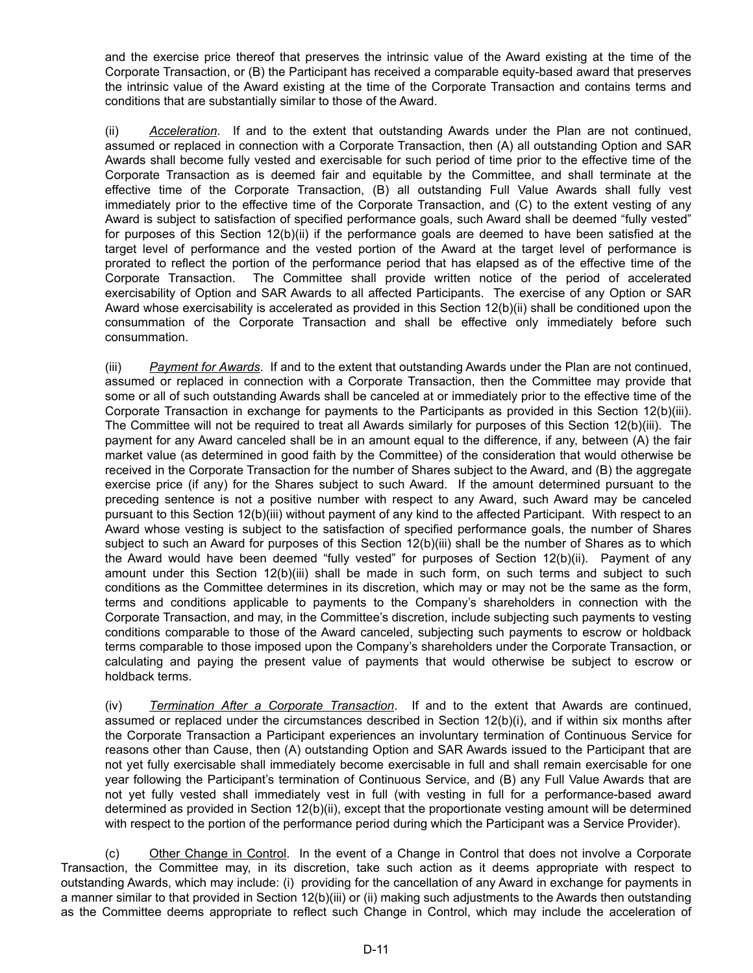and the exercise price thereof that preserves the intrinsic value of the Award existing at the time of the Corporate Transaction, or (B) the Participant has received a comparable equity-based award that preserves the intrinsic value of the Award existing at the time of the Corporate Transaction and contains terms and conditions that are substantially similar to those of the Award.

(ii) *Acceleration*. If and to the extent that outstanding Awards under the Plan are not continued, assumed or replaced in connection with a Corporate Transaction, then (A) all outstanding Option and SAR Awards shall become fully vested and exercisable for such period of time prior to the effective time of the Corporate Transaction as is deemed fair and equitable by the Committee, and shall terminate at the effective time of the Corporate Transaction, (B) all outstanding Full Value Awards shall fully vest immediately prior to the effective time of the Corporate Transaction, and (C) to the extent vesting of any Award is subject to satisfaction of specified performance goals, such Award shall be deemed "fully vested" for purposes of this Section 12(b)(ii) if the performance goals are deemed to have been satisfied at the target level of performance and the vested portion of the Award at the target level of performance is prorated to reflect the portion of the performance period that has elapsed as of the effective time of the Corporate Transaction. The Committee shall provide written notice of the period of accelerated exercisability of Option and SAR Awards to all affected Participants. The exercise of any Option or SAR Award whose exercisability is accelerated as provided in this Section 12(b)(ii) shall be conditioned upon the consummation of the Corporate Transaction and shall be effective only immediately before such consummation.

(iii) *Payment for Awards*. If and to the extent that outstanding Awards under the Plan are not continued, assumed or replaced in connection with a Corporate Transaction, then the Committee may provide that some or all of such outstanding Awards shall be canceled at or immediately prior to the effective time of the Corporate Transaction in exchange for payments to the Participants as provided in this Section 12(b)(iii). The Committee will not be required to treat all Awards similarly for purposes of this Section 12(b)(iii). The payment for any Award canceled shall be in an amount equal to the difference, if any, between (A) the fair market value (as determined in good faith by the Committee) of the consideration that would otherwise be received in the Corporate Transaction for the number of Shares subject to the Award, and (B) the aggregate exercise price (if any) for the Shares subject to such Award. If the amount determined pursuant to the preceding sentence is not a positive number with respect to any Award, such Award may be canceled pursuant to this Section 12(b)(iii) without payment of any kind to the affected Participant. With respect to an Award whose vesting is subject to the satisfaction of specified performance goals, the number of Shares subject to such an Award for purposes of this Section 12(b)(iii) shall be the number of Shares as to which the Award would have been deemed "fully vested" for purposes of Section 12(b)(ii). Payment of any amount under this Section 12(b)(iii) shall be made in such form, on such terms and subject to such conditions as the Committee determines in its discretion, which may or may not be the same as the form, terms and conditions applicable to payments to the Company's shareholders in connection with the Corporate Transaction, and may, in the Committee's discretion, include subjecting such payments to vesting conditions comparable to those of the Award canceled, subjecting such payments to escrow or holdback terms comparable to those imposed upon the Company's shareholders under the Corporate Transaction, or calculating and paying the present value of payments that would otherwise be subject to escrow or holdback terms.

(iv) *Termination After a Corporate Transaction*. If and to the extent that Awards are continued, assumed or replaced under the circumstances described in Section 12(b)(i), and if within six months after the Corporate Transaction a Participant experiences an involuntary termination of Continuous Service for reasons other than Cause, then (A) outstanding Option and SAR Awards issued to the Participant that are not yet fully exercisable shall immediately become exercisable in full and shall remain exercisable for one year following the Participant's termination of Continuous Service, and (B) any Full Value Awards that are not yet fully vested shall immediately vest in full (with vesting in full for a performance-based award determined as provided in Section 12(b)(ii), except that the proportionate vesting amount will be determined with respect to the portion of the performance period during which the Participant was a Service Provider).

(c) Other Change in Control. In the event of a Change in Control that does not involve a Corporate Transaction, the Committee may, in its discretion, take such action as it deems appropriate with respect to outstanding Awards, which may include: (i) providing for the cancellation of any Award in exchange for payments in a manner similar to that provided in Section 12(b)(iii) or (ii) making such adjustments to the Awards then outstanding as the Committee deems appropriate to reflect such Change in Control, which may include the acceleration of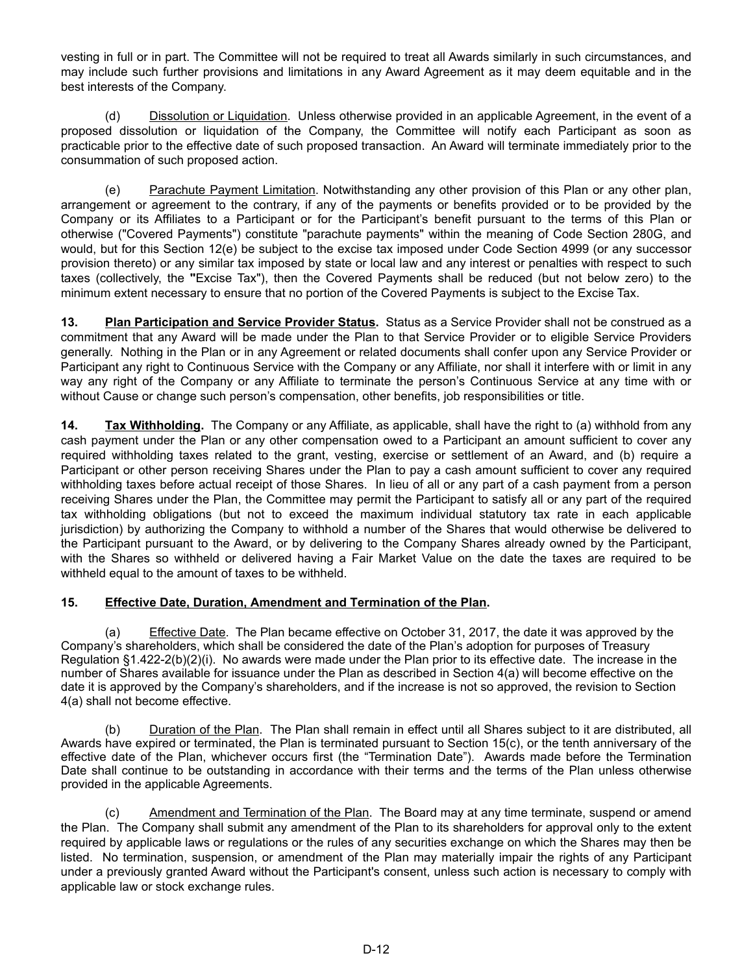vesting in full or in part. The Committee will not be required to treat all Awards similarly in such circumstances, and may include such further provisions and limitations in any Award Agreement as it may deem equitable and in the best interests of the Company.

(d) Dissolution or Liquidation. Unless otherwise provided in an applicable Agreement, in the event of a proposed dissolution or liquidation of the Company, the Committee will notify each Participant as soon as practicable prior to the effective date of such proposed transaction. An Award will terminate immediately prior to the consummation of such proposed action.

(e) Parachute Payment Limitation. Notwithstanding any other provision of this Plan or any other plan, arrangement or agreement to the contrary, if any of the payments or benefits provided or to be provided by the Company or its Affiliates to a Participant or for the Participant's benefit pursuant to the terms of this Plan or otherwise ("Covered Payments") constitute "parachute payments" within the meaning of Code Section 280G, and would, but for this Section 12(e) be subject to the excise tax imposed under Code Section 4999 (or any successor provision thereto) or any similar tax imposed by state or local law and any interest or penalties with respect to such taxes (collectively, the **"**Excise Tax"), then the Covered Payments shall be reduced (but not below zero) to the minimum extent necessary to ensure that no portion of the Covered Payments is subject to the Excise Tax.

**13. Plan Participation and Service Provider Status.** Status as a Service Provider shall not be construed as a commitment that any Award will be made under the Plan to that Service Provider or to eligible Service Providers generally. Nothing in the Plan or in any Agreement or related documents shall confer upon any Service Provider or Participant any right to Continuous Service with the Company or any Affiliate, nor shall it interfere with or limit in any way any right of the Company or any Affiliate to terminate the person's Continuous Service at any time with or without Cause or change such person's compensation, other benefits, job responsibilities or title.

**14. Tax Withholding.** The Company or any Affiliate, as applicable, shall have the right to (a) withhold from any cash payment under the Plan or any other compensation owed to a Participant an amount sufficient to cover any required withholding taxes related to the grant, vesting, exercise or settlement of an Award, and (b) require a Participant or other person receiving Shares under the Plan to pay a cash amount sufficient to cover any required withholding taxes before actual receipt of those Shares. In lieu of all or any part of a cash payment from a person receiving Shares under the Plan, the Committee may permit the Participant to satisfy all or any part of the required tax withholding obligations (but not to exceed the maximum individual statutory tax rate in each applicable jurisdiction) by authorizing the Company to withhold a number of the Shares that would otherwise be delivered to the Participant pursuant to the Award, or by delivering to the Company Shares already owned by the Participant, with the Shares so withheld or delivered having a Fair Market Value on the date the taxes are required to be withheld equal to the amount of taxes to be withheld.

### **15. Effective Date, Duration, Amendment and Termination of the Plan.**

(a) Effective Date. The Plan became effective on October 31, 2017, the date it was approved by the Company's shareholders, which shall be considered the date of the Plan's adoption for purposes of Treasury Regulation §1.422-2(b)(2)(i). No awards were made under the Plan prior to its effective date. The increase in the number of Shares available for issuance under the Plan as described in Section 4(a) will become effective on the date it is approved by the Company's shareholders, and if the increase is not so approved, the revision to Section 4(a) shall not become effective.

(b) Duration of the Plan. The Plan shall remain in effect until all Shares subject to it are distributed, all Awards have expired or terminated, the Plan is terminated pursuant to Section 15(c), or the tenth anniversary of the effective date of the Plan, whichever occurs first (the "Termination Date"). Awards made before the Termination Date shall continue to be outstanding in accordance with their terms and the terms of the Plan unless otherwise provided in the applicable Agreements.

(c) Amendment and Termination of the Plan. The Board may at any time terminate, suspend or amend the Plan. The Company shall submit any amendment of the Plan to its shareholders for approval only to the extent required by applicable laws or regulations or the rules of any securities exchange on which the Shares may then be listed. No termination, suspension, or amendment of the Plan may materially impair the rights of any Participant under a previously granted Award without the Participant's consent, unless such action is necessary to comply with applicable law or stock exchange rules.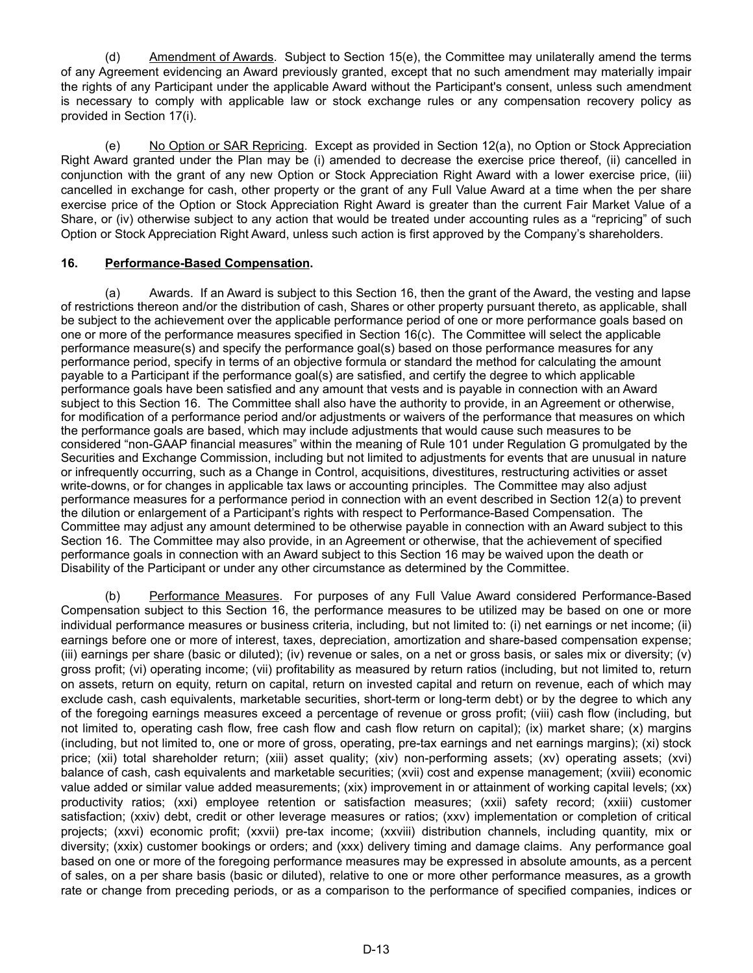(d) Amendment of Awards. Subject to Section 15(e), the Committee may unilaterally amend the terms of any Agreement evidencing an Award previously granted, except that no such amendment may materially impair the rights of any Participant under the applicable Award without the Participant's consent, unless such amendment is necessary to comply with applicable law or stock exchange rules or any compensation recovery policy as provided in Section 17(i).

(e) No Option or SAR Repricing. Except as provided in Section 12(a), no Option or Stock Appreciation Right Award granted under the Plan may be (i) amended to decrease the exercise price thereof, (ii) cancelled in conjunction with the grant of any new Option or Stock Appreciation Right Award with a lower exercise price, (iii) cancelled in exchange for cash, other property or the grant of any Full Value Award at a time when the per share exercise price of the Option or Stock Appreciation Right Award is greater than the current Fair Market Value of a Share, or (iv) otherwise subject to any action that would be treated under accounting rules as a "repricing" of such Option or Stock Appreciation Right Award, unless such action is first approved by the Company's shareholders.

### **16. Performance-Based Compensation.**

(a) Awards. If an Award is subject to this Section 16, then the grant of the Award, the vesting and lapse of restrictions thereon and/or the distribution of cash, Shares or other property pursuant thereto, as applicable, shall be subject to the achievement over the applicable performance period of one or more performance goals based on one or more of the performance measures specified in Section 16(c). The Committee will select the applicable performance measure(s) and specify the performance goal(s) based on those performance measures for any performance period, specify in terms of an objective formula or standard the method for calculating the amount payable to a Participant if the performance goal(s) are satisfied, and certify the degree to which applicable performance goals have been satisfied and any amount that vests and is payable in connection with an Award subject to this Section 16. The Committee shall also have the authority to provide, in an Agreement or otherwise, for modification of a performance period and/or adjustments or waivers of the performance that measures on which the performance goals are based, which may include adjustments that would cause such measures to be considered "non-GAAP financial measures" within the meaning of Rule 101 under Regulation G promulgated by the Securities and Exchange Commission, including but not limited to adjustments for events that are unusual in nature or infrequently occurring, such as a Change in Control, acquisitions, divestitures, restructuring activities or asset write-downs, or for changes in applicable tax laws or accounting principles. The Committee may also adjust performance measures for a performance period in connection with an event described in Section 12(a) to prevent the dilution or enlargement of a Participant's rights with respect to Performance-Based Compensation. The Committee may adjust any amount determined to be otherwise payable in connection with an Award subject to this Section 16. The Committee may also provide, in an Agreement or otherwise, that the achievement of specified performance goals in connection with an Award subject to this Section 16 may be waived upon the death or Disability of the Participant or under any other circumstance as determined by the Committee.

(b) Performance Measures. For purposes of any Full Value Award considered Performance-Based Compensation subject to this Section 16, the performance measures to be utilized may be based on one or more individual performance measures or business criteria, including, but not limited to: (i) net earnings or net income; (ii) earnings before one or more of interest, taxes, depreciation, amortization and share-based compensation expense; (iii) earnings per share (basic or diluted); (iv) revenue or sales, on a net or gross basis, or sales mix or diversity; (v) gross profit; (vi) operating income; (vii) profitability as measured by return ratios (including, but not limited to, return on assets, return on equity, return on capital, return on invested capital and return on revenue, each of which may exclude cash, cash equivalents, marketable securities, short-term or long-term debt) or by the degree to which any of the foregoing earnings measures exceed a percentage of revenue or gross profit; (viii) cash flow (including, but not limited to, operating cash flow, free cash flow and cash flow return on capital); (ix) market share; (x) margins (including, but not limited to, one or more of gross, operating, pre-tax earnings and net earnings margins); (xi) stock price; (xii) total shareholder return; (xiii) asset quality; (xiv) non-performing assets; (xv) operating assets; (xvi) balance of cash, cash equivalents and marketable securities; (xvii) cost and expense management; (xviii) economic value added or similar value added measurements; (xix) improvement in or attainment of working capital levels; (xx) productivity ratios; (xxi) employee retention or satisfaction measures; (xxii) safety record; (xxiii) customer satisfaction; (xxiv) debt, credit or other leverage measures or ratios; (xxv) implementation or completion of critical projects; (xxvi) economic profit; (xxvii) pre-tax income; (xxviii) distribution channels, including quantity, mix or diversity; (xxix) customer bookings or orders; and (xxx) delivery timing and damage claims. Any performance goal based on one or more of the foregoing performance measures may be expressed in absolute amounts, as a percent of sales, on a per share basis (basic or diluted), relative to one or more other performance measures, as a growth rate or change from preceding periods, or as a comparison to the performance of specified companies, indices or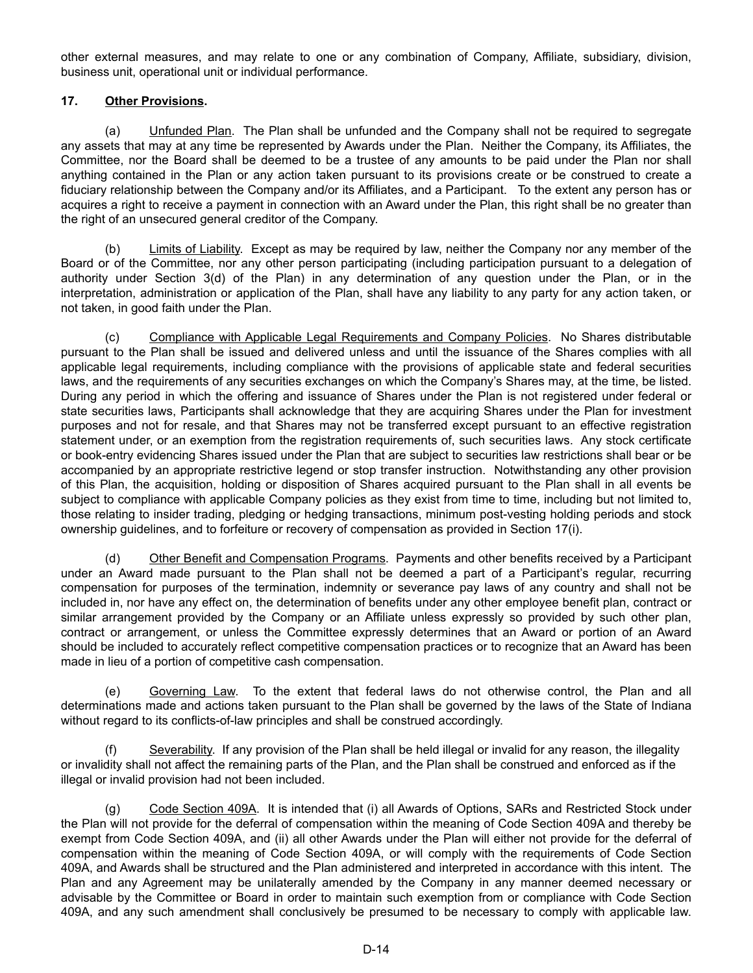other external measures, and may relate to one or any combination of Company, Affiliate, subsidiary, division, business unit, operational unit or individual performance.

# **17. Other Provisions.**

(a) Unfunded Plan. The Plan shall be unfunded and the Company shall not be required to segregate any assets that may at any time be represented by Awards under the Plan. Neither the Company, its Affiliates, the Committee, nor the Board shall be deemed to be a trustee of any amounts to be paid under the Plan nor shall anything contained in the Plan or any action taken pursuant to its provisions create or be construed to create a fiduciary relationship between the Company and/or its Affiliates, and a Participant. To the extent any person has or acquires a right to receive a payment in connection with an Award under the Plan, this right shall be no greater than the right of an unsecured general creditor of the Company.

(b) Limits of Liability. Except as may be required by law, neither the Company nor any member of the Board or of the Committee, nor any other person participating (including participation pursuant to a delegation of authority under Section 3(d) of the Plan) in any determination of any question under the Plan, or in the interpretation, administration or application of the Plan, shall have any liability to any party for any action taken, or not taken, in good faith under the Plan.

(c) Compliance with Applicable Legal Requirements and Company Policies. No Shares distributable pursuant to the Plan shall be issued and delivered unless and until the issuance of the Shares complies with all applicable legal requirements, including compliance with the provisions of applicable state and federal securities laws, and the requirements of any securities exchanges on which the Company's Shares may, at the time, be listed. During any period in which the offering and issuance of Shares under the Plan is not registered under federal or state securities laws, Participants shall acknowledge that they are acquiring Shares under the Plan for investment purposes and not for resale, and that Shares may not be transferred except pursuant to an effective registration statement under, or an exemption from the registration requirements of, such securities laws. Any stock certificate or book-entry evidencing Shares issued under the Plan that are subject to securities law restrictions shall bear or be accompanied by an appropriate restrictive legend or stop transfer instruction. Notwithstanding any other provision of this Plan, the acquisition, holding or disposition of Shares acquired pursuant to the Plan shall in all events be subject to compliance with applicable Company policies as they exist from time to time, including but not limited to, those relating to insider trading, pledging or hedging transactions, minimum post-vesting holding periods and stock ownership guidelines, and to forfeiture or recovery of compensation as provided in Section 17(i).

(d) Other Benefit and Compensation Programs. Payments and other benefits received by a Participant under an Award made pursuant to the Plan shall not be deemed a part of a Participant's regular, recurring compensation for purposes of the termination, indemnity or severance pay laws of any country and shall not be included in, nor have any effect on, the determination of benefits under any other employee benefit plan, contract or similar arrangement provided by the Company or an Affiliate unless expressly so provided by such other plan, contract or arrangement, or unless the Committee expressly determines that an Award or portion of an Award should be included to accurately reflect competitive compensation practices or to recognize that an Award has been made in lieu of a portion of competitive cash compensation.

(e) Governing Law. To the extent that federal laws do not otherwise control, the Plan and all determinations made and actions taken pursuant to the Plan shall be governed by the laws of the State of Indiana without regard to its conflicts-of-law principles and shall be construed accordingly.

(f) Severability. If any provision of the Plan shall be held illegal or invalid for any reason, the illegality or invalidity shall not affect the remaining parts of the Plan, and the Plan shall be construed and enforced as if the illegal or invalid provision had not been included.

(g) Code Section 409A. It is intended that (i) all Awards of Options, SARs and Restricted Stock under the Plan will not provide for the deferral of compensation within the meaning of Code Section 409A and thereby be exempt from Code Section 409A, and (ii) all other Awards under the Plan will either not provide for the deferral of compensation within the meaning of Code Section 409A, or will comply with the requirements of Code Section 409A, and Awards shall be structured and the Plan administered and interpreted in accordance with this intent. The Plan and any Agreement may be unilaterally amended by the Company in any manner deemed necessary or advisable by the Committee or Board in order to maintain such exemption from or compliance with Code Section 409A, and any such amendment shall conclusively be presumed to be necessary to comply with applicable law.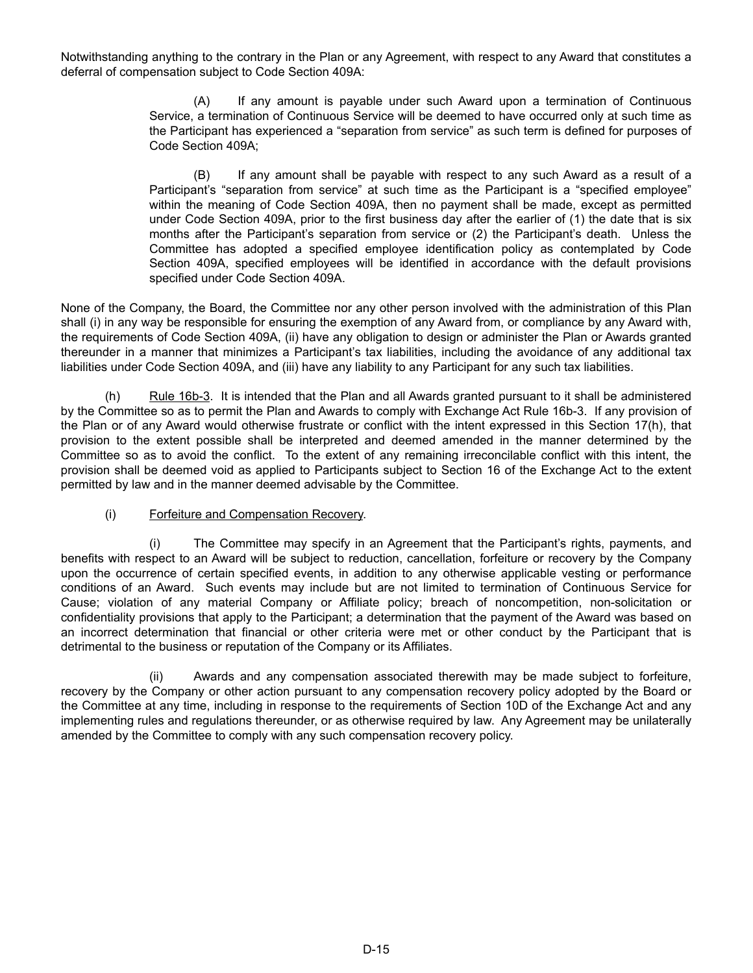Notwithstanding anything to the contrary in the Plan or any Agreement, with respect to any Award that constitutes a deferral of compensation subject to Code Section 409A:

> (A) If any amount is payable under such Award upon a termination of Continuous Service, a termination of Continuous Service will be deemed to have occurred only at such time as the Participant has experienced a "separation from service" as such term is defined for purposes of Code Section 409A;

> (B) If any amount shall be payable with respect to any such Award as a result of a Participant's "separation from service" at such time as the Participant is a "specified employee" within the meaning of Code Section 409A, then no payment shall be made, except as permitted under Code Section 409A, prior to the first business day after the earlier of (1) the date that is six months after the Participant's separation from service or (2) the Participant's death. Unless the Committee has adopted a specified employee identification policy as contemplated by Code Section 409A, specified employees will be identified in accordance with the default provisions specified under Code Section 409A.

None of the Company, the Board, the Committee nor any other person involved with the administration of this Plan shall (i) in any way be responsible for ensuring the exemption of any Award from, or compliance by any Award with, the requirements of Code Section 409A, (ii) have any obligation to design or administer the Plan or Awards granted thereunder in a manner that minimizes a Participant's tax liabilities, including the avoidance of any additional tax liabilities under Code Section 409A, and (iii) have any liability to any Participant for any such tax liabilities.

(h) Rule 16b-3. It is intended that the Plan and all Awards granted pursuant to it shall be administered by the Committee so as to permit the Plan and Awards to comply with Exchange Act Rule 16b-3. If any provision of the Plan or of any Award would otherwise frustrate or conflict with the intent expressed in this Section 17(h), that provision to the extent possible shall be interpreted and deemed amended in the manner determined by the Committee so as to avoid the conflict. To the extent of any remaining irreconcilable conflict with this intent, the provision shall be deemed void as applied to Participants subject to Section 16 of the Exchange Act to the extent permitted by law and in the manner deemed advisable by the Committee.

# (i) Forfeiture and Compensation Recovery.

(i) The Committee may specify in an Agreement that the Participant's rights, payments, and benefits with respect to an Award will be subject to reduction, cancellation, forfeiture or recovery by the Company upon the occurrence of certain specified events, in addition to any otherwise applicable vesting or performance conditions of an Award. Such events may include but are not limited to termination of Continuous Service for Cause; violation of any material Company or Affiliate policy; breach of noncompetition, non-solicitation or confidentiality provisions that apply to the Participant; a determination that the payment of the Award was based on an incorrect determination that financial or other criteria were met or other conduct by the Participant that is detrimental to the business or reputation of the Company or its Affiliates.

(ii) Awards and any compensation associated therewith may be made subject to forfeiture, recovery by the Company or other action pursuant to any compensation recovery policy adopted by the Board or the Committee at any time, including in response to the requirements of Section 10D of the Exchange Act and any implementing rules and regulations thereunder, or as otherwise required by law. Any Agreement may be unilaterally amended by the Committee to comply with any such compensation recovery policy.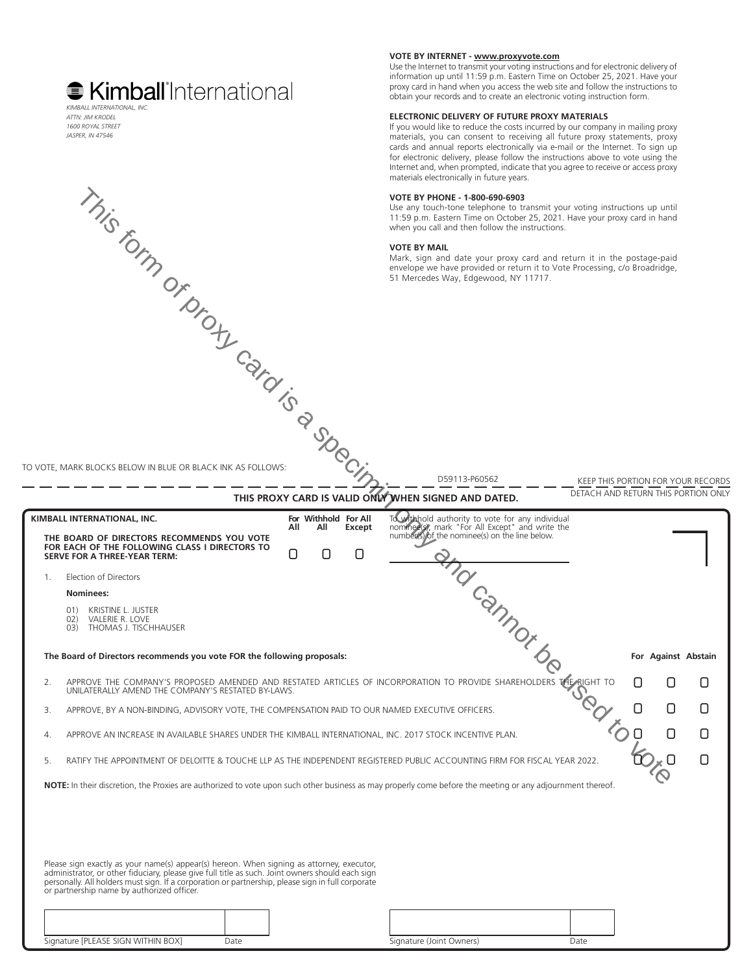# **■ Kimball**'International *KIMBALL INTERNATIONAL, INC.*

*ATTN: JIM KRODEL 1600 ROYAL STREET JASPER, IN 47546*

### **VOTE BY INTERNET - www.proxyvote.com**

Use the Internet to transmit your voting instructions and for electronic delivery of information up until 11:59 p.m. Eastern Time on October 25, 2021. Have your proxy card in hand when you access the web site and follow the instructions to obtain your records and to create an electronic voting instruction form.

#### **ELECTRONIC DELIVERY OF FUTURE PROXY MATERIALS**

If you would like to reduce the costs incurred by our company in mailing proxy materials, you can consent to receiving all future proxy statements, proxy cards and annual reports electronically via e-mail or the Internet. To sign up for electronic delivery, please follow the instructions above to vote using the Internet and, when prompted, indicate that you agree to receive or access proxy materials electronically in future years.

#### **VOTE BY PHONE - 1-800-690-6903**

Use any touch-tone telephone to transmit your voting instructions up until 11:59 p.m. Eastern Time on October 25, 2021. Have your proxy card in hand when you call and then follow the instructions.

#### **VOTE BY MAIL**

Mark, sign and date your proxy card and return it in the postage-paid envelope we have provided or return it to Vote Processing, c/o Broadridge, 51 Mercedes Way, Edgewood, NY 11717.

TO VOTE, MARK BLOCKS BELOW IN BLUE OR BLACK INK AS FOLLOWS:

KEEP THIS PORTION FOR YOUR RECORDS DETACH AND RETURN THIS PORTION ONLY **THIS PROXY CARD IS VALID ONLY WHEN SIGNED AND DATED.** D59113-P60562  $\Box$  $\Box$ 01) KRISTINE L. JUSTER<br>02) VALERIE R LOVE 02) VALERIE R. LOVE<br>03) THOMAS L TISCH 03) THOMAS J. TISCHHAUSER 1. Election of Directors **Nominees: The Board of Directors recommends you vote FOR the following proposals:** 2. APPROVE THE COMPANY'S PROPOSED AMENDED AND RESTATED ARTICLES OF INCORPORATION TO PROVIDE SHAREHOLDERS THE RIGHT TO UNILATERALLY AMEND THE COMPANY'S RESTATED BY-LAWS. 3. APPROVE, BY A NON-BINDING, ADVISORY VOTE, THE COMPENSATION PAID TO OUR NAMED EXECUTIVE OFFICERS. 4. APPROVE AN INCREASE IN AVAILABLE SHARES UNDER THE KIMBALL INTERNATIONAL, INC. 2017 STOCK INCENTIVE PLAN. 5. RATIFY THE APPOINTMENT OF DELOITTE & TOUCHE LLP AS THE INDEPENDENT REGISTERED PUBLIC ACCOUNTING FIRM FOR FISCAL YEAR 2022. **NOTE:** In their discretion, the Proxies are authorized to vote upon such other business as may properly come before the meeting or any adjournment thereof.  $\Box$ **For All Withhold For All All Except For Against Abstain**  $\Box$   $\Box$  $\Box$ **KIMBALL INTERNATIONAL, INC.** The state of the state of the state of the state of the state of the state of the state of the state of the state of the state of the state of the state of the state of the state of the state nominee(s), mark "For All Except" and write the<br>number(s) of the nominee(s) on the line below.<br>and the set of the nominee(s) on the line below. THE BOARD OF DIRECTORS RECOMMENDS YOU VOTE **FOR EACH OF THE FOLLOWING CLASS I DIRECTORS TO SERVE FOR A THREE-YEAR TERM:** Please sign exactly as your name(s) appear(s) hereon. When signing as attorney, executor,<br>administrator, or other fiduciary, please give full title as such. Joint owners should each sign<br>personally. All holders must sign. or partnership name by authorized officer. This form of proxy card is a specimin only and cannot be used to vote

| Signature [PLEASE SIGN WITHIN BOX] | Jate | Signature (Joint Owners) | Date |
|------------------------------------|------|--------------------------|------|